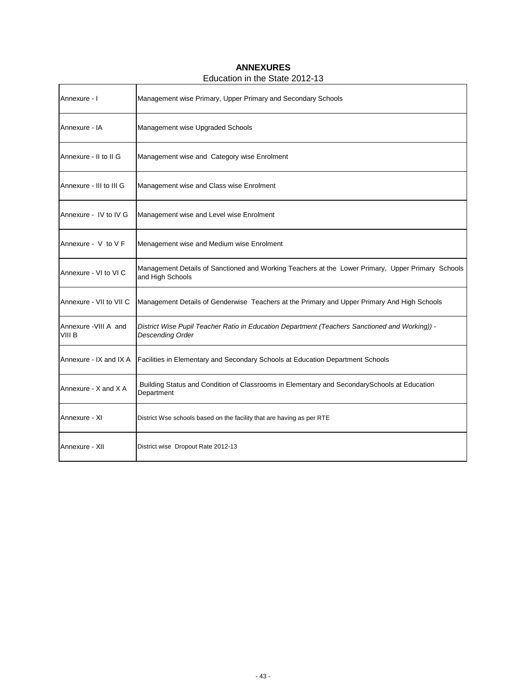## **ANNEXURES**

## Education in the State 2012-13

| Annexure - I                    | Management wise Primary, Upper Primary and Secondary Schools                                                          |
|---------------------------------|-----------------------------------------------------------------------------------------------------------------------|
| Annexure - IA                   | Management wise Upgraded Schools                                                                                      |
| Annexure - II to II G           | Management wise and Category wise Enrolment                                                                           |
| Annexure - III to III G         | Management wise and Class wise Enrolment                                                                              |
| Annexure - IV to IV G           | Management wise and Level wise Enrolment                                                                              |
| Annexure - $V$ to $V$ F         | Menagement wise and Medium wise Enrolment                                                                             |
| Annexure - VI to VI C           | Management Details of Sanctioned and Working Teachers at the Lower Primary, Upper Primary Schools<br>and High Schools |
| Annexure - VII to VII C         | Management Details of Genderwise Teachers at the Primary and Upper Primary And High Schools                           |
| Annexure - VIII A and<br>VIII B | District Wise Pupil Teacher Ratio in Education Department (Teachers Sanctioned and Working)) -<br>Descending Order    |
| Annexure - IX and IX A          | Facilities in Elementary and Secondary Schools at Education Department Schools                                        |
| Annexure - X and X A            | Building Status and Condition of Classrooms in Elementary and Secondary Schools at Education<br>Department            |
| Annexure - XI                   | District Wse schools based on the facility that are having as per RTE                                                 |
| Annexure - XII                  | District wise Dropout Rate 2012-13                                                                                    |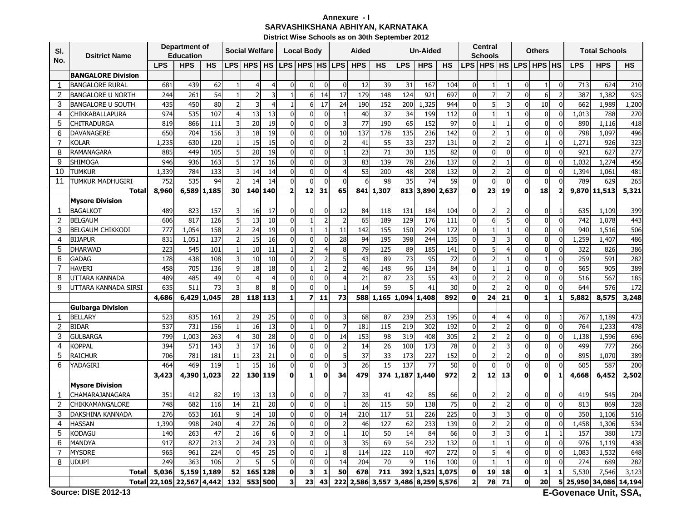## **SARVASHIKSHANA ABHIYAN, KARNATAKA District Wise Schools as on 30th September 2012Annexure - I**

| SI.            | <b>Dsitrict Name</b>       |            | Department of<br><b>Education</b> |                 |                      | <b>Social Welfare</b> |                |                             | <b>Local Body</b>       |                               |                                         | Aided      |           |                 | <b>Un-Aided</b> |                 |                               | <b>Central</b><br><b>Schools</b> |                                  |                                  | <b>Others</b>                  |                         |            | <b>Total Schools</b> |            |
|----------------|----------------------------|------------|-----------------------------------|-----------------|----------------------|-----------------------|----------------|-----------------------------|-------------------------|-------------------------------|-----------------------------------------|------------|-----------|-----------------|-----------------|-----------------|-------------------------------|----------------------------------|----------------------------------|----------------------------------|--------------------------------|-------------------------|------------|----------------------|------------|
| No.            |                            | <b>LPS</b> | <b>HPS</b>                        | <b>HS</b>       |                      | LPS HPS               | <b>HS</b>      |                             | LPS HPS HS              |                               | <b>LPS</b>                              | <b>HPS</b> | <b>HS</b> | <b>LPS</b>      | <b>HPS</b>      | <b>HS</b>       |                               | LPS   HPS   HS   LPS   HPS   HS  |                                  |                                  |                                |                         | <b>LPS</b> | <b>HPS</b>           | <b>HS</b>  |
|                | <b>BANGALORE Division</b>  |            |                                   |                 |                      |                       |                |                             |                         |                               |                                         |            |           |                 |                 |                 |                               |                                  |                                  |                                  |                                |                         |            |                      |            |
| $\mathbf{1}$   | <b>BANGALORE RURAL</b>     | 681        | 439                               | 62              | 1                    | 4                     | 4              | $\mathbf{0}$                | $\Omega$                | $\mathbf 0$                   | $\Omega$                                | 12         | 39        | 31              | 167             | 104             | $\mathbf 0$                   | $\mathbf{1}$                     | $\mathbf{1}$                     | $\Omega$                         | $\mathbf{1}$                   | $\boldsymbol{0}$        | 713        | 624                  | 210        |
| 2              | <b>BANGALORE U NORTH</b>   | 244        | 261                               | $\overline{54}$ | $\mathbf{1}$         | $\overline{2}$        | 3              | $\mathbf{1}$                | 6                       | 14                            | 17                                      | 179        | 148       | 124             | 921             | 697             | $\mathbf 0$                   | $\overline{7}$                   | $\overline{7}$                   | $\Omega$                         | 6                              | $\overline{2}$          | 387        | 1,382                | 925        |
| 3              | <b>BANGALORE U SOUTH</b>   | 435        | 450                               | 80              | $\overline{2}$       | 3                     | $\overline{4}$ | $\mathbf{1}$                | 6                       | 17                            | 24                                      | 190        | 152       | 200             | 1,325           | 944             | $\Omega$                      | 5                                | 3                                | $\Omega$                         | 10                             | 0                       | 662        | 1,989                | 1,200      |
| 4              | CHIKKABALLAPURA            | 974        | 535                               | 107             | $\overline{4}$       | 13                    | 13             | $\mathbf{0}$                |                         | $\mathbf{0}$                  |                                         | 40         | 37        | 34              | 199             | 112             | $\Omega$                      | $\overline{1}$                   | $\overline{1}$                   | $\mathbf{0}$                     | $\Omega$                       | $\mathbf{0}$            | 1.013      | 788                  | 270        |
| 5              | CHITRADURGA                | 819        | 866                               | 111             | 3                    | 20                    | 19             | $\mathbf 0$                 | $\Omega$                | $\mathbf 0$                   | $\overline{3}$                          | 77         | 190       | 65              | 152             | 97              | $\mathbf 0$                   | $\overline{1}$                   | $\mathbf{1}$                     | $\overline{0}$                   | $\overline{0}$                 | $\pmb{0}$               | 890        | 1,116                | 418        |
| 6              | <b>DAVANAGERE</b>          | 650        | 704                               | 156             | 3                    | 18                    | 19             | $\mathbf{0}$                | $\Omega$                | $\mathbf 0$                   | 10                                      | 137        | 178       | 135             | 236             | 142             | $\mathbf 0$                   | $\overline{2}$                   | $\mathbf{1}$                     | $\Omega$                         | $\overline{0}$                 | $\mathbf 0$             | 798        | 1,097                | 496        |
| $\overline{7}$ | KOLAR                      | 1,235      | 630                               | 120             | $\mathbf{1}$         | 15                    | 15             | $\mathbf{0}$                |                         | $\mathbf{0}$                  | $\overline{2}$                          | 41         | 55        | 33              | 237             | 131             | $\mathbf 0$                   | $\overline{2}$                   | $\overline{2}$                   | $\Omega$                         | $\overline{1}$                 | $\pmb{0}$               | 1,271      | 926                  | 323        |
| 8              | RAMANAGARA                 | 885        | 449                               | 105             | 5                    | 20                    | 19             | $\mathbf{0}$                |                         | $\Omega$                      |                                         | 23         | 71        | 30              | 135             | 82              | $\mathbf 0$                   | $\mathbf{0}$                     | $\mathbf 0$                      | $\overline{0}$                   | $\Omega$                       | 0                       | 921        | 627                  | 277        |
| 9              | Shimoga                    | 946        | 936                               | 163             | 5                    | 17                    | 16             | $\mathbf{0}$                | $\Omega$                | $\overline{0}$                | $\overline{\mathbf{3}}$                 | 83         | 139       | $\overline{78}$ | 236             | $\frac{137}{2}$ | $\mathbf 0$                   | $\overline{2}$                   | $\mathbf{1}$                     | $\overline{0}$                   | $\Omega$                       | $\mathbf{0}$            | 1,032      | 1,274                | 456        |
| 10             | Tumkur                     | 1,339      | 784                               | 133             | 3                    | 14                    | 14             | $\mathbf{0}$                | $\Omega$                | $\mathbf{0}$                  | $\overline{4}$                          | 53         | 200       | 48              | 208             | 132             | $\Omega$                      | $\overline{2}$                   | $\overline{2}$                   | $\mathbf{0}$                     | $\Omega$                       | $\mathbf 0$             | 1,394      | 1.061                | 481        |
| 11             | tumkur madhugiri           | 752        | 535                               | 94              | $\overline{2}$       | 14                    | 14             | $\Omega$                    | $\Omega$                | $\mathbf{0}$                  | $\Omega$                                | 6          | 98        | 35              | 74              | 59              | $\mathbf 0$                   | $\overline{0}$                   | $\mathbf{0}$                     | $\Omega$                         | $\mathbf{0}$                   | $\mathbf{0}$            | 789        | 629                  | 265        |
|                | <b>Total</b>               | 8,960      | 6,589                             | 1,185           | 30                   | 140                   | 140            | $\overline{2}$              | 12                      | 31                            | 65                                      | 841        | 1,307     |                 | 813 3,890       | 2,637           | $\mathbf 0$                   | 23                               | 19                               | $\mathbf{0}$                     | 18                             | $\overline{\mathbf{2}}$ |            | 9,870 11,513         | 5,321      |
|                | <b>Mysore Division</b>     |            |                                   |                 |                      |                       |                |                             |                         |                               |                                         |            |           |                 |                 |                 |                               |                                  |                                  |                                  |                                |                         |            |                      |            |
| $\mathbf{1}$   | <b>BAGALKOT</b>            | 489        | 823                               | 157             | 3                    | 16                    | 17             | $\mathbf{0}$                | $\Omega$                | $\mathbf{0}$                  | 12                                      | 84         | 118       | 131             | 184             | 104             | $\mathbf 0$                   | $\overline{2}$                   | $\overline{2}$                   | $\mathbf{0}$                     | $\overline{0}$                 | -1                      | 635        | 1,109                | 399        |
| 2              | <b>BELGAUM</b>             | 606        | 817                               | 126             | 5                    | 13                    | 10             | $\mathbf{0}$                |                         | $\overline{2}$                | $\overline{2}$                          | 65         | 189       | 129             | 176             | 111             | $\mathbf 0$                   | 6                                | 5                                | $\Omega$                         | $\overline{0}$                 | $\pmb{0}$               | 742        | 1,078                | 443        |
| 3              | <b>BELGAUM CHIKKODI</b>    | 777        | 1,054                             | 158             | $\overline{2}$       | 24                    | 19             | $\Omega$                    |                         | $\mathbf{1}$                  | 11                                      | 142        | 155       | 150             | 294             | 172             | $\mathbf 0$                   | $\mathbf{1}$                     | $\overline{1}$                   | $\Omega$                         | $\Omega$                       | $\mathbf 0$             | 940        | 1,516                | 506        |
| 4              | <b>BIJAPUR</b>             | 831        | 1,051                             | 137             |                      | 15                    | 16             | $\mathbf{0}$                |                         | $\Omega$                      | 28                                      | 94         | 195       | 398             | 244             | 135             | $\Omega$                      | 3                                | 3                                | $\mathbf{0}$                     | $\Omega$                       | 0                       | 1,259      | 1,407                | 486        |
| 5              | <b>DHARWAD</b>             | 223        | 545                               | 101             | $\mathbf{1}$         | 10                    | 11             | $\mathbf{1}$                |                         | $\overline{4}$                | 8                                       | 79         | 125       | 89              | 185             | 141             | 0                             | 5                                | $\overline{4}$                   | $\Omega$                         | $\Omega$                       | $\mathbf 0$             | 322        | 826                  | 386        |
| 6              | <b>GADAG</b>               | 178        | 438                               | 108             | 3                    | 10                    | 10             | $\mathbf{0}$                |                         | $\overline{2}$                | 5 <sup>1</sup>                          | 43         | 89        | 73              | 95              | 72              | $\mathbf 0$                   | $\overline{2}$                   | $\mathbf{1}$                     | $\Omega$                         | $\mathbf{1}$                   | $\mathbf 0$             | 259        | 591                  | 282        |
| $\overline{7}$ | <b>HAVERI</b>              | 458        | 705                               | 136             | 9                    | 18                    | 18             | $\Omega$                    |                         | $\overline{z}$                | $\overline{2}$                          | 46         | 148       | $\overline{96}$ | 134             | 84              | $\mathbf{0}$                  | $\mathbf{1}$                     |                                  | $\Omega$                         | $\Omega$                       | $\pmb{0}$               | 565        | 905                  | 389        |
| 8              | UTTARA KANNADA             | 489        | 485                               | 49              | $\mathbf{0}$         | 4                     | 4              | $\mathbf{0}$                | $\Omega$                | $\mathbf{0}$                  | 4                                       | 21         | 87        | 23              | 55              | 43              | $\mathbf 0$                   | $\overline{2}$                   | $\overline{2}$                   | $\Omega$                         | $\Omega$                       | 0                       | 516        | 567                  | 185        |
| $\mathbf{Q}$   | UTTARA KANNADA SIRSI       | 635        | 511                               | 73              | 3                    | 8                     | 8              | $\Omega$                    |                         | $\Omega$                      |                                         | 14         | 59        |                 | 41              | 30              | $\Omega$                      | $\overline{2}$                   | $\overline{\phantom{a}}$         | $\Omega$                         | $\Omega$                       | $\Omega$                | 644        | 576                  | 172        |
|                |                            | 4,686      | 6,429                             | 1,045           | 28                   | 118 113               |                | $\mathbf{1}$                | $\overline{\mathbf{z}}$ | 11                            | 73                                      | 588        | 1,165     |                 | 1,094 1,408     | 892             | $\mathbf 0$                   | 24                               | 21                               | $\mathbf{0}$                     | $\mathbf{1}$                   | $\mathbf{1}$            | 5,882      | 8,575                | 3,248      |
|                | <b>Gulbarga Division</b>   |            |                                   |                 |                      |                       |                |                             |                         |                               |                                         |            |           |                 |                 |                 |                               |                                  |                                  |                                  |                                |                         |            |                      |            |
| $\mathbf{1}$   | <b>BELLARY</b>             | 523        | 835                               | 161             |                      | 29                    | 25             | $\mathbf{0}$                | ŋ                       | $\mathbf{0}$                  | 3                                       | 68         | 87        | 239             | 253             | 195             | $\Omega$                      | $\overline{4}$                   | 4                                | $\Omega$                         | $\Omega$                       |                         | 767        | 1,189                | 473        |
| $\overline{c}$ | <b>BIDAR</b>               | 537        | 731                               | 156             | $\mathbf{1}$         | 16                    | 13             | $\mathbf{0}$                |                         | $\Omega$                      | $\overline{7}$                          | 181        | 115       | 219             | 302             | 192             | $\pmb{0}$                     | $\overline{2}$                   | $\overline{2}$                   | $\Omega$                         | $\Omega$                       | $\pmb{0}$               | 764        | 1,233                | 478        |
| 3              | <b>GULBARGA</b>            | 799        | 1,003                             | 263             | $\overline{4}$       | 30                    | 28             | $\mathbf{0}$                | $\Omega$                | $\mathbf 0$                   | 14                                      | 153        | 98        | 319             | 408             | 305             | $\overline{2}$                | $\overline{2}$                   | $\overline{2}$                   | $\Omega$                         | $\overline{0}$                 | $\mathbf 0$             | 1,138      | 1,596                | 696        |
| 4              | KOPPAL                     | 394        | 571                               | 143             | 3                    | 17                    | 16             | $\Omega$                    | $\Omega$                | $\mathbf 0$                   | $\mathbf{2}$                            | 14         | 26        | 100             | 173             | $\overline{78}$ | $\mathbf 0$                   | $\overline{2}$<br>$\overline{2}$ | 3                                | $\Omega$                         | $\Omega$                       | $\mathbf 0$             | 499        | 777                  | 266        |
| 5<br>6         | <b>RAICHUR</b><br>YADAGIRI | 706<br>464 | 781<br>469                        | 181<br>119      | 11<br>$\overline{1}$ | 23<br>15              | 21<br>16       | $\mathbf 0$<br>$\mathbf{0}$ |                         | $\mathbf 0$<br>$\overline{0}$ | $\mathsf{S}$<br>$\overline{\mathbf{3}}$ | 37<br>26   | 33<br>15  | 173<br>137      | 227<br>77       | 152<br>50       | $\mathbf 0$<br>$\overline{0}$ | $\overline{0}$                   | $\overline{2}$<br>$\overline{0}$ | $\overline{0}$<br>$\overline{0}$ | $\overline{0}$<br>$\mathbf{0}$ | $\pmb{0}$<br>$\Omega$   | 895<br>605 | 1,070<br>587         | 389<br>200 |
|                |                            | 3,423      | 4,390                             | 1,023           | 22                   | 130                   | 119            | $\mathbf 0$                 | $\mathbf{1}$            | $\mathbf 0$                   | 34                                      | 479        | 374       |                 | 1,187 1,440     | 972             | $\overline{\mathbf{2}}$       | 12                               | 13                               | $\mathbf{0}$                     | O                              | $\mathbf{1}$            | 4,668      | 6,452                | 2,502      |
|                | <b>Mysore Division</b>     |            |                                   |                 |                      |                       |                |                             |                         |                               |                                         |            |           |                 |                 |                 |                               |                                  |                                  |                                  |                                |                         |            |                      |            |
| $\mathbf{1}$   | CHAMARAJANAGARA            | 351        | 412                               | 82              | 19                   | 13                    | 13             | $\mathbf 0$                 |                         | $\Omega$                      |                                         | 33         | 41        | 42              | 85              | 66              | $\mathbf 0$                   |                                  | 2                                | $\Omega$                         | $\mathbf{0}$                   | $\Omega$                | 419        | 545                  | 204        |
| 2              | CHIKKAMANGALORE            | 748        | 682                               | 116             | 14                   | 21                    | 20             | $\mathbf 0$                 |                         | $\Omega$                      |                                         | 26         | 115       | 50              | 138             | $\overline{75}$ | $\mathbf 0$                   | $\overline{2}$                   | $\overline{a}$                   | $\overline{0}$                   | $\overline{0}$                 | $\pmb{0}$               | 813        | 869                  | 328        |
| 3              | DAKSHINA KANNADA           | 276        | 653                               | 161             | 9                    | 14                    | $10\,$         | $\mathbf{0}$                | $\mathbf{0}$            | $\mathbf 0$                   | 14                                      | 210        | 117       | 51              | 226             | 225             | $\mathbf 0$                   | 3                                | $\overline{3}$                   | $\overline{0}$                   | $\overline{0}$                 | $\mathbf 0$             | 350        | 1,106                | 516        |
| $\overline{4}$ | <b>HASSAN</b>              | 1,390      | 998                               | 240             | $\overline{4}$       | 27                    | 26             | $\mathbf{0}$                | $\Omega$                | $\mathbf 0$                   | $\overline{2}$                          | 46         | 127       | 62              | 233             | 139             | $\mathbf 0$                   | $\overline{2}$                   | $\overline{2}$                   | $\mathbf{0}$                     | $\mathbf{0}$                   | $\mathbf 0$             | 1,458      | 1,306                | 534        |
| 5              | Kodagu                     | 140        | 263                               | 47              | $\overline{2}$       | 16                    | 6              | $\Omega$                    |                         | $\mathbf 0$                   | 1                                       | 10         | 50        | 14              | 84              | 66              | $\mathbf 0$                   | 3                                | 3                                | $\Omega$                         | $\mathbf{1}$                   |                         | 157        | 380                  | 173        |
| 6              | MANDYA                     | 917        | 827                               | 213             | $\overline{2}$       | 24                    | 23             | $\mathbf{0}$                |                         | $\mathbf{0}$                  | $\overline{\mathbf{3}}$                 | 35         | 69        | 54              | 232             | 132             | $\mathbf{0}$                  | $\overline{1}$                   | $\overline{1}$                   | $\mathbf{0}$                     | $\mathbf{0}$                   | $\Omega$                | 976        | 1,119                | 438        |
| 7              | <b>MYSORE</b>              | 965        | 961                               | 224             | $\mathbf 0$          | 45                    | 25             | $\mathbf{0}$                | $\Omega$                | $\overline{1}$                | 8                                       | 114        | 122       | 110             | 407             | 272             | $\mathbf 0$                   | 5                                | $\overline{4}$                   | $\overline{0}$                   | $\overline{0}$                 | $\mathbf 0$             | 1,083      | 1,532                | 648        |
| 8              | <b>JDUPI</b>               | 249        | 363                               | 106             | $\overline{2}$       | 5                     | 5              | $\mathbf{0}$                | $\overline{0}$          | $\mathbf{0}$                  | 14                                      | 204        | 70        | 9               | 116             | 100             | $\Omega$                      | $\overline{1}$                   | $\mathbf{1}$                     | $\mathbf{0}$                     | $\mathbf{0}$                   | $\Omega$                | 274        | 689                  | 282        |
|                | <b>Total</b>               | 5,036      | 5,159                             | 1,189           | 52                   | 165                   | 128            | $\mathbf{0}$                | 3                       | $\mathbf{1}$                  | 50                                      | 678        | 711       | 392             | 1,521           | 1,075           | $\mathbf 0$                   | 19                               | 18                               | $\mathbf{0}$                     | $\mathbf{1}$                   | $\mathbf{1}$            | 5,530      | 7,546                | 3.123      |
|                | <b>Total</b>               | 22,105     | 22,567                            | 4,442           | 132                  | 553                   | 500            |                             | 23                      | 43                            | 222                                     | 2,586      | 3,557     |                 | 3,486 8,259     | 5,576           | $\overline{2}$                | 78                               | 71                               | $\mathbf{0}$                     | 20                             |                         | 5 25,950   | 34,086 14,194        |            |
|                |                            |            |                                   |                 |                      |                       |                |                             |                         |                               |                                         |            |           |                 |                 |                 |                               |                                  |                                  |                                  |                                |                         |            |                      |            |

**Source: DISE 2012-13**

**E-Govenace Unit, SSA,**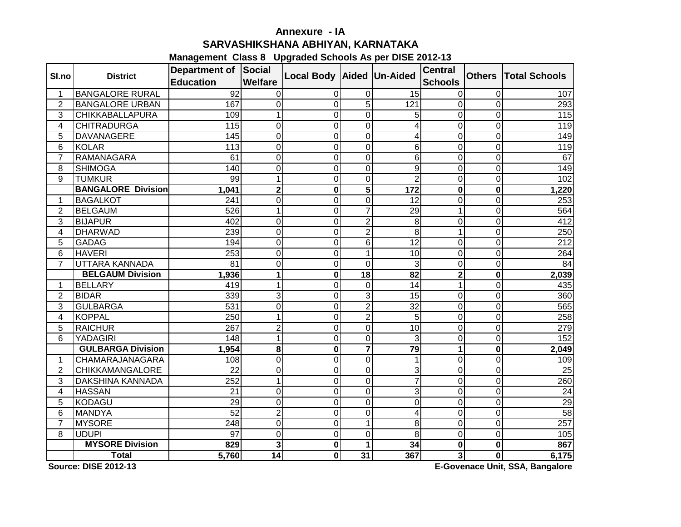# **Annexure - IASARVASHIKSHANA ABHIYAN, KARNATAKA**

## **Management Class 8 Upgraded Schools As per DISE 2012-13**

| SI.no          | <b>District</b>           | Department of Social<br><b>Education</b> | <b>Welfare</b>          | Local Body Aided Un-Aided |                |                           | <b>Central</b><br><b>Schools</b> | <b>Others</b>  | <b>Total Schools</b> |
|----------------|---------------------------|------------------------------------------|-------------------------|---------------------------|----------------|---------------------------|----------------------------------|----------------|----------------------|
| 1              | <b>BANGALORE RURAL</b>    | $\overline{92}$                          | 0                       | 0                         | 0              | 15                        | 0                                | 0              | 107                  |
| $\overline{2}$ | <b>BANGALORE URBAN</b>    | 167                                      | $\overline{0}$          | 0                         | $\overline{5}$ | 121                       | $\mathbf 0$                      | $\overline{0}$ | 293                  |
| 3              | <b>CHIKKABALLAPURA</b>    | 109                                      | 1                       | 0                         | 0              | 5                         | $\overline{0}$                   | $\overline{0}$ | 115                  |
| 4              | <b>CHITRADURGA</b>        | 115                                      | $\overline{0}$          | 0                         | 0              | 4                         | $\mathbf 0$                      | 0              | 119                  |
| 5              | <b>DAVANAGERE</b>         | 145                                      | $\mathbf 0$             | 0                         | 0              | 4                         | $\mathbf 0$                      | 0              | 149                  |
| 6              | <b>KOLAR</b>              | 113                                      | $\mathbf 0$             | 0                         | 0              | $\,6$                     | $\mathbf 0$                      | $\overline{0}$ | 119                  |
| $\overline{7}$ | <b>RAMANAGARA</b>         | 61                                       | $\overline{0}$          | 0                         | 0              | $6\phantom{1}6$           | $\mathbf 0$                      | $\overline{0}$ | 67                   |
| 8              | <b>SHIMOGA</b>            | 140                                      | $\mathbf 0$             | 0                         | 0              | 9                         | $\mathbf 0$                      | $\overline{0}$ | 149                  |
| 9              | <b>TUMKUR</b>             | 99                                       | $\mathbf{1}$            | 0                         | 0              | $\overline{2}$            | $\mathbf 0$                      | $\mathbf 0$    | 102                  |
|                | <b>BANGALORE Division</b> | 1,041                                    | $\overline{\mathbf{2}}$ | $\mathbf 0$               | 5              | $\frac{1}{172}$           | $\boldsymbol{0}$                 | $\bf{0}$       | 1,220                |
| 1              | <b>BAGALKOT</b>           | 241                                      | $\overline{0}$          | 0                         | 0              | 12                        | $\overline{0}$                   | $\overline{0}$ | 253                  |
| $\overline{2}$ | <b>BELGAUM</b>            | 526                                      | 1                       | 0                         | $\overline{7}$ | 29                        | 1                                | $\overline{0}$ | 564                  |
| 3              | <b>BIJAPUR</b>            | 402                                      | $\overline{0}$          | 0                         | $\overline{c}$ | 8                         | $\mathbf 0$                      | $\mathbf 0$    | 412                  |
| 4              | <b>DHARWAD</b>            | 239                                      | $\overline{0}$          | 0                         | $\overline{2}$ | 8                         | 1                                | $\overline{0}$ | 250                  |
| 5              | <b>GADAG</b>              | 194                                      | $\overline{0}$          | 0                         | 6              | $\overline{12}$           | $\overline{0}$                   | $\overline{0}$ | 212                  |
| 6              | <b>HAVERI</b>             | 253                                      | $\overline{0}$          | 0                         | 1              | 10                        | $\overline{0}$                   | $\overline{0}$ | 264                  |
| $\overline{7}$ | UTTARA KANNADA            | 81                                       | $\mathbf 0$             | 0                         | 0              | 3                         | $\mathbf 0$                      | 0              | 84                   |
|                | <b>BELGAUM Division</b>   | 1,936                                    | 1                       | 0                         | 18             | 82                        | $\mathbf{2}$                     | $\bf{0}$       | 2,039                |
| 1              | <b>BELLARY</b>            | 419                                      | 1                       | 0                         | $\mathbf 0$    | 14                        | 1                                | $\overline{0}$ | 435                  |
| $\overline{2}$ | <b>BIDAR</b>              | 339                                      | $\overline{3}$          | 0                         | 3              | 15                        | $\overline{0}$                   | $\overline{0}$ | 360                  |
| 3              | <b>GULBARGA</b>           | 531                                      | $\mathbf 0$             | 0                         | $\overline{c}$ | $\overline{32}$           | $\mathbf 0$                      | $\mathbf 0$    | 565                  |
| 4              | <b>KOPPAL</b>             | 250                                      | 1                       | 0                         | $\overline{c}$ | 5                         | $\mathbf 0$                      | $\mathbf 0$    | 258                  |
| 5              | <b>RAICHUR</b>            | 267                                      | $\overline{2}$          | 0                         | 0              | $\overline{10}$           | $\mathbf 0$                      | $\overline{0}$ | 279                  |
| 6              | YADAGIRI                  | 148                                      | $\mathbf{1}$            | 0                         | 0              | 3                         | $\mathbf 0$                      | $\overline{0}$ | 152                  |
|                | <b>GULBARGA Division</b>  | 1,954                                    | 8                       | 0                         | $\overline{7}$ | 79                        | 1                                | $\mathbf 0$    | 2,049                |
| 1              | CHAMARAJANAGARA           | 108                                      | 0                       | 0                         | 0              | $\mathbf 1$               | $\mathbf 0$                      | 0              | 109                  |
| $\overline{2}$ | <b>CHIKKAMANGALORE</b>    | $\overline{22}$                          | $\overline{0}$          | 0                         | 0              | 3                         | $\overline{0}$                   | $\overline{0}$ | 25                   |
| 3              | <b>DAKSHINA KANNADA</b>   | 252                                      | 1                       | 0                         | 0              | $\overline{7}$            | $\overline{0}$                   | $\overline{0}$ | 260                  |
| 4              | <b>HASSAN</b>             | 21                                       | $\overline{0}$          | 0                         | 0              | $\ensuremath{\mathsf{3}}$ | $\overline{0}$                   | $\overline{0}$ | $\overline{24}$      |
| 5              | <b>KODAGU</b>             | 29                                       | $\overline{0}$          | 0                         | 0              | $\mathbf 0$               | $\mathbf 0$                      | $\overline{0}$ | 29                   |
| 6              | <b>MANDYA</b>             | $\overline{52}$                          | $\overline{2}$          | 0                         | 0              | $\overline{\mathbf{4}}$   | $\overline{0}$                   | $\overline{0}$ | 58                   |
| $\overline{7}$ | <b>MYSORE</b>             | 248                                      | $\mathbf 0$             | 0                         | 1              | 8                         | $\overline{0}$                   | $\overline{0}$ | 257                  |
| 8              | <b>UDUPI</b>              | 97                                       | $\Omega$                | 0                         | 0              | 8                         | $\mathbf 0$                      | $\overline{0}$ | 105                  |
|                | <b>MYSORE Division</b>    | 829                                      | 3                       | 0                         | 1              | 34                        | 0                                | $\bf{0}$       | 867                  |
|                | <b>Total</b>              | 5,760                                    | 14                      | 0                         | 31             | 367                       | 3                                | $\mathbf 0$    | 6,175                |

**Source: DISE 2012-13**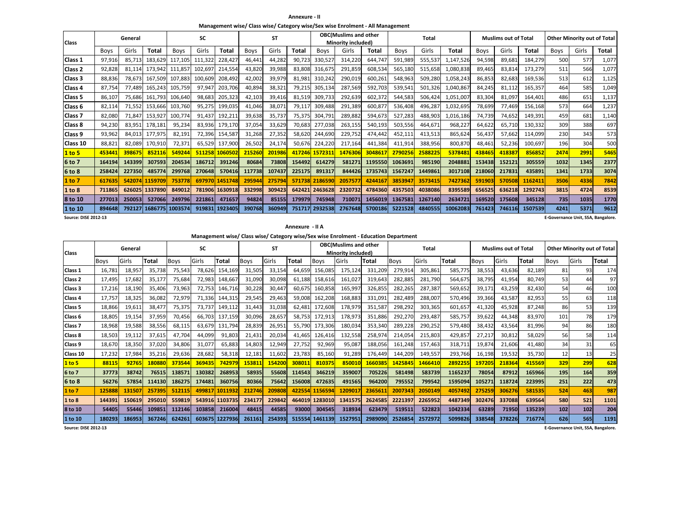**Annexure - II**

**Management wise/ Class wise/ Category wise/Sex wise Enrolment - All Management**

|                             |                                                            | General |              |             | <b>SC</b> |                |        | <b>ST</b> |        |                | <b>OBC(Muslims and other</b> |         |         | <b>Total</b> |           |        | <b>Muslims out of Total</b> |         |      | <b>Other Minority out of Total</b> |       |
|-----------------------------|------------------------------------------------------------|---------|--------------|-------------|-----------|----------------|--------|-----------|--------|----------------|------------------------------|---------|---------|--------------|-----------|--------|-----------------------------|---------|------|------------------------------------|-------|
| <b>Class</b>                |                                                            |         |              |             |           |                |        |           |        |                | Minority included)           |         |         |              |           |        |                             |         |      |                                    |       |
|                             | <b>Boys</b>                                                | Girls   | <b>Total</b> | <b>Boys</b> | Girls     | <b>Total</b>   | Boys   | Girls     | Total  | Boys           | Girls                        | Total   | Boys    | Girls        | Total     | Boys   | Girls                       | Total   | Boys | Girls                              | Total |
| Class 1                     | 97.916                                                     | 85.713  | 183.629      | 117.105     | 111,322   | 228.427        | 46,441 | 44,282    | 90.723 | 330,527        | 314,220                      | 644.747 | 591,989 | 555,537      | 1,147,526 | 94,598 | 89,681                      | 184,279 | 500  | 577                                | 1,077 |
| Class <sub>2</sub>          | 92,828                                                     | 81,114  | 173.942      | 111,857     | 102,697   | 214,554        | 43,820 | 39,988    | 83,808 | 316,675        | 291,859                      | 608,534 | 565,180 | 515,658      | 1,080,838 | 89.465 | 83,814                      | 173,279 | 511  | 566                                | 1,077 |
| Class 3                     | 88,836                                                     | 78.673  | 167,509      | 107,883     | 100,609   | 208,492        | 42,002 | 39,979    | 81,981 | 310,242        | 290,019                      | 600,261 | 548,963 | 509,280      | 1,058,243 | 86,853 | 82,683                      | 169,536 | 513  | 612                                | 1,125 |
| Class 4                     | 87,754                                                     | 77.489  | 165,243      | 105,759     | 97,947    | 203,706        | 40,894 | 38,321    | 79,215 | 305,134        | 287,569                      | 592,703 | 539,541 | 501,326      | 1,040,867 | 84,245 | 81,112                      | 165,357 | 464  | 585                                | 1,049 |
| Class 5                     | 86,107                                                     | 75,686  | 161.793      | 106,640     | 98,683    | 205,323        | 42,103 | 39,416    | 81,519 | 309,733        | 292,639                      | 602,372 | 544,583 | 506,424      | 1,051,007 | 83,304 | 81,097                      | 164,401 | 486  | 651                                | 1,137 |
| Class 6                     | 82,114<br>153.666<br>71,552<br>82.080<br>153.927<br>71.847 |         |              | 103,760     | 95,275    | 199,035        | 41,046 | 38,071    | 79,117 | 309,488        | 291,389                      | 600,877 | 536,408 | 496,287      | 1,032,695 | 78,699 | 77,469                      | 156,168 | 573  | 664                                | 1,237 |
| Class 7                     | 178.181                                                    |         |              | 100.774     | 91.437    | 192,211        | 39,638 | 35,737    | 75,375 | 304,791        | 289,882                      | 594,673 | 527,283 | 488,903      | 1,016,186 | 74,739 | 74,652                      | 149,391 | 459  | 681                                | 1,140 |
| Class 8                     | 94,230<br>83.951                                           |         |              | 95,234      | 83,936    | 179,170        | 37,054 | 33,629    | 70,683 | 277.038        | 263.155                      | 540.193 | 503,556 | 464.671      | 968,227   | 64.622 | 65.710                      | 130,332 | 309  | 388                                | 697   |
| Class 9                     | 93,962                                                     | 84,013  | 177,975      | 82,193      | 72,396    | 154,587        | 31,268 | 27,352    | 58,620 | 244,690        | 229,752                      | 474,442 | 452,111 | 413,513      | 865,624   | 56,437 | 57,662                      | 114,099 | 230  | 343                                | 573   |
| Class 10                    | 88,821                                                     | 82,089  | 170,910      | 72,37       | 65,529    | 137,900        | 26,502 | 24,174    | 50,676 | 224,220        | 217,164                      | 441,384 | 411,914 | 388,956      | 800,870   | 48,461 | 52,236                      | 100,697 | 196  | 304                                | 500   |
| 1 to 5                      | 45344                                                      | 398675  | 852116       | 549244      | 511258    | 1060502        | 215260 | 201986    | 417246 | 157231         | 1476306                      | 3048617 | 2790256 | 2588225      | 5378481   | 438465 | 418387                      | 856852  | 2474 | 2991                               | 5465  |
| 6 to 7                      | 164194                                                     | 143399  | 307593       | 204534      | 186712    | 391246         | 80684  | 73808     | 154492 | 614279         | 581271                       | 1195550 | 1063691 | 985190       | 2048881   | 153438 | 152121                      | 305559  | 1032 | 1345                               | 2377  |
| 6 to 8                      | 258424                                                     | 227350  | 485774       | 299768      | 270648    | 570416         | 117738 | 107437    | 225175 | 891317         | 844426                       | 1735743 | 1567247 | 1449861      | 3017108   | 218060 | 217831                      | 435891  | 1341 | 1733                               | 3074  |
| 1 to 7                      | 617635<br>542074 1159709                                   |         |              |             |           | 697970 1451748 | 295944 | 275794    | 571738 | 218659         | 205757                       | 4244167 | 3853947 | 3573415      | 7427362   | 591903 | 570508                      | 1162411 | 3506 | 4336                               | 7842  |
| 1 to 8                      | 711865<br>626025 1337890                                   |         |              |             | 781906    | 1630918        | 332998 | 309423    |        | 642421 2463628 | 2320732                      | 4784360 | 4357503 | 4038086      | 8395589   | 656525 | 636218                      | 1292743 | 3815 | 4724                               | 8539  |
| 8 to 10                     | 250053<br>277013<br>527066                                 |         |              | 249796      | 221861    | 471657         | 94824  | 85155     | 179979 | 745948         | 710071                       | 1456019 | 1367581 | 1267140      | 2634721   | 169520 | 175608                      | 345128  | 735  | 1035                               | 1770  |
| 1 to 10                     | 894648<br>79212<br>1686775                                 |         |              |             | 919831    | 1923405        | 390768 | 360949    | 751717 | 293253         | 2767648                      | 5700186 | 5221528 | 4840555      | 10062083  | 761423 | 746116                      | 1507539 | 4241 | 5371                               | 9612  |
| <b>Source: DISE 2012-13</b> |                                                            |         |              |             |           |                |        |           |        |                |                              |         |         |              |           |        |                             |         |      | E-Governance Unit, SSA, Bangalore  |       |

**E-Governance Unit, SSA, Bangalore.**

**Annexure - II A**

**Management wise/ Class wise/ Category wise/Sex wise Enrolment - Education Department**

| <b>Class</b>       |             | General |        |        | SC     |                |        | <b>ST</b> |        |             | <b>OBC(Muslims and other</b><br>Minority included) |         |             | <b>Total</b> |              |             | <b>Muslims out of Total</b> |        |             | <b>Other Minority out of Total</b> |       |
|--------------------|-------------|---------|--------|--------|--------|----------------|--------|-----------|--------|-------------|----------------------------------------------------|---------|-------------|--------------|--------------|-------------|-----------------------------|--------|-------------|------------------------------------|-------|
|                    | <b>Boys</b> | Girls   | Total  | Boys   | Girls  | Total          | Boys   | Girls     | Total  | <b>Boys</b> | Girls                                              | Total   | <b>Boys</b> | Girls        | <b>Total</b> | <b>Boys</b> | Girls                       | Total  | <b>Boys</b> | Girls                              | Total |
| Class 1            | 16,781      | 18,957  | 35,738 | 75,543 | 78,626 | 154,169        | 31,505 | 33,154    | 64.659 | 156.085     | 175,124                                            | 331.209 | 279,914     | 305,861      | 585,775      | 38,553      | 43,636                      | 82,189 | 81          | 93                                 | 174   |
| Class <sub>2</sub> | 17,495      | 17,682  | 35,177 | 75,684 | 72,983 | 148,667        | 31,090 | 30,098    | 61.188 | 158,616     | 161,027                                            | 319,643 | 282,885     | 281,790      | 564,675      | 38,795      | 41,954                      | 80,749 | 53          | 44                                 | 97    |
| Class 3            | 17,216      | 18,190  | 35.406 | 73,963 | 72,753 | 146,716        | 30,228 | 30,447    | 60.675 | 160.858     | 165,997                                            | 326,855 | 282,265     | 287,387      | 569,652      | 39,171      | 43,259                      | 82,430 | 54          | 46                                 | 100   |
| Class <sub>4</sub> | 17,757      | 18,325  | 36,082 | 72,979 | 71,336 | 144,315        | 29,545 | 29,463    | 59.008 | 162.208     | 168,883                                            | 331,091 | 282,489     | 288,007      | 570,496      | 39,366      | 43,587                      | 82,953 | 55          | 63                                 | 118   |
| Class 5            | 18,866      | 19,611  | 38,477 | 75,375 | 73,737 | 149.112        | 31.443 | 31,038    | 62.481 | 172.608     | 178,979                                            | 351,587 | 298,292     | 303,365      | 601,657      | 41,320      | 45,928                      | 87,248 | 86          | 53                                 | 139   |
| Class 6            | 18,805      | 19,154  | 37,959 | 70,456 | 66,703 | 137,159        | 30,096 | 28.657    | 58,753 | 172,913     | 178,973                                            | 351,886 | 292,270     | 293,487      | 585,757      | 39,622      | 44,348                      | 83,970 | 101         | 78                                 | 179   |
| Class <sub>7</sub> | 18,968      | 19,588  | 38,556 | 68,115 | 63,679 | 131,794        | 28,839 | 26,951    | 55,790 | 173,306     | 180,034                                            | 353,340 | 289,228     | 290,252      | 579,480      | 38,432      | 43,564                      | 81,996 | 94          | 86                                 | 180   |
| Class 8            | 18,503      | 19,112  | 37,615 | 47,704 | 44,099 | 91,803         | 21,431 | 20,034    | 41,465 | 126,416     | 132,558                                            | 258,974 | 214,054     | 215,803      | 429,857      | 27,217      | 30,812                      | 58,029 | 56          | 58                                 | 114   |
| Class 9            | 18,670      | 18,350  | 37,020 | 34,806 | 31,077 | 65,883         | 14,803 | 12,949    | 27,752 | 92,969      | 95,087                                             | 188,056 | 161,248     | 157,463      | 318,711      | 19,874      | 21,606                      | 41.480 | 34          | 31                                 | 65    |
| Class 10           | 17,232      | 17,984  | 35,216 | 29,636 | 28,682 | 58,318         | 12,181 | 11,602    | 23,783 | 85,160      | 91,289                                             | 176,449 | 144,209     | 149,557      | 293,766      | 16,198      | 19,532                      | 35,730 | 12          | 13                                 | 25    |
| 1 to 5             | 88115       | 92765   | 180880 | 373544 | 369435 | 74297          | 153811 | 154200    | 308011 | 810375      | 850010                                             | 166038  | 1425845     | 1466410      | 2892255      | 197205      | 218364                      | 415569 | 329         | 299                                | 628   |
| 6 to 7             | 37773       | 38742   | 76515  | 138571 | 130382 | 268953         | 58935  | 55608     | 114543 | 346219      | 359007                                             | 705226  | 581498      | 583739       | 1165237      | 78054       | 87912                       | 165966 | 195         | 164                                | 359   |
| 6 to 8             | 56276       | 57854   | 114130 | 186275 | 174481 | 360756         | 80366  | 75642     | 156008 | 472635      | 491565                                             | 964200  | 795552      | 799542       | 1595094      | 105271      | 118724                      | 223995 | 251         | 222                                | 473   |
| 1 to 7             | 12588       | 131507  | 257395 | 512115 | 499817 | 1011932        | 212746 | 209808    | 422554 | 1156594     | 120901                                             | 2365611 | 2007343     | 2050149      | 4057492      | 275259      | 306276                      | 581535 | 524         | 463                                | 987   |
| 1 to 8             | 14439       | 150619  | 295010 | 559819 |        | 543916 1103735 | 234177 | 229842    | 464019 | 1283010     | 1341575                                            | 2624585 | 2221397     | 2265952      | 4487349      | 302476      | 337088                      | 639564 | 580         | 521                                | 1101  |
| 8 to 10            | 54405       | 55446   | 109851 | 112146 | 103858 | 216004         | 48415  | 44585     | 93000  | 304545      | 318934                                             | 623479  | 519511      | 522823       | 1042334      | 63289       | 71950                       | 135239 | 102         | 102                                | 204   |
| 1 to 10            | 180293      | 186953  | 367246 | 624261 | 603675 | 1227936        | 261161 | 254393    | 515554 | 1461139     | 1527951                                            | 2989090 | 2526854     | 2572972      | 5099826      | 338548      | 378226                      | 716774 | 626         | 565                                | 1191  |

**E-Governance Unit, SSA, Bangalore.**

**Source: DISE 2012-13**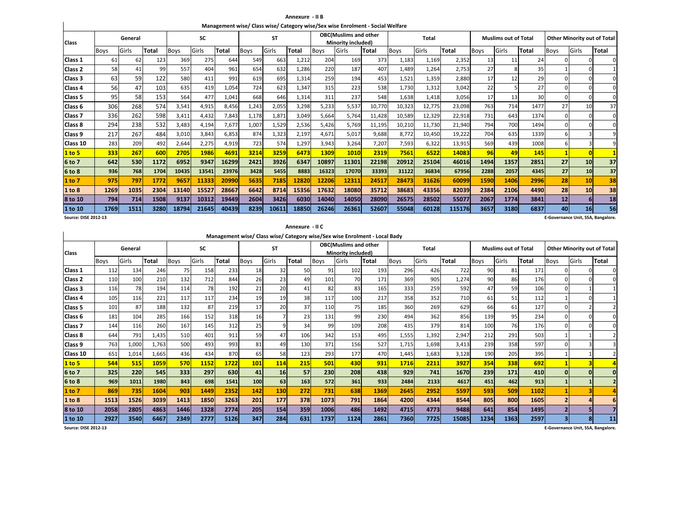**Annexure - II BManagement wise/ Class wise/ Category wise/Sex wise Enrolment - Social Welfare**

| <b>Class</b>       | General<br>Girls<br>Total<br>Boys<br>61<br>62 |      |      |             | <b>SC</b> |       |       | <b>ST</b> |       |             | <b>OBC(Muslims and other</b><br>Minority included) |        |             | <b>Total</b> |              |             | <b>Muslims out of Total</b> |       |             | <b>Other Minority out of Total</b> |              |
|--------------------|-----------------------------------------------|------|------|-------------|-----------|-------|-------|-----------|-------|-------------|----------------------------------------------------|--------|-------------|--------------|--------------|-------------|-----------------------------|-------|-------------|------------------------------------|--------------|
|                    |                                               |      |      | <b>Boys</b> | Girls     | Total | Boys  | Girls     | Total | <b>Boys</b> | Girls                                              | Total  | <b>Boys</b> | Girls        | <b>Total</b> | <b>Boys</b> | Girls                       | Total | <b>Boys</b> | Girls                              | <b>Total</b> |
| Class 1            |                                               |      | 123  | 369         | 275       | 644   | 549   | 663       | 1,212 | 204         | 169                                                | 373    | 1,183       | 1,169        | 2,352        | 13          | 11                          | 24    |             | <sup>0</sup>                       |              |
| Class <sub>2</sub> | 58                                            | 41   | 99   | 557         | 404       | 961   | 654   | 632       | 1,286 | 220         | 187                                                | 407    | 1,489       | 1,264        | 2,753        | 27          |                             | 35    |             |                                    |              |
| Class 3            | 63                                            | 59   | 122  | 580         | 411       | 991   | 619   | 695       | 1,314 | 259         | 194                                                | 453    | 1,521       | 1,359        | 2,880        | 17          | 12                          | 29    |             |                                    |              |
| Class 4            | 56                                            | 47   | 103  | 635         | 419       | 1,054 | 724   | 623       | 1,347 | 315         | 223                                                | 538    | 1,730       | 1,312        | 3,042        | 22          |                             | 27    |             |                                    |              |
| Class 5            | 95                                            | 58   | 153  | 564         | 477       | 1,041 | 668   | 646       | 1,314 | 311         | 237                                                | 548    | 1,638       | 1,418        | 3,056        | 17          | 13                          | 30    |             |                                    |              |
| Class 6            | 306                                           | 268  | 574  | 3,541       | 4,915     | 8,456 | 1,243 | 2,055     | 3,298 | 5,233       | 5,537                                              | 10,770 | 10,323      | 12,775       | 23,098       | 763         | 714                         | 1477  | 27          | 10                                 | 37           |
| Class <sub>7</sub> | 336                                           | 262  | 598  | 3,411       | 4,432     | 7,843 | 1,178 | 1,871     | 3,049 | 5,664       | 5.764                                              | 11,428 | 10,589      | 12,329       | 22,918       | 731         | 643                         | 1374  |             |                                    |              |
| Class 8            | 294                                           | 238  | 532  | 3,483       | 4,194     | 7,677 | 1,007 | 1,529     | 2,536 | 5,426       | 5.769                                              | 11,195 | 10,210      | 11,730       | 21,940       | 794         | 700                         | 1494  |             |                                    |              |
| Class 9            | 217                                           | 267  | 484  | 3,010       | 3,843     | 6,853 | 874   | 1,323     | 2,197 | 4,671       | 5,017                                              | 9,688  | 8,772       | 10,450       | 19,222       | 704         | 635                         | 1339  |             |                                    |              |
| Class 10           | 283                                           | 209  | 492  | 2,644       | 2,275     | 4,919 | 723   | 574       | 1,297 | 3,943       | 3,264                                              | 7,207  | 7,593       | 6,322        | 13,915       | 569         | 439                         | 1008  |             |                                    |              |
| 1 to 5             | 333                                           | 267  | 600  | 2705        | 1986      | 4691  | 3214  | 3259      | 6473  | 1309        | 1010                                               | 2319   | 7561        | 6522         | 14083        | 96          | 49                          | 145   |             |                                    |              |
| 6 to 7             | 642                                           | 530  | 1172 | 6952        | 9347      | 16299 | 2421  | 3926      | 6347  | 10897       | 11301                                              | 22198  | 20912       | 25104        | 46016        | 1494        | 1357                        | 2851  | 27          | 10                                 | 37           |
| 6 to 8             | 936                                           | 768  | 1704 | 10435       | 13541     | 23976 | 3428  | 5455      | 8883  | 16323       | 17070                                              | 33393  | 31122       | 36834        | 67956        | 2288        | 2057                        | 4345  | 27          | 10                                 | 37           |
| 1 to 7             | 975                                           | 797  | 1772 | 9657        | 11333     | 20990 | 5635  | 7185      | 12820 | 12206       | 12311                                              | 24517  | 28473       | 31626        | 60099        | 1590        | 1406                        | 2996  | 28          | 10                                 | 38           |
| 1 to 8             | 1269                                          | 1035 | 2304 | 13140       | 15527     | 28667 | 6642  | 8714      | 15356 | 17632       | 18080                                              | 35712  | 38683       | 43356        | 82039        | 2384        | 2106                        | 4490  | 28          | 10                                 | 38           |
| 8 to 10            | 794                                           | 714  | 1508 | 9137        | 10312     | 19449 | 2604  | 3426      | 6030  | 14040       | 14050                                              | 28090  | 26575       | 28502        | 55077        | 2067        | 1774                        | 3841  | 12          | 61                                 | 18           |
| 1 to 10            | 1769                                          | 1511 | 3280 | 18794       | 21645     | 40439 | 8239  | 10611     | 18850 | 26246       | 26361                                              | 52607  | 55048       | 60128        | 115176       | 3657        | 3180                        | 6837  | 40          | 16 <sup>1</sup>                    | 56           |

**Source: DISE 2012-13**

 $\mathbf{I}$ 

**E-Governance Unit, SSA, Bangalore.**

|                    |                                                                                                                                                                           |         |              |             |       |       |             |           | Annexure - II C |             |                                                                            |       |             |              |       |             |                             |              |             |              |                                    |
|--------------------|---------------------------------------------------------------------------------------------------------------------------------------------------------------------------|---------|--------------|-------------|-------|-------|-------------|-----------|-----------------|-------------|----------------------------------------------------------------------------|-------|-------------|--------------|-------|-------------|-----------------------------|--------------|-------------|--------------|------------------------------------|
|                    |                                                                                                                                                                           |         |              |             |       |       |             |           |                 |             | Management wise/ Class wise/ Category wise/Sex wise Enrolment - Local Bady |       |             |              |       |             |                             |              |             |              |                                    |
| <b>Class</b>       |                                                                                                                                                                           | General |              |             | SC    |       |             | <b>ST</b> |                 |             | <b>OBC(Muslims and other</b><br><b>Minority included)</b>                  |       |             | <b>Total</b> |       |             | <b>Muslims out of Total</b> |              |             |              | <b>Other Minority out of Total</b> |
|                    | <b>Boys</b>                                                                                                                                                               | Girls   | <b>Total</b> | <b>Boys</b> | Girls | Total | <b>Boys</b> | Girls     | Total           | <b>Boys</b> | Girls                                                                      | Total | <b>Boys</b> | Girls        | Total | <b>Boys</b> | Girls                       | <b>Total</b> | <b>Boys</b> | Girls        | Total                              |
| Class 1            | 112                                                                                                                                                                       | 134     | 246          | 75          | 158   | 233   | 18          | 32        | 50              | 91          | 102                                                                        | 193   | 296         | 426          | 722   | 90          | 81                          | 171          |             |              | $\Omega$                           |
| Class <sub>2</sub> | 110                                                                                                                                                                       | 100     | 210          | 132         | 712   | 844   | 26          | 23        | 49              | 101         | 70                                                                         | 171   | 369         | 905          | 1,274 | 90          | 86                          | 176          |             |              | $\Omega$                           |
| Class 3            | 116                                                                                                                                                                       | 78      | 194          | 114         | 78    | 192   | 21          | 20        | 41              | 82          | 83                                                                         | 165   | 333         | 259          | 592   | 47          | 59                          | 106          |             |              |                                    |
| Class 4            | 117<br>234<br>19<br>19<br>38<br>217<br>358<br>105<br>116<br>221<br>117<br>117<br>100<br>87<br>132<br>87<br>219<br>17<br>20<br>37<br>188<br>185<br>360<br>101<br>110<br>75 |         |              |             |       |       |             |           |                 |             |                                                                            |       |             |              |       | 710<br>61   | 51                          | 112          |             | ŋ            |                                    |
| Class 5            |                                                                                                                                                                           |         |              |             |       |       |             |           |                 |             |                                                                            |       |             | 269          | 629   | 66          | 61                          | 127          |             |              |                                    |
| Class <sub>6</sub> | 181                                                                                                                                                                       | 104     | 285          | 166         | 152   | 318   | 16          |           | 23              | 131         | 99                                                                         | 230   | 494         | 362          | 856   | 139         | 95                          | 234          |             |              | $\Omega$                           |
| Class <sub>7</sub> | 144                                                                                                                                                                       | 116     | 260          | 167         | 145   | 312   | 25          | 9         | 34              | 99          | 109                                                                        | 208   | 435         | 379          | 814   | 100         | 76                          | 176          |             |              | $\Omega$                           |
| Class 8            | 644                                                                                                                                                                       | 791     | 1.435        | 510         | 401   | 911   | 59          | 47        | 106             | 342         | 153                                                                        | 495   | 1,555       | 1,392        | 2,947 | 212         | 291                         | 503          |             |              |                                    |
| Class 9            | 763                                                                                                                                                                       | 1,000   | 1,763        | 500         | 493   | 993   | 81          | 49        | 130             | 371         | 156                                                                        | 527   | 1,715       | 1,698        | 3,413 | 239         | 358                         | 597          |             |              |                                    |
| Class 10           | 651                                                                                                                                                                       | 1,014   | 1,665        | 436         | 434   | 870   | 65          | 58        | 123             | 293         | 177                                                                        | 470   | 1,445       | 1,683        | 3,128 | 190         | 205                         | 395          |             |              |                                    |
| 1 to 5             | 544                                                                                                                                                                       | 515     | 1059         | 570         | 1152  | 1722  | 101         | 114       | 215             | 501         | 430                                                                        | 931   | <b>1716</b> | 2211         | 3927  | 354         | 338                         | 692          |             |              |                                    |
| 6 to 7             | 325                                                                                                                                                                       | 220     | 545          | 333         | 297   | 630   | 41          | 16        | 57              | 230         | 208                                                                        | 438   | 929         | 741          | 1670  | 239         | 171                         | 410          |             | $\Omega$     | $\Omega$                           |
| 6 to 8             | 969                                                                                                                                                                       | 1011    | 1980         | 843         | 698   | 1541  | 100         | 63        | 163             | 572         | 361                                                                        | 933   | 2484        | 2133         | 4617  | 451         | 462                         | 913          |             |              |                                    |
| 1 to 7             | 869                                                                                                                                                                       | 735     | 1604         | 903         | 1449  | 2352  | 142         | 130       | 272             | 731         | 638                                                                        | 1369  | 2645        | 2952         | 5597  | 593         | 509                         | 1102         |             |              |                                    |
| 1 to 8             | 1513                                                                                                                                                                      | 1526    | 3039         | 1413        | 1850  | 3263  | 201         | 177       | 378             | 1073        | 791                                                                        | 1864  | 4200        | 4344         | 8544  | 805         | 800                         | 1605         |             |              |                                    |
| 8 to 10            | 2058                                                                                                                                                                      | 2805    | 4863         | 1446        | 1328  | 2774  | 205         | 154       | 359             | 1006        | 486                                                                        | 1492  | 4715        | 4773         | 9488  | 641         | 854                         | 1495         |             |              |                                    |
| 1 to 10            | 2927                                                                                                                                                                      | 3540    | 6467         | 2349        | 2777  | 5126  | 347         | 284       | 631             | 1737        | 1124                                                                       | 2861  | 7360        | 7725         | 15085 | 1234        | 1363                        | 2597         |             | $\mathbf{R}$ | 11                                 |

**Source: DISE 2012-13**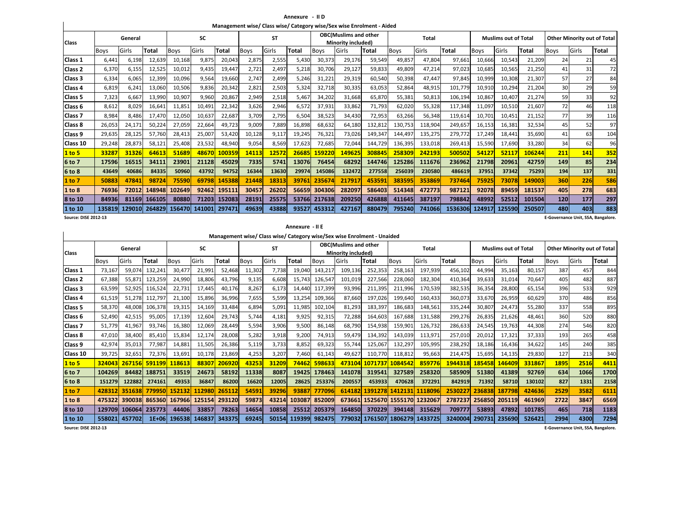**Annexure - II DManagement wise/ Class wise/ Category wise/Sex wise Enrolment - Aided**

|                             |             |         |        |        |        |        |             |           |        |             | Management wise/ Class wise/ Category wise/Sex wise Enrolment - Aided |         |             |         |              |             |                             |        |                                          |                                    |       |
|-----------------------------|-------------|---------|--------|--------|--------|--------|-------------|-----------|--------|-------------|-----------------------------------------------------------------------|---------|-------------|---------|--------------|-------------|-----------------------------|--------|------------------------------------------|------------------------------------|-------|
| <b>Class</b>                |             | General |        |        | SC     |        |             | <b>ST</b> |        |             | <b>OBC(Muslims and other</b><br>Minority included)                    |         |             | Total   |              |             | <b>Muslims out of Total</b> |        |                                          | <b>Other Minority out of Total</b> |       |
|                             | <b>Boys</b> | Girls   | Total  | Boys   | Girls  | Total  | <b>Boys</b> | Girls     | Total  | <b>Boys</b> | Girls                                                                 | Total   | <b>Boys</b> | Girls   | <b>Total</b> | <b>Boys</b> | Girls                       | Total  | <b>Boys</b>                              | Girls                              | Total |
| Class 1                     | 6,441       | 6,198   | 12,639 | 10,168 | 9,875  | 20,043 | 2,875       | 2,555     | 5,430  | 30,373      | 29,176                                                                | 59,549  | 49,857      | 47,804  | 97,661       | 10,666      | 10,543                      | 21,209 | 24                                       | 21                                 | 45    |
| Class <sub>2</sub>          | 6,370       | 6,155   | 12,525 | 10,012 | 9,435  | 19,447 | 2,721       | 2,497     | 5,218  | 30,706      | 29,127                                                                | 59,833  | 49,809      | 47,214  | 97,023       | 10,685      | 10,565                      | 21,250 | 41                                       | 31                                 | 72    |
| Class 3                     | 6,334       | 6,065   | 12,399 | 10,096 | 9,564  | 19,660 | 2.747       | 2,499     | 5,246  | 31,221      | 29,319                                                                | 60,540  | 50,398      | 47.447  | 97,845       | 10,999      | 10,308                      | 21.307 | 57                                       | 27                                 | 84    |
| lClass 4                    | 6.819       | 6.241   | 13.060 | 10.506 | 9.836  | 20,342 | 2.821       | 2,503     | 5,324  | 32,718      | 30.335                                                                | 63.053  | 52,864      | 48.915  | 101,779      | 10.910      | 10.294                      | 21,204 | 30                                       | 29                                 | 59    |
| Class 5                     | 7,323       | 6,667   | 13,990 | 10,907 | 9,960  | 20,867 | 2,949       | 2,518     | 5,467  | 34,202      | 31,668                                                                | 65,870  | 55,381      | 50,813  | 106,194      | 10,867      | 10,407                      | 21,274 | 59                                       | 33                                 | 92    |
| lClass 6                    | 8,612       | 8,029   | 16.641 | 11,851 | 10,491 | 22,342 | 3,626       | 2,946     | 6,572  | 37,931      | 33,862                                                                | 71,793  | 62,020      | 55,328  | 117,348      | 11,097      | 10,510                      | 21,607 | 72                                       | 46                                 | 118   |
| Class <sub>7</sub>          | 8,984       | 8.486   | 17,470 | 12,050 | 10,637 | 22,687 | 3,709       | 2,795     | 6,504  | 38,523      | 34,430                                                                | 72,953  | 63,266      | 56,348  | 119,614      | 10,701      | 10,451                      | 21,152 | 77                                       | 39                                 | 116   |
| Class 8                     | 26,053      | 24,171  | 50,224 | 27,059 | 22,664 | 49.723 | 9,009       | 7,889     | 16,898 | 68,632      | 64,180                                                                | 132,812 | 130.753     | 118.904 | 249,657      | 16,153      | 16,381                      | 32,534 | 45                                       | 52                                 | 97    |
| Class 9                     | 29,635      | 28,125  | 57,760 | 28,413 | 25,007 | 53,420 | 10,128      | 9,117     | 19,245 | 76,321      | 73,026                                                                | 149,347 | 144,497     | 135,275 | 279,772      | 17,249      | 18,441                      | 35,690 | 41                                       | 63                                 | 104   |
| Class 10                    | 29,248      | 28,873  | 58,121 | 25,408 | 23,532 | 48,940 | 9,054       | 8,569     | 17,623 | 72,685      | 72,044                                                                | 144,729 | 136,395     | 133,018 | 269,413      | 15,590      | 17,690                      | 33,280 | 34                                       | 62                                 | 96    |
| 1 to 5                      | 33287       | 31326   | 64613  | 51689  | 48670  | 100359 | 14113       | 12572     | 26685  | 159220      | 149625                                                                | 308845  | 258309      | 242193  | 500502       | 54127       | 52117                       | 106244 | 211                                      | 141                                | 352   |
| 6 to 7                      | 17596       | 16515   | 34111  | 23901  | 21128  | 45029  | 7335        | 5741      | 13076  | 76454       | 68292                                                                 | 144746  | 125286      | 111676  | 236962       | 21798       | 20961                       | 42759  | 149                                      | 85                                 | 234   |
| 6 to 8                      | 43649       | 40686   | 84335  | 50960  | 43792  | 94752  | 16344       | 13630     | 29974  | 145086      | 132472                                                                | 277558  | 256039      | 230580  | 486619       | 37951       | 37342                       | 75293  | 194                                      | 137                                | 331   |
| 1 to 7                      | 50883       | 47841   | 98724  | 75590  | 69798  | 145388 | 21448       | 18313     | 39761  | 235674      | 217917                                                                | 453591  | 383595      | 353869  | 737464       | 75925       | 73078                       | 149003 | 360                                      | 226                                | 586   |
| 1 to 8                      | 76936       | 72012   | 148948 | 102649 | 92462  | 195111 | 30457       | 26202     | 56659  | 304306      | 282097                                                                | 586403  | 514348      | 472773  | 987121       | 92078       | 89459                       | 181537 | 405                                      | 278                                | 683   |
| 8 to 10                     | 84936       | 81169   | 166105 | 80880  | 71203  | 152083 | 28191       | 25575     | 53766  | 217638      | 209250                                                                | 426888  | 411645      | 387197  | 798842       | 48992       | 52512                       | 101504 | 120                                      | 177                                | 297   |
| 1 to 10                     | 135819      | 129010  | 264829 | 156470 | 141001 | 297471 | 49639       | 43888     | 93527  | 453312      | 427167                                                                | 880479  | 795240      | 741066  | 1536306      | 124917      | 125590                      | 250507 | 480                                      | 403                                | 883   |
| <b>Source: DISE 2012-13</b> |             |         |        |        |        |        |             |           |        |             |                                                                       |         |             |         |              |             |                             |        | <b>E-Governance Unit, SSA, Bangalore</b> |                                    |       |

**E-Governance Unit, SSA, Bangalore.**

**Annexure - II E**

**Management wise/ Class wise/ Category wise/Sex wise Enrolment - Unaided**

| <b>Class</b>       |        | General |         |             | SC     |        |        | <b>ST</b> |              |             | <b>OBC(Muslims and other</b><br>Minority included) |                |             | <b>Total</b> |         |             | <b>Muslims out of Total</b> |        |             | <b>Other Minority out of Total</b> |       |
|--------------------|--------|---------|---------|-------------|--------|--------|--------|-----------|--------------|-------------|----------------------------------------------------|----------------|-------------|--------------|---------|-------------|-----------------------------|--------|-------------|------------------------------------|-------|
|                    | Boys   | Girls   | Total   | <b>Boys</b> | Girls  | Total  | Boys   | Girls     | <b>Total</b> | <b>Boys</b> | Girls                                              | Total          | <b>Boys</b> | Girls        | Total   | <b>Boys</b> | Girls                       | Total  | <b>Boys</b> | Girls                              | Total |
| Class 1            | 73,167 | 59,074  | 132,241 | 30.47       | 21,991 | 52,468 | 11,302 | 7,738     | 19,040       | 143,217     | 109,136                                            | 252,353        | 258,163     | 197,939      | 456,102 | 44,994      | 35,163                      | 80,157 | 387         | 457                                | 844   |
| Class 2            | 67,388 | 55,87   | 123,259 | 24,990      | 18,806 | 43,796 | 9,135  | 6,608     | 15,743       | 126.547     | 101,019                                            | 227,566        | 228,060     | 182,304      | 410,364 | 39,633      | 31,014                      | 70,647 | 405         | 482                                | 887   |
| Class 3            | 63,599 | 52,925  | 116,524 | 22,731      | 17.445 | 40,176 | 8,267  | 6,173     | 14.440       | 117,399     | 93,996                                             | 211,395        | 211,996     | 170,539      | 382,535 | 36,354      | 28,800                      | 65,154 | 396         | 533                                | 929   |
| Class 4            | 61,519 | 51,278  | 112,797 | 21,100      | 15,896 | 36,996 | 7,655  | 5,599     | 13,254       | 109,366     | 87,660                                             | 197.026        | 199,640     | 160,433      | 360,073 | 33,670      | 26,959                      | 60,629 | 370         | 486                                | 856   |
| Class 5            | 58,370 | 48,008  | 106,378 | 19,315      | 14,169 | 33,484 | 6,894  | 5,091     | 11,985       | 102,104     | 81,293                                             | 183,397        | 186,683     | 148,561      | 335,244 | 30,807      | 24,473                      | 55.280 | 337         | 558                                | 895   |
| Class 6            | 52,490 | 42,515  | 95,005  | 17,139      | 12,604 | 29,743 | 5,744  | 4,181     | 9,925        | 92,315      | 72,288                                             | 164.603        | 167,688     | 131,588      | 299,276 | 26,835      | 21,626                      | 48,461 | 360         | 520                                | 880   |
| Class <sub>7</sub> | 51,779 | 41,967  | 93,746  | 16,380      | 12,069 | 28,449 | 5,594  | 3,906     | 9,500        | 86,148      | 68,790                                             | 154,938        | 159,901     | 126,732      | 286,633 | 24,545      | 19,763                      | 44,308 | 274         | 546                                | 820   |
| Class 8            | 47,010 | 38,400  | 85,410  | 15,834      | 12,174 | 28,008 | 5,282  | 3,918     | 9,200        | 74,913      | 59,479                                             | 134.392        | 143,039     | 113,971      | 257,010 | 20,012      | 17,321                      | 37,333 | 193         | 265                                | 458   |
| Class 9            | 42,974 | 35,013  | 77,987  | 14,881      | 11,505 | 26,386 | 5,119  | 3,733     | 8,852        | 69,323      | 55,744                                             | 125,067        | 132,29      | 105,995      | 238,292 | 18,186      | 16,436                      | 34,622 | 145         | 240                                | 385   |
| Class 10           | 39,725 | 32,651  | 72,376  | 13,691      | 10,178 | 23,869 | 4,253  | 3,207     | 7,460        | 61,143      | 49,627                                             | 110,770        | 118,812     | 95,663       | 214.475 | 15.695      | 14,135                      | 29,830 | 127         | 213                                | 340   |
| 1 to 5             | 324043 | 267156  | 591199  | 118613      | 88307  | 206920 | 43253  | 31209     | 74462        | 598633      | 473104                                             | 1071737        | 1084542     | 859776       | 1944318 | 185458      | 146409                      | 331867 | 1895        | 2516                               | 4411  |
| 6 to 7             | 104269 | 84482   | 188751  | 33519       | 24673  | 58192  | 11338  | 8087      | 19425        | 178463      | 141078                                             | 319541         | 327589      | 258320       | 585909  | 51380       | 41389                       | 92769  | 634         | 1066                               | 1700  |
| 6 to 8             | 151279 | 122882  | 274161  | 49353       | 36847  | 86200  | 16620  | 12005     | 28625        | 253376      | 200557                                             | 453933         | 470628      | 372291       | 842919  | 71392       | 58710                       | 130102 | 827         | 1331                               | 2158  |
| 1 to 7             | 428312 | 351638  | 779950  | 152132      | 112980 | 265112 | 54591  | 39296     | 93887        | 777096      | 614182                                             | 1391278        | 1412131     | 1118096      | 2530227 | 236838      | 187798                      | 424636 | 2529        | 3582                               | 6111  |
| 1 to 8             | 475322 | 390038  | 865360  | 167966      | 125154 | 293120 | 59873  | 43214     | 103087       | 852009      | 673661                                             | 1525670        | 1555170     | 1232067      | 2787237 | 256850      | 205119                      | 461969 | 2722        | 3847                               | 6569  |
| 8 to 10            | 129709 | 106064  | 235773  | 44406       | 33857  | 78263  | 14654  | 10858     | 25512        | 205379      | 164850                                             | 370229         | 394148      | 315629       | 709777  | 53893       | 47892                       | 101785 | 465         | 718                                | 1183  |
| 1 to 10            | 558021 | 457702  | 1E+06   | 196538      | 146837 | 343375 | 69245  | 50154     | 119399       | 982475      |                                                    | 779032 1761507 | 1806279     | 1433725      | 3240004 | 290731      | 235690                      | 526421 | 2994        | 4300                               | 7294  |

**E-Governance Unit, SSA, Bangalore.**

**Source: DISE 2012-13**

 $\mathbf{I}$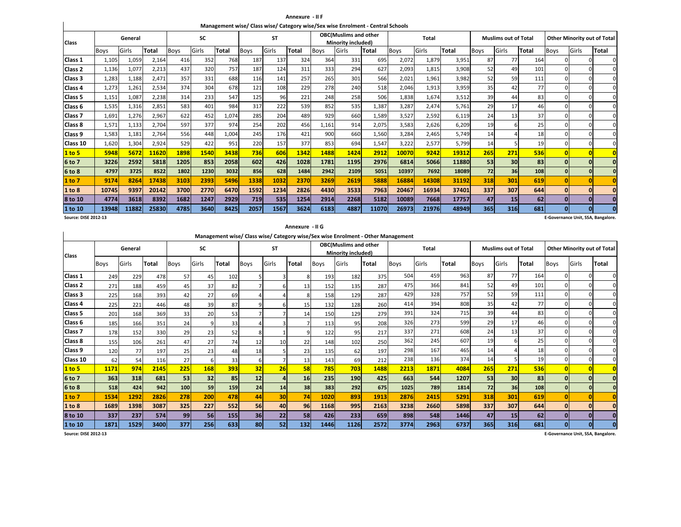**Annexure - II FManagement wise/ Class wise/ Category wise/Sex wise Enrolment - Central Schools**

| <b>Class</b> |                                                                                            | General |             |       | <b>SC</b>    |             |       | <b>ST</b>    |             |       | <b>OBC(Muslims and other</b><br>Minority included) |             |       | Total        |             |       | <b>Muslims out of Total</b> |             |       |              | <b>Other Minority out of Total</b> |
|--------------|--------------------------------------------------------------------------------------------|---------|-------------|-------|--------------|-------------|-------|--------------|-------------|-------|----------------------------------------------------|-------------|-------|--------------|-------------|-------|-----------------------------|-------------|-------|--------------|------------------------------------|
|              | <b>Total</b><br>Girls<br><b>Boys</b><br>2,164<br>1,105<br>1,059<br>1,136<br>1,077<br>2,213 |         | <b>Boys</b> | Girls | <b>Total</b> | Boys        | Girls | <b>Total</b> | <b>Boys</b> | Girls | Total                                              | <b>Boys</b> | Girls | <b>Total</b> | <b>Boys</b> | Girls | <b>Total</b>                | <b>Boys</b> | Girls | <b>Total</b> |                                    |
| Class 1      |                                                                                            |         |             | 416   | 352          | 768         | 187   | 137          | 324         | 364   | 331                                                | 695         | 2,072 | 1,879        | 3,951       | 87    | 77                          | 164         |       | <sup>0</sup> |                                    |
| Class 2      |                                                                                            |         |             | 437   | 320          | 757         | 187   | 124          | 311         | 333   | 294                                                | 627         | 2,093 | 1,815        | 3,908       | 52    | 49                          | 101         |       |              |                                    |
| Class 3      | 1,283                                                                                      | 1,188   | 2,471       | 357   | 331          | 688         | 116   | 141          | 257         | 265   | 301                                                | 566         | 2,021 | 1,961        | 3,982       | 52    | 59                          | 111         |       |              |                                    |
| Class 4      | 1,273                                                                                      | 1,261   | 2,534       | 374   | 304          | 678         | 121   | 108          | 229         | 278   | 240                                                | 518         | 2,046 | 1,913        | 3,959       | 35    | 42                          | 77          |       |              |                                    |
| Class 5      | 1,151                                                                                      | 1,087   | 2,238       | 314   | 233          | 547         | 125   | 96           | 221         | 248   | 258                                                | 506         | 1,838 | 1,674        | 3,512       | 39    | 44                          | 83          |       |              |                                    |
| Class 6      | 1,535                                                                                      | 1,316   | 2,851       | 583   | 401          | 984         | 317   | 222          | 539         | 852   | 535                                                | 1,387       | 3,287 | 2,474        | 5,761       | 29    | 17                          | 46          |       |              |                                    |
| Class 7      | 1,691                                                                                      | 1,276   | 2,967       | 622   | 452          | 1,074       | 285   | 204          | 489         | 929   | 660                                                | 1,589       | 3,527 | 2,592        | 6,119       | 24    | 13                          | 37          |       |              |                                    |
| Class 8      | 1,571                                                                                      | 1,133   | 2,704       | 597   | 377          | 974         | 254   | 202          | 456         | 1,161 | 914                                                | 2,075       | 3,583 | 2,626        | 6,209       | 19    |                             | 25          |       |              |                                    |
| Class 9      | 1,583                                                                                      | 1,181   | 2,764       | 556   | 448          | 1,004       | 245   | 176          | 421         | 900   | 660                                                | 1,560       | 3,284 | 2,465        | 5,749       | 14    |                             | 18          |       |              |                                    |
| Class 10     | 1,620                                                                                      | 1,304   | 2,924       | 529   | 422          | 951         | 220   | 157          | 377         | 853   | 694                                                | 1,547       | 3,222 | 2,577        | 5,799       | 14    |                             | 19          |       |              |                                    |
| 1 to 5       | 5948                                                                                       | 5672    | 11620       | 1898  | 1540         | 3438        | 736   | 606          | 1342        | 1488  | 1424                                               | 2912        | 10070 | 9242         | 19312       | 265   | 271                         | 536         |       |              |                                    |
| 6 to 7       | 3226                                                                                       | 2592    | 5818        | 1205  | 853          | 2058        | 602   | 426          | 1028        | 1781  | 1195                                               | 2976        | 6814  | 5066         | 11880       | 53    | 30 <sup>1</sup>             | 83          |       |              |                                    |
| 6 to 8       | 4797                                                                                       | 3725    | 8522        | 1802  | 1230         | 3032        | 856   | 628          | 1484        | 2942  | 2109                                               | 5051        | 10397 | 7692         | 18089       | 72    | 36                          | 108         |       |              |                                    |
| 1 to 7       | 9174                                                                                       | 8264    | 17438       | 3103  | 2393         | <b>5496</b> | 1338  | 1032         | 2370        | 3269  | 2619                                               | 5888        | 16884 | 14308        | 31192       | 318   | 301                         | 619         |       |              |                                    |
| 1 to 8       | 10745                                                                                      | 9397    | 20142       | 3700  | 2770         | 6470        | 1592  | 1234         | 2826        | 4430  | 3533                                               | 7963        | 20467 | 16934        | 37401       | 337   | 307                         | 644         |       |              |                                    |
| 8 to 10      | 4774                                                                                       | 3618    | 8392        | 1682  | 1247         | 2929        | 719   | 535          | 1254        | 2914  | 2268                                               | 5182        | 10089 | 7668         | 17757       | 47    | 15                          | 62          |       |              |                                    |
| 1 to 10      | 13948                                                                                      | 11882   | 25830       | 4785  | 3640         | 8425        | 2057  | 1567         | 3624        | 6183  | 4887                                               | 11070       | 26973 | 21976        | 48949       | 365   | 316                         | 681         | O.    |              |                                    |

**Source: DISE 2012-13**

 $\mathbf{I}$ 

|                    |             |         |       |             |       |              |             |           | Annexure - II G |             |                                                    |       |                                                                                  |              |       |             |                             |       |             |                                    |       |
|--------------------|-------------|---------|-------|-------------|-------|--------------|-------------|-----------|-----------------|-------------|----------------------------------------------------|-------|----------------------------------------------------------------------------------|--------------|-------|-------------|-----------------------------|-------|-------------|------------------------------------|-------|
| <b>Class</b>       |             | General |       |             | SC    |              |             | <b>ST</b> |                 |             | <b>OBC(Muslims and other</b><br>Minority included) |       | Management wise/ Class wise/ Category wise/Sex wise Enrolment - Other Management | <b>Total</b> |       |             | <b>Muslims out of Total</b> |       |             | <b>Other Minority out of Total</b> |       |
|                    | <b>Boys</b> | Girls   | Total | <b>Boys</b> | Girls | <b>Total</b> | <b>Boys</b> | Girls     | Total           | <b>Boys</b> | Girls                                              | Total | <b>Boys</b>                                                                      | Girls        | Total | <b>Boys</b> | Girls                       | Total | <b>Boys</b> | Girls                              | Total |
| Class 1            | 249         | 229     | 478   | 57          | 45    | 102          |             |           |                 | 193         | 182                                                | 375   | 504                                                                              | 459          | 963   | 87          | 77                          | 164   |             |                                    |       |
| Class <sub>2</sub> | 271         | 188     | 459   | 45          | 37    | 82           |             |           | 13              | 152         | 135                                                | 287   | 475                                                                              | 366          | 841   | 52          | 49                          | 101   |             |                                    |       |
| Class <sub>3</sub> | 225         | 168     | 393   | 42          | 27    | 69           |             |           |                 | 158         | 129                                                | 287   | 429                                                                              | 328          | 757   | 52          | 59                          | 111   |             |                                    |       |
| Class 4            | 225         | 221     | 446   | 48          | 39    | 87           |             | 6         | 15              | 132         | 128                                                | 260   | 414                                                                              | 394          | 808   | 35          | 42                          | 77    |             |                                    |       |
| Class 5            | 201         | 168     | 369   | 33          | 20    | 53           |             |           | 14              | 150         | 129                                                | 279   | 391                                                                              | 324          | 715   | 39          | 44                          | 83    |             |                                    |       |
| Class <sub>6</sub> | 185         | 166     | 351   | 24          |       | 33           |             | 3         |                 | 113         | 95                                                 | 208   | 326                                                                              | 273          | 599   | 29          | 17                          | 46    |             |                                    |       |
| Class 7            | 178         | 152     | 330   | 29          | 23    | 52           | 8           |           |                 | 122         | 95                                                 | 217   | 337                                                                              | 271          | 608   | 24          | 13                          | 37    |             |                                    |       |
| Class 8            | 155         | 106     | 261   | 47          | 27    | 74           | 12          | 10        | 22              | 148         | 102                                                | 250   | 362                                                                              | 245          | 607   | 19          |                             | 25    |             |                                    |       |
| Class 9            | 120         | 77      | 197   | 25          | 23    | 48           | 18          |           | 23              | 135         | 62                                                 | 197   | 298                                                                              | 167          | 465   | 14          |                             | 18    |             |                                    |       |
| Class 10           | 62          | 54      | 116   | 27          |       | 33           | -6          |           | 13              | 143         | 69                                                 | 212   | 238                                                                              | 136          | 374   | 14          |                             | 19    |             |                                    |       |
| 1 to 5             | 1171        | 974     | 2145  | 225         | 168   | 393          | 32          | 26        | 58              | 785         | 703                                                | 1488  | 2213                                                                             | 1871         | 4084  | 265         | 271                         | 536   |             |                                    |       |
| 6 to 7             | 363         | 318     | 681   | 53          | 32    | 85           | 12          | 4         | 16              | 235         | 190                                                | 425   | 663                                                                              | 544          | 1207  | 53          | 30 <sup>1</sup>             | 83    |             |                                    |       |
| 6 to 8             | 518         | 424     | 942   | 100         | 59    | 159          | 24          | 14        | 38 <sup>1</sup> | 383         | 292                                                | 675   | 1025                                                                             | 789          | 1814  | 72          | 36 <sup>1</sup>             | 108   |             |                                    |       |
| 1 to 7             | 1534        | 1292    | 2826  | 278         | 200   | 478          | 44          | 30        | 74              | 1020        | 893                                                | 1913  | 2876                                                                             | 2415         | 5291  | 318         | 301                         | 619   |             |                                    |       |
| 1 to 8             | 1689        | 1398    | 3087  | 325         | 227   | 552          | 56          | 40        | 96              | 1168        | 995                                                | 2163  | 3238                                                                             | 2660         | 5898  | 337         | 307                         | 644   |             |                                    |       |
| 8 to 10            | 337         | 237     | 574   | 99          | 56    | 155          | 36          | 22        | 58              | 426         | 233                                                | 659   | 898                                                                              | 548          | 1446  | 47          | 15                          | 62    |             |                                    |       |
| 1 to 10            | 1871        | 1529    | 3400  | 377         | 256   | 633          | 80          | 52        | 132             | 1446        | 1126                                               | 2572  | 3774                                                                             | 2963         | 6737  | 365         | <b>316</b>                  | 681   |             |                                    |       |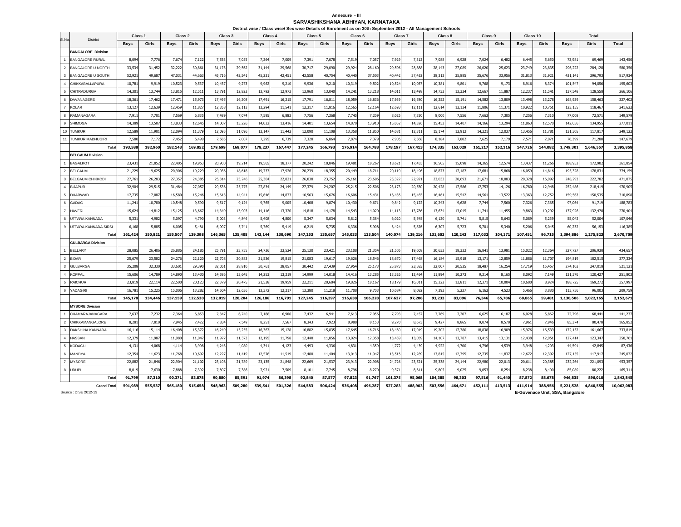#### **Annexure - III SARVASHIKSHANA ABHIYAN, KARNATAKADistrict wise / Class wise/ Sex wise Details of Enrolment as on 30th September 2012 - All Management Schools**

|                         |                                             | Class <sub>1</sub> |         | Class <sub>2</sub> |         | Class <sub>3</sub> |         | Class 4     |         | Class <sub>5</sub> |         | Class <sub>6</sub> |         | Class <sub>7</sub> |         | Class 8     |         | Class 9     |         | Class 10    |         |                                              | <b>Total</b> |            |
|-------------------------|---------------------------------------------|--------------------|---------|--------------------|---------|--------------------|---------|-------------|---------|--------------------|---------|--------------------|---------|--------------------|---------|-------------|---------|-------------|---------|-------------|---------|----------------------------------------------|--------------|------------|
| SI.No.                  | <b>District</b>                             | <b>Boys</b>        | Girls   | <b>Boys</b>        | Girls   | <b>Boys</b>        | Girls   | <b>Boys</b> | Girls   | <b>Boys</b>        | Girls   | <b>Boys</b>        | Girls   | <b>Boys</b>        | Girls   | <b>Boys</b> | Girls   | <b>Boys</b> | Girls   | <b>Boys</b> | Girls   | <b>Boys</b>                                  | Girls        | Total      |
|                         | <b>BANGALORE Division</b>                   |                    |         |                    |         |                    |         |             |         |                    |         |                    |         |                    |         |             |         |             |         |             |         |                                              |              |            |
| $\overline{1}$          | <b>BANGALORE RURAL</b>                      | 8,094              | 7,776   | 7,67               | 7,122   | 7,553              | 7,055   | 7,264       | 7,009   | 7,39               | 7,078   | 7,519              | 7,05    | 7,929              | 7,312   | 7,088       | 6,928   | 7,024       | 6,482   | 6,445       | 5,650   | 73,981                                       | 69,469       | 143,450    |
| $\overline{2}$          | <b>BANGALORE U NORTH</b>                    | 33,53              | 31,452  | 32,222             | 30,861  | 31,173             | 29,562  | 31,144      | 29,568  | 30,717             | 29,090  | 29,924             | 28,160  | 29,596             | 28,888  | 28,143      | 27,089  | 26,020      | 25,623  | 23,749      | 23,835  | 296,222                                      | 284,128      | 580,350    |
| $\overline{\mathbf{3}}$ | <b>BANGALORE U SOUTH</b>                    | 52,92              | 49,687  | 47,03              | 44,663  | 45,716             | 42,54   | 45,231      | 42,45   | 43,558             | 40,754  | 40,440             | 37,50   | 40,442             | 37,43   | 38,313      | 35,88   | 35,676      | 33,956  | 31,813      | 31,921  | 421,141                                      | 396,793      | 817,934    |
| $\overline{4}$          | CHIKKABALLAPURA                             | 10,78              | 9,919   | 10,523             | 9,537   | 10,437             | 9,273   | 9,962       | 9,210   | 9,936              | 9,210   | 10,31              | 9,502   | 10,524             | 10,05   | 10,381      | 9,80    | 9,768       | 9,173   | 8,916       | 8,374   | 101,547                                      | 94,056       | 195,603    |
| $5\phantom{.0}$         | CHITRADURGA                                 | 14,30              | 13,744  | 13,81              | 12,511  | 13,791             | 12,822  | 13,792      | 12,97   | 13,960             | 13,040  | 14,24              | 13,21   | 14,011             | 13,498  | 14,733      | 13,324  | 12,66       | 11,887  | 12,237      | 11,541  | 137,548                                      | 128,558      | 266,106    |
| 6                       | DAVANAGERE                                  | 18,36              | 17.462  | 17,47              | 15,973  | 17,495             | 16,308  | 17,491      | 16,21   | 17,791             | 16,811  | 18,059             | 16,83   | 17,939             | 16,580  | 16,252      | 15,19   | 14,582      | 13,809  | 13,498      | 13,278  | 168,939                                      | 158,463      | 327,402    |
| $\overline{7}$          | <b>KOLAR</b>                                | 13,12              | 12,639  | 12,459             | 11,827  | 12,358             | 12,113  | 12,294      | 11,54   | 12,317             | 11,816  | 12,565             | 12,16   | 12,693             | 12,11   | 12,614      | 12,134  | 11,806      | 11,37   | 10,922      | 10,751  | 123,155                                      | 118,467      | 241,622    |
| 8                       | RAMANAGARA                                  | 7,91               | 7,701   | 7,569              | 6,835   | 7,489              | 7,074   | 7,595       | 6,883   | 7.756              | 7,368   | 7,745              | 7,209   | 8,025              | 7,330   | 8,000       | 7,556   | 7,662       | 7,305   | 7,256       | 7,310   | 77,008                                       | 72,571       | 149,579    |
| 9                       | <b>SHIMOGA</b>                              | 14,389             | 13,507  | 13,833             | 12,645  | 14,007             | 13,226  | 14,022      | 13,41   | 14,401             | 13,654  | 14,870             | 13,910  | 15,052             | 14,326  | 15,453      | 14,407  | 14,166      | 13,294  | 11,863      | 12,570  | 142,056                                      | 134,955      | 277,011    |
| 10                      | <b>TUMKUR</b>                               | 12,589             | 11,901  | 12,09              | 11,379  | 12,095             | 11,096  | 12,147      | 11,442  | 12,090             | 11,108  | 13,358             | 11,850  | 14,081             | 12,31   | 15,174      | 12,91   | 14,221      | 12,037  | 13,456      | 11,781  | 131,305                                      | 117,817      | 249,122    |
| 11                      | <b>TUMKUR MADHUGIRI</b>                     | 7,580              | 7,17    | 7,45               | 6,499   | 7,585              | 7,007   | 7,295       | 6,73    | 7,328              | 6,864   | 7,87               | 7,379   | 7,905              | 7,568   | 8,18        | 7,80    | 7,625       | 7,179   | 7,57        | 7,07    | 76,399                                       | 71,280       | 147,679    |
|                         | Total                                       | 193,588            | 182,960 | 182,143            | 169,852 | 179,699            | 168,077 | 178,237     | 167,447 | 177,245            | 166,793 | 176,914            | 164,788 | 178,197            | 167,413 | 174,335     | 163,029 | 161,217     | 152,116 | 147,726     | 144,082 | 1,749,301                                    | 1,646,557    | 3,395,858  |
|                         | <b>BELGAUM Division</b>                     |                    |         |                    |         |                    |         |             |         |                    |         |                    |         |                    |         |             |         |             |         |             |         |                                              |              |            |
| $\overline{1}$          | <b>BAGALKOT</b>                             | 23,43              | 21,852  | 22,40              | 19,953  | 20,900             | 19,21   | 19,565      | 18,37   | 20,242             | 18,846  | 19,48              | 18,26   | 18,621             | 17,455  | 16,505      | 15,098  | 14,365      | 12,574  | 13,43       | 11,266  | 188,952                                      | 172,902      | 361,854    |
| $\overline{2}$          | <b>BELGAUM</b>                              | 21,229             | 19,625  | 20,906             | 19,229  | 20,036             | 18,618  | 19,737      | 17,926  | 20,239             | 18,355  | 20,44              | 18,71   | 20,119             | 18,49   | 18.87       | 17,187  | 17,681      | 15,868  | 16,059      | 14,816  | 195,328                                      | 178,83       | 374,159    |
| $\overline{\mathbf{3}}$ | <b>BELGAUM CHIKKODI</b>                     | 27,76              | 26,283  | 27,357             | 24,385  | 25,314             | 23,246  | 25,304      | 22,82   | 26,038             | 23,752  | 26,16              | 23,606  | 25,327             | 22,92   | 23,032      | 20,693  | 21,671      | 18,083  | 20,328      | 16,992  | 248,293                                      | 222,782      | 471,075    |
| $\overline{4}$          | <b>BIJAPUR</b>                              | 32,90              | 29,515  | 31,484             | 27,057  | 29,536             | 25,775  | 27,834      | 24,149  | 27,379             | 24,207  | 25,21              | 22,506  | 23,173             | 20,550  | 20,428      | 17,586  | 17,753      | 14,126  | 16,780      | 12,948  | 252,486                                      | 218,419      | 470,905    |
| 5                       | <b>DHARWAD</b>                              | 17,735             | 17,087  | 16,580             | 15,246  | 15,613             | 14,94   | 15,646      | 14,87   | 16,563             | 15,676  | 16,606             | 15,43   | 16,435             | 15,465  | 16,461      | 15,542  | 14,561      | 13,522  | 13,363      | 12,752  | 159,563                                      | 150,535      | 310,098    |
| 6                       | GADAG                                       | 11,24              | 10,780  | 10,548             | 9,590   | 9,517              | 9,124   | 9,765       | 9,005   | 10,408             | 9,87    | 10,430             | 9,67    | 9,842              | 9,122   | 10,243      | 9,628   | 7,744       | 7,560   | 7,326       | 7,365   | 97,064                                       | 91,719       | 188,783    |
| $\overline{7}$          | <b>HAVERI</b>                               | 15,62              | 14,812  | 15,12              | 13,667  | 14,349             | 13,903  | 14,116      | 13,320  | 14,818             | 14,178  | 14,54              | 14,020  | 14,113             | 13,786  | 13,634      | 13,04   | 11,741      | 11,455  | 9,863       | 10,292  | 137,926                                      | 132,478      | 270,404    |
| $_{\rm 8}$              | UTTARA KANNADA                              | 5,33               | 4,982   | 5,097              | 4,790   | 5,003              | 4,846   | 5,408       | 4,800   | 5,347              | 5,034   | 5,81               | 5,384   | 6,020              | 5,545   | 6,120       | 5,74    | 5,815       | 5,643   | 5,089       | 5,239   | 55,042                                       | 52,004       | 107,046    |
| 9                       | UTTARA KANNADA SIRSI                        | 6,168              | 5,885   | 6,00!              | 5,481   | 6,097              | 5,741   | 5,769       | 5,41    | 6,219              | 5,735   | 6,336              | 5,908   | 6,424              | 5,876   | 6,307       | 5,72    | 5,701       | 5,340   | 5,206       | 5,045   | 60,232                                       | 56,153       | 116,385    |
|                         | Tota                                        | 161,42             | 150,821 | 155,507            | 139,398 | 146,365            | 135,408 | 143,144     | 130,690 | 147,253            | 135,657 | 145,033            | 133,50  | 140,074            | 129,210 | 131,603     | 120,243 | 117,032     | 104,171 | 107,451     | 96,715  | 1,394,886                                    | 1,275,823    | 2,670,709  |
|                         | <b>GULBARGA Division</b>                    |                    |         |                    |         |                    |         |             |         |                    |         |                    |         |                    |         |             |         |             |         |             |         |                                              |              |            |
| $\overline{1}$          | <b>BELLARY</b>                              | 28,085             | 26,406  | 26,886             | 24,185  | 25,791             | 23,75   | 24,726      | 23,52   | 25,130             | 23,421  | 23,108             | 21,35   | 21,505             | 19,608  | 20,633      | 18,33   | 16,841      | 13,98   | 15,022      | 12,364  | 227,72                                       | 206,930      | 434,657    |
|                         | 2 BIDAR                                     | 25,67              | 23,582  | 24,276             | 22,120  | 22,708             | 20,883  | 21,536      | 19,81   | 21,083             | 19,617  | 19,62              | 18,546  | 18,670             | 17,468  | 16,184      | 15,918  | 13,171      | 12,859  | 11,886      | 11,707  | 194,819                                      | 182,515      | 377,334    |
| $\overline{\mathbf{3}}$ | <b>GULBARGA</b>                             | 35,208             | 32,330  | 33,60              | 29,390  | 32,051             | 28,810  | 30,761      | 28,05   | 30,442             | 27,439  | 27,954             | 25,17   | 25,873             | 23,583  | 22,007      | 20,52   | 18,487      | 16,254  | 17,719      | 15,457  | 274,103                                      | 247,018      | 521,121    |
| $\overline{4}$          | <b>KOPPAL</b>                               | 15,606             | 14,789  | 14,890             | 13,430  | 14,586             | 13,645  | 14,253      | 13,219  | 14,999             | 14,018  | 14,41              | 13,285  | 13,326             | 12,454  | 11,894      | 10,27   | 9,314       | 8,165   | 8,092       | 7,149   | 131,376                                      | 120,427      | 251,803    |
| 5                       | <b>RAICHUR</b>                              | 23,81              | 22,11   | 22,500             | 20,123  | 22,379             | 20,475  | 21,538      | 19,959  | 22,21              | 20,684  | 19,82              | 18,167  | 18,179             | 16,01   | 15,222      | 12,81   | 12,37       | 10,004  | 10,680      | 8,924   | 188,725                                      | 169,272      | 357,997    |
| $6\phantom{1}6$         | YADAGIRI                                    | 16,78              | 15,225  | 15,00              | 13,282  | 14,504             | 12,636  | 13,372      | 12,21   | 13,380             | 11,218  | 11,708             | 9,70    | 10,084             | 8,082   | 7,29        | 5,23    | 6,162       | 4,523   | 5,466       | 3,880   | 113,756                                      | 96,003       | 209,759    |
|                         | Total                                       | 145,178            | 134,446 | 137,159            | 122,530 | 132,019            | 120,204 | 126,186     | 116,791 | 127,245            | 116,397 | 116,638            | 106,228 | 107,637            | 97,206  | 93,233      | 83,096  | 76,346      | 65,786  | 68,865      | 59,481  | 1,130,506                                    | 1,022,165    | 2,152,671  |
|                         | <b>MYSORE Division</b>                      |                    |         |                    |         |                    |         |             |         |                    |         |                    |         |                    |         |             |         |             |         |             |         |                                              |              |            |
| $\overline{1}$          | CHAMARAJANAGARA                             | 7.63               | 7.232   | 7.364              | 6,853   | 7,347              | 6,740   | 7.188       | 6,906   | 7.432              | 6,941   | 7,61               | 7.056   | 7.793              | 7.45    | 7.769       | 7,20    | 6.625       | 6.187   | 6.028       | 5,862   | 72,796                                       | 68,441       | 141,237    |
| $\overline{2}$          | CHIKKAMANGALORE                             | 8,28               | 7,810   | 7,94               | 7,422   | 7,834              | 7,549   | 8,251       | 7,567   | 8,343              | 7,923   | 8,988              | 8,15    | 9,270              | 8,673   | 9,427       | 8,86    | 9,074       | 8,570   | 7,961       | 7,946   | 85,374                                       | 80,478       | 165,852    |
| $\overline{\mathbf{3}}$ | DAKSHINA KANNADA                            | 16,116             | 15,114  | 16,40              | 15,372  | 16,249             | 15,255  | 16,367      | 15,128  | 16,882             | 15,835  | 17,64              | 16,716  | 18,469             | 17,019  | 19,202      | 17,780  | 18,838      | 16,909  | 15,976      | 16,539  | 172,152                                      | 161,667      | 333,819    |
| $\overline{4}$          | <b>HASSAN</b>                               | 12,379             | 11,987  | 11,980             | 11,047  | 11,97              | 11,373  | 12,195      | 11,798  | 12,440             | 11,856  | 13,024             | 12,358  | 13,459             | 13,059  | 14,107      | 13,787  | 13,415      | 13,131  | 12,438      | 12,951  | 127,414                                      | 123,347      | 250,761    |
| $5\phantom{.0}$         | KODAGU                                      | 4,13               | 4,068   | 4,11               | 3,998   | 4,243              | 4,080   | 4,341       | 4,123   | 4,493              | 4,336   | 4,83               | 4,359   | 4,772              | 4,439   | 4,922       | 4,700   | 4,796       | 4,539   | 3,948       | 4,203   | 44,591                                       | 42,845       | 87,436     |
| $6\phantom{1}6$         | MANDYA                                      | 12,354             | 11,623  | 11,768             | 10,692  | 12,227             | 11,419  | 12,576      | 11,51   | 12,480             | 11,404  | 13,01              | 11,94   | 13,515             | 12,289  | 13,81       | 12,79   | 12,735      | 11,837  | 12,672      | 12,392  | 127,155                                      | 117,917      | 245,072    |
|                         | <b>MYSORE</b>                               | 22,882             | 21,846  | 22,90              | 21,102  | 23,106             | 21,789  | 23,135      | 21,848  | 22,669             | 21,537  | 23,91              | 22,90   | 24,726             | 23,52   | 25,338      | 24,144  | 22,980      | 22,013  | 20,611      | 20,385  | 232,264                                      | 221,093      | 453,357    |
|                         | 8 UDUPI                                     | 8,019              | 7,630   | 7,888              | 7,392   | 7,897              | 7,386   | 7,921       | 7,509   | 8,10               | 7,745   | 8,796              | 8,270   | 9,371              | 8,61    | 9,805       | 9,025   | 9,053       | 8,254   | 8,238       | 8,400   | 85,089                                       | 80,222       | 165,311    |
|                         | Tota                                        | 91.799             | 87.310  | 90.371             | 83,878  | 90,880             | 85.591  | 91.974      | 86.398  | 92.840             | 87.577  | 97.823             | 91.767  | 101.375            | 95.068  | 104.385     | 98,303  | 97.516      | 91.440  | 87.872      | 88.678  | 946.835                                      | 896.010      | 1,842,845  |
|                         | <b>Grand Total</b><br>Source : DISE 2012-13 | 591,989            | 555,537 | 565,180            | 515,658 | 548,963            | 509,280 | 539,541     | 501,326 | 544,583            | 506,424 | 536,408            | 496,28  | 527,283            | 488,903 | 503,556     | 464,671 | 452,111     | 413,513 | 411,914     | 388,956 | 5,221,528<br>E-Govenace Unit, SSA, Bangalore | 4,840,555    | 10,062,083 |

Source : DISE 201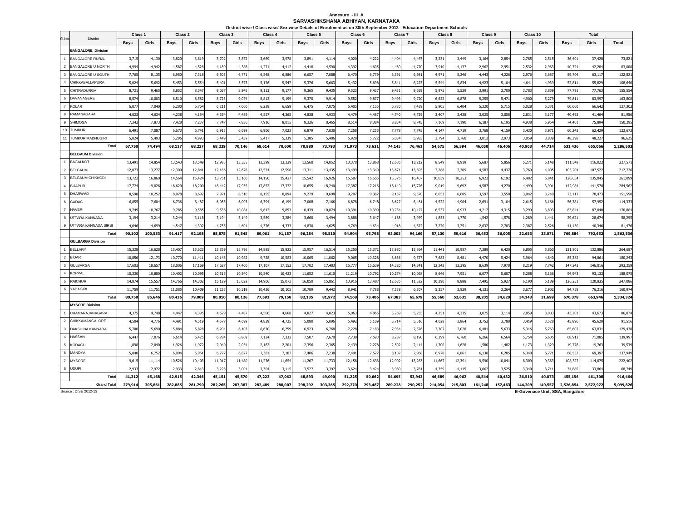# Annexure - III A<br>SARVASHIKSHANA ABHIYAN, KARNATAKA

|                                                    | Class <sub>1</sub> |         | Class 2     |         | Class 3     | District wise / Class wise/ Sex wise Details of Enrolment as on 30th September 2012 - Education Department Schools | Class 4     |         | Class 5     |         | Class <sub>6</sub> |         | Class 7     |         | Class 8     |         | Class 9     |         | Class 10    |         |             | Total     |           |
|----------------------------------------------------|--------------------|---------|-------------|---------|-------------|--------------------------------------------------------------------------------------------------------------------|-------------|---------|-------------|---------|--------------------|---------|-------------|---------|-------------|---------|-------------|---------|-------------|---------|-------------|-----------|-----------|
| SI.No.<br><b>District</b>                          | <b>Boys</b>        | Girls   | <b>Boys</b> | Girls   | <b>Boys</b> | Girls                                                                                                              | <b>Boys</b> | Girls   | <b>Boys</b> | Girls   | <b>Boys</b>        | Girls   | <b>Boys</b> | Girls   | <b>Boys</b> | Girls   | <b>Boys</b> | Girls   | <b>Boys</b> | Girls   | <b>Boys</b> | Girls     | Total     |
| <b>BANGALORE Division</b>                          |                    |         |             |         |             |                                                                                                                    |             |         |             |         |                    |         |             |         |             |         |             |         |             |         |             |           |           |
| $\overline{1}$<br><b>BANGALORE RURAL</b>           | 3,715              | 4,130   | 3,820       | 3,819   | 3,702       | 3,872                                                                                                              | 3,669       | 3,978   | 3,891       | 4,11    | 4,020              | 4,222   | 4,404       | 4,467   | 3,231       | 3,449   | 3,164       | 2,854   | 2,785       | 2,515   | 36,401      | 37,420    | 73,821    |
| $\overline{2}$<br><b>BANGALORE U NORTH</b>         | 4,994              | 4,942   | 4,587       | 4,528   | 4,189       | 4,386                                                                                                              | 4,271       | 4,412   | 4,418       | 4,590   | 4,392              | 4,605   | 4,469       | 4,770   | 3,910       | 4,137   | 2,962       | 2,951   | 2,532       | 2,963   | 40,724      | 42,284    | 83,008    |
| 3<br>BANGALORE U SOUTH                             | 7,765              | 8,135   | 6,980       | 7,318   | 6,503       | 6,771                                                                                                              | 6,548       | 6,886   | 6,657       | 7,088   | 6,470              | 6,779   | 6,391       | 6,981   | 4,971       | 5,246   | 4,443       | 4,226   | 2,976       | 3,687   | 59,704      | 63,117    | 122,821   |
| $\overline{4}$<br>CHIKKABALLAPURA                  | 5,024              | 5,692   | 5,453       | 5,554   | 5,401       | 5,575                                                                                                              | 5,176       | 5,547   | 5,376       | 5,663   | 5,432              | 5,698   | 5,841       | 6,223   | 5,544       | 5,834   | 4,923       | 5,104   | 4,641       | 4,939   | 52,81       | 55,829    | 108,640   |
| 5<br><b>CHITRADURGA</b>                            | 8,721              | 9,465   | 8,852       | 8,547   | 9,037       | 8,945                                                                                                              | 9,113       | 9,177   | 9,365       | 9,435   | 9,523              | 9,437   | 9,431       | 9,659   | 5,975       | 5,539   | 3,991       | 3,700   | 3,783       | 3,859   | 77,791      | 77,763    | 155,554   |
| $6\phantom{.0}$<br>DAVANAGERE                      | 8,57               | 10,003  | 8,510       | 8,582   | 8,723       | 9,074                                                                                                              | 8,812       | 9,199   | 9,370       | 9,91    | 9,552              | 9,87    | 9,493       | 9,720   | 6,622       | 6,878   | 5,25!       | 5,471   | 4,900       | 5,279   | 79,81       | 83,993    | 163,808   |
| $\overline{7}$<br><b>KOLAR</b>                     | 6,07               | 7,040   | 6,280       | 6,764   | 6,211       | 7,060                                                                                                              | 6,229       | 6,659   | 6,475       | 7,075   | 6,405              | 7,155   | 6,730       | 7,439   | 5,905       | 6,404   | 5,320       | 5,715   | 5,028       | 5,331   | 60,660      | 66,642    | 127,302   |
| $\mathbf{a}$<br>RAMANAGARA                         | 4,023              | 4,634   | 4,238       | 4,154   | 4,354       | 4,489                                                                                                              | 4,557       | 4,365   | 4,838       | 4,933   | 4,479              | 4,487   | 4,740       | 4,729   | 3,407       | 3,438   | 3,025       | 3,058   | 2,831       | 3,177   | 40,492      | 41,464    | 81,956    |
| 9<br>SHIMOG/                                       | 7,342              | 7,873   | 7,428       | 7,237   | 7,747       | 7,836                                                                                                              | 7,916       | 8,015   | 8,326       | 8,465   | 8,51               | 8,384   | 8,834       | 8,745   | 7,169       | 7,190   | 6,187       | 6,195   | 4,938       | 5,954   | 74,401      | 75,894    | 150,295   |
| 10<br><b>TUMKUR</b>                                | 6,491              | 7,087   | 6,673       | 6,741   | 6,913       | 6,699                                                                                                              | 6,906       | 7,023   | 6,879       | 7,030   | 7,258              | 7,255   | 7,778       | 7,745   | 4,147       | 4,719   | 3,768       | 4,159   | 3,430       | 3,971   | 60,243      | 62,429    | 122,672   |
| 11<br><b>TUMKUR MADHUGIRI</b>                      | 5,024              | 5,493   | 5,296       | 4,993   | 5,449       | 5,439                                                                                                              | 5,417       | 5,339   | 5,385       | 5,486   | 5,928              | 5,722   | 6,034       | 5,983   | 3,794       | 3,760   | 3,012       | 2,973   | 3,059       | 3,039   | 48,398      | 48,22     | 96,625    |
| Total                                              | 67,750             | 74,494  | 68,117      | 68,237  | 68,229      | 70,146                                                                                                             | 68,614      | 70,600  | 70,980      | 73,793  | 71,973             | 73,621  | 74,145      | 76,461  | 54,675      | 56,594  | 46,050      | 46,406  | 40,903      | 44,714  | 631,436     | 655,066   | 1,286,502 |
| <b>BELGAUM Division</b>                            |                    |         |             |         |             |                                                                                                                    |             |         |             |         |                    |         |             |         |             |         |             |         |             |         |             |           |           |
| <b>BAGALKOT</b>                                    | 13,491             | 14,854  | 13,543      | 13,549  | 12,985      | 13,335                                                                                                             | 12,399      | 13,229  | 13,560      | 14,052  | 13,378             | 13,868  | 12,686      | 13,212  | 8,549       | 8,919   | 5,68        | 5,856   | 5,27        | 5,148   | 111,549     | 116,022   | 227,57    |
| $\overline{2}$<br><b>BELGAUM</b>                   | 12,07              | 13,277  | 12,300      | 12,84   | 12,186      | 12,678                                                                                                             | 12,524      | 12,596  | 13,311      | 13,43   | 13,499             | 13,349  | 13,671      | 13,695  | 7,288       | 7,209   | 4,583       | 4,437   | 3,769       | 4,005   | 105,204     | 107,522   | 212,726   |
| $\overline{\mathbf{3}}$<br><b>BELGAUM CHIKKODI</b> | 13,72              | 16,860  | 14,564      | 15,424  | 13,751      | 15,160                                                                                                             | 14,150      | 15,42   | 15,542      | 16,926  | 15,507             | 16,555  | 15,375      | 16,407  | 10,039      | 10,253  | 6,922       | 6,192   | 6,482       | 5,841   | 126,054     | 135,045   | 261,099   |
| $\overline{4}$<br><b>BIJAPUR</b>                   | 17,77              | 19,026  | 18,620      | 18,200  | 18,442      | 17,935                                                                                                             | 17,852      | 17,372  | 18,655      | 18,240  | 17,38              | 17,216  | 16,149      | 15,726  | 9,019       | 9,692   | 4,587       | 4,270   | 4,499       | 3,901   | 142,984     | 141,578   | 284,562   |
| 5<br><b>DHARWAD</b>                                | 8,598              | 10,252  | 8,078       | 8,692   | 7,971       | 8,510                                                                                                              | 8,155       | 8,894   | 9,279       | 9,698   | 9,20               | 9,382   | 9,137       | 9,570   | 6,053       | 6,685   | 3,597       | 3,550   | 3,042       | 3,240   | 73,117      | 78,473    | 151,590   |
| 6<br><b>GADAG</b>                                  | 6,855              | 7,604   | 6,736       | 6,487   | 6,055       | 6,093                                                                                                              | 6,394       | 6,199   | 7,008       | 7,166   | 6,878              | 6,748   | 6,627       | 6,481   | 4,522       | 4,904   | 2,691       | 3,104   | 2,615       | 3,166   | 56,381      | 57,952    | 114,333   |
| $\overline{7}$<br><b>HAVERI</b>                    | 9,749              | 10,767  | 9,785       | 9,585   | 9,536       | 10,084                                                                                                             | 9,642       | 9,853   | 10,439      | 10,874  | 10,391             | 10,399  | 10,254      | 10,427  | 6,537       | 6,933   | 4,212       | 4,315   | 3,299       | 3,803   | 83,844      | 87,040    | 170,884   |
| $\mathbf{a}$<br>UTTARA KANNADA                     | 3,194              | 3,214   | 3,244       | 3,118   | 3,194       | 3,149                                                                                                              | 3,569       | 3,284   | 3,660       | 3,494   | 3,888              | 3,647   | 4,188       | 3,979   | 1,853       | 1,770   | 1,542       | 1,578   | 1,289       | 1,441   | 29,621      | 28,674    | 58,295    |
| 9<br>UTTARA KANNADA SIRSI                          | 4,646              | 4,699   | 4,547       | 4,302   | 4,755       | 4,601                                                                                                              | 4,376       | 4,333   | 4,830       | 4,625   | 4,769              | 4,634   | 4,918       | 4,672   | 3,270       | 3,251   | 2,632       | 2,703   | 2,38        | 2,526   | 41,130      | 40,346    | 81,476    |
| Tota                                               | 90,102             | 100,553 | 91,417      | 92,198  | 88,875      | 91,545                                                                                                             | 89,061      | 91,187  | 96,284      | 98,510  | 94,904             | 95,798  | 93,005      | 94,169  | 57,130      | 59,616  | 36,453      | 36,005  | 32,653      | 33,071  | 769,884     | 792,652   | 1,562,536 |
| <b>GULBARGA Division</b>                           |                    |         |             |         |             |                                                                                                                    |             |         |             |         |                    |         |             |         |             |         |             |         |             |         |             |           |           |
| BELLARY<br>$\overline{1}$                          | 15,328             | 16,628  | 15,407      | 15,623  | 15,359      | 15,796                                                                                                             | 14,885      | 15,822  | 15,957      | 16,51   | 15,250             | 15,372  | 13,980      | 13,864  | 11,441      | 10,987  | 7,389       | 6,420   | 6,805       | 5,860   | 131,80      | 132,886   | 264,687   |
| $\overline{2}$<br><b>BIDAR</b>                     | 10,856             | 12,173  | 10,770      | 11,41   | 10,145      | 10,982                                                                                                             | 9,728       | 10,583  | 10,065      | 11,062  | 9,06               | 10,328  | 8,636       | 9,577   | 7,683       | 8,481   | 4,470       | 5,424   | 3,964       | 4,840   | 85,382      | 94,861    | 180,243   |
| $\overline{\mathbf{3}}$<br><b>GULBARGA</b>         | 17,603             | 18,657  | 18,006      | 17,169  | 17,627      | 17,460                                                                                                             | 17,10       | 17,152  | 17,702      | 17,483  | 15,77              | 15,639  | 14,320      | 14,341  | 12,243      | 12,395  | 8,639       | 7,978   | 8,219       | 7,742   | 147,243     | 146,016   | 293,259   |
| $\overline{4}$<br><b>KOPPAL</b>                    | 10,330             | 10,880  | 10,402      | 10,095  | 10,515      | 10,540                                                                                                             | 10,540      | 10,423  | 11,652      | 11,61   | 11,219             | 10,792  | 10,274      | 10,068  | 8,646       | 7,951   | 6,07        | 5,607   | 5,288       | 5,166   | 94,94       | 93,132    | 188,075   |
| <b>RAICHUR</b><br>-5                               | 14,874             | 15,557  | 14,766      | 14,302  | 15,129      | 15,029                                                                                                             | 14,906      | 15,073  | 16,050      | 15,86   | 13,916             | 13,487  | 12,635      | 11,522  | 10,290      | 8,888   | 7,495       | 5,927   | 6,190       | 5,189   | 126,251     | 120,835   | 247,086   |
| 6<br>YADAGIRI                                      | 11,759             | 11,751  | 11,085      | 10,409  | 11,235      | 10,319                                                                                                             | 10,426      | 10,105  | 10,709      | 9,442   | 8,94               | 7,788   | 7,538       | 6,307   | 5,257       | 3,929   | 4,131       | 3,264   | 3,67        | 2,902   | 84,758      | 76,216    | 160,974   |
| Total                                              | 80,750             | 85,646  | 80,436      | 79,009  | 80,010      | 80,126                                                                                                             | 77,592      | 79,158  | 82,135      | 81,972  | 74,168             | 73,406  | 67,383      | 65,679  | 55,560      | 52,631  | 38,201      | 34,620  | 34,143      | 31,699  | 670,378     | 663,946   | 1,334,324 |
| <b>MYSORE Division</b>                             |                    |         |             |         |             |                                                                                                                    |             |         |             |         |                    |         |             |         |             |         |             |         |             |         |             |           |           |
| CHAMARAJANAGARA<br>$\overline{1}$                  | 4,375              | 4,748   | 4,447       | 4,395   | 4,529       | 4,487                                                                                                              | 4,506       | 4,668   | 4,827       | 4,823   | 5,063              | 4,865   | 5,269       | 5,255   | 4,251       | 4,315   | 3,075       | 3,114   | 2,859       | 3,003   | 43,201      | 43,673    | 86,874    |
| $\overline{2}$<br>CHIKKAMANGALORE                  | 4.504              | 4,776   | 4,491       | 4,519   | 4,577       | 4,699                                                                                                              | 4,839       | 4,725   | 5,080       | 5,096   | 5,492              | 5,109   | 5.714       | 5,516   | 4.028       | 3,864   | 3,752       | 3,788   | 3,419       | 3,528   | 45,896      | 45,620    | 91,516    |
| $\overline{\mathbf{3}}$<br>DAKSHINA KANNADA        | 5,700              | 5,690   | 5,884       | 5,828   | 6,204       | 6,103                                                                                                              | 6,630       | 6,259   | 6,923       | 6,768   | 7,228              | 7,183   | 7,934       | 7,576   | 7,307       | 7,028   | 6,481       | 5,633   | 5,316       | 5,763   | 65,607      | 63,831    | 129,438   |
| $\overline{4}$<br><b>HASSAN</b>                    | 6.447              | 7.076   | 6,614       | 6,425   | 6,784       | 6,869                                                                                                              | 7,124       | 7,333   | 7,507       | 7,670   | 7,730              | 7,593   | 8,287       | 8,190   | 6,399       | 6,760   | 6,266       | 6,564   | 5,754       | 6,605   | 68,912      | 71,085    | 139,997   |
| 5<br><b>KODAGU</b>                                 | 1,898              | 2,040   | 1,926       | 1,972   | 2,040       | 2,054                                                                                                              | 2,162       | 2,201   | 2,356       | 2,365   | 2,439              | 2,278   | 2,502       | 2,414   | 1,700       | 1,628   | 1,580       | 1,482   | 1,17        | 1,329   | 19,776      | 19,763    | 39,539    |
| 6<br>MANDYA                                        | 5,840              | 6,752   | 6,094       | 5,961   | 6,777       | 6,87                                                                                                               | 7,381       | 7,107   | 7,406       | 7,238   | 7,491              | 7,577   | 8,107       | 7,968   | 6,978       | 6,861   | 6,138       | 6,285   | 6,340       | 6,771   | 68,552      | 69,397    | 137,949   |
| $\overline{7}$<br><b>MYSORE</b>                    | 9,615              | 11, 11  | 10,526      | 10,403  | 11,017      | 11,480                                                                                                             | 11,276      | 11,654  | 11,267      | 11,733  | 12,158             | 12,633  | 12,902      | 13,263  | 11,667      | 12,391  | 9,590       | 10,041  | 8,309       | 9,363   | 108,327     | 114,075   | 222,402   |
| 8<br><b>UDUPI</b>                                  | 2,933              | 2,972   | 2,933       | 2,843   | 3,223       | 3,001                                                                                                              | 3,304       | 3,115   | 3,527       | 3,397   | 3,624              | 3,424   | 3,980       | 3,761   | 4,359       | 4,115   | 3,662       | 3,525   | 3,340       | 3,711   | 34,885      | 33,864    | 68,749    |
| Total                                              | 41,312             | 45,168  | 42,915      | 42,346  | 45,151      | 45,570                                                                                                             | 47,222      | 47,062  | 48,893      | 49,090  | 51,225             | 50,662  | 54,695      | 53,943  | 46,689      | 46,962  | 40,544      | 40,432  | 36,510      | 40,073  | 455,156     | 461,308   | 916,464   |
| <b>Grand Total</b>                                 | 279.914            | 305,861 | 282.885     | 281.790 | 282,265     | 287.387                                                                                                            | 282,489     | 288.007 | 298,292     | 303,365 | 292,270            | 293,487 | 289.228     | 290.252 | 214,054     | 215,803 | 161.248     | 157,463 | 144,209     | 149,557 | 2,526,854   | 2,572,972 | 5,099,826 |

Source : DISE 2012-13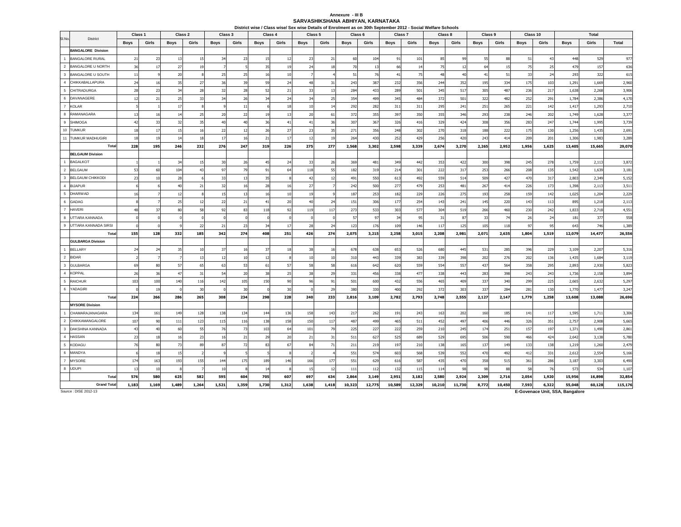#### **SARVASHIKSHANA ABHIYAN, KARNATAKA Annexure - III B**

|                                  |                                  |             | Class <sub>1</sub><br>Class 2 |                |          | Class 3       |          | Class 4     |                | Class 5        |          | Class 6     |                 | Class 7     |            | District wise / Class wise/ Sex wise Details of Enrolment as on 30th September 2012 - Social Welfare Schools<br>Class 8 |            | Class 9     |            | Class 10    |            |                | <b>Total</b>   |                |
|----------------------------------|----------------------------------|-------------|-------------------------------|----------------|----------|---------------|----------|-------------|----------------|----------------|----------|-------------|-----------------|-------------|------------|-------------------------------------------------------------------------------------------------------------------------|------------|-------------|------------|-------------|------------|----------------|----------------|----------------|
| SI.No.                           | District                         |             |                               |                |          |               |          |             |                |                |          |             |                 |             |            |                                                                                                                         |            |             |            |             |            |                |                |                |
|                                  |                                  | <b>Boys</b> | Girls                         | <b>Boys</b>    | Girls    | <b>Boys</b>   | Girls    | <b>Boys</b> | Girls          | <b>Boys</b>    | Girls    | <b>Boys</b> | Girls           | <b>Boys</b> | Girls      | <b>Boys</b>                                                                                                             | Girls      | <b>Boys</b> | Girls      | <b>Boys</b> | Girls      | <b>Boys</b>    | Girls          | Total          |
| $\overline{1}$                   | <b>BANGALORE Division</b>        |             |                               |                |          |               |          |             |                |                |          |             |                 |             |            |                                                                                                                         |            |             |            |             |            |                |                |                |
|                                  | <b>BANGALORE RURAL</b>           | 21          | 23                            | 13             | 15       | 34            | 23       | 15          | $\overline{1}$ | 23             | 21       | 60          | 10 <sup>4</sup> | 91          | 101        | 85                                                                                                                      | 99         | 55          | 88         | 51          | 43         | 448            | 529            | 977            |
| $\overline{2}$                   | <b>BANGALORE U NORTH</b>         | 36          | 17                            | 27             | 19       |               |          | 35          | 1 <sup>1</sup> | 24             | 18       | 70          | 13              | 66          | 14         | 75                                                                                                                      | 12         | 64          | 15         | 75          | 25         | 479            | 157            | 636            |
| 3                                | <b>BANGALORE U SOUTH</b>         | 11          |                               | 20             |          | 25            | 25       | 16          | 10             |                |          | 51          | 76              | 41          | 75         | 48                                                                                                                      | 40         | 41          | 51         | 33          | 24         | 293            | 322            | 615            |
| $\overline{4}$                   | CHIKKABALLAPURA                  | 24          | 16                            | 35             | 27       | 36            | 39       | 59          | 24             | 48             | 31       | 243         | 387             | 232         | 356        | 244                                                                                                                     | 352        | 195         | 334        | 175         | 103        | 1,291          | 1,669          | 2,960          |
| 5                                | <b>CHITRADURGA</b>               | 28          | 23                            | 34             | 28       | 32            | 28       | 52          | 21             | 33             | 13       | 284         | 433             | 289         | 501        | 345                                                                                                                     | 517        | 305         | 487        | 236         | 217        | 1,638          | 2,268          | 3,906          |
| $6\phantom{1}6$                  | DAVANAGERE                       | 12          | 21                            | 25             | 33       | $\mathcal{R}$ | 26       | 34          | 24             | 3 <sup>4</sup> | 25       | 354         | 499             | 345         | 484        | 372                                                                                                                     | 501        | 322         | 482        | 252         | 291        | 1,784          | 2,386          | 4,170          |
| $\overline{7}$                   | <b>KOLAR</b>                     |             |                               | 17             |          |               | 11       |             | 18             | 10             | 14       | 292         | 282             | 311         | 311        | 295                                                                                                                     | 241        | 251         | 265        | 221         | 142        | 1,417          | 1,293          | 2,710          |
| $_{\rm 8}$                       | RAMANAGARA                       | 13          | 16                            | 1 <sup>2</sup> | 25       | 20            | 22       | 19          | 12             | 20             | 61       | 372         | 355             | 397         | 350        | 355                                                                                                                     | 346        | 293         | 238        | 246         | 202        | 1,749          | 1,628          | 3,377          |
| 9                                | <b>SHIMOGA</b>                   | 42          | 33                            | 32             | 35       | 40            | 40       | 36          | $\overline{4}$ | 41             | 36       | 307         | 367             | 326         | 416        | 329                                                                                                                     | 424        | 308         | 356        | 283         | 247        | 1,744          | 1,995          | 3,739          |
| 10                               | <b>TUMKUR</b>                    | 18          | 17                            | 15             | 16       | 22            | 12       | 26          | 27             | 23             | 35       | 271         | 356             | 248         | 302        | 270                                                                                                                     | 318        | 188         | 222        | 175         | 130        | 1,256          | 1,435          | 2,691          |
| 11                               | <b>TUMKUR MADHUGIRI</b>          | 18          | 19                            | 14             | 18       | 17            | 16       | 21          | 17             | 12             | 19       | 264         | 430             | 252         | 429        | 256                                                                                                                     | 420        | 243         | 414        | 209         | 201        | 1,306          | 1,983          | 3,289          |
|                                  | Total                            | 228         | 195                           | 246            | 232      | 276           | 247      | 319         | 226            | 275            | 277      | 2,568       | 3,302           | 2,598       | 3,339      | 2,674                                                                                                                   | 3,270      | 2,265       | 2,952      | 1,956       | 1,625      | 13,405         | 15,665         | 29,070         |
|                                  | <b>BELGAUM Division</b>          |             |                               |                |          |               |          |             |                |                |          |             |                 |             |            |                                                                                                                         |            |             |            |             |            |                |                |                |
|                                  | <b>BAGALKOT</b>                  |             |                               | 34             | 15       | 30            | 26       | 45          | 24             | 33             | 26       | 369         | 481             | 349         | 442        | 353                                                                                                                     | 422        | 300         | 398        | 245         | 278        | 1,759          | 2,113          | 3,872          |
| $\overline{2}$                   | <b>BELGAUM</b>                   | 53          | 60                            | 104            | 43       | 97            | 79       | 91          | 64             | 118            | 55       | 182         | 319             | 214         | 301        | 222                                                                                                                     | 317        | 253         | 266        | 208         | 135        | 1,542          | 1,639          | 3,181          |
| $\overline{\mathbf{3}}$          | <b>BELGAUM CHIKKODI</b>          | 23          | 10                            | 28             |          | 33            | 13       | 35          |                | 42             | 12       | 491         | 550             | 613         | 492        | 559                                                                                                                     | 514        | 509         | 427        | 470         | 317        | 2,803          | 2,349          | 5,152          |
| $\overline{4}$                   | <b>BIJAPUR</b>                   |             |                               | 4(             | 21       | 32            | 16       | 28          | $\overline{1}$ | 27             |          | 242         | 500             | 277         | 479        | 253                                                                                                                     | 481        | 267         | 414        | 226         | 173        | 1,398          | 2,113          | 3,511          |
| $\overline{5}$                   | <b>DHARWAD</b>                   | 16          |                               | 12             |          | 15            | 13       | 16          | 10             | 19             |          | 187         | 253             | 182         | 229        | 226                                                                                                                     | 275        | 193         | 258        | 159         | 142        | 1,025          | 1,204          | 2,229          |
| 6                                | <b>GADAG</b>                     |             |                               | 25             | 12       | 22            | 21       | 41          | 20             | 40             | 24       | 151         | 306             | 177         | 254        | 143                                                                                                                     | 241        | 145         | 220        | 143         | 113        | 895            | 1,218          | 2,113          |
| $\overline{7}$                   | <b>HAVERI</b>                    | 48          | 37                            | 80             | 58       | 92            | 83       | 118         | 92             | 119            | 117      | 273         | 533             | 303         | 577        | 304                                                                                                                     | 519        | 266         | 460        | 230         | 242        | 1,833          | 2,718          | 4,551          |
| 8                                | UTTARA KANNADA                   |             |                               |                |          |               |          |             |                |                |          | 57          | 97              | 34          | 95         | 31                                                                                                                      | 87         | 33          | 74         | 26          | 24         | 181            | 377            | 558            |
| 9                                | UTTARA KANNADA SIRSI             |             |                               |                | 22       | 21            | 23       | 34          | 17             | 28             | 24       | 123         | 176             | 109         | 146        | 117                                                                                                                     | 125        | 105         | 118        | 97          | 95         | 643            | 746            | 1,389          |
|                                  | Total                            | 155         | 128                           | 332            | 185      | 342           | 274      | 408         | 251            | 426            | 274      | 2,075       | 3,215           | 2,258       | 3,015      | 2,208                                                                                                                   | 2,981      | 2,071       | 2,635      | 1,804       | 1,519      | 12,079         | 14,477         | 26,556         |
|                                  | <b>GULBARGA Division</b>         |             |                               |                |          | 37            |          |             |                |                |          |             |                 |             |            |                                                                                                                         |            |             |            |             |            |                |                |                |
| $\overline{1}$<br>$\overline{2}$ | <b>BELLARY</b><br><b>BIDAR</b>   | 24          | 24                            | 35             | 10<br>13 |               | 16<br>10 | 37<br>12    | 18             | 38             | 16       | 678         | 638             | 653<br>339  | 526        | 680                                                                                                                     | 445        | 531         | 285        | 396         | 229        | 3,109          | 2,207          | 5,316          |
| $\overline{\mathbf{3}}$          |                                  |             |                               |                | 65       | 12<br>63      |          |             |                | 10<br>58       | 10       | 310         | 443             |             | 383        | 339                                                                                                                     | 398        | 202         | 276        | 202         | 136        | 1,435          | 1,684          | 3,119          |
| $\overline{4}$                   | <b>GULBARGA</b><br><b>KOPPAL</b> | 69<br>26    | 80<br>36                      | 57<br>47       | 31       | 54            | 53<br>20 | 61<br>38    | 57<br>25       | 38             | 58<br>29 | 616<br>331  | 642<br>456      | 620<br>338  | 559<br>477 | 554<br>338                                                                                                              | 557<br>443 | 437<br>283  | 564<br>398 | 358<br>243  | 295<br>243 | 2,893<br>1,736 | 2,930<br>2,158 | 5,823          |
| $\sqrt{5}$                       | <b>RAICHUR</b>                   | 103         | 100                           | 140            | 116      | 142           | 105      | 150         | 90             | 96             | 91       | 501         | 600             | 432         | 556        | 465                                                                                                                     | 409        | 337         | 340        | 299         | 225        | 2,665          | 2,632          | 3,894<br>5,297 |
| 6                                | YADAGIRI                         |             | 19                            |                | 30       | $\Omega$      | 30       |             | 3 <sup>c</sup> |                | 29       | 380         | 330             | 400         | 292        | 372                                                                                                                     | 303        | 337         | 284        | 281         | 130        | 1,770          | 1,477          | 3,247          |
|                                  | Total                            | 224         | 266                           | 286            | 265      | 308           | 234      | 298         | 228            | 240            | 233      | 2,816       | 3,109           | 2,782       | 2,793      | 2,748                                                                                                                   | 2,555      | 2,127       | 2,147      | 1,779       | 1,258      | 13,608         | 13,088         | 26,696         |
|                                  | <b>MYSORE Division</b>           |             |                               |                |          |               |          |             |                |                |          |             |                 |             |            |                                                                                                                         |            |             |            |             |            |                |                |                |
|                                  | CHAMARAJANAGARA                  | 134         | 161                           | 149            | 128      | 138           | 134      | 144         | 136            | 158            | 143      | 217         | 262             | 191         | 243        | 163                                                                                                                     | 202        | 160         | 185        | 141         | 117        | 1,595          | 1,711          | 3,306          |
| $\overline{2}$                   | CHIKKAMANGALORE                  | 107         | 90                            | 111            | 123      | 115           | 116      | 138         | 158            | 150            | 117      | 487         | 499             | 465         | 511        | 452                                                                                                                     | 497        | 406         | 446        | 326         | 351        | 2,757          | 2,908          | 5,665          |
| $\overline{\mathbf{3}}$          | DAKSHINA KANNADA                 | 43          | 40                            | 60             | 55       | 76            | 73       | 103         | 64             | 101            | 79       | 225         | 227             | 222         | 259        | 210                                                                                                                     | 245        | 174         | 251        | 157         | 197        | 1,371          | 1,490          | 2,861          |
| $\overline{4}$                   | HASSAN                           | 23          | 18                            | 16             | 23       | 16            | $21\,$   | 29          | 20             | 21             | 31       | 511         | 627             | 525         | 689        | 529                                                                                                                     | 695        | 506         | 590        | 466         | 424        | 2,642          | 3,138          | 5,780          |
| 5                                | <b>KODAGU</b>                    | 76          | 80                            | 73             | 89       | 87            | 72       | 83          | -67            | 84             | 71       | 211         | 219             | 197         | 210        | 138                                                                                                                     | 165        | 137         | 149        | 133         | 138        | 1,219          | 1,260          | 2,479          |
| $6\phantom{1}6$                  | MANDYA                           |             | 18                            | 15             |          |               |          |             |                |                |          | 551         | 574             | 603         | 568        | 539                                                                                                                     | 552        | 470         | 492        | 412         | 331        | 2,612          | 2,554          | 5,166          |
| $\overline{7}$                   | <b>MYSORE</b>                    | 174         | 163                           | 193            | 155      | 144           | 175      | 189         | 146            | 166            | 177      | 551         | 629             | 616         | 587        | 435                                                                                                                     | 470        | 358         | 515        | 361         | 286        | 3,187          | 3,303          | 6,490          |
|                                  | 8 UDUPI                          | 13          | 10                            |                |          | 10            | 8        | 14          |                | 15             | 12       | 111         | 112             | 132         | 115        | 114                                                                                                                     | 98         | 98          | 88         | 58          | 76         | 573            | 534            | 1,107          |
|                                  | Total                            | 576         | 580                           | 625            | 582      | 595           | 604      | 705         | 607            | 697            | 634      | 2,864       | 3,149           | 2,951       | 3,182      | 2,580                                                                                                                   | 2,924      | 2,309       | 2,716      | 2,054       | 1,920      | 15,956         | 16,898         | 32,854         |
|                                  | <b>Grand Total</b>               | 1,183       | 1,169                         | 1,489          | 1,264    | 1,521         | 1,359    | 1,730       | 1,312          | 1,638          | 1,418    | 10,323      | 12,775          | 10,589      | 12,329     | 10,210                                                                                                                  | 11,730     | 8,772       | 10,450     | 7,593       | 6,322      | 55,048         | 60,128         | 115,176        |

Source : DISE 2012-13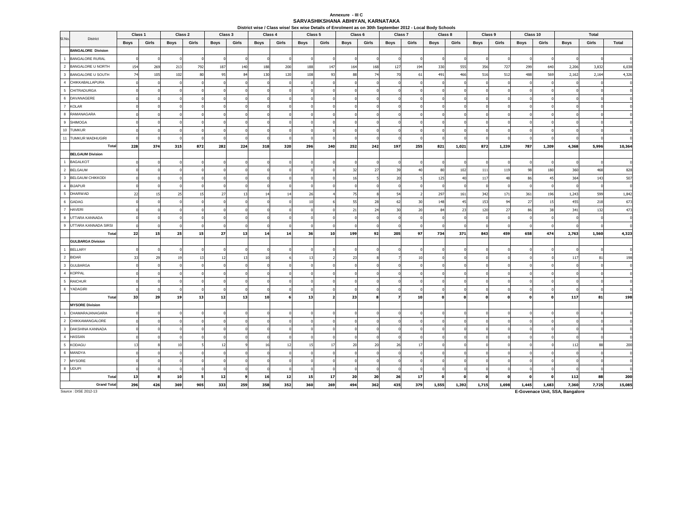# **Annexure - III C SARVASHIKSHANA ABHIYAN, KARNATAKA**

| Class 2<br>Class 3<br>Class 1 |                           |             |       |      |       |             | Class 4  |             |       | Class 5     | District wise / Class wise/ Sex wise Details of Enrolment as on 30th September 2012 - Local Body Schools<br>Class 6 |             | Class 7 |             |       | Class 8  | Class 9 |             | Class 10     |             |          | <b>Total</b> |       |        |
|-------------------------------|---------------------------|-------------|-------|------|-------|-------------|----------|-------------|-------|-------------|---------------------------------------------------------------------------------------------------------------------|-------------|---------|-------------|-------|----------|---------|-------------|--------------|-------------|----------|--------------|-------|--------|
| SI.No.                        | District                  |             | Girls |      | Girls |             | Girls    |             |       |             |                                                                                                                     |             |         |             |       |          | Girls   |             | Girls        |             | Girls    |              | Girls | Total  |
|                               | <b>BANGALORE Division</b> | <b>Boys</b> |       | Boys |       | <b>Boys</b> |          | <b>Boys</b> | Girls | <b>Boys</b> | Girls                                                                                                               | <b>Boys</b> | Girls   | <b>Boys</b> | Girls | Boys     |         | <b>Boys</b> |              | <b>Boys</b> |          | <b>Boys</b>  |       |        |
| $\overline{1}$                | <b>BANGALORE RURAL</b>    |             |       |      |       |             | $\Omega$ |             |       |             |                                                                                                                     |             |         | $\Omega$    |       |          |         |             |              |             |          |              |       |        |
| $\overline{2}$                | BANGALORE U NORTH         | 154         | 269   | 213  | 792   | 187         | 140      | 188         | 200   | 188         | 147                                                                                                                 | 164         | 168     | 127         | 194   | 330      | 555     | 356         | 727          | 299         | 640      | 2,206        | 3,832 | 6,038  |
| $\overline{\mathbf{3}}$       | BANGALORE U SOUTH         | 74          | 105   | 102  | 80    | 95          | 84       | 130         | 120   | 108         | 93                                                                                                                  | 88          | 74      | 70          | 61    | 491      | 466     | 516         | 512          | 488         | 569      | 2,162        | 2,164 | 4,326  |
| $\overline{4}$                | CHIKKABALLAPURA           |             |       |      |       |             |          |             |       |             |                                                                                                                     |             |         |             |       |          |         |             |              |             |          |              |       |        |
| 5                             | <b>CHITRADURGA</b>        |             |       |      |       |             |          |             |       |             |                                                                                                                     |             |         |             |       |          |         |             |              |             |          |              |       |        |
| 6                             | DAVANAGERE                |             |       |      |       |             |          |             |       |             |                                                                                                                     |             |         |             |       |          |         |             |              |             |          |              |       |        |
| $\overline{7}$                | <b>KOLAR</b>              |             |       |      |       |             |          |             |       |             |                                                                                                                     |             |         |             |       |          |         |             |              |             |          |              |       |        |
| $\boldsymbol{8}$              | RAMANAGARA                |             |       |      |       |             |          |             |       |             |                                                                                                                     |             |         |             |       |          |         |             |              |             |          |              |       |        |
| $\mathbf{g}$                  | <b>SHIMOGA</b>            |             |       |      |       |             |          |             |       |             |                                                                                                                     |             |         |             |       |          |         |             |              |             |          |              |       |        |
|                               | 10 TUMKUR                 |             |       |      |       |             |          |             |       |             |                                                                                                                     |             |         |             |       |          |         |             |              |             |          |              |       |        |
|                               | 11 TUMKUR MADHUGIRI       |             |       |      |       |             |          |             |       |             |                                                                                                                     |             |         |             |       |          |         |             |              |             |          |              |       |        |
|                               | Total                     | 228         | 374   | 315  | 872   | 282         | 224      | 318         | 320   | 296         | 240                                                                                                                 | 252         | 242     | 197         | 255   | 821      | 1,021   | 872         | 1,239        | 787         | 1,209    | 4,368        | 5,996 | 10,364 |
|                               | <b>BELGAUM Division</b>   |             |       |      |       |             |          |             |       |             |                                                                                                                     |             |         |             |       |          |         |             |              |             |          |              |       |        |
| $\overline{1}$                | <b>BAGALKOT</b>           |             |       |      |       |             |          |             |       |             |                                                                                                                     |             |         |             |       |          |         |             |              |             |          |              |       |        |
| $\overline{2}$                | <b>BELGAUM</b>            |             |       |      |       |             |          |             |       |             |                                                                                                                     | 32          | 27      | 39          | 40    | 80       | 102     | 111         | 119          | 98          | 180      | 360          | 468   | 828    |
| $\overline{\mathbf{3}}$       | <b>BELGAUM CHIKKODI</b>   |             |       |      |       |             |          |             |       |             |                                                                                                                     | 16          |         | 20          |       | 125      | 40      | 117         | 48           | 86          | 45       | 364          | 143   | 507    |
| $\overline{4}$                | <b>BIJAPUR</b>            |             |       |      |       |             |          |             |       |             |                                                                                                                     |             |         |             |       |          |         |             |              |             |          |              |       |        |
| 5                             | <b>DHARWAD</b>            | 22          | 15    | 25   | 15    | 27          | 13       | 14          | 14    | 26          |                                                                                                                     | 75          |         | 54          |       | 297      | 161     | 342         | 171          | 361         | 196      | 1,243        | 599   | 1,842  |
| 6                             | GADAG                     |             |       |      |       |             |          |             |       | 10          |                                                                                                                     | 55          | 28      | 62          | 30    | 148      | 45      | 153         | 94           | 27          | 15       | 455          | 218   | 673    |
| $\overline{7}$                | <b>HAVERI</b>             |             |       |      |       |             |          |             |       |             |                                                                                                                     | 21          | 24      | 30          | 20    | 84       | 23      | 120         | 27           | 86          | 38       | 341          | 132   | 473    |
| $\mathbf{a}$                  | UTTARA KANNADA            |             |       |      |       |             |          |             |       |             |                                                                                                                     |             |         |             |       |          |         |             |              |             |          |              |       |        |
| 9                             | UTTARA KANNADA SIRSI      |             |       |      |       |             |          |             |       |             |                                                                                                                     |             |         |             |       |          |         |             |              |             |          |              |       |        |
|                               | Total                     | 22          | 15    | 25   | 15    | 27          | 13       | 14          | 14    | 36          | 10                                                                                                                  | 199         | 92      | 205         | 97    | 734      | 371     | 843         | 459          | 658         | 474      | 2,763        | 1,560 | 4,323  |
|                               | <b>GULBARGA Division</b>  |             |       |      |       |             |          |             |       |             |                                                                                                                     |             |         |             |       |          |         |             |              |             |          |              |       |        |
| $\overline{1}$                | <b>BELLARY</b>            |             |       |      |       |             |          |             |       |             |                                                                                                                     |             |         |             |       |          |         |             |              |             |          |              |       |        |
| $\overline{2}$                | <b>BIDAR</b>              | 33          | 29    | 19   | 13    | 12          | 13       | 10          |       | 13          |                                                                                                                     | 23          |         |             | 10    |          |         |             |              |             |          | 117          | 81    | 198    |
| $\overline{\mathbf{3}}$       | <b>GULBARGA</b>           |             |       |      |       |             |          |             |       |             |                                                                                                                     |             |         |             |       |          |         |             |              |             |          |              |       |        |
| $\overline{4}$                | <b>KOPPAL</b>             |             |       |      |       |             |          |             |       |             |                                                                                                                     |             |         |             |       |          |         |             |              |             |          |              |       |        |
| $\sqrt{5}$                    | RAICHUR                   |             |       |      |       |             |          |             |       |             |                                                                                                                     |             |         |             |       |          |         |             |              |             |          |              |       |        |
| 6                             | YADAGIRI                  |             |       |      |       |             |          |             |       |             |                                                                                                                     |             |         |             |       |          |         |             |              |             |          |              |       |        |
|                               | Total                     | 33          | 29    | 19   | 13    | 12          | 13       | 10          |       | 13          | $\overline{2}$                                                                                                      | 23          |         |             | 10    |          |         |             |              |             |          | 117          | 81    | 198    |
|                               | <b>MYSORE Division</b>    |             |       |      |       |             |          |             |       |             |                                                                                                                     |             |         |             |       |          |         |             |              |             |          |              |       |        |
|                               | CHAMARAJANAGARA           |             |       |      |       |             |          |             |       |             |                                                                                                                     |             |         |             |       |          |         |             |              |             |          |              |       |        |
| $\overline{2}$                | CHIKKAMANGALORE           |             |       |      |       |             |          |             |       |             |                                                                                                                     |             |         |             |       |          |         |             |              |             |          |              |       |        |
| $\mathbf{3}$                  | DAKSHINA KANNADA          |             |       |      |       |             |          |             |       |             |                                                                                                                     |             |         |             |       |          |         |             |              |             |          |              |       |        |
| $\overline{4}$                | <b>HASSAN</b>             |             |       |      |       |             |          |             |       |             |                                                                                                                     |             |         |             |       |          |         |             |              |             |          |              |       |        |
| $\overline{5}$                | KODAGU                    | 13          |       | 10   |       | 12          |          | 16          | 12    | 15          | 17                                                                                                                  | 20          | 20      | 26          | 17    |          |         |             |              |             |          | 112          | 88    | 200    |
| $6\phantom{a}$                | MANDYA                    |             |       |      |       |             |          |             |       |             |                                                                                                                     |             |         |             |       |          |         |             |              |             |          |              |       |        |
| $\overline{7}$                | <b>MYSORE</b>             |             |       |      |       |             |          |             |       |             |                                                                                                                     |             |         |             |       |          |         |             |              |             |          |              |       |        |
|                               | 8 UDUPI                   |             |       |      |       |             |          |             |       |             |                                                                                                                     |             |         |             |       |          |         |             |              |             |          |              |       |        |
|                               | Total                     | 13          |       | 10   |       | 12          | q        | 16          | 12    | 15          | 17                                                                                                                  | 20          | 20      | 26          | 17    | $\Omega$ |         |             | $\mathbf{a}$ |             | $\Omega$ | 112          | 88    | 200    |
|                               | <b>Grand Total</b>        | 296         | 426   | 369  | 905   | 333         | 259      | 358         | 352   | 360         | 269                                                                                                                 | 494         | 362     | 435         | 379   | 1,555    | 1,392   | 1,715       | 1,698        | 1,445       | 1,683    | 7,360        | 7,725 | 15,085 |

Source : DISE 2012-13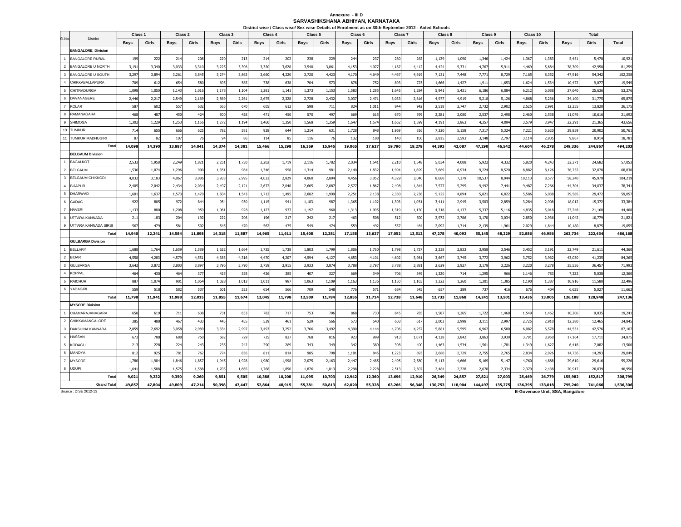# Annexure - III D<br>SARVASHIKSHANA ABHIYAN, KARNATAKA

|                                                    | Class <sub>1</sub> |        | Class 2     |        | Class 3     |        | Class <sub>4</sub> |        | District wise / Class wise/ Sex wise Details of Enrolment as on 30th September 2012 - Aided Schools<br>Class 5 |                 | Class 6     |        | Class 7     |        | Class 8     |         | Class 9     |         | Class 10    |         |             | <b>Total</b> |           |
|----------------------------------------------------|--------------------|--------|-------------|--------|-------------|--------|--------------------|--------|----------------------------------------------------------------------------------------------------------------|-----------------|-------------|--------|-------------|--------|-------------|---------|-------------|---------|-------------|---------|-------------|--------------|-----------|
| SI.No.<br><b>District</b>                          | <b>Boys</b>        | Girls  | <b>Boys</b> | Girls  | <b>Boys</b> | Girls  | <b>Boys</b>        | Girls  | <b>Boys</b>                                                                                                    | Girls           | <b>Boys</b> | Girls  | <b>Boys</b> | Girls  | <b>Boys</b> | Girls   | <b>Boys</b> | Girls   | <b>Boys</b> | Girls   | <b>Boys</b> | Girls        | Total     |
| <b>BANGALORE Division</b>                          |                    |        |             |        |             |        |                    |        |                                                                                                                |                 |             |        |             |        |             |         |             |         |             |         |             |              |           |
| $\overline{1}$<br><b>BANGALORE RURAL</b>           | 199                | 222    | 214         | 208    | 220         | 213    | 214                | 202    | 238                                                                                                            | 22 <sup>0</sup> | 244         | 237    | 280         | 262    | 1,129       | 1,090   | 1,346       | 1,424   | 1,36        | 1,383   | 5,451       | 5,470        | 10,921    |
| $\overline{2}$<br><b>BANGALORE U NORTH</b>         | 3,191              | 3,340  | 3,033       | 3,310  | 3,225       | 3,396  | 3,320              | 3,628  | 3,540                                                                                                          | 3,861           | 4,153       | 4,07   | 4,187       | 4,412  | 4,424       | 5,331   | 4,767       | 5,911   | 4,469       | 5,684   | 38,309      | 42,950       | 81,259    |
| 3<br>BANGALORE U SOUTH                             | 3,297              | 3,894  | 3,261       | 3,845  | 3,274       | 3,863  | 3,660              | 4,220  | 3,720                                                                                                          | 4,423           | 4,170       | 4,649  | 4,467       | 4,919  | 7,131       | 7,448   | 7,77        | 8,729   | 7,165       | 8,352   | 47,916      | 54,342       | 102,258   |
| $\overline{4}$<br>CHIKKABALLAPURA                  | 709                | 612    | 654         | 580    | 695         | 585    | 738                | 638    | 704                                                                                                            | 573             | 878         | 752    | 893         | 723    | 1,666       | 1,427   | 1,911       | 1,653   | 1,624       | 1,534   | 10,472      | 9,077        | 19,549    |
| 5<br><b>CHITRADURGA</b>                            | 1,098              | 1,050  | 1,143       | 1,016  | 1,178       | 1,104  | 1,281              | 1,141  | 1,373                                                                                                          | 1,153           | 1,583       | 1,285  | 1,645       | 1,284  | 5,941       | 5,431   | 6,186       | 6,084   | 6,21        | 6,088   | 27,640      | 25,636       | 53,276    |
| $6\phantom{.0}$<br>DAVANAGERE                      | 2,446              | 2,21   | 2,549       | 2,169  | 2,569       | 2,261  | 2,675              | 2,328  | 2,728                                                                                                          | 2,432           | 3,037       | 2,47   | 3,033       | 2,616  | 4,977       | 4,919   | 5,218       | 5,126   | 4,868       | 5,236   | 34,100      | 31,775       | 65,875    |
| $\overline{7}$<br><b>KOLAR</b>                     | 587                | 602    | 557         | 632    | 565         | 670    | 605                | 612    | 598                                                                                                            | 71              | 824         | 1,011  | 844         | 942    | 2,518       | 2,747   | 2,732       | 2,902   | 2,525       | 2,991   | 12,355      | 13,820       | 26,175    |
| $\mathbf{a}$<br>RAMANAGARA                         | 468                | 487    | 450         | 424    | 500         | 428    | 471                | 450    | 570                                                                                                            | 497             | 669         | 615    | 670         | 599    | 2,281       | 2,080   | 2,537       | 2,498   | 2,460       | 2,538   | 11,076      | 10,616       | 21,692    |
| 9<br>SHIMOG/                                       | 1,302              | 1,229  | 1,253       | 1,156  | 1,272       | 1,194  | 1,460              | 1,350  | 1,568                                                                                                          | 1,359           | 1,64        | 1,574  | 1,662       | 1,599  | 4,191       | 3,863   | 4,357       | 4,094   | 3,579       | 3,947   | 22,291      | 21,365       | 43,656    |
| 10<br><b>TUMKUR</b>                                | 714                | 655    | 666         | 625    | 782         | 581    | 928                | 644    | 1,214                                                                                                          | 631             | 1,728       | 848    | 1,969       | 816    | 7,320       | 5,158   | 7,317       | 5,324   | 7,221       | 5,620   | 29,859      | 20,902       | 50,761    |
| 11<br>TUMKUR MADHUGIRI                             | 87                 | 82     | 107         | 76     | 94          | 86     | 114                | 85     | 116                                                                                                            | 76              | 132         | 108    | 140         | 106    | 2,815       | 2,593   | 3,148       | 2,797   | 3,114       | 2,905   | 9,867       | 8,914        | 18,781    |
| Total                                              | 14,098             | 14,390 | 13,887      | 14,041 | 14,374      | 14,381 | 15,466             | 15,298 | 16,369                                                                                                         | 15,945          | 19,065      | 17,627 | 19,790      | 18,278 | 44,393      | 42,087  | 47,290      | 46,542  | 44,604      | 46,278  | 249,336     | 244,867      | 494,203   |
| <b>BELGAUM Division</b>                            |                    |        |             |        |             |        |                    |        |                                                                                                                |                 |             |        |             |        |             |         |             |         |             |         |             |              |           |
| <b>BAGALKOT</b>                                    | 2,533              | 1,958  | 2,249       | 1,821  | 2,251       | 1,730  | 2,202              | 1,719  | 2,116                                                                                                          | 1,782           | 2,034       | 1,54   | 2,210       | 1,548  | 5,034       | 4,008   | 5,922       | 4,332   | 5,820       | 4,243   | 32,37       | 24,682       | 57,053    |
| $\overline{2}$<br><b>BELGAUM</b>                   | 1,536              | 1,074  | 1,296       | 990    | 1,351       | 964    | 1,346              | 958    | 1,314                                                                                                          | 981             | 2,140       | 1,832  | 1,994       | 1,699  | 7,669       | 6,934   | 9,224       | 8,520   | 8,882       | 8,126   | 36,752      | 32,078       | 68,830    |
| $\overline{\mathbf{3}}$<br><b>BELGAUM CHIKKODI</b> | 4,032              | 3,183  | 4,067       | 3,086  | 3,933       | 2,995  | 4,033              | 2,829  | 4,060                                                                                                          | 2,894           | 4,456       | 3,052  | 4,329       | 3,040  | 8,680       | 7,379   | 10,537      | 8,944   | 10,113      | 8,577   | 58,240      | 45,979       | 104,219   |
| $\overline{4}$<br><b>BIJAPUR</b>                   | 2,405              | 2,042  | 2,434       | 2,034  | 2,497       | 2,121  | 2,672              | 2,040  | 2,665                                                                                                          | 2,08            | 2,57        | 1,86   | 2,498       | 1,844  | 7,577       | 5,295   | 9,492       | 7,441   | 9,487       | 7,266   | 44,30       | 34,03        | 78,341    |
| 5<br><b>DHARWAD</b>                                | 1,601              | 1,637  | 1,573       | 1,470  | 1,504       | 1,543  | 1,712              | 1,495  | 2,082                                                                                                          | 1,999           | 2,251       | 2,138  | 2,330       | 2,236  | 5,125       | 4,894   | 5,821       | 6,022   | 5,586       | 6,038   | 29,585      | 29,472       | 59,057    |
| 6<br><b>GADAG</b>                                  | 922                | 805    | 972         | 844    | 954         | 930    | 1,115              | 941    | 1,183                                                                                                          | 987             | 1,365       | 1,102  | 1,303       | 1,051  | 3,411       | 2,945   | 3,503       | 2,859   | 3,284       | 2,908   | 18,012      | 15,372       | 33,384    |
| $\overline{7}$<br><b>HAVERI</b>                    | 1,133              | 880    | 1,208       | 959    | 1,061       | 928    | 1,127              | 937    | 1,197                                                                                                          | 960             | 1,31        | 1,095  | 1,319       | 1,130  | 4,718       | 4,137   | 5,337       | 5,116   | 4,83        | 5,018   | 23,248      | 21,160       | 44,408    |
| $\mathbf{a}$<br>UTTARA KANNADA                     | 211                | 183    | 204         | 192    | 222         | 206    | 196                | 217    | 242                                                                                                            | 21              | 463         | 508    | 512         | 500    | 2,972       | 2,786   | 3,170       | 3,034   | 2,850       | 2,936   | 11,042      | 10,779       | 21,821    |
| $_{9}$<br>UTTARA KANNADA SIRSI                     | 567                | 479    | 581         | 502    | 545         | 470    | 562                | 475    | 549                                                                                                            | 474             | 559         | 492    | 557         | 464    | 2,092       | 1,714   | 2,139       | 1,961   | 2,029       | 1,844   | 10,180      | 8,875        | 19,055    |
| Tota                                               | 14,940             | 12,241 | 14,584      | 11,898 | 14,318      | 11,887 | 14,965             | 11,611 | 15,408                                                                                                         | 12,381          | 17,158      | 13,627 | 17,052      | 13,512 | 47,278      | 40,092  | 55,145      | 48,229  | 52,886      | 46,956  | 263,734     | 222,434      | 486,168   |
| <b>GULBARGA Division</b>                           |                    |        |             |        |             |        |                    |        |                                                                                                                |                 |             |        |             |        |             |         |             |         |             |         |             |              |           |
| <b>BELLARY</b><br>$\overline{1}$                   | 1,688              | 1,764  | 1,659       | 1,589  | 1,622       | 1,664  | 1,725              | 1,738  | 1,803                                                                                                          | 1,799           | 1,806       | 1,760  | 1,798       | 1,727  | 3,238       | 2,833   | 3,958       | 3,546   | 3,452       | 3,191   | 22,749      | 21,611       | 44,360    |
| $\overline{2}$<br><b>BIDAR</b>                     | 4,558              | 4,283  | 4,579       | 4,551  | 4,383       | 4,316  | 4,470              | 4,207  | 4,594                                                                                                          | 4,12            | 4,653       | 4,101  | 4,602       | 3,981  | 3,667       | 3,745   | 3,772       | 3,962   | 3,752       | 3,962   | 43,030      | 41,235       | 84,265    |
| $\overline{\mathbf{3}}$<br><b>GULBARGA</b>         | 3,642              | 3,872  | 3,803       | 3,897  | 3,796       | 3,790  | 3,759              | 3,915  | 3,933                                                                                                          | 3,874           | 3,788       | 3,797  | 3,788       | 3,881  | 2,629       | 2,927   | 3,178       | 3,226   | 3,220       | 3,278   | 35,536      | 36,457       | 71,993    |
| $\overline{4}$<br><b>KOPPAL</b>                    | 464                | 430    | 464         | 377    | 425         | 358    | 426                | 385    | 407                                                                                                            | 327             | 669         | 349    | 706         | 349    | 1,320       | 714     | 1,295       | 966     | 1,146       | 783     | 7,322       | 5,038        | 12,360    |
| <b>RAICHUR</b><br>-5                               | 887                | 1,074  | 901         | 1,064  | 1,028       | 1,013  | 1,011              | 987    | 1,063                                                                                                          | 1,109           | 1,163       | 1,136  | 1,150       | 1,165  | 1,222       | 1,260   | 1,301       | 1,385   | 1,190       | 1,387   | 10,916      | 11,580       | 22,496    |
| 6<br>YADAGIRI<br>Total                             | 559                | 518    | 582         | 537    | 601         | 533    | 654                | 566    | 709                                                                                                            | 548             | 776         | 571    | 684         | 545    | 657         | 389     | 737         | 416     | 676         | 404     | 6,635       | 5,027        | 11,662    |
| <b>MYSORE Division</b>                             | 11,798             | 11,941 | 11,988      | 12,015 | 11,855      | 11,674 | 12,045             | 11,798 | 12,509                                                                                                         | 11,784          | 12,855      | 11,714 | 12,728      | 11,648 | 12,733      | 11,868  | 14,241      | 13,501  | 13,436      | 13,005  | 126,188     | 120,948      | 247,136   |
| CHAMARAJANAGARA                                    | 658                | 619    | 711         | 638    | 731         | 653    | 782                | 717    | 753                                                                                                            | 706             | 868         | 730    | 845         | 785    | 1,587       | 1,265   | 1,722       | 1,460   | 1,549       | 1,462   | 10,206      | 9,035        | 19,241    |
| $\overline{2}$<br>CHIKKAMANGALORE                  | 385                | 488    | 467         | 433    | 445         | 455    | 539                | 461    | 529                                                                                                            | 566             | 573         | 540    | 603         | 617    | 3,003       | 2,998   | 3,111       | 2,997   | 2,725       | 2,910   | 12,380      | 12,465       | 24,845    |
| $\overline{\mathbf{3}}$<br>DAKSHINA KANNADA        | 2,859              | 2,692  | 3,058       | 2,989  | 3,334       | 2,997  | 3,493              | 3,252  | 3,766                                                                                                          | 3,492           | 4,390       | 4,144  | 4,706       | 4,257  | 5,881       | 5,595   | 6,962       | 6,580   | 6,082       | 6,578   | 44,531      | 42,576       | 87,107    |
| $\overline{4}$<br><b>HASSAN</b>                    | 673                | 788    | 688         | 750    | 682         | 729    | 725                | 827    | 768                                                                                                            | 816             | 923         | 999    | 913         | 1,071  | 4.138       | 3,842   | 3,863       | 3,939   | 3,791       | 3,950   | 17,164      | 17,711       | 34,875    |
| 5<br><b>KODAGU</b>                                 | 213                | 228    | 224         | 243    | 235         | 242    | 290                | 289    | 343                                                                                                            | 349             | 342         | 389    | 398         | 400    | 1,463       | 1,534   | 1,561       | 1,781   | 1,349       | 1,627   | 6,418       | 7,082        | 13,500    |
| 6<br>MANDYA                                        | 812                | 925    | 781         | 762    | 774         | 836    | 811                | 814    | 985                                                                                                            | 798             | 1,101       | 845    | 1,223       | 893    | 2,680       | 2,729   | 2,755       | 2,765   | 2,834       | 2,926   | 14,756      | 14,293       | 29,049    |
| $\overline{7}$<br><b>MYSORE</b>                    | 1,780              | 1,904  | 1,846       | 1,857  | 1,945       | 1,928  | 1,980              | 1,998  | 2,075                                                                                                          | 2,16            | 2,44        | 2,485  | 2,495       | 2,580  | 5,113       | 4,666   | 5,169       | 5,147   | 4,760       | 4,888   | 29,610      | 29,616       | 59,226    |
| 8<br><b>UDUPI</b>                                  | 1,641              | 1,588  | 1,575       | 1,588  | 1,705       | 1,665  | 1,768              | 1,850  | 1,876                                                                                                          | 1,813           | 2,298       | 2,228  | 2,513       | 2,307  | 2,484       | 2,228   | 2,678       | 2,334   | 2,379       | 2,438   | 20,917      | 20,039       | 40,956    |
| Tota                                               | 9,021              | 9,232  | 9,350       | 9,260  | 9,851       | 9,505  | 10,388             | 10,208 | 11,095                                                                                                         | 10,703          | 12,942      | 12,360 | 13,696      | 12,910 | 26,349      | 24,857  | 27,821      | 27,003  | 25,469      | 26,779  | 155,982     | 152,817      | 308,799   |
| <b>Grand Total</b>                                 | 49.857             | 47,804 | 49,809      | 47,214 | 50,398      | 47.447 | 52,864             | 48,915 | 55,381                                                                                                         | 50,813          | 62,020      | 55,328 | 63,266      | 56,348 | 130,753     | 118,904 | 144,497     | 135,275 | 136,395     | 133,018 | 795,240     | 741.066      | 1,536,306 |

Source : DISE 2012-13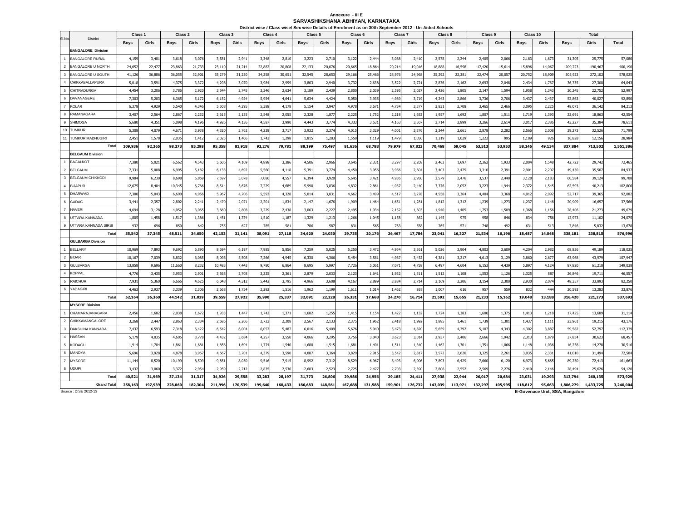#### **SARVASHIKSHANA ABHIYAN, KARNATAKAAnnexure - III E**

|                         |                           | Class <sub>1</sub> |         | Class <sub>2</sub> |         | Class <sub>3</sub> |         | Class <sub>4</sub> |         | Class 5     |         | District wise / Class wise/ Sex wise Details of Enrolment as on 30th September 2012 - Un-Aided Schools<br>Class 6 |         | Class <sub>7</sub> |         | Class 8     |         | Class 9     |         | Class 10    |        |             | Total     |              |
|-------------------------|---------------------------|--------------------|---------|--------------------|---------|--------------------|---------|--------------------|---------|-------------|---------|-------------------------------------------------------------------------------------------------------------------|---------|--------------------|---------|-------------|---------|-------------|---------|-------------|--------|-------------|-----------|--------------|
| SI.No                   | <b>District</b>           |                    |         |                    |         |                    |         |                    |         |             |         |                                                                                                                   |         |                    |         |             |         |             |         |             |        |             |           |              |
|                         |                           | <b>Boys</b>        | Girls   | <b>Boys</b>        | Girls   | <b>Boys</b>        | Girls   | <b>Boys</b>        | Girls   | <b>Boys</b> | Girls   | <b>Boys</b>                                                                                                       | Girls   | <b>Boys</b>        | Girls   | <b>Boys</b> | Girls   | <b>Boys</b> | Girls   | <b>Boys</b> | Girls  | <b>Boys</b> | Girls     | <b>Total</b> |
| $\overline{1}$          | <b>BANGALORE Division</b> |                    |         |                    |         |                    |         |                    |         |             |         |                                                                                                                   |         |                    |         |             |         |             |         |             |        |             |           |              |
| $\overline{2}$          | <b>BANGALORE RURAL</b>    | 4,159              | 3,401   | 3,618              | 3,076   | 3,58               | 2,941   | 3,348              | 2,810   | 3,223       | 2,710   | 3,122                                                                                                             | 2,444   | 3,088              | 2,410   | 2,578       | 2,244   | 2,405       | 2,066   | 2,183       | 1,673  | 31,305      | 25,775    | 57,080       |
|                         | <b>BANGALORE U NORTH</b>  | 24,65              | 22,477  | 23,863             | 21,733  | 23,110             | 21,214  | 22,882             | 20,808  | 22,133      | 20,076  | 20,665                                                                                                            | 18,86   | 20,214             | 19,016  | 18,888      | 16,598  | 17,420      | 15,614  | 15,896      | 14,067 | 209,723     | 190,467   | 400,190      |
| $\mathbf{3}$            | BANGALORE U SOUTH         | 41,126             | 36,886  | 36,05              | 32,901  | 35,279             | 31,230  | 34,258             | 30,651  | 32,545      | 28,653  | 29,166                                                                                                            | 25,466  | 28,976             | 24,968  | 25,292      | 22,381  | 22,474      | 20,057  | 20,752      | 18,909 | 305,923     | 272,102   | 578,025      |
| $\overline{4}$          | CHIKKABALLAPURA           | 5,018              | 3,591   | 4,37               | 3,372   | 4,298              | 3,070   | 3,984              | 2,999   | 3,803       | 2,940   | 3,732                                                                                                             | 2,638   | 3,522              | 2,72    | 2,876       | 2,162   | 2,693       | 2,048   | 2,434       | 1,767  | 36,735      | 27,308    | 64,043       |
| $5\phantom{.0}$         | <b>CHITRADURGA</b>        | 4,454              | 3,206   | 3,786              | 2,920   | 3,544              | 2,745   | 3,346              | 2,634   | 3,189       | 2,439   | 2,800                                                                                                             | 2,039   | 2,595              | 2,02    | 2,426       | 1,805   | 2,147       | 1,594   | 1,958       | 1,343  | 30,245      | 22,752    | 52,997       |
| $6\phantom{1}6$         | DAVANAGERE                | 7,303              | 5,203   | 6,36               | 5,172   | 6,152              | 4,924   | 5,954              | 4,641   | 5,634       | 4,424   | 5,050                                                                                                             | 3,935   | 4,989              | 3,719   | 4,243       | 2,866   | 3,736       | 2,706   | 3,437       | 2,437  | 52,863      | 40,027    | 92,890       |
| $\overline{7}$          | <b>KOLAR</b>              | 6,378              | 4,929   | 5,540              | 4,346   | 5,508              | 4,295   | 5,388              | 4,178   | 5,154       | 3,947   | 4,978                                                                                                             | 3,67    | 4,734              | 3,37    | 3,831       | 2,708   | 3,465       | 2,466   | 3,095       | 2,225  | 48,071      | 36,142    | 84,213       |
| 8                       | RAMANAGARA                | 3,40               | 2,564   | 2,867              | 2,232   | 2,615              | 2,135   | 2,548              | 2,055   | 2,328       | 1,877   | 2,225                                                                                                             | 1,752   | 2,218              | 1,652   | 1,957       | 1,692   | 1,807       | 1,511   | 1,719       | 1,393  | 23,691      | 18,863    | 42,554       |
| 9                       | <b>SHIMOGA</b>            | 5,680              | 4,351   | 5,098              | 4,196   | 4,926              | 4,136   | 4,587              | 3,990   | 4,443       | 3,774   | 4,333                                                                                                             | 3,531   | 4,163              | 3,507   | 3,714       | 2,899   | 3,266       | 2,614   | 3,01        | 2,386  | 43,227      | 35,384    | 78,611       |
| 10                      | <b>TUMKUR</b>             | 5,308              | 4,079   | 4,67               | 3,938   | 4,320              | 3,762   | 4,238              | 3,717   | 3,932       | 3,374   | 4,015                                                                                                             | 3,329   | 4,001              | 3,376   | 3,344       | 2,661   | 2,878       | 2,282   | 2,566       | 2,008  | 39,273      | 32,526    | 71,799       |
| 11                      | <b>TUMKUR MADHUGIRI</b>   | 2,451              | 1,578   | 2,035              | 1,412   | 2,025              | 1,466   | 1,743              | 1,298   | 1,815       | 1,283   | 1,550                                                                                                             | 1,119   | 1,479              | 1,050   | 1,319       | 1,029   | 1,222       | 995     | 1,189       | 926    | 16,828      | 12,156    | 28,984       |
|                         | Total                     | 109,936            | 92,265  | 98,273             | 85,298  | 95,358             | 81,918  | 92,276             | 79,781  | 88,199      | 75,497  | 81,636                                                                                                            | 68,788  | 79,979             | 67,823  | 70,468      | 59,045  | 63,513      | 53,953  | 58,246      | 49,134 | 837,884     | 713,502   | 1,551,386    |
|                         | <b>BELGAUM Division</b>   |                    |         |                    |         |                    |         |                    |         |             |         |                                                                                                                   |         |                    |         |             |         |             |         |             |        |             |           |              |
|                         | <b>BAGALKOT</b>           | 7,380              | 5,021   | 6,562              | 4,543   | 5,606              | 4,109   | 4,898              | 3,386   | 4,506       | 2,966   | 3,645                                                                                                             | 2,331   | 3,29               | 2,208   | 2,463       | 1,697   | 2,362       | 1,933   | 2,004       | 1,548  | 42,723      | 29,742    | 72,465       |
| $\overline{2}$          | <b>BELGAUM</b>            | 7,33               | 5,008   | 6,995              | 5,182   | 6,133              | 4,692   | 5,560              | 4,118   | 5,39        | 3,774   | 4,450                                                                                                             | 3,056   | 3,956              | 2,604   | 3,403       | 2,47!   | 3,310       | 2,391   | 2,901       | 2,207  | 49,430      | 35,507    | 84,937       |
| $\overline{\mathbf{3}}$ | <b>BELGAUM CHIKKOD</b>    | 9,984              | 6,230   | 8,698              | 5,869   | 7,597              | 5,078   | 7,086              | 4,557   | 6,394       | 3,920   | 5,645                                                                                                             | 3,421   | 4,936              | 2,950   | 3,579       | 2,476   | 3,537       | 2,440   | 3,128       | 2,183  | 60,584      | 39,124    | 99,708       |
| $\overline{4}$          | <b>BIJAPUR</b>            | 12,67              | 8,404   | 10,34              | 6,766   | 8,514              | 5,676   | 7,229              | 4,689   | 5,990       | 3,836   | 4,832                                                                                                             | 2,861   | 4,037              | 2,440   | 3,376       | 2,052   | 3,223       | 1,944   | 2,372       | 1,545  | 62,593      | 40,213    | 102,806      |
| 5                       | <b>DHARWAD</b>            | 7,300              | 5,043   | 6,690              | 4,956   | 5,967              | 4,706   | 5,593              | 4,328   | 5,014       | 3,831   | 4,662                                                                                                             | 3,499   | 4,517              | 3,278   | 4,558       | 3,364   | 4,404       | 3,368   | 4,012       | 2,992  | 52,717      | 39,365    | 92,082       |
| 6                       | GADAG                     | 3,44               | 2,357   | 2,80               | 2,241   | 2,470              | 2,071   | 2,201              | 1,834   | 2,147       | 1,676   | 1,909                                                                                                             | 1,464   | 1,651              | 1,281   | 1,812       | 1,31    | 1,239       | 1,273   | 1,237       | 1,148  | 20,909      | 16,657    | 37,566       |
| $\overline{7}$          | <b>HAVER</b>              | 4,69               | 3,128   | 4,052              | 3,065   | 3,660              | 2,808   | 3,229              | 2,438   | 3,063       | 2,227   | 2,495                                                                                                             | 1,934   | 2,152              | 1,603   | 1,940       | 1,405   | 1,753       | 1,509   | 1,368       | 1,156  | 28,406      | 21,273    | 49,679       |
| 8                       | UTTARA KANNADA            | 1,805              | 1,458   | 1,51               | 1,386   | 1,451              | 1,374   | 1,510              | 1,18    | 1,329       | 1,213   | 1,266                                                                                                             | 1,045   | 1,158              | 862     | 1.145       | 975     | 958         | 846     | 834         | 756    | 12,973      | 11,102    | 24,075       |
| 9                       | UTTARA KANNADA SIRSI      | 932                | 696     | 850                | 642     | 755                | 627     | 785                | 581     | 786         | 587     | 831                                                                                                               | 565     | 763                | 558     | 765         | 571     | 748         | 492     | 631         | 513    | 7,846       | 5,832     | 13,678       |
|                         | Total                     | 55,542             | 37,345  | 48,511             | 34,650  | 42,153             | 31,141  | 38,091             | 27,118  | 34,620      | 24,030  | 29,735                                                                                                            | 20,176  | 26,467             | 17,784  | 23,041      | 16,327  | 21,534      | 16,196  | 18,487      | 14,048 | 338,181     | 238,815   | 576,996      |
|                         | <b>GULBARGA Division</b>  |                    |         |                    |         |                    |         |                    |         |             |         |                                                                                                                   |         |                    |         |             |         |             |         |             |        |             |           |              |
|                         | <b>BELLARY</b>            | 10,969             | 7,893   | 9,692              | 6,890   | 8,694              | 6,197   | 7,985              | 5,856   | 7,259       | 5,025   | 5,250                                                                                                             | 3,47    | 4,954              | 3,361   | 5,026       | 3,904   | 4,803       | 3,609   | 4,204       | 2,982  | 68,836      | 49,189    | 118,025      |
| $\overline{2}$          | <b>BIDAR</b>              | 10,16              | 7,039   | 8,832              | 6,085   | 8,098              | 5,508   | 7,266              | 4,945   | 6,330       | 4,366   | 5,454                                                                                                             | 3,581   | 4,967              | 3,432   | 4,381       | 3,21    | 4,613       | 3,129   | 3,860       | 2,677  | 63,968      | 43,979    | 107,947      |
| $\overline{\mathbf{3}}$ | <b>GULBARGA</b>           | 13,858             | 9,696   | 11,660             | 8,232   | 10,483             | 7,443   | 9,780              | 6,864   | 8,695       | 5,997   | 7,726                                                                                                             | 5,06    | 7,071              | 4,758   | 6,497       | 4,604   | 6,153       | 4,439   | 5,897       | 4,124  | 87,820      | 61,218    | 149,038      |
| $\overline{4}$          | <b>KOPPAL</b>             | 4,77               | 3,435   | 3,953              | 2,901   | 3,568              | 2,708   | 3,225              | 2,361   | 2,879       | 2,033   | 2,123                                                                                                             | 1,64    | 1,932              | 1,51    | 1,512       | 1,108   | 1,553       | 1,126   | 1,325       | 887    | 26,846      | 19,711    | 46,557       |
| 5                       | <b>RAICHUR</b>            | 7,931              | 5,360   | 6,666              | 4,625   | 6,048              | 4,312   | 5,442              | 3,795   | 4,966       | 3,608   | 4,167                                                                                                             | 2,899   | 3,884              | 2,714   | 3,169       | 2,206   | 3,154       | 2,300   | 2,930       | 2,074  | 48,357      | 33,893    | 82,250       |
| $\,6\,$                 | YADAGIRI                  | 4,463              | 2,937   | 3,339              | 2,306   | 2,668              | 1,754   | 2,292              | 1,516   | 1,962       | 1,199   | 1,611                                                                                                             | 1,01    | 1,462              | 938     | 1,007       | 616     | 957         | 559     | 832         | 444    | 20,593      | 13,283    | 33,876       |
|                         | Tota                      | 52,164             | 36,360  | 44,142             | 31,039  | 39,559             | 27,922  | 35,990             | 25,337  | 32,091      | 22,228  | 26,331                                                                                                            | 17,668  | 24,270             | 16,714  | 21,592      | 15,655  | 21,233      | 15,162  | 19,048      | 13,188 | 316,420     | 221,273   | 537,693      |
|                         | <b>MYSORE Division</b>    |                    |         |                    |         |                    |         |                    |         |             |         |                                                                                                                   |         |                    |         |             |         |             |         |             |        |             |           |              |
|                         | CHAMARAJANAGARA           | 2,456              | 1,682   | 2,038              | 1,672   | 1,933              | 1,447   | 1,742              | 1,371   | 1,682       | 1,255   | 1,415                                                                                                             | 1,154   | 1,422              | 1,132   | 1,724       | 1,383   | 1,600       | 1,375   | 1,413       | 1,218  | 17,425      | 13,689    | 31,114       |
| $\overline{2}$          | CHIKKAMANGALORE           | 3,268              | 2,447   | 2,863              | 2,334   | 2,686              | 2,266   | 2,723              | 2,208   | 2,567       | 2,133   | 2,375                                                                                                             | 1,962   | 2,418              | 1,992   | 1,885       | 1,461   | 1,739       | 1,301   | 1,437       | 1,111  | 23,961      | 19,215    | 43,176       |
| $\overline{\mathbf{3}}$ | DAKSHINA KANNADA          | 7,432              | 6,593   | 7,318              | 6,422   | 6,542              | 6,004   | 6,057              | 5,487   | 6,016       | 5,409   | 5,676                                                                                                             | 5,040   | 5,473              | 4,820   | 5,659       | 4,792   | 5,107       | 4,343   | 4,302       | 3,887  | 59,582      | 52,797    | 112,379      |
| $\overline{4}$          | <b>HASSAN</b>             | 5,179              | 4,035   | 4,605              | 3,778   | 4,432              | 3,684   | 4,257              | 3,550   | 4,066       | 3,295   | 3,756                                                                                                             | 3,040   | 3,623              | 3,014   | 2,937       | 2,406   | 2,666       | 1,942   | 2,313       | 1,879  | 37,834      | 30,623    | 68,457       |
| 5                       | <b>KODAGU</b>             | 1,91               | 1,704   | 1,86               | 1,681   | 1,856              | 1,694   | 1,774              | 1,540   | 1,680       | 1,515   | 1,681                                                                                                             | 1,401   | 1,511              | 1,340   | 1,462       | 1,30    | 1,351       | 1,066   | 1,148       | 1,036  | 16,238      | 14,278    | 30,516       |
| 6                       | MANDYA                    | 5,696              | 3,928   | 4,878              | 3,967   | 4,667              | 3,701   | 4,379              | 3,590   | 4,087       | 3,364   | 3,829                                                                                                             | 2,91    | 3,542              | 2,81    | 3,572       | 2,620   | 3,325       | 2,261   | 3,035       | 2,331  | 41,010      | 31,494    | 72,504       |
| $\overline{7}$          | <b>MYSORE</b>             | 11,144             | 8,520   | 10,199             | 8,509   | 9,851              | 8,050   | 9,516              | 7,915   | 8,992       | 7,312   | 8,529                                                                                                             | 6,967   | 8,493              | 6,906   | 7,893       | 6,429   | 7,660       | 6,120   | 6,973       | 5,685  | 89,250      | 72,413    | 161,663      |
| 8                       | <b>UDUPI</b>              | 3,432              | 3,060   | 3,372              | 2,954   | 2,959              | 2,712   | 2,835              | 2,536   | 2,683       | 2,523   | 2,725                                                                                                             | 2,47    | 2,703              | 2,390   | 2,806       | 2,552   | 2,569       | 2,276   | 2,410       | 2,146  | 28,494      | 25,626    | 54,120       |
|                         | Total                     | 40,521             | 31,969  | 37,134             | 31,317  | 34,926             | 29,558  | 33,283             | 28,19   | 31,773      | 26,806  | 29,986                                                                                                            | 24,956  | 29,185             | 24,411  | 27,938      | 22,944  | 26,017      | 20,684  | 23,031      | 19,293 | 313,794     | 260,135   | 573,929      |
|                         | <b>Grand Total</b>        | 258,163            | 197,939 | 228,060            | 182,304 | 211,996            | 170,539 | 199,640            | 160,433 | 186,683     | 148,561 | 167,688                                                                                                           | 131,588 | 159,901            | 126,732 | 143,039     | 113,971 | 132,297     | 105,995 | 118,812     | 95,663 | 1,806,279   | 1,433,725 | 3,240,004    |

Source : DISE 2012-13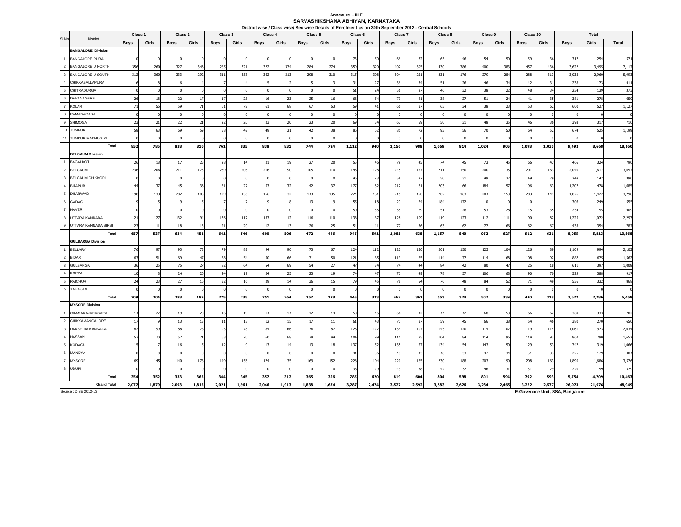#### **SARVASHIKSHANA ABHIYAN, KARNATAKA Annexure - III F**

|                         |                           | Class 1     |          | Class 2     |            | Class 3     |                | Class 4     |              | Class 5     |          | Class 6     | District wise / Class wise/ Sex wise Details of Enrolment as on 30th September 2012 - Central Schools | Class 7     |       | Class 8        |            | Class 9     |                | Class 10    |       |             | Total  |                |
|-------------------------|---------------------------|-------------|----------|-------------|------------|-------------|----------------|-------------|--------------|-------------|----------|-------------|-------------------------------------------------------------------------------------------------------|-------------|-------|----------------|------------|-------------|----------------|-------------|-------|-------------|--------|----------------|
| SI.No.                  | District                  | <b>Boys</b> | Girls    | <b>Boys</b> | Girls      |             | Girls          |             | Girls        |             | Girls    |             | Girls                                                                                                 |             | Girls |                | Girls      |             | Girls          |             | Girls |             | Girls  | Total          |
|                         | <b>BANGALORE Division</b> |             |          |             |            | <b>Boys</b> |                | <b>Boys</b> |              | <b>Boys</b> |          | <b>Boys</b> |                                                                                                       | <b>Boys</b> |       | <b>Boys</b>    |            | <b>Boys</b> |                | <b>Boys</b> |       | <b>Boys</b> |        |                |
| $\overline{1}$          | <b>BANGALORE RURAL</b>    |             |          |             | $\Omega$   | n           |                |             |              |             |          | 73          | 50                                                                                                    | 66          | 72    | 65             | 46         | 54          | 50             | 59          | 36    | 317         | 254    | 571            |
| $\overline{2}$          | <b>BANGALORE U NORTH</b>  | 356         | 260      | 327         | 346        | 285         | 321            | 322         | 374          | 284         | 274      | 359         | 320                                                                                                   | 402         | 395   | 430            | 386        | 400         | 383            | 457         | 436   | 3,622       | 3,495  |                |
| $\overline{\mathbf{3}}$ | BANGALORE U SOUTH         | 312         | 360      | 333         | 292        | 311         | 353            | 362         | 313          | 298         | 310      | 315         | 308                                                                                                   | 304         | 251   | 231            | 176        | 279         | 284            | 288         | 313   | 3,033       | 2,960  | 7,117<br>5,993 |
| $\overline{4}$          | CHIKKABALLAPURA           |             |          |             |            |             |                |             |              |             |          | 34          | 27                                                                                                    | 36          | 34    | 51             | 26         | 46          | 34             | 42          | 31    | 238         | 173    | 411            |
| 5                       | CHITRADURGA               |             |          |             |            |             |                |             |              |             |          | 51          | 24                                                                                                    | 51          | 27    | $\overline{a}$ | 32         | 38          | 22             | 48          | 34    | 234         | 139    | 373            |
| $\,$ 6                  | DAVANAGERE                | 26          | 18       | 22          |            | 17          | 23             | 16          | 23           | 25          |          | 66          | 54                                                                                                    | 79          | 41    | 38             | 27         | 51          | 24             | 41          | 35    | 381         | 278    | 659            |
| $\overline{7}$          | <b>KOLAR</b>              | 71          | 56       | 59          | 71         | 61          | 72             | 61          | 68           | 67          | 63       | 59          | 41                                                                                                    | 66          | 37    | 65             | 34         | 38          | 23             | 53          | 62    | 600         | 527    | 1,127          |
| 8                       | RAMANAGARA                |             |          |             |            |             |                |             |              |             |          |             |                                                                                                       |             |       |                |            |             |                |             |       |             |        |                |
| 9                       | <b>SHIMOGA</b>            | 23          | 21       | 22          | 21         | 22          | 20             | 23          | 20           | 23          | 20       | 69          | 54                                                                                                    | 67          | 59    | 50             | 31         | 48          | 35             | 46          | 36    | 393         | 317    | 710            |
| 10                      | <b>TUMKUR</b>             | 58          | 63       | 69          | 59         | 58          | 42             | 49          | 31           | 42          | 38       | 86          | 62                                                                                                    | 85          | 72    | 93             | 56         | 70          | 50             | 64          | 52    | 674         | 525    | 1,199          |
| 11                      | <b>TUMKUR MADHUGIRI</b>   |             |          |             | n          |             | n              |             | n            |             |          |             |                                                                                                       |             |       |                | $\sqrt{ }$ |             |                |             |       |             |        |                |
|                         | Total                     | 852         | 786      | 838         | 810        | 761         | 835            | 838         | 831          | 744         | 724      | 1,112       | 940                                                                                                   | 1,156       | 988   | 1,069          | 814        | 1,024       | 905            | 1,098       | 1,035 | 9,492       | 8,668  | 18,160         |
|                         | <b>BELGAUM Division</b>   |             |          |             |            |             |                |             |              |             |          |             |                                                                                                       |             |       |                |            |             |                |             |       |             |        |                |
| $\overline{1}$          | <b>BAGALKOT</b>           | 26          | 18       | 17          | 25         | 28          | 14             | 21          | 19           | 27          | 20       | 55          | 46                                                                                                    | 79          | 45    | 74             | 45         | 73          | 4 <sup>5</sup> | 66          | 47    | 466         | 324    | 790            |
| $\overline{2}$          | <b>BELGAUM</b>            | 236         | 206      | 211         | 173        | 269         | 205            | 216         | 190          | 105         | 110      | 146         | 128                                                                                                   | 245         | 157   | 211            | 150        | 200         | 135            | 201         | 163   | 2,040       | 1,61   | 3,657          |
| $\overline{\mathbf{3}}$ | <b>BELGAUM CHIKKODI</b>   |             | $\Omega$ |             | O          | $\Omega$    | $\sqrt{ }$     |             | $\Omega$     |             |          | 46          | 23                                                                                                    | 54          | 27    | 50             | 31         | 49          | 32             | 49          | 29    | 248         | 142    | 390            |
| $\overline{4}$          | <b>BIJAPUR</b>            | 44          | 37       | 45          | 36         | 51          | 27             | 53          | 32           | 42          | -37      | 177         | 62                                                                                                    | 212         | 61    | 203            | 66         | 184         | 57             | 196         | 63    | 1,207       | 478    | 1,685          |
| $5\phantom{.0}$         | <b>DHARWAD</b>            | 198         | 133      | 202         | 105        | 129         | 156            | 156         | 132          | 143         | 135      | 224         | 151                                                                                                   | 215         | 150   | 202            | 163        | 204         | 153            | 203         | 144   | 1,876       | 1,422  | 3,298          |
| 6                       | <b>GADAG</b>              |             | -5       |             | 5          |             | $\overline{z}$ |             | $\mathbf{R}$ | 13          |          | 55          | 18                                                                                                    | 20          | 24    | 184            | 172        | O           |                |             |       | 306         | 249    | 555            |
| $\overline{7}$          | <b>HAVERI</b>             |             |          |             | $\sqrt{2}$ |             |                |             |              |             |          | 50          | 35                                                                                                    | 55          | 29    | 51             | 28         | 53          | 28             | 45          | 35    | 254         | 155    | 409            |
| 8                       | UTTARA KANNADA            | 121         | 127      | 132         | 94         | 136         | 117            | 133         | 112          | 116         | 110      | 138         | 87                                                                                                    | 128         | 109   | 119            | 123        | 112         | 111            | 90          | 82    | 1,225       | 1,072  | 2,297          |
| $_{9}$                  | UTTARA KANNADA SIRSI      | 23          | 11       | 18          | 13         | 21          | 20             | 12          | 13           | 26          | 25       | 54          | 41                                                                                                    | 77          | 36    | 63             | 62         | 77          | 66             | 62          | 67    | 433         | 354    | 787            |
|                         | Total                     | 657         | 537      | 634         | 451        | 641         | 546            | 600         | 506          | 472         | 446      | 945         | 591                                                                                                   | 1,085       | 638   | 1,157          | 840        | 952         | 627            | 912         | 631   | 8,055       | 5,813  | 13,868         |
|                         | <b>GULBARGA Division</b>  |             |          |             |            |             |                |             |              |             |          |             |                                                                                                       |             |       |                |            |             |                |             |       |             |        |                |
| $\overline{1}$          | <b>BELLARY</b>            | 76          | 97       | 93          | 73         | 79          | 82             | $Q_4$       | 90           | 73          | 67       | 124         | 112                                                                                                   | 120         | 130   | 201            | 150        | 123         | 104            | 126         | 89    | 1,109       | 994    | 2,103          |
| $\overline{2}$          | <b>BIDAR</b>              | 63          | 51       | 69          | 47         | 58          | 54             | 50          | 66           | 71          | 50       | 121         | 85                                                                                                    | 119         | 85    | 114            | 77         | 114         | 68             | 108         | 92    | 887         | 675    | 1,562          |
| $\overline{\mathbf{3}}$ | <b>GULBARGA</b>           | 36          | 25       | 75          | 27         | 82          | 64             | 54          | 69           | 54          | 27       | 47          | 3 <sup>4</sup>                                                                                        | 74          | 44    | 8              | 42         | 80          | $^{4}$         | 25          | 18    | 611         | 397    | 1,008          |
| $\overline{4}$          | <b>KOPPAL</b>             | 10          |          | 24          | 26         | 24          | 19             | 24          | 25           | 23          |          | 74          | 47                                                                                                    | 76          | 49    | - 78           | 57         | 106         | 68             | 90          | 70    | 529         | 388    | 917            |
| $\sqrt{5}$              | <b>RAICHUR</b>            | 24          | 23       | 27          | 16         | 32          | 16             | 29          | 14           | 36          | 15       | 79          | 45                                                                                                    | 78          | 54    | 76             | 48         | 84          | 52             | 71          | 49    | 536         | 332    | 868            |
| $6\phantom{1}6$         | YADAGIRI                  |             |          |             |            |             |                |             |              |             |          |             |                                                                                                       |             |       |                |            |             |                |             |       |             |        |                |
|                         | Total                     | 209         | 204      | 288         | 189        | 275         | 235            | 251         | 264          | 257         | 178      | 445         | 323                                                                                                   | 467         | 362   | 553            | 374        | 507         | 339            | 420         | 318   | 3,672       | 2,786  | 6,458          |
|                         | <b>MYSORE Division</b>    |             |          |             |            |             |                |             |              |             |          |             |                                                                                                       |             |       |                |            |             |                |             |       |             |        |                |
| $\overline{1}$          | CHAMARAJANAGARA           | 14          | 22       | 19          | 20         | 16          | 19             | 14          | 14           | 12          | 14       | 50          | 45                                                                                                    | 66          | 42    | 44             | 42         | 68          | 53             | 66          | 62    | 369         | 333    | 702            |
| $\overline{2}$          | CHIKKAMANGALORE           | 17          |          | 13          | 13         | 11          | 13             | 12          | 15           | $17\,$      | 11       | 61          | 43                                                                                                    | 70          | 37    | 59             | 45         | 66          | 38             | 54          | 46    | 380         | 270    | 650            |
| $\overline{\mathbf{3}}$ | DAKSHINA KANNADA          | 82          | 99       | 88          | 78         | 93          | 78             | 84          | 66           | 76          | 87       | 126         | 122                                                                                                   | 134         | 107   | 145            | 120        | 114         | 102            | 119         | 114   | 1,061       | 973    | 2,034          |
| $\overline{4}$          | <b>HASSAN</b>             | 57          | 70       | 57          | 71         | 63          | 70             | 60          | 68           | 78          | $\Delta$ | 104         | 99                                                                                                    | 111         | 95    | 104            | 84         | 114         | 96             | 114         | 93    | 862         | 790    | 1,652          |
| $5\phantom{.0}$         | KODAGU                    | 15          |          | 16          |            | 12          |                | 13          | 14           | 13          | 15       | 137         | 52                                                                                                    | 135         | 57    | 134            | 54         | 143         | 50             | 129         | 53    | 747         | 319    | 1,066          |
| $6\phantom{a}$          | MANDYA                    |             |          |             |            |             |                |             |              |             |          | 41          | 36                                                                                                    | 40          | 43    | 46             | 33         | 47          | 34             | 51          | 33    | 225         | 179    | 404            |
| $\overline{7}$          | <b>MYSORE</b>             | 169         | 145      | 140         | 178        | 149         | 156            | 174         | 135          | 169         | 152      | 228         | 194                                                                                                   | 220         | 185   | 230            | 188        | 203         | 190            | 208         | 163   | 1,890       | 1,686  | 3,576          |
|                         | 8 UDUPI                   |             |          |             | O          |             | $\sqrt{2}$     |             | $\Omega$     | £           |          | 38          | 29                                                                                                    | 43          | 38    | 42             | 32         | 46          | 31             | 51          | 29    | 220         | 159    | 379            |
|                         | Total                     | 354         | 352      | 333         | 365        | 344         | 345            | 357         | 312          | 365         | 326      | 785         | 620                                                                                                   | 819         | 604   | 804            | 598        | 801         | 594            | 792         | 593   | 5,754       | 4,709  | 10,463         |
|                         | <b>Grand Total</b>        | 2,072       | 1,879    | 2,093       | 1,815      | 2,021       | 1,961          | 2,046       | 1,913        | 1,838       | 1,674    | 3,287       | 2,474                                                                                                 | 3,527       | 2,592 | 3,583          | 2,626      | 3,284       | 2,465          | 3,222       | 2,577 | 26,973      | 21,976 | 48,949         |

Source : DISE 2012-13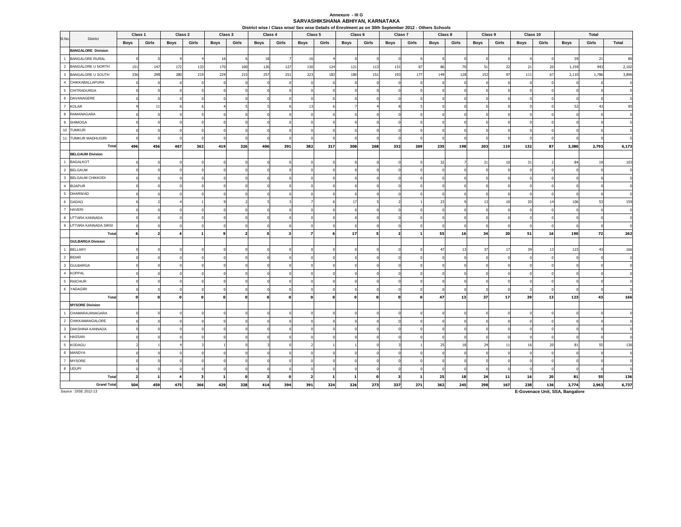#### **SARVASHIKSHANA ABHIYAN, KARNATAKA Annexure - III G**

|                         |                                                     | Class 1     |              | Class 2    |            | Class 3     |            | Class 4     |              |            | District wise / Class wise/ Sex wise Details of Enrolment as on 30th September 2012 - Others Schools<br>Class 5 | Class 6      |            | Class 7     |              | Class 8     |           | Class 9     |                | Class 10    |          |                | Total      |                |
|-------------------------|-----------------------------------------------------|-------------|--------------|------------|------------|-------------|------------|-------------|--------------|------------|-----------------------------------------------------------------------------------------------------------------|--------------|------------|-------------|--------------|-------------|-----------|-------------|----------------|-------------|----------|----------------|------------|----------------|
| SI.No.                  | District                                            |             |              |            |            |             |            |             |              |            |                                                                                                                 |              |            |             |              |             |           |             |                |             |          |                |            |                |
|                         |                                                     | <b>Boys</b> | Girls        | Boys       | Girls      | <b>Boys</b> | Girls      | Boys        | Girls        | Boys       | Girls                                                                                                           | <b>Boys</b>  | Girls      | <b>Boys</b> | Girls        | <b>Boys</b> | Girls     | <b>Boys</b> | Girls          | <b>Boys</b> | Girls    | <b>Boys</b>    | Girls      | Total          |
| $\overline{1}$          | <b>BANGALORE Division</b><br><b>BANGALORE RURAL</b> |             | $\Omega$     |            |            | 16          | 6          | 18          |              | 16         |                                                                                                                 | $\Omega$     |            |             |              |             |           |             | $\overline{0}$ |             | $\Omega$ | 59             | 21         | 80             |
| $\overline{2}$          | BANGALORE U NORTH                                   |             |              |            |            |             |            |             |              |            |                                                                                                                 |              |            |             |              |             |           |             | 22             |             |          |                | 943        |                |
|                         | 3 BANGALORE U SOUTH                                 | 151<br>336  | 147<br>298   | 172<br>280 | 133<br>219 | 170<br>229  | 100<br>215 | 126<br>257  | 127<br>251   | 130<br>223 | 124<br>183                                                                                                      | 121<br>180   | 113<br>151 | 131<br>193  | 87<br>177    | 86<br>149   | 70<br>128 | 51<br>152   | 97             | 21<br>111   | 20<br>67 | 1,159<br>2,110 | 1,786      | 2,102<br>3,896 |
| $\overline{4}$          | CHIKKABALLAPURA                                     |             | $\mathbf 0$  |            |            |             | $\sqrt{ }$ | $\Omega$    | $\Omega$     |            |                                                                                                                 | $\Omega$     |            |             |              |             |           |             |                |             |          |                | $\Omega$   |                |
|                         | 5 CHITRADURGA                                       |             | $\Omega$     |            |            |             | n          |             | n            |            |                                                                                                                 | ſ            |            |             |              |             |           |             |                |             |          |                | $\Omega$   |                |
| $\,6\,$                 | DAVANAGERE                                          |             |              |            |            |             |            |             |              |            |                                                                                                                 |              |            |             |              |             |           |             |                |             |          |                |            |                |
|                         | 7 KOLAR                                             |             | 11           |            |            |             |            |             |              | 13         |                                                                                                                 |              |            |             |              |             |           |             |                |             |          | 52             | 43         |                |
|                         | 8 RAMANAGARA                                        |             | $\Omega$     |            |            |             |            |             |              |            |                                                                                                                 |              |            |             |              |             |           |             |                |             |          |                |            |                |
| $_{9}$                  | <b>SHIMOGA</b>                                      |             | $\Omega$     |            |            |             |            |             |              |            |                                                                                                                 |              |            |             |              |             |           |             |                |             |          |                | $\sqrt{2}$ |                |
|                         | 10 TUMKUR                                           |             | $\Omega$     |            |            |             |            |             |              |            |                                                                                                                 |              |            |             |              |             |           |             |                |             |          |                |            |                |
|                         | 11 TUMKUR MADHUGIRI                                 |             | $\Omega$     |            |            |             |            |             |              |            |                                                                                                                 |              |            |             |              |             |           |             |                |             |          |                |            |                |
|                         | Total                                               | 496         | 456          | 467        | 362        | 419         | 326        | 406         | 391          | 382        | 317                                                                                                             | 308          | 268        | 332         | 269          | 235         | 198       | 203         | 119            | 132         | 87       | 3,380          | 2,793      | 6,173          |
|                         | <b>BELGAUM Division</b>                             |             |              |            |            |             |            |             |              |            |                                                                                                                 |              |            |             |              |             |           |             |                |             |          |                |            |                |
| $\overline{1}$          | <b>BAGALKOT</b>                                     |             |              |            |            |             |            |             |              |            |                                                                                                                 |              |            |             |              | 32          |           | 21          | 10             | 31          |          | 84             | 19         | 103            |
|                         | 2 BELGAUM                                           |             | $\Omega$     |            |            |             |            |             |              |            |                                                                                                                 |              |            |             |              |             |           |             | $\Omega$       |             |          |                |            |                |
|                         | 3 BELGAUM CHIKKODI                                  |             | n            |            |            |             |            |             |              |            |                                                                                                                 |              |            |             |              |             |           |             |                |             |          |                |            |                |
| $\overline{4}$          | <b>BIJAPUR</b>                                      |             |              |            |            |             |            |             |              |            |                                                                                                                 |              |            |             |              |             |           |             |                |             |          |                |            |                |
|                         | 5 DHARWAD                                           |             | n            |            |            |             |            |             |              |            |                                                                                                                 |              |            |             |              |             |           |             |                |             |          |                |            |                |
|                         | 6 GADAG                                             |             |              |            |            |             |            |             |              |            |                                                                                                                 | 17           |            |             |              | 23          |           | 13          | 10             | 20          | 14       | 106            | 53         | 159            |
| $\overline{7}$          | <b>HAVERI</b>                                       |             |              |            |            |             |            |             |              |            |                                                                                                                 | $\Omega$     |            |             |              |             |           |             |                |             |          |                |            |                |
| 8                       | UTTARA KANNADA                                      |             |              |            |            |             |            |             |              |            |                                                                                                                 |              |            |             |              |             |           |             |                |             |          |                |            |                |
|                         | 9 UTTARA KANNADA SIRSI                              |             | $\Omega$     |            |            |             |            |             |              |            |                                                                                                                 |              |            |             |              |             |           |             |                |             |          |                | r.         |                |
|                         | Total                                               |             |              |            |            |             |            | 5           | ર            |            |                                                                                                                 | 17           |            |             |              | 55          | 16        | 34          | 20             | 51          | 16       | 190            | 72         | 262            |
|                         | <b>GULBARGA Division</b>                            |             |              |            |            |             |            |             |              |            |                                                                                                                 |              |            |             |              |             |           |             |                |             |          |                |            |                |
| $\overline{1}$          | <b>BELLARY</b>                                      |             |              |            |            |             |            |             |              |            |                                                                                                                 |              |            |             |              | 47          | 13        | 37          | 17             | 39          | 13       | 123            | 43         | 166            |
|                         | 2 BIDAR                                             |             | $\Omega$     |            |            |             |            |             |              |            |                                                                                                                 |              |            |             |              |             |           |             | $\Omega$       |             |          |                |            |                |
|                         | 3 GULBARGA                                          |             |              |            |            |             |            |             |              |            |                                                                                                                 |              |            |             |              |             |           |             |                |             |          |                |            |                |
|                         | 4 KOPPAL                                            |             |              |            |            |             |            |             |              |            |                                                                                                                 |              |            |             |              |             |           |             |                |             |          |                |            |                |
|                         | 5 RAICHUR                                           |             | $\Omega$     |            |            |             |            |             |              |            |                                                                                                                 |              |            |             |              |             |           |             |                |             |          |                |            |                |
|                         | 6 YADAGIRI                                          |             | n            |            |            |             |            |             |              |            |                                                                                                                 |              |            |             |              |             |           |             |                |             |          |                |            |                |
|                         | Total                                               |             | $\mathbf{0}$ |            |            |             |            | $\mathbf 0$ | $\mathbf 0$  |            |                                                                                                                 | $\mathbf{0}$ |            |             | $\mathbf{o}$ | 47          | 13        | 37          | 17             | 39          | 13       | 123            | 43         | 166            |
|                         | <b>MYSORE Division</b>                              |             |              |            |            |             |            |             |              |            |                                                                                                                 |              |            |             |              |             |           |             |                |             |          |                |            |                |
| $\overline{1}$          | CHAMARAJANAGARA                                     |             |              |            |            |             |            |             |              |            |                                                                                                                 |              |            |             |              |             |           |             |                |             |          |                |            |                |
| $\overline{2}$          | CHIKKAMANGALORE                                     |             |              |            |            |             |            |             |              |            |                                                                                                                 |              |            |             |              |             |           |             |                |             |          |                |            |                |
| $\overline{\mathbf{3}}$ | DAKSHINA KANNADA                                    |             |              |            |            |             |            |             |              |            |                                                                                                                 |              |            |             |              |             |           |             |                |             |          |                |            |                |
|                         | 4 HASSAN                                            |             |              |            |            |             |            |             |              |            |                                                                                                                 |              |            |             |              |             |           |             |                |             |          |                |            |                |
|                         | 5 KODAGU                                            |             |              |            |            |             |            |             |              |            |                                                                                                                 |              |            |             |              | 25          | 18        | 24          | 11             | 16          | 20       | 81             | 55         | 136            |
|                         | 6 MANDYA                                            |             |              |            |            |             |            |             |              |            |                                                                                                                 |              |            |             |              |             |           |             |                |             |          |                |            |                |
| $\overline{7}$          | <b>MYSORE</b>                                       |             |              |            |            |             |            |             |              |            |                                                                                                                 |              |            |             |              |             |           |             |                |             |          |                |            |                |
|                         | 8 UDUPI                                             |             | n            |            |            |             |            |             |              |            |                                                                                                                 |              |            |             |              |             |           |             |                |             |          |                | $\Omega$   |                |
|                         | Total                                               |             |              |            |            |             | O          | 3           | $\mathbf{0}$ |            |                                                                                                                 | 1            | n          | 3           | 1            | 25          | 18        | 24          | 11             | 16          | 20       | 81             | 55         | 136            |
|                         | <b>Grand Total</b>                                  | 504         | 459          | 475        | 366        | 429         | 328        | 414         | 394          | 391        | 324                                                                                                             | 326          | 273        | 337         | 271          | 362         | 245       | 298         | 167            | 238         | 136      | 3,774          | 2,963      | 6,737          |

Source : DISE 2012-13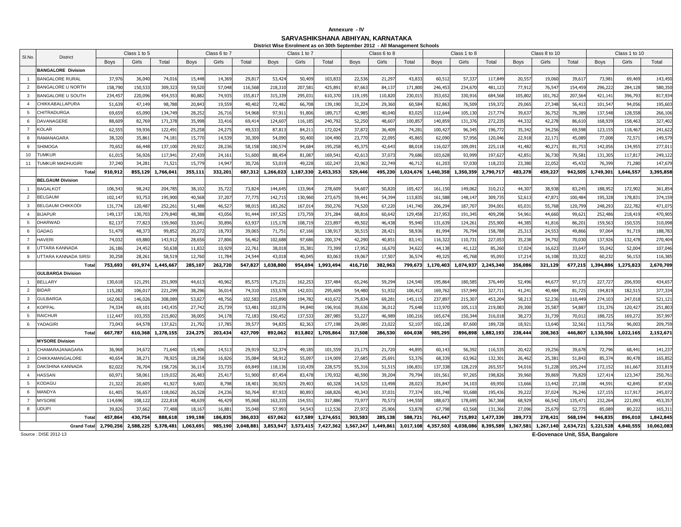## **Annexure - IV**

**SARVASHIKSHANA ABHIYAN, KARNATAKA District Wise Enrolment as on 30th September 2012 - All Management Schools**

|                |                           |             |              |           |             |              |           |             | District wise Enrolment as on 30th September 2012 - All Manadement Schools |           |             |              |           |             |              |           |             |               |           |             |               |            |
|----------------|---------------------------|-------------|--------------|-----------|-------------|--------------|-----------|-------------|----------------------------------------------------------------------------|-----------|-------------|--------------|-----------|-------------|--------------|-----------|-------------|---------------|-----------|-------------|---------------|------------|
| SI.No.         | District                  |             | Class 1 to 5 |           |             | Class 6 to 7 |           |             | Class 1 to 7                                                               |           |             | Class 6 to 8 |           |             | Class 1 to 8 |           |             | Class 8 to 10 |           |             | Class 1 to 10 |            |
|                |                           | <b>Boys</b> | Girls        | Total     | <b>Boys</b> | Girls        | Total     | <b>Boys</b> | Girls                                                                      | Total     | <b>Boys</b> | Girls        | Total     | <b>Boys</b> | Girls        | Total     | <b>Boys</b> | Girls         | Total     | <b>Boys</b> | Girls         | Total      |
|                | <b>BANGALORE Division</b> |             |              |           |             |              |           |             |                                                                            |           |             |              |           |             |              |           |             |               |           |             |               |            |
| $\overline{1}$ | <b>BANGALORE RURAL</b>    | 37,97       | 36.040       | 74.016    | 15.448      | 14.36        | 29.81     | 53.42       | 50.40                                                                      | 103.83    | 22.53       | 21.29        | 43.83     | 60.51       | 57.33        | 117,84    | 20.55       | 19,060        | 39.61     | 73.98       | 69.46         | 143.450    |
| $\overline{2}$ | <b>BANGALORE U NORTH</b>  | 158,790     | 150,533      | 309,323   | 59,520      | 57,048       | 116,56    | 218,310     | 207,58                                                                     | 425,891   | 87,663      | 84,13        | 171,80    | 246,45      | 234.67       | 481,12    | 77,91       | 76,547        | 154,45    | 296.22      | 284,128       | 580,350    |
| $\mathbf{3}$   | <b>BANGALORE U SOUTH</b>  | 234,45      | 220,096      | 454.553   | 80.882      | 74,935       | 155,81    | 315.33      | 295.03                                                                     | 610,370   | 119,195     | 110,82       | 230.01    | 353,65      | 330.916      | 684,56    | 105,80      | 101,762       | 207,564   | 421,141     | 396,793       | 817,934    |
| $\overline{4}$ | CHIKKABALLAPURA           | 51,63       | 47,149       | 98,788    | 20,84       | 19,55        | 40,402    | 72,482      | 66,70                                                                      | 139,190   | 31,224      | 29,36        | 60,58     | 82,86       | 76,509       | 159,37    | 29,06       | 27,348        | 56,41     | 101,54      | 94,05         | 195,603    |
| 5              | <b>CHITRADURGA</b>        | 69,65       | 65,090       | 134,749   | 28.252      | 26,716       | 54,968    | 97,91       | 91,80                                                                      | 189,717   | 42,985      | 40,040       | 83.02     | 112,64      | 105.13       | 217,77    | 39,63       | 36,752        | 76,38     | 137.548     | 128.55        | 266,106    |
| 6              | DAVANAGERE                | 88,609      | 82,769       | 171,378   | 35,998      | 33,41        | 69,41     | 124,60      | 116,18                                                                     | 240,792   | 52,250      | 48,60        | 100.85    | 140,85      | 131,37       | 272,23    | 44,332      | 42,278        | 86,61     | 168,939     | 158,463       | 327,402    |
| $\overline{7}$ | <b>KOLAR</b>              | 62,55       | 59,936       | 122.49    | 25.258      | 24.27        | 49,53     | 87,81       | 84,21                                                                      | 172,024   | 37,872      | 36,409       | 74,28     | 100,42      | 96,34        | 196,77    | 35,342      | 34,256        | 69,59     | 123.155     | 118,46        | 241,622    |
| 8              | RAMANAGARA                | 38.32       | 35.86        | 74.181    | 15.770      | 14.53        | 30,309    | 54,090      | 50.40                                                                      | 104,490   | 23.770      | 22.09        | 45.86     | 62,090      | 57,956       | 120.04    | 22.91       | 22.171        | 45,08     | 77,008      | 72,57         | 149.579    |
| $\mathbf{Q}$   | <b>SHIMOGA</b>            | 70,65       | 66,448       | 137,100   | 29,922      | 28,23        | 58,158    | 100,57      | 94,68                                                                      | 195,258   | 45,375      | 42,643       | 88,01     | 116,02      | 109,09       | 225,11    | 41,482      | 40,271        | 81,75     | 142,056     | 134,955       | 277,011    |
| 10             | <b>TUMKUR</b>             | 61,015      | 56.926       | 117,941   | 27,439      | 24,16        | 51,600    | 88,454      | 81.08                                                                      | 169,541   | 42,613      | 37,07        | 79,68     | 103,62      | 93,999       | 197,62    | 42,85       | 36,730        | 79,58     | 131,305     | 117,81        | 249,122    |
| 11             | TUMKUR MADHUGIRI          | 37,240      | 34,28        | 71,52     | 15,779      | 14,94        | 30,726    | 53,019      | 49,22                                                                      | 102,24    | 23,963      | 22,749       | 46,71     | 61,20       | 57,03        | 118,23    | 23,38       | 22,052        | 45,43     | 76,399      | 71,280        | 147,679    |
|                | Total                     | 910,912     | 855,129      | 1,766,041 | 355,111     | 332,201      | 687,312   | 1,266,023   | 1,187,330                                                                  | 2,453,353 | 529,446     | 495,230      | 1,024,676 | 1,440,358   | 1,350,359    | 2,790,71  | 483,278     | 459,227       | 942,505   | 1,749,301   | 1,646,55      | 3,395,858  |
|                | <b>BELGAUM Division</b>   |             |              |           |             |              |           |             |                                                                            |           |             |              |           |             |              |           |             |               |           |             |               |            |
| $\overline{1}$ | <b>BAGALKOT</b>           | 106,54      | 98,242       | 204,785   | 38,102      | 35,72        | 73,824    | 144,645     | 133,96                                                                     | 278,609   | 54,607      | 50,820       | 105,42    | 161,15      | 149,06       | 310,21    | 44,30       | 38,938        | 83,245    | 188.952     | 172,90        | 361,854    |
| 2              | <b>BELGAUM</b>            | 102,14      | 93,75        | 195,90    | 40,568      | 37,20        | 77,77     | 142,71      | 130,96                                                                     | 273,67    | 59,44       | 54,39        | 113,83    | 161,58      | 148,14       | 309,73    | 52,61       | 47,87         | 100,48    | 195,32      | 178,83        | 374,159    |
| $\mathbf{3}$   | <b>BELGAUM CHIKKODI</b>   | 131,77      | 120,487      | 252,261   | 51,488      | 46,52        | 98,015    | 183,262     | 167,01                                                                     | 350,276   | 74,520      | 67,220       | 141,74    | 206,294     | 187,70       | 394,00    | 65,03       | 55,768        | 120,79    | 248,293     | 222,782       | 471,075    |
| $\overline{4}$ | <b>BIJAPUR</b>            | 149,13      | 130,703      | 279.840   | 48,388      | 43,05        | 91,444    | 197.52      | 173.75                                                                     | 371,284   | 68.816      | 60,64        | 129.45    | 217,95      | 191.34       | 409,298   | 54,96       | 44,660        | 99,62     | 252,486     | 218,41        | 470,905    |
| 5              | DHARWAD                   | 82,13       | 77,823       | 159,960   | 33,04       | 30,89        | 63,93     | 115,178     | 108,71                                                                     | 223,897   | 49,502      | 46,438       | 95,94     | 131,63      | 124,26       | 255,90    | 44,38       | 41,816        | 86,20     | 159,563     | 150,53        | 310,098    |
| 6              | GADAG                     | 51,47       | 48,37        | 99,85     | 20,272      | 18,79        | 39,06     | 71,75       | 67,16                                                                      | 138,91    | 30,515      | 28,42        | 58,93     | 81,99       | 76,79        | 158,78    | 25,31       | 24,553        | 49,86     | 97,064      | 91,71         | 188,783    |
| $\overline{7}$ | <b>HAVERI</b>             | 74,032      | 69,880       | 143,912   | 28,656      | 27,80        | 56,462    | 102,688     | 97,686                                                                     | 200,374   | 42,290      | 40,851       | 83,14     | 116,32      | 110,73       | 227,053   | 35,238      | 34,792        | 70,030    | 137,926     | 132,478       | 270,404    |
| -8             | UTTARA KANNADA            | 26,186      | 24,452       | 50,638    | 11,832      | 10,92        | 22,76     | 38,018      | 35,38                                                                      | 73,399    | 17,952      | 16,67        | 34,62     | 44,13       | 41,12        | 85,26     | 17,024      | 16,623        | 33,64     | 55,042      | 52,004        | 107,046    |
| 9              | UTTARA KANNADA SIRSI      | 30,25       | 28,26        | 58,519    | 12,760      | 11,78        | 24,54     | 43,018      | 40,04                                                                      | 83,06     | 19,067      | 17,50        | 36,57     | 49,32       | 45,768       | 95,09     | 17,21       | 16,108        | 33,32     | 60,23       | 56,15         | 116,385    |
|                | Total                     | 753,693     | 691,974      | 1,445,667 | 285,107     | 262,720      | 547,827   | 1,038,800   | 954,694                                                                    | 1,993,494 | 416,710     | 382,963      | 799,673   | 1,170,403   | 1,074,937    | 2,245,340 | 356,086     | 321,129       | 677,215   | 1,394,886   | 1,275,823     | 2,670,709  |
|                | <b>GULBARGA Division</b>  |             |              |           |             |              |           |             |                                                                            |           |             |              |           |             |              |           |             |               |           |             |               |            |
| $\overline{1}$ | <b>BELLARY</b>            | 130,61      | 121,29       | 251,909   | 44,61       | 40,96        | 85,57     | 175,23      | 162,25                                                                     | 337,484   | 65,246      | 59,294       | 124,54    | 195,86      | 180,58       | 376,44    | 52,49       | 44,677        | 97,17     | 227,72      | 206,93        | 434,657    |
| 2              | <b>BIDAR</b>              | 115,28      | 106,017      | 221,299   | 38,296      | 36,01        | 74,31     | 153,57      | 142,03                                                                     | 295,609   | 54,480      | 51,93        | 106,41    | 169,76      | 157,94       | 327,71    | 41,24       | 40,484        | 81,72     | 194,819     | 182,51        | 377,334    |
| $\mathbf{3}$   | <b>GULBARGA</b>           | 162,063     | 146,026      | 308,089   | 53,827      | 48,756       | 102,583   | 215,890     | 194,78                                                                     | 410,672   | 75,834      | 69,281       | 145,11    | 237,89      | 215,30       | 453,20    | 58,213      | 52,236        | 110,449   | 274,103     | 247,018       | 521,121    |
| $\mathbf{A}$   | <b>KOPPAL</b>             | 74,33       | 69,10        | 143,435   | 27,742      | 25,73        | 53,48     | 102,07      | 94,84                                                                      | 196,916   | 39,636      | 36,01        | 75,64     | 113,97      | 105,11       | 219,08    | 29,300      | 25,587        | 54,88     | 131,37      | 120,42        | 251,803    |
| 5              | <b>RAICHUR</b>            | 112,44      | 103,35!      | 215,802   | 38,005      | 34,178       | 72,18     | 150,45      | 137,53                                                                     | 287,985   | 53,227      | 46,98        | 100,21    | 165,67      | 150,34       | 316,01    | 38,27       | 31,739        | 70,01     | 188,72      | 169,27        | 357,997    |
| 6              | YADAGIRI                  | 73,04       | 64,578       | 137,62    | 21,792      | 17,78        | 39,57     | 94,83       | 82,36                                                                      | 177,198   | 29,085      | 23,02        | 52,10     | 102,12      | 87,600       | 189,72    | 18,92       | 13,640        | 32,56     | 113,756     | 96,00         | 209,759    |
|                | Total                     | 667,78      | 610,368      | 1,278,155 | 224,275     | 203,434      | 427,709   | 892,062     | 813,802                                                                    | 1,705,864 | 317,508     | 286,530      | 604,038   | 985,295     | 896,898      | 1,882,19  | 238,444     | 208,363       | 446,807   | 1,130,506   | 1,022,165     | 2,152,671  |
|                | <b>MYSORE Division</b>    |             |              |           |             |              |           |             |                                                                            |           |             |              |           |             |              |           |             |               |           |             |               |            |
|                | CHAMARAJANAGARA           | 36,96       | 34,67        | 71,640    | 15,406      | 14,51        | 29,91     | 52,37       | 49,18                                                                      | 101,55    | 23,175      | 21,720       | 44,89     | 60,14       | 56,39        | 116,53    | 20,42       | 19,256        | 39,67     | 72,796      | 68,44         | 141,237    |
| $\overline{2}$ | CHIKKAMANGALORE           | 40,65       | 38,27        | 78,925    | 18,258      | 16,82        | 35,084    | 58,91       | 55,09                                                                      | 114,009   | 27,685      | 25,691       | 53,37     | 68,33       | 63,96        | 132,30    | 26,462      | 25,381        | 51,843    | 85,374      | 80,478        | 165,852    |
| $\mathbf{3}$   | DAKSHINA KANNADA          | 82,02       | 76,704       | 158,726   | 36,11       | 33,73        | 69,849    | 118,136     | 110,43                                                                     | 228,579   | 55,316      | 51,515       | 106,83    | 137,33      | 128,21       | 265,55    | 54,01       | 51,228        | 105,244   | 172,152     | 161,66        | 333,819    |
| $\overline{4}$ | <b>HASSAN</b>             | 60,97       | 58,06        | 119,032   | 26,483      | 25,41        | 51,900    | 87,45       | 83,47                                                                      | 170,93    | 40,590      | 39,20        | 79,79     | 101,56      | 97,26        | 198,82    | 39,96       | 39,869        | 79,82     | 127,41      | 123,34        | 250,761    |
| -5             | KODAGU                    | 21,32       | 20,605       | 41,927    | 9,60        | 8,798        | 18,401    | 30,925      | 29,403                                                                     | 60,328    | 14,525      | 13,498       | 28,02     | 35,84       | 34,10        | 69,950    | 13,666      | 13,442        | 27,10     | 44,591      | 42,845        | 87,436     |
| 6              | MANDYA                    | 61,405      | 56,657       | 118,062   | 26,528      | 24,236       | 50,764    | 87,933      | 80,89                                                                      | 168,826   | 40,343      | 37,03        | 77,37     | 101,748     | 93,688       | 195,43    | 39,22       | 37,024        | 76,246    | 127,155     | 117,917       | 245,072    |
| $\overline{7}$ | <b>MYSORE</b>             | 114,69      | 108,122      | 222,818   | 48,639      | 46,42        | 95,068    | 163,33      | 154,55                                                                     | 317,886   | 73,977      | 70,57        | 144,55    | 188,67      | 178,69       | 367,36    | 68,929      | 66,542        | 135,47    | 232,264     | 221,09        | 453,357    |
| 8              | <b>UDUPI</b>              | 39,82       | 37,662       | 77,488    | 18,16       | 16,88        | 35,04     | 57,99       | 54,54                                                                      | 112,53    | 27,97       | 25,90        | 53,87     | 67,79       | 63,56        | 131,36    | 27,09       | 25,679        | 52,77     | 85,089      | 80,22         | 165,311    |
|                | Total                     | 457,864     | 430,754      | 888,618   | 199,198     | 186,835      | 386,033   | 657,062     | 617,589                                                                    | 1,274,651 | 303,583     | 285,138      | 588,721   | 761,447     | 715,892      | 1,477,339 | 289,773     | 278,421       | 568,194   | 946,835     | 896,010       | 1,842,845  |
|                | <b>Grand Total</b>        | 2,790,256   | 2,588,225    | 5,378,481 | 1,063,691   | 985,190      | 2,048,881 | 3,853,947   | 3,573,415                                                                  | 7,427,362 | 1,567,247   | 1,449,861    | 3,017,108 | 4,357,503   | 4,038,086    | 8,395,589 | 1,367,581   | 1,267,140     | 2,634,721 | 5,221,528   | 4,840,555     | 10,062,083 |

Source : DISE 2012-13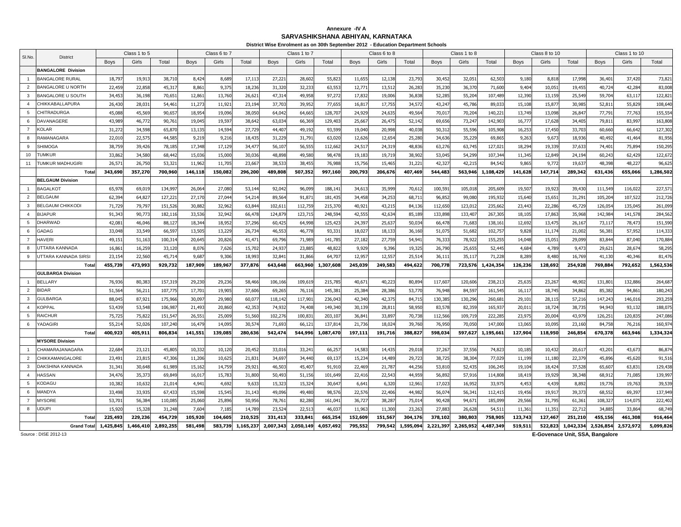### **SARVASHIKSHANA ABHIYAN, KARNATAKA Annexure -IV A**

**District Wise Enrolment as on 30th September 2012 - Education Department Schools**

| SI.No.         | District                           |                 | Class 1 to 5     |                  |                  | Class 6 to 7    |                  |                  | Class 1 to 7    |                   |                  | Class 6 to 8     |                 |                 | Class 1 to 8    |                  |                 | Class 8 to 10    |                 |                  | Class 1 to 10   |                   |
|----------------|------------------------------------|-----------------|------------------|------------------|------------------|-----------------|------------------|------------------|-----------------|-------------------|------------------|------------------|-----------------|-----------------|-----------------|------------------|-----------------|------------------|-----------------|------------------|-----------------|-------------------|
|                |                                    | <b>Bovs</b>     | Girls            | Total            | <b>Boys</b>      | Girls           | Total            | <b>Boys</b>      | Girls           | Total             | <b>Boys</b>      | Girls            | Total           | Boys            | Girls           | Total            | <b>Boys</b>     | Girls            | Total           | <b>Boys</b>      | Girls           | Total             |
|                | <b>BANGALORE Division</b>          |                 |                  |                  |                  |                 |                  |                  |                 |                   |                  |                  |                 |                 |                 |                  |                 |                  |                 |                  |                 |                   |
| $\overline{1}$ | <b>BANGALORE RURAL</b>             | 18,79           | 19,913           | 38,710           | 8,424            | 8,68            | 17,11            | 27,22            | 28,60           | 55,82             | 11.655           | 12,138           | 23,79           | 30,45           | 32,05           | 62,50            | 9,180           | 8,818            | 17,998          | 36,401           | 37,420          | 73,821            |
| $\overline{2}$ | <b>BANGALORE U NORTH</b>           | 22,45           | 22,858           | 45,31            | 8,86             | 9,37            | 18,23            | 31,320           | 32,23           | 63,55             | 12,771           | 13,51            | 26,28           | 35,23           | 36,37           | 71,600           | 9,404           | 10,051           | 19,45           | 40,724           | 42,284          | 83,008            |
| 3              | <b>BANGALORE U SOUTH</b>           | 34,45           | 36,198           | 70,65            | 12,86            | 13,76           | 26,62            | 47,314           | 49,95           | 97,272            | 17,832           | 19,006           | 36,83           | 52,28           | 55,20           | 107,48           | 12,390          | 13,159           | 25,54           | 59,704           | 63,11           | 122,821           |
| $\overline{4}$ | CHIKKABALLAPURA                    | 26,430          | 28,03            | 54,46            | 11,273           | 11,92           | 23,19            | 37,703           | 39,95           | 77,655            | 16,81            | 17,755           | 34,57           | 43,24           | 45,786          | 89,03            | 15,10           | 15,87            | 30,98           | 52,81            | 55,829          | 108,640           |
| 5              | CHITRADURGA                        | 45,088          | 45,569           | 90,65            | 18,954           | 19,09           | 38,050           | 64,042           | 64,66           | 128,707           | 24,929           | 24,63            | 49,56           | 70,01           | 70,20           | 140,22           | 13,749          | 13,098           | 26,84           | 77,79            | 77,76           | 155,554           |
| 6              | DAVANAGERE                         | 43,98           | 46,772           | 90,76            | 19,04            | 19,59           | 38,642           | 63,03            | 66,36           | 129,40            | 25,667           | 26,47            | 52,14           | 69,65           | 73,24           | 142,90           | 16,77           | 17,628           | 34,40           | 79,81            | 83,99           | 163,808           |
| $\overline{7}$ | <b>KOLAR</b>                       | 31,27           | 34,598           | 65,870           | 13,13            | 14,59           | 27,729           | 44,407           | 49,19           | 93,599            | 19,040           | 20,998           | 40,03           | 50,31           | 55,596          | 105,908          | 16,253          | 17,450           | 33,70           | 60,660           | 66,64           | 127,302           |
| -8             | RAMANAGARA                         | 22,01           | 22,57            | 44,585           | 9,219            | 9,21            | 18,43            | 31,229           | 31,79           | 63,02             | 12,626           | 12,654           | 25,28           | 34,63           | 35,22           | 69,86            | 9,26            | 9,673            | 18,93           | 40,492           | 41,464          | 81,956            |
| 9              | <b>SHIMOGA</b>                     | 38,759          | 39,426           | 78,185           | 17,348           | 17,12           | 34,47            | 56,10            | 56,55           | 112,66            | 24,51            | 24,31            | 48,83           | 63,27           | 63,74           | 127,02           | 18,294          | 19,339           | 37,63           | 74,40            | 75,894          | 150,295           |
| 10             | TUMKUR                             | 33,86           | 34,580           | 68.442           | 15,036           | 15,00           | 30,036           | 48,898           | 49,58           | 98,478            | 19,183           | 19,719           | 38,90           | 53,04           | 54,299          | 107,34           | 11,34           | 12,849           | 24,194          | 60.243           | 62,429          | 122,672           |
| 11             | TUMKUR MADHUGIRI                   | 26,57           | 26,750           | 53,32            | 11,962           | 11,70           | 23,66            | 38,53            | 38,455          | 76,988            | 15,756           | 15,465           | 31,22           | 42,32           | 42,21           | 84,54            | 9,865           | 9,772            | 19,63           | 48,398           | 48,22           | 96,625            |
|                | Tota                               | 343,690         | 357,270          | 700,960          | 146,118          | 150,082         | 296,200          | 489,808          | 507,352         | 997,160           | 200,793          | 206,676          | 407,469         | 544,483         | 563,946         | 1,108,429        | 141,628         | 147,714          | 289,342         | 631,436          | 655,066         | 1,286,502         |
|                | <b>BELGAUM Division</b>            |                 |                  |                  |                  |                 |                  |                  |                 |                   |                  |                  |                 |                 |                 |                  |                 |                  |                 |                  |                 |                   |
|                | <b>BAGALKOT</b>                    | 65,97           | 69,019           | 134,99           | 26,06            | 27,08           | 53,14            | 92,04            | 96,09           | 188,141           | 34,61            | 35,999           | 70,61           | 100,59          | 105,01          | 205,60           | 19,50           | 19,923           | 39,430          | 111,549          | 116,02          | 227,571           |
| $\overline{2}$ | <b>BELGAUM</b>                     | 62,39           | 64,827           | 127,22           | 27,17            | 27,04           | 54,214           | 89,564           | 91,87           | 181,435           | 34,458           | 34,253           | 68,71           | 96,85           | 99,08           | 195,93           | 15,64           | 15,651           | 31,29           | 105,204          | 107,52          | 212,726           |
| 3              | <b>BELGAUM CHIKKODI</b>            | 71.72           | 79.797           | 151.526          | 30.882           | 32.96           | 63.84            | 102.61           | 112.75          | 215.37            | 40.921           | 43.215           | 84.13           | 112,65          | 123.01          | 235,66           | 23.44           | 22,286           | 45,72           | 126.05           | 135.04          | 261.099           |
| $\mathbf{A}$   | <b>BIJAPUR</b>                     | 91,343          | 90,773           | 182,116          | 33,536           | 32,94           | 66,478           | 124,87           | 123,71          | 248,594           | 42,555           | 42,63            | 85,18           | 133,89          | 133,40          | 267,30           | 18,10           | 17,863           | 35,96           | 142,984          | 141,57          | 284,562           |
| 5              | <b>DHARWAD</b>                     | 42,08           | 46,046           | 88,127           | 18,34            | 18,95           | 37,296           | 60,425           | 64,99           | 125,423           | 24,397           | 25,63            | 50.03           | 66,47           | 71,683          | 138,16           | 12,69           | 13,475           | 26,16           | 73,117           | 78,47           | 151,590           |
| 6              | GADAG                              | 33,048          | 33,549           | 66,59            | 13,50            | 13,22           | 26,734           | 46,553           | 46,77           | 93,33             | 18,027           | 18,13            | 36,16           | 51,07           | 51,682          | 102,757          | 9,82            | 11,174           | 21,00           | 56,381           | 57,95           | 114,333           |
| $\overline{7}$ | <b>HAVERI</b>                      | 49,15           | 51,163           | 100,31           | 20,64            | 20,82           | 41,47            | 69,796           | 71,98           | 141,785           | 27,182           | 27,75            | 54,94           | 76,33           | 78,92           | 155,25           | 14,048          | 15,05            | 29,09           | 83,84            | 87,04           | 170,884           |
| 8              | UTTARA KANNADA                     | 16,86           | 16,259           | 33,120           | 8,076            | 7,626           | 15,702           | 24,937           | 23,885          | 48,82             | 9,929            | 9,396            | 19,32           | 26,790          | 25,65           | 52,445           | 4,684           | 4,789            | 9,47            | 29,621           | 28,67           | 58,295            |
| -9             | UTTARA KANNADA SIRSI               | 23,15           | 22,560           | 45,714           | 9,68             | 9,306           | 18,993           | 32,84            | 31,86           | 64,70             | 12,957           | 12,557           | 25,51           | 36,11           | 35,11           | 71,228           | 8,289           | 8,480            | 16,76           | 41,130           | 40,34           | 81,476            |
|                | Total                              | 455,739         | 473,993          | 929,732          | 187,909          | 189,96          | 377,876          | 643,648          | 663,960         | 1,307,608         | 245,039          | 249,58           | 494,62          | 700,778         | 723,576         | 1,424,354        | 126,236         | 128,692          | 254,928         | 769,884          | 792,65          | 1,562,536         |
|                | <b>GULBARGA Division</b>           |                 |                  |                  |                  |                 |                  |                  |                 |                   |                  |                  |                 |                 |                 |                  |                 |                  |                 |                  |                 |                   |
|                | <b>BELLARY</b>                     | 76,93           | 80,383           | 157,319          | 29,230           | 29,23           | 58,466           | 106,166          | 109,61          | 215,785           | 40,67            | 40,22            | 80,89           | 117,60          | 120,60          | 238,21           | 25,63           | 23,267           | 48,90           | 131,80           | 132,88          | 264,687           |
| 2              | <b>BIDAR</b>                       | 51,56           | 56.21            | 107,775          | 17,70            | 19.90           | 37,606           | 69.265           | 76,11           | 145,381           | 25.384           | 28,386           | 53.77           | 76,948          | 84,59           | 161,54           | 16,11           | 18,745           | 34,86           | 85.38            | 94,86           | 180,243           |
| 3              | <b>GULBARGA</b>                    | 88,04           | 87,92            | 175,966          | 30,097           | 29,98           | 60,07            | 118,14           | 117,90          | 236,04            | 42,340           | 42,37            | 84,71           | 130,38          | 130,29          | 260,68           | 29,10           | 28,115           | 57,21           | 147,243          | 146,01          | 293,259           |
| $\overline{4}$ | <b>KOPPAL</b>                      | 53,439          | 53,548           | 106,98           | 21,493           | 20,86           | 42,353           | 74,93            | 74,408          | 149,340           | 30,139           | 28,81            | 58,95           | 83,57           | 82,35           | 165,93           | 20,01           | 18,724           | 38,73           | 94,943           | 93,13           | 188,075           |
| 5              | <b>RAICHUR</b>                     | 75,725          | 75,822           | 151,547          | 26,55            | 25,009          | 51,560           | 102,276          | 100,83          | 203,107           | 36,841           | 33,89            | 70,73           | 112,56          | 109,71          | 222,28           | 23,97           | 20,004           | 43,97           | 126,25           | 120,835         | 247,086           |
| 6              | YADAGIRI                           | 55,21           | 52,026           | 107,240          | 16,47            | 14,09           | 30,57            | 71,693           | 66,12           | 137,81            | 21,736           | 18,02            | 39,76           | 76,95           | 70,05           | 147,00           | 13,06           | 10,095           | 23,16           | 84,758           | 76,21           | 160,974           |
|                | Total                              | 400,923         | 405,911          | 806,834          | 141,551          | 139,085         | 280,636          | 542,474          | 544,996         | 1,087,470         | 197,111          | 191,716          | 388,827         | 598,03          | 597,627         | 1,195,66         | 127,904         | 118,950          | 246,854         | 670,378          | 663,946         | 1,334,324         |
|                | <b>MYSORE Division</b>             |                 |                  |                  |                  |                 |                  |                  |                 |                   |                  |                  |                 |                 |                 |                  |                 |                  |                 |                  |                 |                   |
| 2              | CHAMARAJANAGARA<br>CHIKKAMANGALORE | 22,68           | 23,12            | 45,805           | 10,332           | 10,12           | 20,452           | 33,016           | 33,24           | 66,25             | 14,583           | 14,43            | 29,01           | 37,26           | 37,55           | 74,82            | 10,18           | 10,432           | 20,61           | 43,201           | 43,67           | 86,874            |
| $\mathbf{3}$   | <b>DAKSHINA KANNADA</b>            | 23,49<br>31,34  | 23,815<br>30.648 | 47,306<br>61.989 | 11,206<br>15.162 | 10,62           | 21,83            | 34,69<br>46,503  | 34,44<br>45.407 | 69,13             | 15,234<br>22,469 | 14,489           | 29,72           | 38,72           | 38,304          | 77,02<br>106.245 | 11,19           | 11,180           | 22,37<br>37,528 | 45,896<br>65.607 | 45,62<br>63,83  | 91,516<br>129,438 |
| $\mathbf{A}$   | <b>HASSAN</b>                      | 34,47           | 35,373           | 69.849           | 16,01            | 14,759<br>15,78 | 29,921<br>31,800 | 50,493           | 51,15           | 91,910<br>101,649 | 22,416           | 21,787<br>22,543 | 44,256<br>44,95 | 53,810<br>56,89 | 52,43<br>57,91  | 114,808          | 19,104<br>18,41 | 18,424<br>19,929 | 38,34           | 68,91            | 71,085          | 139,997           |
| $\overline{5}$ | KODAGU                             |                 |                  |                  |                  |                 |                  |                  |                 |                   |                  |                  |                 |                 |                 |                  |                 |                  |                 |                  |                 |                   |
| 6              | MANDYA                             | 10,38<br>33,498 | 10,632<br>33,935 | 21,014<br>67,433 | 4,94<br>15,598   | 4,69<br>15,545  | 9,633<br>31,14   | 15,323<br>49,096 | 15,32<br>49,480 | 30,64<br>98,576   | 6,641<br>22,576  | 6,320<br>22,406  | 12,96<br>44,98  | 17,02<br>56,07  | 16,952<br>56,34 | 33,97<br>112,41  | 4,453<br>19,456 | 4,439<br>19,917  | 8,89<br>39,37   | 19,776<br>68,552 | 19,76<br>69,397 | 39,539<br>137,949 |
| $\overline{7}$ | <b>MYSORE</b>                      | 53,70           | 56,384           | 110,085          | 25,060           | 25,89           | 50,956           | 78,761           | 82,280          | 161,041           | 36,727           | 38,287           | 75,01           | 90,428          | 94,67           | 185,099          | 29,566          | 31,795           | 61,36           | 108,32           | 114,07          | 222,402           |
| 8              | <b>UDUPI</b>                       | 15,92           | 15,32            | 31,248           | 7,604            | 7,18            | 14,78            | 23,52            | 22,51           | 46,03             | 11,963           | 11,30            | 23,26           | 27,88           | 26,62           | 54,51            | 11,36           | 11,35            | 22,71           | 34,88            | 33,86           | 68,749            |
|                | Tota                               | 225,493         | 229,236          | 454,729          | 105,920          | 104,605         | 210,525          | 331,413          | 333,84          | 665,254           | 152,609          | 151,567          | 304,170         | 378,102         | 380,803         | 758,90           | 123,743         | 127,467          | 251,210         | 455,156          | 461,308         | 916,464           |
|                | <b>Grand Total</b>                 | 1,425,845       | 1,466,410        | 2,892,255        | 581,498          | 583,739         | 1,165,237        | 2,007,343        | 2,050,149       | 4,057,492         | 795,552          | 799,542          | 1,595,094       | 2,221,39        | 2,265,952       | 4,487,349        | 519,51          | 522,823          | 1,042,334       | 2,526,854        | 2,572,97        | 5,099,826         |
|                |                                    |                 |                  |                  |                  |                 |                  |                  |                 |                   |                  |                  |                 |                 |                 |                  |                 |                  |                 |                  |                 |                   |

Source : DISE 2012-13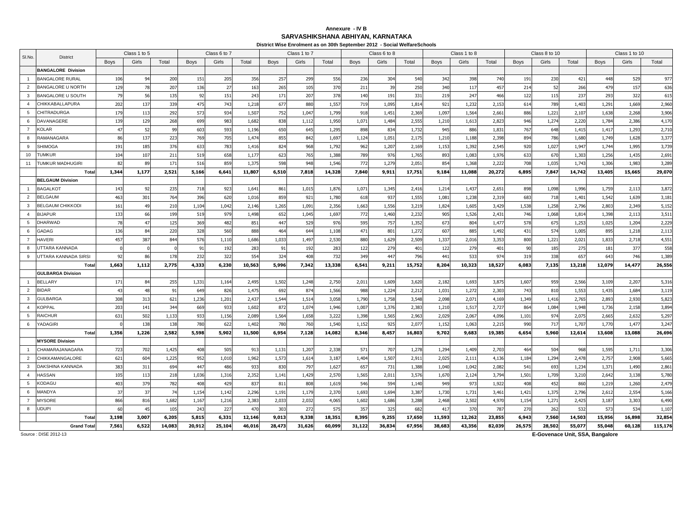### **SARVASHIKSHANA ABHIYAN, KARNATAKA Annexure - IV B**

|                 |                                |             |              |        |             |              |        |             | District Wise Enrolment as on 30th September 2012 - Social WelfareSchools |        |             |              |        |             |                 |        |             |               |        |        |               |         |
|-----------------|--------------------------------|-------------|--------------|--------|-------------|--------------|--------|-------------|---------------------------------------------------------------------------|--------|-------------|--------------|--------|-------------|-----------------|--------|-------------|---------------|--------|--------|---------------|---------|
| SI.No.          | <b>District</b>                |             | Class 1 to 5 |        |             | Class 6 to 7 |        |             | Class 1 to 7                                                              |        |             | Class 6 to 8 |        |             | Class 1 to 8    |        |             | Class 8 to 10 |        |        | Class 1 to 10 |         |
|                 |                                | <b>Boys</b> | Girls        | Total  | <b>Boys</b> | Girls        | Total  | <b>Boys</b> | Girls                                                                     | Total  | <b>Boys</b> | Girls        | Total  | <b>Boys</b> | Girls           | Total  | <b>Boys</b> | Girls         | Total  | Boys   | Girls         | Total   |
|                 | <b>BANGALORE Division</b>      |             |              |        |             |              |        |             |                                                                           |        |             |              |        |             |                 |        |             |               |        |        |               |         |
| $\overline{1}$  | <b>BANGALORE RURAL</b>         | 106         | 94           | 200    | 151         | 205          | 356    | 257         | 299                                                                       | 556    | 236         | 304          | 540    | 342         | 398             | 740    | 191         | 230           | 421    | 448    | 529           | 977     |
| 2               | <b>BANGALORE U NORTH</b>       | 129         | 78           | 207    | 136         | 27           | 163    | 265         | 105                                                                       | 370    | 211         | 39           | 250    | 340         | 117             | 457    | 214         | 52            | 266    | 479    | 157           | 636     |
| $\mathbf{3}$    | BANGALORE U SOUTH              | 79          | 56           | 135    | 92          | 151          | 243    | 171         | 207                                                                       | 378    | 140         | 191          | 331    | 219         | 247             | 466    | 122         | 115           | 237    | 293    | 322           | 615     |
| $\overline{4}$  | CHIKKABALLAPURA                | 202         | 137          | 339    | 475         | 743          | 1,218  | 677         | 880                                                                       | 1,557  | 719         | 1,095        | 1,814  | 921         | 1,232           | 2,153  | 614         | 789           | 1,403  | 1,29   | 1,669         | 2,960   |
| $5\overline{5}$ | CHITRADURGA                    | 179         | 113          | 292    | 573         | 934          | 1,507  | 752         | 1,04                                                                      | 1,799  | 918         | 1,451        | 2,369  | 1,097       | 1,564           | 2,661  | 886         | 1,221         | 2,107  | 1,638  | 2,268         | 3,906   |
| 6               | <b>DAVANAGERE</b>              | 139         | 129          | 268    | 699         | 983          | 1,682  | 838         | 1,112                                                                     | 1,950  | 1,071       | 1,484        | 2,55   | 1,210       | 1,613           | 2,823  | 946         | 1,274         | 2,220  | 1,784  | 2,386         | 4,170   |
| $\overline{7}$  | <b>KOLAR</b>                   | 47          | 52           | 99     | 603         | 593          | 1,196  | 650         | 645                                                                       | 1,295  | 898         | 834          | 1,732  | 945         | 886             | 1,831  | 767         | 648           | 1,415  | 1,41   | 1,293         | 2,710   |
| 8               | RAMANAGARA                     | 86          | 137          | 223    | 769         | 705          | 1,474  | 855         | 842                                                                       | 1,697  | 1,124       | 1,051        | 2,175  | 1,210       | 1,188           | 2,398  | 894         | 786           | 1,680  | 1,749  | 1,628         | 3,377   |
| 9               | <b>SHIMOGA</b>                 | 191         | 185          | 376    | 633         | 783          | 1,416  | 824         | 968                                                                       | 1.792  | 962         | 1.207        | 2,169  | 1,153       | 1,392           | 2,545  | 920         | 1.027         | 1,947  | 1.74   | 1.995         | 3.739   |
| 10              | <b>TUMKUR</b>                  | 104         | 107          | 211    | 519         | 658          | 1,177  | 623         | 765                                                                       | 1,388  | 789         | 976          | 1,76   | 893         | 1,083           | 1,976  | 633         | 670           | 1,303  | 1,256  | 1,435         | 2,691   |
| 11              | <b>TUMKUR MADHUGIRI</b>        | 82          | 89           | 171    | 516         | 859          | 1,375  | 598         | 948                                                                       | 1,546  | 772         | 1,279        | 2,051  | 854         | 1,368           | 2,222  | 708         | 1,035         | 1,743  | 1,306  | 1,983         | 3,289   |
|                 | Total                          | 1,344       | 1,177        | 2,521  | 5,166       | 6,641        | 11,807 | 6,510       | 7,818                                                                     | 14,328 | 7,840       | 9,911        | 17,751 | 9,184       | 11,088          | 20,272 | 6,895       | 7,847         | 14,742 | 13,405 | 15,665        | 29,070  |
|                 | <b>BELGAUM Division</b>        |             |              |        |             |              |        |             |                                                                           |        |             |              |        |             |                 |        |             |               |        |        |               |         |
| $\overline{1}$  | <b>BAGALKOT</b>                | 143         | 92           | 235    | 718         | 923          | 1,64   | 861         | 1,015                                                                     | 1,876  | 1,071       | 1,345        | 2,416  | 1,21        | 1,437           | 2,651  | 898         | 1,098         | 1,996  | 1,759  | 2,113         | 3,872   |
| 2               | <b>BELGAUM</b>                 | 463         | 301          | 764    | 396         | 620          | 1,016  | 859         | 921                                                                       | 1,780  | 618         | 937          | 1,555  | 1,08        | 1,238           | 2,319  | 683         | 718           | 1,401  | 1,542  | 1,639         | 3,181   |
| $\mathbf{3}$    | <b>BELGAUM CHIKKODI</b>        | 161         | 49           | 210    | 1,104       | 1,042        | 2,146  | 1,265       | 1,09                                                                      | 2,356  | 1,663       | 1,556        | 3,219  | 1,824       | 1,605           | 3,429  | 1,538       | 1,258         | 2,796  | 2,80   | 2,349         | 5,152   |
| $\overline{4}$  | <b>BIJAPUR</b>                 | 133         | 66           | 199    | 519         | 979          | 1,498  | 652         | 1,045                                                                     | 1,697  | 772         | 1,460        | 2,232  | 905         | 1,526           | 2,431  | 746         | 1,068         | 1,814  | 1,398  | 2,113         | 3,511   |
| 5               | <b>DHARWAD</b>                 | 78          | 47           | 125    | 369         | 482          | 851    | 447         | 529                                                                       | 976    | 595         | 757          | 1,352  | 673         | 804             | 1,477  | 578         | 675           | 1,253  | 1,025  | 1,204         | 2,229   |
| 6               | GADAG                          | 136         | 84           | 220    | 328         | 560          | 888    | 464         | 644                                                                       | 1,108  | 471         | 801          | 1,272  | 607         | 885             | 1,492  | 431         | 574           | 1,005  | 895    | 1,218         | 2,113   |
| $\overline{7}$  | <b>HAVERI</b>                  | 457         | 387          | 844    | 576         | 1,110        | 1,686  | 1,033       | 1,497                                                                     | 2,530  | 880         | 1,629        | 2,509  | 1,337       | 2,016           | 3,353  | 800         | 1,221         | 2,021  | 1,833  | 2,718         | 4,551   |
| $\mathbf{8}$    | UTTARA KANNADA                 |             |              |        | 91          | 192          | 283    | 91          | 192                                                                       | 283    | 122         | 279          | 40     | 122         | 279             | 401    | 90          | 185           | 275    | 181    | 377           | 558     |
| 9               | UTTARA KANNADA SIRSI           | 92          | 86           | 178    | 232         | 322          | 554    | 324         | 408                                                                       | 732    | 349         | 447          | 796    | 441         | 533             | 974    | 319         | 338           | 657    | 643    | 746           | 1,389   |
|                 | Total                          | 1,663       | 1,112        | 2,775  | 4,333       | 6,230        | 10,563 | 5,996       | 7,342                                                                     | 13,338 | 6,541       | 9,211        | 15,752 | 8,204       | 10,323          | 18,527 | 6,083       | 7,135         | 13,218 | 12,079 | 14,477        | 26,556  |
|                 | <b>GULBARGA Division</b>       |             |              |        |             |              |        |             |                                                                           |        |             |              |        |             |                 |        |             |               |        |        |               |         |
| $\overline{1}$  | <b>BELLARY</b>                 | 171         | 84           | 255    | 1,33        | 1,164        | 2,495  | 1,502       | 1,248                                                                     | 2,750  | 2,011       | 1,609        | 3,620  | 2,182       | 1,693           | 3,875  | 1,607       | 959           | 2,566  | 3,109  | 2,207         | 5,316   |
| 2               | <b>BIDAR</b>                   | 43          | 48           | 91     | 649         | 826          | 1,475  | 692         | 874                                                                       | 1,566  | 988         | 1,224        | 2,21   | 1,031       | 1,272           | 2,303  | 743         | 810           | 1,553  | 1,435  | 1,684         | 3,119   |
| $\mathbf{3}$    | <b>GULBARGA</b>                | 308         | 313          | 621    | 1,236       | 1,201        | 2,437  | 1,544       | 1,514                                                                     | 3,058  | 1,790       | 1,758        | 3,548  | 2,098       | 2,071           | 4,169  | 1,349       | 1,416         | 2,765  | 2,893  | 2,930         | 5,823   |
| $\overline{4}$  | <b>KOPPAL</b>                  | 203         | 141          | 344    | 669         | 933          | 1,602  | 872         | 1,07                                                                      | 1,946  | 1,007       | 1,376        | 2,38   | 1,210       | 1,517           | 2,727  | 864         | 1,084         | 1,948  | 1,736  | 2,158         | 3,894   |
| 5               | <b>RAICHUR</b>                 | 631         | 502          | 1,133  | 933         | 1,156        | 2,089  | 1,564       | 1,658                                                                     | 3,222  | 1,398       | 1,565        | 2,963  | 2,029       | 2,067           | 4,096  | 1,101       | 974           | 2,075  | 2,665  | 2,632         | 5,297   |
| 6               | YADAGIRI                       |             | 138          | 138    | 780         | 622          | 1,402  | 780         | 760                                                                       | 1,540  | 1,152       | 925          | 2,07   | 1,152       | 1,063           | 2,215  | 990         | 717           | 1,707  | 1,770  | 1,477         | 3,247   |
|                 | Tota<br><b>MYSORE Division</b> | 1,356       | 1,226        | 2,582  | 5,598       | 5,902        | 11,500 | 6,954       | 7,128                                                                     | 14,082 | 8,346       | 8,457        | 16,803 | 9,702       | 9,683           | 19,385 | 6,654       | 5,960         | 12,614 | 13,608 | 13,088        | 26,696  |
| $\overline{1}$  | CHAMARAJANAGARA                | 723         | 702          | 1,425  | 408         | 505          | 913    | 1,131       | 1,20                                                                      | 2,338  | 571         | 707          | 1,278  | 1,294       | 1,409           | 2,703  | 464         | 504           | 968    | 1,595  | 1,71          | 3,306   |
| 2               | CHIKKAMANGALORE                | 621         | 604          | 1,225  | 952         | 1,010        | 1,962  | 1,573       | 1,614                                                                     | 3,187  | 1,404       | 1,507        | 2,91   | 2,025       | 2,111           | 4,136  | 1,184       | 1,294         | 2,478  | 2,757  | 2,908         | 5,665   |
| $\mathbf{3}$    | <b>DAKSHINA KANNADA</b>        | 383         | 311          | 694    | 447         | 486          | 933    | 830         | 797                                                                       | 1,627  | 657         | 731          | 1,388  | 1,040       | 1,042           | 2,082  | 541         | 693           | 1,234  | 1,37   | 1,490         | 2,861   |
| $\overline{4}$  | <b>HASSAN</b>                  | 105         | 113          | 218    | 1,036       | 1,316        | 2,352  | 1,141       | 1,429                                                                     | 2,570  | 1,565       | 2,011        | 3,576  | 1,670       | 2,124           | 3,794  | 1,501       | 1,709         | 3,210  | 2,642  | 3,138         | 5,780   |
| 5               | KODAGU                         | 403         | 379          | 782    | 408         | 429          | 837    | 811         | 808                                                                       | 1,619  | 546         | 594          | 1,14   | 949         | 973             | 1,922  | 408         | 452           | 860    | 1,219  | 1,260         | 2,479   |
| 6               | MANDYA                         | 37          | 37           | 74     | 1,154       | 1,142        | 2,296  | 1,191       | 1,179                                                                     | 2,370  | 1,693       | 1,694        | 3,387  | 1,730       | 1,731           | 3,461  | 1,421       | 1,375         | 2,796  | 2,61   | 2,554         | 5,166   |
| $\overline{7}$  | <b>MYSORE</b>                  | 866         | 816          | 1,682  | 1,167       | 1,216        | 2,383  | 2,033       | 2,032                                                                     | 4,065  | 1,602       | 1,686        | 3,288  | 2,468       | 2,502           | 4,970  | 1,154       | 1,271         | 2,425  | 3,187  | 3,303         | 6,490   |
| 8               | <b>UDUPI</b>                   | 60          | 45           | 105    | 243         | 22           | 470    | 303         | 272                                                                       | 575    | 357         | 325          | 682    | 41          | 37 <sub>0</sub> | 787    | 270         | 262           | 532    | 573    | $53 -$        | 1,107   |
|                 | Total                          | 3,198       | 3,007        | 6,205  | 5,815       | 6,331        | 12,146 | 9,013       | 9,338                                                                     | 18,351 | 8,395       | 9,255        | 17,650 | 11,593      | 12,262          | 23,855 | 6,943       | 7,560         | 14,503 | 15,956 | 16,898        | 32,854  |
|                 | <b>Grand Total</b>             | 7,561       | 6,522        | 14,083 | 20,912      | 25,104       | 46,016 | 28,473      | 31,626                                                                    | 60,099 | 31,122      | 36,834       | 67,956 | 38,683      | 43,356          | 82,039 | 26,575      | 28,502        | 55,077 | 55,048 | 60,128        | 115,176 |
|                 |                                |             |              |        |             |              |        |             |                                                                           |        |             |              |        |             |                 |        |             |               |        |        |               |         |

Source : DISE 2012-13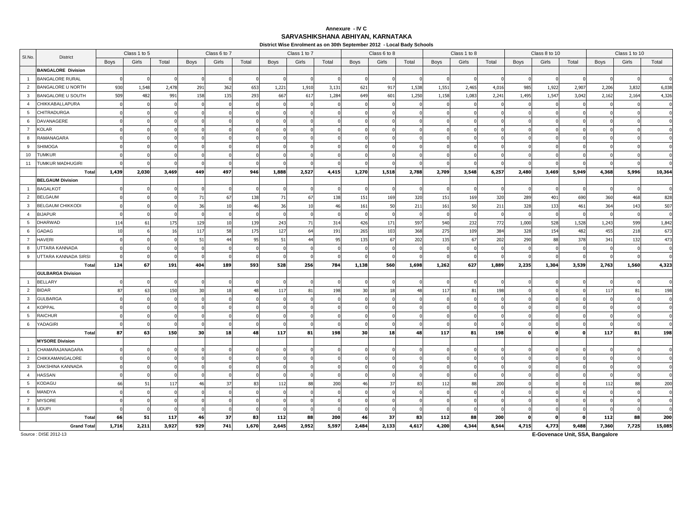### **SARVASHIKSHANA ABHIYAN, KARNATAKA Annexure - IV C**

**District Wise Enrolment as on 30th September 2012 - Local Bady Schools**

|                 |                           |             | Class 1 to 5 |       |             | Class 6 to 7 |       |             | Class 1 to 7 |       |             | Class 6 to 8 |       |             | Class 1 to 8 |       |             | Class 8 to 10 |       |             | Class 1 to 10 |          |
|-----------------|---------------------------|-------------|--------------|-------|-------------|--------------|-------|-------------|--------------|-------|-------------|--------------|-------|-------------|--------------|-------|-------------|---------------|-------|-------------|---------------|----------|
| SI.No.          | District                  | <b>Boys</b> | Girls        | Total | <b>Boys</b> | Girls        | Total | <b>Boys</b> | Girls        | Total | <b>Boys</b> | Girls        | Total | <b>Boys</b> | Girls        | Total | <b>Boys</b> | Girls         | Total | <b>Boys</b> | Girls         | Total    |
|                 | <b>BANGALORE Division</b> |             |              |       |             |              |       |             |              |       |             |              |       |             |              |       |             |               |       |             |               |          |
| $\overline{1}$  | <b>BANGALORE RURAL</b>    |             |              |       |             |              |       |             |              |       |             |              |       |             |              |       |             |               |       |             |               |          |
| $\overline{2}$  | <b>BANGALORE U NORTH</b>  | 930         | 1,548        | 2,478 | 291         | 362          | 653   | 1,221       | 1,910        | 3,131 | 621         | 917          | 1,538 | 1,55        | 2,465        | 4,016 | 985         | 1,922         | 2,907 | 2,206       | 3,832         | 6,038    |
| $\mathbf{3}$    | <b>BANGALORE U SOUTH</b>  | 509         | 482          | 991   | 158         | 135          | 293   | 667         | 617          | 1,284 | 649         | 601          | 1,250 | 1,158       | 1,083        | 2,241 | 1,495       | 1,547         | 3,042 | 2,162       | 2,164         | 4,326    |
| $\overline{4}$  | CHIKKABALLAPURA           |             |              |       |             |              |       |             |              |       |             |              |       |             |              |       |             |               |       |             |               |          |
| 5               | <b>CHITRADURGA</b>        |             |              |       |             |              |       |             |              |       |             |              |       |             |              |       |             |               |       |             |               |          |
| 6               | DAVANAGERE                |             |              |       |             |              |       |             |              |       |             |              |       |             |              |       |             |               |       |             |               |          |
| $\overline{7}$  | <b>KOLAR</b>              |             |              |       |             |              |       |             |              |       |             |              |       |             |              |       |             |               |       |             |               |          |
| 8               | RAMANAGARA                |             |              |       |             |              |       |             |              |       |             |              |       |             |              |       |             |               |       |             |               |          |
| 9               | <b>SHIMOGA</b>            |             |              |       |             |              |       |             |              |       |             |              |       |             |              |       |             |               |       |             |               |          |
| 10              | <b>TUMKUR</b>             |             |              |       |             |              |       |             |              |       |             |              |       |             |              |       |             |               |       |             |               |          |
| 11              | TUMKUR MADHUGIRI          |             |              |       |             |              |       |             |              |       |             |              |       |             |              |       |             |               |       |             |               |          |
|                 | <b>Total</b>              | 1,439       | 2,030        | 3,469 | 449         | 497          | 946   | 1,888       | 2,527        | 4,415 | 1,270       | 1,518        | 2,788 | 2,709       | 3,548        | 6,257 | 2,480       | 3,469         | 5,949 | 4,368       | 5,996         | 10,364   |
|                 | <b>BELGAUM Division</b>   |             |              |       |             |              |       |             |              |       |             |              |       |             |              |       |             |               |       |             |               |          |
| $\overline{1}$  | <b>BAGALKOT</b>           |             |              |       |             |              |       |             |              |       |             |              |       |             |              |       |             |               |       |             |               |          |
| $\overline{2}$  | <b>BELGAUM</b>            |             |              |       | 71          | 67           | 138   | 71          | 67           | 138   | 151         | 169          | 320   | 151         | 169          | 320   | 289         | 401           | 690   | 360         | 468           | 828      |
| $\mathbf{3}$    | <b>BELGAUM CHIKKODI</b>   |             |              |       | 36          |              | 46    | 36          |              | 46    | 161         | 50           | 211   | 161         | 50           | 211   | 328         | 133           | 461   | 364         | 143           | 507      |
| $\overline{4}$  | <b>BIJAPUR</b>            |             |              |       |             |              |       |             |              |       |             |              |       |             |              |       |             |               |       |             |               | $\Omega$ |
| $5\overline{5}$ | <b>DHARWAD</b>            | 114         | 61           | 175   | 129         |              | 139   | 243         | $7^{\circ}$  | 314   | 426         | 171          | 597   | 540         | 232          | 772   | 1,000       | 528           | 1,528 | 1,243       | 599           | 1,842    |
| 6               | GADAG                     | 10          |              | 16    | 117         | 58           | 175   | 127         | 64           | 191   | 265         | 103          | 368   | 275         | 109          | 384   | 328         | 154           | 482   | 455         | 218           | 673      |
| $\overline{7}$  | <b>HAVERI</b>             |             |              |       | -51         |              | 95    | 51          | 44           | 95    | 135         | 67           | 202   | 135         | 67           | 202   | 290         | 88            | 378   | 341         | 132           | 473      |
| 8               | UTTARA KANNADA            |             |              |       |             |              |       |             |              |       |             |              |       |             |              |       |             |               |       |             |               | $\Omega$ |
| 9               | UTTARA KANNADA SIRSI      |             |              |       |             |              |       |             |              |       |             |              |       |             |              |       |             |               |       |             |               |          |
|                 | Total                     | 124         | 67           | 191   | 404         | 189          | 593   | 528         | 256          | 784   | 1,138       | 560          | 1,698 | 1,262       | 627          | 1,889 | 2,235       | 1,304         | 3,539 | 2,763       | 1,560         | 4,323    |
|                 | <b>GULBARGA Division</b>  |             |              |       |             |              |       |             |              |       |             |              |       |             |              |       |             |               |       |             |               |          |
| $\mathbf{1}$    | <b>BELLARY</b>            |             |              |       |             |              |       |             |              |       |             |              |       |             |              |       |             |               |       |             |               |          |
| $\overline{2}$  | <b>BIDAR</b>              | 87          | 63           | 150   | 30          |              | 48    | 117         | 81           | 198   | 30          | 18           | -48   | 117         | 81           | 198   |             |               |       | 117         | 81            | 198      |
| $\mathbf{3}$    | <b>GULBARGA</b>           |             |              |       |             |              |       |             |              |       |             |              |       |             |              |       |             |               |       |             |               |          |
| $\overline{4}$  | <b>KOPPAL</b>             |             |              |       |             |              |       |             |              |       |             |              |       |             |              |       |             |               |       |             |               |          |
| $5\overline{5}$ | <b>RAICHUR</b>            |             |              |       |             |              |       |             |              |       |             |              |       |             |              |       |             |               |       |             |               |          |
| 6               | YADAGIRI                  |             |              |       |             |              |       |             |              |       |             |              |       |             |              |       |             |               |       |             |               |          |
|                 | Total                     | 87          | 63           | 150   | 30          | 18           | 48    | 117         | 81           | 198   | 30          | 18           | 48    | 117         | 81           | 198   |             |               |       | 117         | 81            | 198      |
|                 | <b>MYSORE Division</b>    |             |              |       |             |              |       |             |              |       |             |              |       |             |              |       |             |               |       |             |               |          |
| $\overline{1}$  | CHAMARAJANAGARA           |             |              |       |             |              |       |             |              |       |             |              |       |             |              |       |             |               |       |             |               |          |
| $\overline{2}$  | CHIKKAMANGALORE           |             |              |       |             |              |       |             |              |       |             |              |       |             |              |       |             |               |       |             |               |          |
| $\mathbf{3}$    | DAKSHINA KANNADA          |             |              |       |             |              |       |             |              |       |             |              |       |             |              |       |             |               |       |             |               |          |
| $\overline{4}$  | <b>HASSAN</b>             |             |              |       |             |              |       |             |              |       |             |              |       |             |              |       |             |               |       |             |               |          |
| 5               | <b>KODAGU</b>             | 66          | 51           | 117   | 46          | 37           | 83    | 112         | 88           | 200   |             | 37           | 83    | 112         | 88           | 200   |             |               |       | 112         | 88            | 200      |
| 6               | MANDYA                    |             |              |       |             |              |       |             |              |       |             |              |       |             |              |       |             |               |       |             |               |          |
| $\overline{7}$  | <b>MYSORE</b>             |             |              |       |             |              |       |             |              |       |             |              |       |             |              |       |             |               |       |             |               |          |
| 8               | <b>UDUPI</b>              |             |              |       |             |              |       |             |              |       |             |              |       |             |              |       |             |               |       |             |               |          |
|                 | Total                     | 66          | 51           | 117   | 46          | -37          | 83    | 112         | 88           | 200   | 46          | 37           | 83    | 112         | 88           | 200   |             |               |       | 112         | 88            | 200      |
|                 | <b>Grand Total</b>        | 1,716       | 2,211        | 3,927 | 929         | 741          | 1,670 | 2,645       | 2,952        | 5,597 | 2,484       | 2,133        | 4,617 | 4,200       | 4,344        | 8,544 | 4,715       | 4,773         | 9,488 | 7,360       | 7,725         | 15,085   |

Source : DISE 2012-13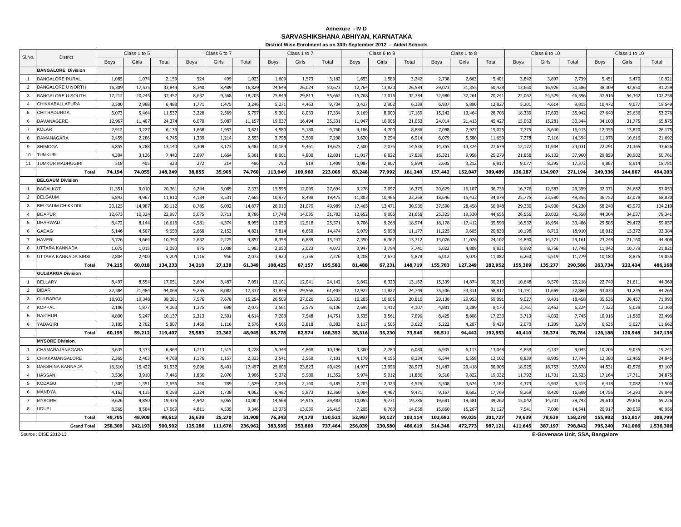## **SARVASHIKSHANA ABHIYAN, KARNATAKA Annexure - IV D**

|                 |                                            |                 |                 |                  |                 |                 |                 |                 | District Wise Enrolment as on 30th September 2012 - Aided Schools |                  |                 |                 |                  |                |                |                |                 |                 |                 |                  |                 |                  |
|-----------------|--------------------------------------------|-----------------|-----------------|------------------|-----------------|-----------------|-----------------|-----------------|-------------------------------------------------------------------|------------------|-----------------|-----------------|------------------|----------------|----------------|----------------|-----------------|-----------------|-----------------|------------------|-----------------|------------------|
| SI.No.          | <b>District</b>                            |                 | Class 1 to 5    |                  |                 | Class 6 to 7    |                 |                 | Class 1 to 7                                                      |                  |                 | Class 6 to 8    |                  |                | Class 1 to 8   |                |                 | Class 8 to 10   |                 |                  | Class 1 to 10   |                  |
|                 |                                            | <b>Boys</b>     | Girls           | Total            | <b>Boys</b>     | Girls           | Total           | <b>Boys</b>     | Girls                                                             | Total            | <b>Boys</b>     | Girls           | Total            | <b>Boys</b>    | Girls          | Total          | <b>Boys</b>     | Girls           | Total           | <b>Boys</b>      | Girls           | Total            |
|                 | <b>BANGALORE Division</b>                  |                 |                 |                  |                 |                 |                 |                 |                                                                   |                  |                 |                 |                  |                |                |                |                 |                 |                 |                  |                 |                  |
| $\overline{1}$  | <b>BANGALORE RURAL</b>                     | 1,08            | 1,074           | 2,159            | 52 <sup>2</sup> | 499             | 1,023           | 1,609           | 1,573                                                             | 3,182            | 1,653           | 1,589           | 3,24             | 2,73           | 2,66           | 5,40           | 3,84            | 3,897           | 7,739           | 5,451            | 5,47            | 10,921           |
| 2               | <b>BANGALORE U NORTH</b>                   | 16,309          | 17,535          | 33,844           | 8.340           | 8,489           | 16,829          | 24,649          | 26,024                                                            | 50,67            | 12,764          | 13,820          | 26,584           | 29,07          | 31,355         | 60,428         | 13,660          | 16,926          | 30,58           | 38,309           | 42,950          | 81,259           |
| $\mathbf{3}$    | <b>BANGALORE U SOUTH</b>                   | 17,212          | 20,245          | 37,457           | 8,637           | 9,568           | 18,205          | 25,849          | 29,813                                                            | 55,662           | 15,768          | 17,016          | 32,784           | 32,980         | 37,26:         | 70,241         | 22,067          | 24,529          | 46,596          | 47,916           | 54,342          | 102,258          |
| $\overline{4}$  | CHIKKABALLAPURA                            | 3,500           | 2,988           | 6,488            | 1,771           | 1,475           | 3,246           | 5,271           | 4,463                                                             | 9,734            | 3,437           | 2,902           | 6,33             | 6,93           | 5,890          | 12,82          | 5,201           | 4,614           | 9,81            | 10,472           | 9,07            | 19,549           |
| $5\overline{5}$ | CHITRADURGA                                | 6,07            | 5,464           | 11,537           | 3,228           | 2,569           | 5,797           | 9,301           | 8,033                                                             | 17,334           | 9,169           | 8,000           | 17,16            | 15,24          | 13,464         | 28,706         | 18,339          | 17,603          | 35,94           | 27,640           | 25,636          | 53,276           |
| 6               | <b>DAVANAGERE</b>                          | 12,96           | 11,407          | 24,374           | 6,070           | 5,08            | 11,157          | 19,03           | 16,494                                                            | 35,53            | 11,047          | 10,006          | 21,05            | 24,01          | 21,413         | 45,427         | 15,063          | 15,281          | 30,344          | 34,100           | 31,77           | 65,875           |
| $\overline{7}$  | <b>KOLAR</b>                               | 2,91            | 3,227           | 6,139            | 1,668           | 1,953           | 3,621           | 4,580           | 5,180                                                             | 9,760            | 4,186           | 4,700           | 8,886            | 7,098          | 7,927          | 15,025         | 7,77            | 8,640           | 16,41           | 12,355           | 13,820          | 26,175           |
| 8               | RAMANAGARA                                 | 2,459           | 2,286           | 4,745            | 1,339           | 1,214           | 2,553           | 3,798           | 3,500                                                             | 7,298            | 3,620           | 3,294           | 6,914            | 6,079          | 5,580          | 11,659         | 7,278           | 7,116           | 14,394          | 11,076           | 10,616          | 21,692           |
| 9               | <b>SHIMOGA</b>                             | 6.85!           | 6.288           | 13.143           | 3.309           | 3,17            | 6,482           | 10.164          | 9,46                                                              | 19.62            | 7.500           | 7,036           | 14.53            | 14,35          | 13,32          | 27.67          | 12.12           | 11,904          | 24.03           | 22,291           | 21.36           | 43.656           |
| 10              | <b>TUMKUR</b>                              | 4,304           | 3,136           | 7,440            | 3,697           | 1,664           | 5,361           | 8,001           | 4,800                                                             | 12,80            | 11,01           | 6,82            | 17,83            | 15,32          | 9,958          | 25,27          | 21,858          | 16,102          | 37,96           | 29,859           | 20,90           | 50,761           |
| 11              | TUMKUR MADHUGIRI                           | 518             | 405             | 923              | 272             | 21 <sup>4</sup> | 486             | 790             | 619                                                               | 1,409            | 3,087           | 2,807           | 5,894            | 3,605          | 3,212          | 6,817          | 9,07            | 8,295           | 17,37           | 9,867            | 8,914           | 18,781           |
|                 | Tota                                       | 74,194          | 74,055          | 148,249          | 38,855          | 35,905          | 74,760          | 113,049         | 109,960                                                           | 223,009          | 83,248          | 77,992          | 161,240          | 157,442        | 152,047        | 309,489        | 136,287         | 134,907         | 271,194         | 249,336          | 244,867         | 494,203          |
|                 | <b>BELGAUM Division</b>                    |                 |                 |                  |                 |                 |                 |                 |                                                                   |                  |                 |                 |                  |                |                |                |                 |                 |                 |                  |                 |                  |
| $\overline{1}$  | <b>BAGALKOT</b>                            | 11,351          | 9,010           | 20,361           | 4,244           | 3,089           | 7,333           | 15,595          | 12,099                                                            | 27,694           | 9,278           | 7,097           | 16,375           | 20,62          | 16, 10         | 36,736         | 16,776          | 12,583          | 29,35           | 32,371           | 24,682          | 57,053           |
| $\overline{2}$  | <b>BELGAUM</b>                             | 6,843           | 4,967           | 11,810           | 4,134           | 3,53            | 7,665           | 10.97           | 8.498                                                             | 19,475           | 11.803          | 10.465          | 22,268           | 18,64          | 15,432         | 34,07          | 25,77           | 23,580          | 49,35           | 36,752           | 32,07           | 68,830           |
| $\mathbf{3}$    | <b>BELGAUM CHIKKODI</b>                    | 20,12           | 14,987          | 35,112           | 8,785           | 6,092           | 14,877          | 28,910          | 21,079                                                            | 49,98            | 17,465          | 13,471          | 30,93            | 37,59          | 28,458         | 66,048         | 29,33           | 24,900          | 54,230          | 58,240           | 45,97           | 104,219          |
| $\overline{4}$  | <b>BIJAPUR</b>                             | 12,67           | 10,324          | 22,997           | 5,075           | 3,71            | 8,786           | 17,748          | 14,03                                                             | 31,78            | 12,652          | 9,006           | 21,65            | 25,32          | 19,33          | 44,65          | 26,55           | 20,002          | 46,55           | 44,304           | 34,03           | 78,341           |
| -5              | <b>DHARWAD</b>                             | 8,472           | 8,144           | 16,616           | 4,581           | 4,374           | 8,955           | 13,053          | 12,518                                                            | 25,57            | 9,706           | 9,268           | 18,97            | 18,178         | 17,412         | 35,590         | 16,532          | 16,954          | 33,486          | 29,585           | 29,472          | 59,057           |
| 6               | GADAG                                      | 5,146           | 4,507           | 9,653            | 2,668           | 2,153           | 4,821           | 7,814           | 6,660                                                             | 14,47            | 6,079           | 5,098           | 11,17            | 11,22          | 9,605          | 20,83          | 10,198          | 8,712           | 18,91           | 18,012           | 15,372          | 33,384           |
| $\overline{7}$  | <b>HAVERI</b>                              | 5,726           | 4,664           | 10,390           | 2,632           | 2,225           | 4,857           | 8,358           | 6,889                                                             | 15,24            | 7,350           | 6,362           | 13,71            | 13,07          | 11,026         | 24,10          | 14,890          | 14,271          | 29,16           | 23,248           | 21,160          | 44,408           |
| $\mathbf{R}$    | <b>JTTARA KANNADA</b>                      | 1,07            | 1,015           | 2,090            | 975             | 1,008           | 1,983           | 2,050           | 2,02                                                              | 4,07             | 3,947           | 3,794           | 7,741            | 5,022          | 4,809          | 9,83           | 8,992           | 8,756           | 17,748          | 11,042           | 10,77           | 21,821           |
| 9               | UTTARA KANNADA SIRSI                       | 2,804           | 2.400           | 5,204            | 1,116           | 956             | 2,072           | 3,920           | 3,356                                                             | 7,276            | 3,208           | 2,670           | 5.878            | 6,01           | 5.07           | 11,082         | 6,260           | 5,519           | 11,779          | 10,180           | 8,875           | 19,055           |
|                 | Tota                                       | 74,215          | 60,018          | 134,233          | 34,210          | 27,139          | 61,349          | 108,425         | 87,157                                                            | 195,582          | 81,488          | 67,231          | 148,719          | 155,70         | 127,249        | 282,952        | 155,309         | 135,277         | 290,586         | 263,734          | 222,434         | 486,168          |
|                 | <b>GULBARGA Division</b><br><b>BELLARY</b> |                 |                 |                  |                 |                 |                 |                 |                                                                   |                  |                 |                 |                  |                |                |                |                 |                 |                 |                  |                 |                  |
| 2               | <b>BIDAR</b>                               | 8,497<br>22,584 | 8,554<br>21,484 | 17,051<br>44,068 | 3,604<br>9,255  | 3,487<br>8,082  | 7,091<br>17,337 | 12,10<br>31,839 | 12,04<br>29,566                                                   | 24,142<br>61,405 | 6,842<br>12,922 | 6,320<br>11,827 | 13,162<br>24,749 | 15,33<br>35,50 | 14,87<br>33,31 | 30,21<br>68,81 | 10,648<br>11,19 | 9,570<br>11,669 | 20,21<br>22,860 | 22,749<br>43,030 | 21,61<br>41,235 | 44,360<br>84,265 |
| $\mathbf{3}$    | <b>GULBARGA</b>                            | 18,93           | 19,348          | 38,281           | 7,576           | 7,678           | 15,254          | 26,509          | 27,026                                                            | 53,535           | 10.205          | 10,605          | 20,81            | 29,138         | 29,953         | 59,091         | 9,02            | 9,431           | 18,458          | 35,536           | 36,457          | 71,993           |
| $\overline{4}$  | <b>KOPPAI</b>                              | 2,186           | 1,877           | 4,063            | 1,375           | 698             | 2,07            | 3,56            | 2,57                                                              | 6,136            | 2,695           | 1,412           | 4,10             | 4,88           | 3,28           | 8,17           | 3,761           | 2,463           | 6,22            | 7,322            | 5,038           | 12,360           |
| 5               | <b>RAICHUR</b>                             | 4,890           | 5,247           | 10,137           | 2,313           | 2,30            | 4,614           | 7,203           | 7,548                                                             | 14,751           | 3,535           | 3,561           | 7,096            | 8,425          | 8,808          | 17,233         | 3,713           | 4,032           | 7,745           | 10,916           | 11,580          | 22,496           |
| 6               | YADAGIRI                                   | 3,105           | 2,702           | 5,807            | 1,460           | 1,116           | 2,576           | 4,565           | 3,818                                                             | 8,383            | 2,117           | 1,505           | 3,622            | 5,22           | 4,207          | 9,429          | 2,070           | 1,209           | 3,279           | 6,635            | 5,02            | 11,662           |
|                 | Tota                                       | 60,195          | 59,212          | 119,407          | 25,583          | 23,362          | 48,945          | 85,778          | 82,574                                                            | 168,352          | 38,316          | 35,230          | 73,546           | 98,511         | 94,442         | 192,953        | 40,410          | 38,374          | 78,784          | 126,188          | 120,948         | 247,136          |
|                 | <b>MYSORE Division</b>                     |                 |                 |                  |                 |                 |                 |                 |                                                                   |                  |                 |                 |                  |                |                |                |                 |                 |                 |                  |                 |                  |
| $\overline{1}$  | CHAMARAJANAGARA                            | 3,635           | 3,333           | 6,968            | 1,713           | 1,515           | 3,228           | 5,348           | 4,848                                                             | 10,196           | 3,300           | 2,780           | 6,080            | 6,93           | 6,11           | 13,048         | 4,858           | 4,187           | 9,045           | 10,206           | 9,035           | 19,241           |
| 2               | CHIKKAMANGALORE                            | 2,365           | 2,403           | 4,768            | 1,176           | 1,157           | 2,333           | 3,541           | 3,560                                                             | 7,101            | 4,179           | 4,155           | 8,334            | 6,54           | 6,558          | 13.102         | 8,839           | 8,905           | 17,744          | 12,380           | 12,465          | 24,845           |
| $\mathbf{3}$    | <b>DAKSHINA KANNADA</b>                    | 16,51           | 15,422          | 31,932           | 9,096           | 8,401           | 17,497          | 25,606          | 23,823                                                            | 49,429           | 14,977          | 13,996          | 28,97            | 31,48          | 29,418         | 60,905         | 18,92           | 18,753          | 37,67           | 44,531           | 42,576          | 87,107           |
| $\overline{4}$  | <b>HASSAN</b>                              | 3,536           | 3,910           | 7,446            | 1,836           | 2,070           | 3,906           | 5,372           | 5,980                                                             | 11,35            | 5,97            | 5,912           | 11,886           | 9,510          | 9,82           | 19,33          | 11,792          | 11,731          | 23,52           | 17,164           | 17,71           | 34,875           |
| 5               | KODAGU                                     | 1,305           | 1,351           | 2,656            | 740             | 789             | 1,529           | 2,045           | 2,140                                                             | 4,185            | 2,203           | 2,323           | 4,526            | 3,508          | 3,674          | 7,182          | 4,373           | 4,942           | 9,315           | 6,418            | 7,082           | 13,500           |
| 6               | MANDYA                                     | 4,163           | 4,135           | 8,298            | 2,324           | 1,738           | 4,062           | 6,487           | 5,873                                                             | 12,360           | 5,004           | 4,467           | 9,471            | 9,167          | 8,602          | 17,769         | 8,269           | 8,420           | 16,68           | 14,756           | 14,293          | 29,049           |
| $\overline{7}$  | <b>MYSORE</b>                              | 9,626           | 9,850           | 19,476           | 4,942           | 5,065           | 10,007          | 14,568          | 14,915                                                            | 29,483           | 10,055          | 9,731           | 19,786           | 19,681         | 19,58          | 39,262         | 15,042          | 14,701          | 29,743          | 29,610           | 29,616          | 59,226           |
| 8               | <b>UDUPI</b>                               | 8,565           | 8,504           | 17,069           | 4,81            | 4,53            | 9,346           | 13,376          | 13,039                                                            | 26,41            | 7,295           | 6,763           | 14,05            | 15,86          | 15,26          | 31,12          | 7,541           | 7,000           | 14,54           | 20,91            | 20,03           | 40,956           |
|                 | Tota                                       | 49,705          | 48,908          | 98,613           | 26,638          | 25,270          | 51,908          | 76,343          | 74,178                                                            | 150,521          | 52,987          | 50.127          | 103.114          | 102,69         | 99,035         | 201,727        | 79,639          | 78,639          | 158,278         | 155,982          | 152,817         | 308,799          |
|                 | <b>Grand Tota</b>                          | 258,309         | 242,193         | 500,502          | 125,286         | 111,676         | 236,962         | 383,595         | 353,869                                                           | 737,464          | 256,039         | 230,580         | 486,619          | 514,348        | 472,773        | 987,121        | 411,645         | 387,197         | 798,842         | 795,240          | 741,066         | 1,536,306        |

Source : DISE 2012-13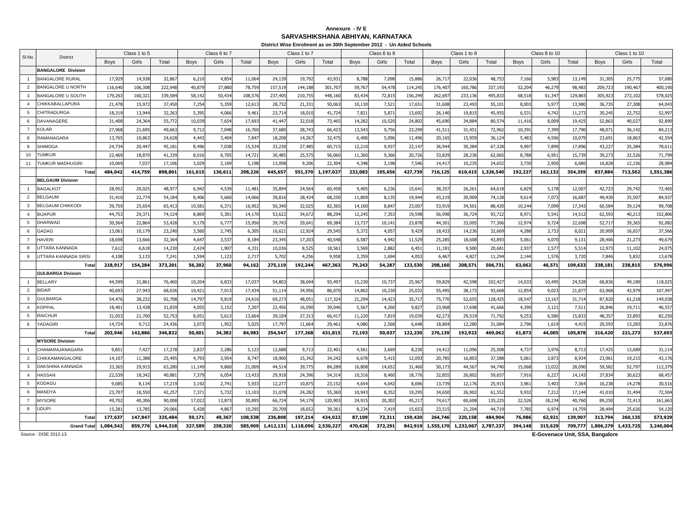### **SARVASHIKSHANA ABHIYAN, KARNATAKAAnnexure - IV E**

|                |                                           |                 |                  |                  |                 |                |                 |                  | District Wise Enrolment as on 30th September 2012 - Un Aided Schools |                  |                 |                 |                |                 |                  |                  |                 |                 |                 |                  |                  |                   |
|----------------|-------------------------------------------|-----------------|------------------|------------------|-----------------|----------------|-----------------|------------------|----------------------------------------------------------------------|------------------|-----------------|-----------------|----------------|-----------------|------------------|------------------|-----------------|-----------------|-----------------|------------------|------------------|-------------------|
| SI.No.         | <b>District</b>                           |                 | Class 1 to 5     |                  |                 | Class 6 to 7   |                 |                  | Class 1 to 7                                                         |                  |                 | Class 6 to 8    |                |                 | Class 1 to 8     |                  |                 | Class 8 to 10   |                 |                  | Class 1 to 10    |                   |
|                |                                           | <b>Boys</b>     | Girls            | Total            | <b>Boys</b>     | Girls          | Total           | <b>Boys</b>      | Girls                                                                | Total            | <b>Boys</b>     | Girls           | Total          | <b>Boys</b>     | Girls            | Total            | <b>Boys</b>     | Girls           | Total           | <b>Boys</b>      | Girls            | Total             |
|                | <b>BANGALORE Division</b>                 |                 |                  |                  |                 |                |                 |                  |                                                                      |                  |                 |                 |                |                 |                  |                  |                 |                 |                 |                  |                  |                   |
| $\overline{1}$ | <b>BANGALORE RURAL</b>                    | 17,92           | 14,938           | 32,867           | 6,210           | 4,85           | 11,06           | 24,13            | 19,79                                                                | 43,93            | 8,788           | 7,098           | 15,88          | 26,71           | 22,03            | 48,75            | 7,166           | 5,983           | 13,14           | 31,305           | 25,77            | 57,080            |
| 2              | <b>BANGALORE U NORTH</b>                  | 116,640         | 106.308          | 222,948          | 40,879          | 37,88          | 78,759          | 157,519          | 144,18                                                               | 301,707          | 59,767          | 54,478          | 114,24         | 176,40          | 160,786          | 337,193          | 52,204          | 46,279          | 98,48           | 209,723          | 190,46           | 400,190           |
| $\mathbf{3}$   | <b>BANGALORE U SOUTH</b>                  | 179,263         | 160,32           | 339,584          | 58,142          | 50,43          | 108,57          | 237,405          | 210,755                                                              | 448,160          | 83,434          | 72,815          | 156,24         | 262,69          | 233,136          | 495,83           | 68,518          | 61,347          | 129,86          | 305,923          | 272,102          | 578,025           |
| $\overline{4}$ | CHIKKABALLAPURA                           | 21,478          | 15,97            | 37,450           | 7,254           | 5,359          | 12,613          | 28,732           | 21,33                                                                | 50,063           | 10,130          | 7,521           | 17,65          | 31,608          | 23,493           | 55,10            | 8,003           | 5,977           | 13,98           | 36,735           | 27,308           | 64,043            |
| 5              | CHITRADURGA                               | 18,31           | 13,944           | 32,263           | 5,395           | 4,066          | 9,46            | 23,714           | 18,01                                                                | 41,724           | 7,821           | 5,87            | 13,69          | 26,14           | 19,81            | 45,95            | 6,531           | 4,742           | 11,27           | 30,245           | 22,75            | 52,997            |
| 6              | <b>DAVANAGERE</b>                         | 31,408          | 24,364           | 55,772           | 10,039          | 7,65           | 17,693          | 41,447           | 32,01                                                                | 73,465           | 14,282          | 10,520          | 24,80          | 45,690          | 34,884           | 80,574           | 11,416          | 8,009           | 19,42           | 52,863           | 40,02            | 92,890            |
| $\overline{7}$ | <b>KOLAR</b>                              | 27,968          | 21,695           | 49,663           | 9,712           | 7,048          | 16,760          | 37,680           | 28,743                                                               | 66,423           | 13,543          | 9,756           | 23,299         | 41,51           | 31,45            | 72,96            | 10,39           | 7,399           | 17,790          | 48,07            | 36,142           | 84,213            |
| 8              | RAMANAGARA                                | 13,765          | 10,863           | 24,628           | 4,443           | 3,404          | 7,847           | 18,208           | 14,267                                                               | 32,475           | 6,400           | 5,096           | 11,49          | 20,165          | 15,959           | 36,124           | 5,483           | 4,596           | 10,07           | 23,691           | 18,863           | 42,554            |
| 9              | <b>SHIMOGA</b>                            | 24.73           | 20.447           | 45.18            | 8.496           | 7,038          | 15.53           | 33,230           | 27.485                                                               | 60.715           | 12,210          | 9,937           | 22.14          | 36,94           | 30.38            | 67,32            | 9.997           | 7,899           | 17,89           | 43.22            | 35.38            | 78.611            |
| 10             | <b>TUMKUR</b>                             | 22,469          | 18,870           | 41,339           | 8,016           | 6,70           | 14,72           | 30,485           | 25,57                                                                | 56,060           | 11,360          | 9,366           | 20,72          | 33,82           | 28,236           | 62,065           | 8,788           | 6,951           | 15,73           | 39,273           | 32,52            | 71,799            |
| 11             | TUMKUR MADHUGIRI                          | 10,069          | 7,037            | 17,106           | 3,029           | 2,169          | 5,198           | 13,098           | 9,206                                                                | 22,304           | 4,348           | 3,198           | 7,546          | 14,41           | 10,235           | 24,652           | 3,730           | 2,950           | 6,680           | 16,828           | 12,156           | 28,984            |
|                | Total                                     | 484,042         | 414,759          | 898,801          | 161,615         | 136,611        | 298,226         | 645,657          | 551,370                                                              | 1,197,027        | 232,083         | 195,656         | 427,739        | 716,125         | 610,415          | 1,326,540        | 192,227         | 162,132         | 354,359         | 837,884          | 713,502          | 1,551,386         |
|                | <b>BELGAUM Division</b>                   |                 |                  |                  |                 |                |                 |                  |                                                                      |                  |                 |                 |                |                 |                  |                  |                 |                 |                 |                  |                  |                   |
| $\overline{1}$ | <b>BAGALKOT</b>                           | 28,95           | 20,025           | 48,97            | 6,942           | 4,539          | 11,48           | 35,89            | 24,56                                                                | 60,458           | 9,405           | 6,236           | 15,64          | 38,35           | 26,26            | 64,618           | 6,829           | 5,178           | 12,00           | 42,723           | 29,742           | 72,465            |
| 2              | <b>BELGAUM</b>                            | 31,410          | 22,774           | 54.184           | 8.406           | 5,660          | 14.066          | 39,816           | 28.434                                                               | 68,250           | 11.809          | 8,135           | 19.94          | 43,21           | 30,909           | 74,128           | 9,614           | 7,073           | 16,68           | 49,430           | 35,50            | 84,937            |
| $\mathbf{3}$   | <b>BELGAUM CHIKKODI</b>                   | 39,75           | 25,654           | 65,413           | 10,58           | 6,37           | 16,95           | 50,340           | 32,02                                                                | 82,365           | 14,160          | 8,847           | 23,00          | 53,91           | 34,50            | 88,420           | 10,24           | 7,099           | 17,34           | 60.584           | 39,124           | 99,708            |
| $\overline{4}$ | <b>BIJAPUR</b>                            | 44,75           | 29,37            | 74,124           | 8,869           | 5,30           | 14,170          | 53,62            | 34,67                                                                | 88,29            | 12,245          | 7,353           | 19,59          | 56,99           | 36,724           | 93,72            | 8,97            | 5,541           | 14,51           | 62,593           | 40,21            | 102,806           |
| 5              | DHARWAD                                   | 30,564          | 22,864           | 53,428           | 9,179           | 6,77           | 15,956          | 39,743           | 29,641                                                               | 69,384           | 13,737          | 10,141          | 23,87          | 44,301          | 33,005           | 77,306           | 12,974          | 9,724           | 22,698          | 52,717           | 39,365           | 92,082            |
| 6              | GADAG                                     | 13,06           | 10,179           | 23,240           | 3,560           | 2,745          | 6,305           | 16,621           | 12,924                                                               | 29,545           | 5,372           | 4,057           | 9,429          | 18,43           | 14,236           | 32,669           | 4,288           | 3,733           | 8,02            | 20,909           | 16,657           | 37,566            |
| $\overline{7}$ | <b>HAVERI</b>                             | 18,698          | 13,666           | 32,364           | 4,647           | 3,53           | 8,184           | 23,345           | 17,20                                                                | 40,548           | 6,587           | 4,942           | 11,52          | 25,285          | 18,608           | 43,893           | 5,061           | 4,070           | 9,131           | 28,406           | 21,27            | 49,679            |
|                | UTTARA KANNADA                            | 7,61            | 6,618            | 14,230           | 2,424           | 1,90           | 4,33            | 10,036           | 8,52                                                                 | 18,56            | 3,569           | 2,882           | 6,45           | 11,181          | 9,500            | 20,68            | 2,937           | 2,577           | 5,514           | 12,973           | 11,10            | 24,075            |
| 9              | UTTARA KANNADA SIRSI                      | 4,108           | 3,133            | 7,24             | 1,594           | 1.123          | 2.71            | 5,702            | 4.256                                                                | 9,958            | 2.359           | 1,694           | 4.053          | 6.467           | 4,827            | 11,294           | 2,144           | 1.576           | 3,720           | 7.846            | 5,832            | 13,678            |
|                | Total                                     | 218,917         | 154,284          | 373,201          | 56,202          | 37,960         | 94,162          | 275,119          | 192,244                                                              | 467,363          | 79,243          | 54,287          | 133,530        | 298,160         | 208,571          | 506,731          | 63,062          | 46,571          | 109,633         | 338,181          | 238,815          | 576,996           |
|                | <b>GULBARGA Division</b>                  |                 |                  |                  |                 |                |                 |                  |                                                                      |                  |                 |                 |                |                 |                  |                  |                 |                 |                 |                  |                  |                   |
|                | <b>BELLARY</b>                            | 44,59           | 31,861           | 76,460           | 10,204          | 6,83           | 17,03           | 54,803           | 38,694                                                               | 93,497           | 15,230          | 10,737          | 25,967         | 59,82           | 42,598           | 102,42           | 14,033          | 10,495          | 24,528          | 68,836           | 49,189           | 118,025           |
| 2              | <b>BIDAR</b>                              | 40,693          | 27,943           | 68,636           | 10,421          | 7,01           | 17,434          | 51,114           | 34,956                                                               | 86,070           | 14,802          | 10,230          | 25,03          | 55,495          | 38,173           | 93,668           | 12,854          | 9,023           | 21,87           | 63,968           | 43,979           | 107,947           |
| $\mathbf{3}$   | <b>GULBARGA</b>                           | 54,476          | 38.232           | 92,708           | 14,797          | 9,819          | 24,616          | 69,273           | 48,05                                                                | 117,324          | 21,294          | 14,423          | 35,71          | 75,770          | 52,65            | 128,42           | 18,547          | 13.167          | 31,714          | 87,820           | 61,218           | 149,038           |
| $\overline{4}$ | <b>KOPPAL</b>                             | 18,40           | 13,438           | 31,839           | 4,055           | 3,15           | 7,20            | 22,456           | 16,59                                                                | 39,046           | 5,567           | 4,260           | 9,82           | 23,96           | 17,69            | 41,666           | 4,390           | 3,121           | 7,51            | 26,846           | 19,71            | 46,557            |
| $\overline{5}$ | <b>RAICHUR</b>                            | 31,05           | 21,700           | 52,753           | 8,051           | 5,613          | 13,664          | 39,104           | 27,31                                                                | 66,417           | 11,220          | 7,819           | 19,03          | 42,27           | 29,51            | 71,792           | 9,253           | 6,580           | 15,83           | 48,357           | 33,893           | 82,250            |
| 6              | YADAGIRI                                  | 14,72           | 9,712            | 24,436           | 3,073           | 1,952          | 5,025           | 17,797           | 11,664                                                               | 29,46            | 4,080           | 2,568           | 6,648          | 18,80           | 12,280           | 31,08            | 2,796           | 1,619           | 4,415           | 20,593           | 13,28            | 33,876            |
|                | Total                                     | 203,946         | 142,886          | 346,832          | 50,601          | 34,382         | 84,983          | 254,547          | 177,268                                                              | 431,815          | 72,193          | 50,037          | 122,230        | 276,139         | 192,923          | 469,062          | 61,873          | 44,005          | 105,878         | 316,420          | 221,273          | 537,693           |
| $\overline{1}$ | <b>MYSORE Division</b><br>CHAMARAJANAGARA |                 |                  |                  |                 |                |                 |                  |                                                                      |                  |                 |                 |                |                 |                  |                  |                 |                 |                 |                  |                  |                   |
| $\overline{2}$ | CHIKKAMANGALORE                           | 9,85            | 7,427            | 17,278           | 2,837           | 2,286          | 5,123           | 12,688<br>18,900 | 9,71                                                                 | 22,401           | 4,561           | 3,669           | 8,23           | 14,41           | 11,096           | 25,508           | 4,737           | 3,976           | 8,713           | 17,425<br>23,961 | 13,68            | 31,114            |
| $\mathbf{3}$   | <b>DAKSHINA KANNADA</b>                   | 14,10<br>33,365 | 11,388<br>29,915 | 25,495<br>63,280 | 4,793<br>11,149 | 3,954<br>9,860 | 8,747<br>21,009 | 44,514           | 15,342<br>39,77                                                      | 34,242<br>84,289 | 6,678<br>16,808 | 5,415<br>14,652 | 12,09<br>31,46 | 20,785<br>50,17 | 16,803<br>44,567 | 37,588<br>94,740 | 5,061<br>15,068 | 3,873<br>13,022 | 8,934<br>28,090 | 59,582           | 19,215<br>52,79  | 43,176<br>112,379 |
| $\overline{4}$ | <b>HASSAN</b>                             | 22,53           | 18,342           | 40,88            | 7,379           | 6,05           | 13,433          | 29,918           | 24,39                                                                | 54,31            | 10,316          | 8,460           | 18,77          | 32,85           | 26,802           | 59,65            | 7,916           | 6,227           | 14,14           | 37,83            | 30,62            | 68,457            |
| -5             | KODAGU                                    |                 |                  |                  |                 |                |                 |                  | 10,87                                                                |                  |                 |                 |                |                 |                  |                  |                 |                 |                 |                  |                  |                   |
| -6             | MANDYA                                    | 9,085<br>23,70  | 8,134<br>18,550  | 17,219<br>42,257 | 3,192<br>7,37   | 2,74<br>5,73   | 5,933<br>13,103 | 12,277<br>31,078 | 24,28                                                                | 23,152<br>55,360 | 4,654<br>10,943 | 4,042<br>8,352  | 8,696<br>19,29 | 13,73<br>34,650 | 12,176<br>26,902 | 25,91<br>61,552  | 3,96<br>9,932   | 3,403<br>7,212  | 7,364<br>17,144 | 16,238<br>41,010 | 14,278<br>31,494 | 30,516<br>72,504  |
| $\overline{7}$ | <b>MYSORE</b>                             | 49,702          | 40,306           | 90,008           | 17,022          | 13,87          | 30,895          | 66,724           | 54,17                                                                | 120,903          | 24,915          | 20,302          | 45,21          | 74,61           | 60,608           | 135,22           | 22,526          | 18,234          | 40,760          | 89,250           | 72,413           | 161,663           |
| 8              | <b>UDUPI</b>                              | 15,28           | 13,785           | 29,066           | 5,428           | 4,86           | 10,29           | 20,709           | 18,65                                                                | 39,36            | 8,234           | 7,419           | 15,65          | 23,51           | 21,20            | 44,71            | 7,78            | 6,974           | 14,75           | 28,49            | 25,62            | 54,120            |
|                | Total                                     | 177,637         | 147.847          | 325,484          | 59,171          | 49,367         | 108,538         | 236,808          | 197.214                                                              | 434.022          | 87,109          | 72,311          | 159,420        | 264,746         | 220,158          | 484,904          | 76,986          | 62,921          | 139,907         | 313,794          | 260,135          | 573,929           |
|                | <b>Grand Total</b>                        | 1.084.542       | 859,776          | 1,944,318        | 327,589         | 258,320        | 585,909         | 1.412.131        | 1,118,096                                                            | 2,530,227        | 470,628         | 372,291         | 842,919        | 1,555,170       | 1,232,067        | 2,787,23         | 394,148         | 315,629         | 709,777         | 1,806,279        | 1,433,725        | 3,240,004         |
|                |                                           |                 |                  |                  |                 |                |                 |                  |                                                                      |                  |                 |                 |                |                 |                  |                  |                 |                 |                 |                  |                  |                   |

Source : DISE 2012-13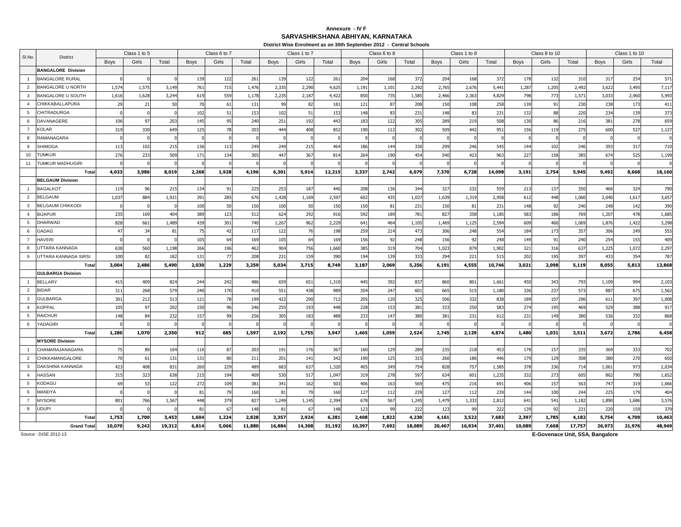## **SARVASHIKSHANA ABHIYAN, KARNATAKAAnnexure - IV F**

| Class 6 to 7<br>Class 6 to 8<br>Class 8 to 10<br>Class 1 to 10<br>Class 1 to 5<br>Class 1 to 7<br>Class 1 to 8<br>SI.No.<br><b>District</b><br>Girls<br>Girls<br>Girls<br>Girls<br>Total<br>Total<br>Girls<br>Total<br>Girls<br>Total<br>Girls<br>Total<br><b>Boys</b><br><b>Boys</b><br><b>Boys</b><br><b>Boys</b><br>Total<br><b>Boys</b><br>Boys<br><b>Boys</b><br><b>BANGALORE Division</b><br><b>BANGALORE RURAL</b><br>139<br>122<br>372<br>178<br>132<br>310<br>$\overline{1}$<br>122<br>261<br>139<br>261<br>204<br>168<br>372<br>20 <sup>4</sup><br>317<br>254<br>168<br>1,574<br>1,575<br>1,476<br>2,335<br>2,290<br>4,625<br>2,765<br>1,287<br>1,205<br>3,622<br>2<br><b>BANGALORE U NORTH</b><br>3,149<br>761<br>715<br>1,191<br>1,101<br>2,292<br>2,676<br>5,441<br>2,492<br>3,495<br>1,616<br>1,628<br>3,244<br>619<br>559<br>1,178<br>2,235<br>2,187<br>735<br>1,585<br>2,466<br>2,363<br>4,829<br>798<br>773<br>1,571<br>3,033<br>2,960<br>$\mathbf{3}$<br><b>BANGALORE U SOUTH</b><br>4,422<br>850<br>CHIKKABALLAPURA<br>29<br>21<br>50<br>131<br>99<br>82<br>181<br>121<br>87<br>150<br>258<br>139<br>91<br>230<br>238<br>173<br>$\overline{4}$<br>70<br>61<br>208<br>108<br>$5\overline{5}$<br>153<br>51<br>83<br>220<br>234<br>139<br><b>CHITRADURGA</b><br>102<br>51<br>102<br>153<br>148<br>231<br>148<br>83<br>231<br>132<br>88<br><b>DAVANAGERE</b><br>192<br>122<br>289<br>130<br>381<br>278<br>6<br>106<br>97<br>203<br>145<br>95<br>240<br>251<br>443<br>183<br>305<br>219<br>508<br>216<br>86<br>156<br>527<br>319<br>125<br>78<br>203<br>408<br>852<br>302<br>509<br>442<br>275<br>$\overline{7}$<br><b>KOLAR</b><br>330<br>649<br>444<br>190<br>112<br>951<br>119<br>600<br>RAMANAGARA<br>8<br>$\Omega$<br>$\sqrt{ }$<br>$\Omega$<br>£<br>215<br><b>SHIMOGA</b><br>113<br>102<br>215<br>249<br>464<br>186<br>330<br>299<br>545<br>246<br>393<br>317<br>9<br>136<br>113<br>249<br>144<br>246<br>144<br>102<br><b>TUMKUR</b><br>276<br>540<br>227<br>10<br>233<br>509<br>171<br>134<br>305<br>447<br>367<br>190<br>454<br>423<br>963<br>158<br>385<br>674<br>525<br>814<br>264<br>11<br>TUMKUR MADHUGIRI<br>$\sqrt{ }$<br>c<br>Tota<br>4,033<br>3,986<br>8,019<br>2,268<br>4,196<br>3,337<br>2,742<br>7,370<br>2,754<br>5,945<br>9,492<br>8,668<br>1,928<br>6,301<br>5,914<br>12,215<br>6,079<br>6,728<br>14,098<br>3,191<br><b>BELGAUM Division</b><br><b>BAGALKOT</b><br>215<br>136<br>350<br>324<br>$\overline{1}$<br>119<br>96<br>134<br>225<br>253<br>187<br>440<br>208<br>344<br>327<br>232<br>559<br>213<br>137<br>466<br>91<br>676<br>1,037<br>391<br>285<br>1,169<br>2,597<br>435<br>1,037<br>1,639<br>2,958<br>612<br>1,060<br>1,617<br><b>BELGAUM</b><br>884<br>1,921<br>1,428<br>602<br>1,319<br>448<br>2,040<br>2<br><b>BELGAUM CHIKKODI</b><br>50<br>150<br>50<br>$\overline{3}$<br>100<br>150<br>81<br>231<br>231<br>92<br>240<br>248<br>100<br>150<br>150<br>81<br>148<br>142<br>235<br>292<br>189<br>$\overline{4}$<br><b>BIJAPUR</b><br>169<br>404<br>389<br>123<br>512<br>624<br>916<br>592<br>781<br>827<br>1,185<br>583<br>186<br>769<br>1,207<br>478<br>358<br><b>DHARWAD</b><br>828<br>439<br>301<br>740<br>962<br>2,229<br>2,594<br>609<br>1,069<br>1,422<br>5<br>661<br>1,489<br>1,267<br>641<br>464<br>1,469<br>1,125<br>460<br>1,876<br>1,105<br>76<br>554<br>357<br>249<br><b>GADAG</b><br>47<br>34<br>81<br>75<br>42<br>117<br>122<br>198<br>259<br>214<br>473<br>306<br>248<br>184<br>173<br>306<br>6<br>240<br>105<br>169<br>105<br>64<br>169<br>156<br>92<br>248<br>156<br>92<br>248<br>149<br>91<br>254<br>155<br>$\overline{7}$<br><b>HAVERI</b><br>$\Omega$<br>64 | Total    |
|----------------------------------------------------------------------------------------------------------------------------------------------------------------------------------------------------------------------------------------------------------------------------------------------------------------------------------------------------------------------------------------------------------------------------------------------------------------------------------------------------------------------------------------------------------------------------------------------------------------------------------------------------------------------------------------------------------------------------------------------------------------------------------------------------------------------------------------------------------------------------------------------------------------------------------------------------------------------------------------------------------------------------------------------------------------------------------------------------------------------------------------------------------------------------------------------------------------------------------------------------------------------------------------------------------------------------------------------------------------------------------------------------------------------------------------------------------------------------------------------------------------------------------------------------------------------------------------------------------------------------------------------------------------------------------------------------------------------------------------------------------------------------------------------------------------------------------------------------------------------------------------------------------------------------------------------------------------------------------------------------------------------------------------------------------------------------------------------------------------------------------------------------------------------------------------------------------------------------------------------------------------------------------------------------------------------------------------------------------------------------------------------------------------------------------------------------------------------------------------------------------------------------------------------------------------------------------------------------------------------------------------------------------------------------------------------------------------------------------------------------------------------------------------------------------------------------------------------------------------------------------------------------------------------------------------------------------------------------------------------------------------------------------------------------------------------------------------------------------------------------------------------------------------------------------------------------------------------------------------------------------------------------------------------------------------------------------------------------------------------------------------------------------------------------------------------------------------------------------------------------------------------------------------------------------------------------------------------------------------------------------|----------|
|                                                                                                                                                                                                                                                                                                                                                                                                                                                                                                                                                                                                                                                                                                                                                                                                                                                                                                                                                                                                                                                                                                                                                                                                                                                                                                                                                                                                                                                                                                                                                                                                                                                                                                                                                                                                                                                                                                                                                                                                                                                                                                                                                                                                                                                                                                                                                                                                                                                                                                                                                                                                                                                                                                                                                                                                                                                                                                                                                                                                                                                                                                                                                                                                                                                                                                                                                                                                                                                                                                                                                                                                                                  |          |
|                                                                                                                                                                                                                                                                                                                                                                                                                                                                                                                                                                                                                                                                                                                                                                                                                                                                                                                                                                                                                                                                                                                                                                                                                                                                                                                                                                                                                                                                                                                                                                                                                                                                                                                                                                                                                                                                                                                                                                                                                                                                                                                                                                                                                                                                                                                                                                                                                                                                                                                                                                                                                                                                                                                                                                                                                                                                                                                                                                                                                                                                                                                                                                                                                                                                                                                                                                                                                                                                                                                                                                                                                                  |          |
|                                                                                                                                                                                                                                                                                                                                                                                                                                                                                                                                                                                                                                                                                                                                                                                                                                                                                                                                                                                                                                                                                                                                                                                                                                                                                                                                                                                                                                                                                                                                                                                                                                                                                                                                                                                                                                                                                                                                                                                                                                                                                                                                                                                                                                                                                                                                                                                                                                                                                                                                                                                                                                                                                                                                                                                                                                                                                                                                                                                                                                                                                                                                                                                                                                                                                                                                                                                                                                                                                                                                                                                                                                  |          |
|                                                                                                                                                                                                                                                                                                                                                                                                                                                                                                                                                                                                                                                                                                                                                                                                                                                                                                                                                                                                                                                                                                                                                                                                                                                                                                                                                                                                                                                                                                                                                                                                                                                                                                                                                                                                                                                                                                                                                                                                                                                                                                                                                                                                                                                                                                                                                                                                                                                                                                                                                                                                                                                                                                                                                                                                                                                                                                                                                                                                                                                                                                                                                                                                                                                                                                                                                                                                                                                                                                                                                                                                                                  | 571      |
|                                                                                                                                                                                                                                                                                                                                                                                                                                                                                                                                                                                                                                                                                                                                                                                                                                                                                                                                                                                                                                                                                                                                                                                                                                                                                                                                                                                                                                                                                                                                                                                                                                                                                                                                                                                                                                                                                                                                                                                                                                                                                                                                                                                                                                                                                                                                                                                                                                                                                                                                                                                                                                                                                                                                                                                                                                                                                                                                                                                                                                                                                                                                                                                                                                                                                                                                                                                                                                                                                                                                                                                                                                  | 7,117    |
|                                                                                                                                                                                                                                                                                                                                                                                                                                                                                                                                                                                                                                                                                                                                                                                                                                                                                                                                                                                                                                                                                                                                                                                                                                                                                                                                                                                                                                                                                                                                                                                                                                                                                                                                                                                                                                                                                                                                                                                                                                                                                                                                                                                                                                                                                                                                                                                                                                                                                                                                                                                                                                                                                                                                                                                                                                                                                                                                                                                                                                                                                                                                                                                                                                                                                                                                                                                                                                                                                                                                                                                                                                  | 5,993    |
|                                                                                                                                                                                                                                                                                                                                                                                                                                                                                                                                                                                                                                                                                                                                                                                                                                                                                                                                                                                                                                                                                                                                                                                                                                                                                                                                                                                                                                                                                                                                                                                                                                                                                                                                                                                                                                                                                                                                                                                                                                                                                                                                                                                                                                                                                                                                                                                                                                                                                                                                                                                                                                                                                                                                                                                                                                                                                                                                                                                                                                                                                                                                                                                                                                                                                                                                                                                                                                                                                                                                                                                                                                  | 411      |
|                                                                                                                                                                                                                                                                                                                                                                                                                                                                                                                                                                                                                                                                                                                                                                                                                                                                                                                                                                                                                                                                                                                                                                                                                                                                                                                                                                                                                                                                                                                                                                                                                                                                                                                                                                                                                                                                                                                                                                                                                                                                                                                                                                                                                                                                                                                                                                                                                                                                                                                                                                                                                                                                                                                                                                                                                                                                                                                                                                                                                                                                                                                                                                                                                                                                                                                                                                                                                                                                                                                                                                                                                                  | 373      |
|                                                                                                                                                                                                                                                                                                                                                                                                                                                                                                                                                                                                                                                                                                                                                                                                                                                                                                                                                                                                                                                                                                                                                                                                                                                                                                                                                                                                                                                                                                                                                                                                                                                                                                                                                                                                                                                                                                                                                                                                                                                                                                                                                                                                                                                                                                                                                                                                                                                                                                                                                                                                                                                                                                                                                                                                                                                                                                                                                                                                                                                                                                                                                                                                                                                                                                                                                                                                                                                                                                                                                                                                                                  | 659      |
|                                                                                                                                                                                                                                                                                                                                                                                                                                                                                                                                                                                                                                                                                                                                                                                                                                                                                                                                                                                                                                                                                                                                                                                                                                                                                                                                                                                                                                                                                                                                                                                                                                                                                                                                                                                                                                                                                                                                                                                                                                                                                                                                                                                                                                                                                                                                                                                                                                                                                                                                                                                                                                                                                                                                                                                                                                                                                                                                                                                                                                                                                                                                                                                                                                                                                                                                                                                                                                                                                                                                                                                                                                  | 1,127    |
|                                                                                                                                                                                                                                                                                                                                                                                                                                                                                                                                                                                                                                                                                                                                                                                                                                                                                                                                                                                                                                                                                                                                                                                                                                                                                                                                                                                                                                                                                                                                                                                                                                                                                                                                                                                                                                                                                                                                                                                                                                                                                                                                                                                                                                                                                                                                                                                                                                                                                                                                                                                                                                                                                                                                                                                                                                                                                                                                                                                                                                                                                                                                                                                                                                                                                                                                                                                                                                                                                                                                                                                                                                  | $\Omega$ |
|                                                                                                                                                                                                                                                                                                                                                                                                                                                                                                                                                                                                                                                                                                                                                                                                                                                                                                                                                                                                                                                                                                                                                                                                                                                                                                                                                                                                                                                                                                                                                                                                                                                                                                                                                                                                                                                                                                                                                                                                                                                                                                                                                                                                                                                                                                                                                                                                                                                                                                                                                                                                                                                                                                                                                                                                                                                                                                                                                                                                                                                                                                                                                                                                                                                                                                                                                                                                                                                                                                                                                                                                                                  | 710      |
|                                                                                                                                                                                                                                                                                                                                                                                                                                                                                                                                                                                                                                                                                                                                                                                                                                                                                                                                                                                                                                                                                                                                                                                                                                                                                                                                                                                                                                                                                                                                                                                                                                                                                                                                                                                                                                                                                                                                                                                                                                                                                                                                                                                                                                                                                                                                                                                                                                                                                                                                                                                                                                                                                                                                                                                                                                                                                                                                                                                                                                                                                                                                                                                                                                                                                                                                                                                                                                                                                                                                                                                                                                  | 1,199    |
|                                                                                                                                                                                                                                                                                                                                                                                                                                                                                                                                                                                                                                                                                                                                                                                                                                                                                                                                                                                                                                                                                                                                                                                                                                                                                                                                                                                                                                                                                                                                                                                                                                                                                                                                                                                                                                                                                                                                                                                                                                                                                                                                                                                                                                                                                                                                                                                                                                                                                                                                                                                                                                                                                                                                                                                                                                                                                                                                                                                                                                                                                                                                                                                                                                                                                                                                                                                                                                                                                                                                                                                                                                  |          |
|                                                                                                                                                                                                                                                                                                                                                                                                                                                                                                                                                                                                                                                                                                                                                                                                                                                                                                                                                                                                                                                                                                                                                                                                                                                                                                                                                                                                                                                                                                                                                                                                                                                                                                                                                                                                                                                                                                                                                                                                                                                                                                                                                                                                                                                                                                                                                                                                                                                                                                                                                                                                                                                                                                                                                                                                                                                                                                                                                                                                                                                                                                                                                                                                                                                                                                                                                                                                                                                                                                                                                                                                                                  | 18,160   |
|                                                                                                                                                                                                                                                                                                                                                                                                                                                                                                                                                                                                                                                                                                                                                                                                                                                                                                                                                                                                                                                                                                                                                                                                                                                                                                                                                                                                                                                                                                                                                                                                                                                                                                                                                                                                                                                                                                                                                                                                                                                                                                                                                                                                                                                                                                                                                                                                                                                                                                                                                                                                                                                                                                                                                                                                                                                                                                                                                                                                                                                                                                                                                                                                                                                                                                                                                                                                                                                                                                                                                                                                                                  |          |
|                                                                                                                                                                                                                                                                                                                                                                                                                                                                                                                                                                                                                                                                                                                                                                                                                                                                                                                                                                                                                                                                                                                                                                                                                                                                                                                                                                                                                                                                                                                                                                                                                                                                                                                                                                                                                                                                                                                                                                                                                                                                                                                                                                                                                                                                                                                                                                                                                                                                                                                                                                                                                                                                                                                                                                                                                                                                                                                                                                                                                                                                                                                                                                                                                                                                                                                                                                                                                                                                                                                                                                                                                                  | 790      |
|                                                                                                                                                                                                                                                                                                                                                                                                                                                                                                                                                                                                                                                                                                                                                                                                                                                                                                                                                                                                                                                                                                                                                                                                                                                                                                                                                                                                                                                                                                                                                                                                                                                                                                                                                                                                                                                                                                                                                                                                                                                                                                                                                                                                                                                                                                                                                                                                                                                                                                                                                                                                                                                                                                                                                                                                                                                                                                                                                                                                                                                                                                                                                                                                                                                                                                                                                                                                                                                                                                                                                                                                                                  | 3,657    |
|                                                                                                                                                                                                                                                                                                                                                                                                                                                                                                                                                                                                                                                                                                                                                                                                                                                                                                                                                                                                                                                                                                                                                                                                                                                                                                                                                                                                                                                                                                                                                                                                                                                                                                                                                                                                                                                                                                                                                                                                                                                                                                                                                                                                                                                                                                                                                                                                                                                                                                                                                                                                                                                                                                                                                                                                                                                                                                                                                                                                                                                                                                                                                                                                                                                                                                                                                                                                                                                                                                                                                                                                                                  | 390      |
|                                                                                                                                                                                                                                                                                                                                                                                                                                                                                                                                                                                                                                                                                                                                                                                                                                                                                                                                                                                                                                                                                                                                                                                                                                                                                                                                                                                                                                                                                                                                                                                                                                                                                                                                                                                                                                                                                                                                                                                                                                                                                                                                                                                                                                                                                                                                                                                                                                                                                                                                                                                                                                                                                                                                                                                                                                                                                                                                                                                                                                                                                                                                                                                                                                                                                                                                                                                                                                                                                                                                                                                                                                  | 1,685    |
|                                                                                                                                                                                                                                                                                                                                                                                                                                                                                                                                                                                                                                                                                                                                                                                                                                                                                                                                                                                                                                                                                                                                                                                                                                                                                                                                                                                                                                                                                                                                                                                                                                                                                                                                                                                                                                                                                                                                                                                                                                                                                                                                                                                                                                                                                                                                                                                                                                                                                                                                                                                                                                                                                                                                                                                                                                                                                                                                                                                                                                                                                                                                                                                                                                                                                                                                                                                                                                                                                                                                                                                                                                  | 3,298    |
|                                                                                                                                                                                                                                                                                                                                                                                                                                                                                                                                                                                                                                                                                                                                                                                                                                                                                                                                                                                                                                                                                                                                                                                                                                                                                                                                                                                                                                                                                                                                                                                                                                                                                                                                                                                                                                                                                                                                                                                                                                                                                                                                                                                                                                                                                                                                                                                                                                                                                                                                                                                                                                                                                                                                                                                                                                                                                                                                                                                                                                                                                                                                                                                                                                                                                                                                                                                                                                                                                                                                                                                                                                  | 555      |
|                                                                                                                                                                                                                                                                                                                                                                                                                                                                                                                                                                                                                                                                                                                                                                                                                                                                                                                                                                                                                                                                                                                                                                                                                                                                                                                                                                                                                                                                                                                                                                                                                                                                                                                                                                                                                                                                                                                                                                                                                                                                                                                                                                                                                                                                                                                                                                                                                                                                                                                                                                                                                                                                                                                                                                                                                                                                                                                                                                                                                                                                                                                                                                                                                                                                                                                                                                                                                                                                                                                                                                                                                                  | 409      |
| UTTARA KANNADA<br>638<br>462<br>904<br>756<br>1,660<br>1,902<br>321<br>637<br>1,225<br>8<br>560<br>1,198<br>266<br>196<br>385<br>319<br>704<br>1,023<br>879<br>316<br>1,072                                                                                                                                                                                                                                                                                                                                                                                                                                                                                                                                                                                                                                                                                                                                                                                                                                                                                                                                                                                                                                                                                                                                                                                                                                                                                                                                                                                                                                                                                                                                                                                                                                                                                                                                                                                                                                                                                                                                                                                                                                                                                                                                                                                                                                                                                                                                                                                                                                                                                                                                                                                                                                                                                                                                                                                                                                                                                                                                                                                                                                                                                                                                                                                                                                                                                                                                                                                                                                                      | 2,297    |
| UTTARA KANNADA SIRSI<br>159<br>333<br>354<br>9<br>100<br>131<br>77<br>208<br>231<br>390<br>139<br>294<br>221<br>515<br>202<br>195<br>397<br>82<br>182<br>194<br>433                                                                                                                                                                                                                                                                                                                                                                                                                                                                                                                                                                                                                                                                                                                                                                                                                                                                                                                                                                                                                                                                                                                                                                                                                                                                                                                                                                                                                                                                                                                                                                                                                                                                                                                                                                                                                                                                                                                                                                                                                                                                                                                                                                                                                                                                                                                                                                                                                                                                                                                                                                                                                                                                                                                                                                                                                                                                                                                                                                                                                                                                                                                                                                                                                                                                                                                                                                                                                                                              | 787      |
| 3,004<br>2,486<br>5,490<br>2,030<br>1,229<br>3,259<br>3,715<br>8,749<br>3,187<br>2,069<br>5,256<br>6,191<br>4,555<br>10,746<br>3,021<br>2,098<br>5,119<br>8,055<br>5,813<br>Total<br>5,034                                                                                                                                                                                                                                                                                                                                                                                                                                                                                                                                                                                                                                                                                                                                                                                                                                                                                                                                                                                                                                                                                                                                                                                                                                                                                                                                                                                                                                                                                                                                                                                                                                                                                                                                                                                                                                                                                                                                                                                                                                                                                                                                                                                                                                                                                                                                                                                                                                                                                                                                                                                                                                                                                                                                                                                                                                                                                                                                                                                                                                                                                                                                                                                                                                                                                                                                                                                                                                       | 13,868   |
| <b>GULBARGA Division</b>                                                                                                                                                                                                                                                                                                                                                                                                                                                                                                                                                                                                                                                                                                                                                                                                                                                                                                                                                                                                                                                                                                                                                                                                                                                                                                                                                                                                                                                                                                                                                                                                                                                                                                                                                                                                                                                                                                                                                                                                                                                                                                                                                                                                                                                                                                                                                                                                                                                                                                                                                                                                                                                                                                                                                                                                                                                                                                                                                                                                                                                                                                                                                                                                                                                                                                                                                                                                                                                                                                                                                                                                         |          |
| <b>BELLARY</b><br>415<br>409<br>824<br>244<br>242<br>486<br>659<br>651<br>445<br>392<br>837<br>860<br>450<br>793<br>1,109<br>994<br>1,310<br>801<br>1,661<br>343<br>$\mathbf{1}$                                                                                                                                                                                                                                                                                                                                                                                                                                                                                                                                                                                                                                                                                                                                                                                                                                                                                                                                                                                                                                                                                                                                                                                                                                                                                                                                                                                                                                                                                                                                                                                                                                                                                                                                                                                                                                                                                                                                                                                                                                                                                                                                                                                                                                                                                                                                                                                                                                                                                                                                                                                                                                                                                                                                                                                                                                                                                                                                                                                                                                                                                                                                                                                                                                                                                                                                                                                                                                                 | 2,103    |
| <b>BIDAR</b><br>240<br>438<br>601<br>665<br>336<br>573<br>675<br>311<br>268<br>579<br>170<br>410<br>551<br>989<br>354<br>247<br>515<br>237<br>887<br>$\overline{2}$<br>1,180                                                                                                                                                                                                                                                                                                                                                                                                                                                                                                                                                                                                                                                                                                                                                                                                                                                                                                                                                                                                                                                                                                                                                                                                                                                                                                                                                                                                                                                                                                                                                                                                                                                                                                                                                                                                                                                                                                                                                                                                                                                                                                                                                                                                                                                                                                                                                                                                                                                                                                                                                                                                                                                                                                                                                                                                                                                                                                                                                                                                                                                                                                                                                                                                                                                                                                                                                                                                                                                     | 1,562    |
| 301<br>290<br><b>GULBARGA</b><br>212<br>513<br>121<br>199<br>422<br>712<br>205<br>120<br>325<br>506<br>332<br>838<br>189<br>107<br>296<br>611<br>397<br>$\mathbf{3}$<br>-78                                                                                                                                                                                                                                                                                                                                                                                                                                                                                                                                                                                                                                                                                                                                                                                                                                                                                                                                                                                                                                                                                                                                                                                                                                                                                                                                                                                                                                                                                                                                                                                                                                                                                                                                                                                                                                                                                                                                                                                                                                                                                                                                                                                                                                                                                                                                                                                                                                                                                                                                                                                                                                                                                                                                                                                                                                                                                                                                                                                                                                                                                                                                                                                                                                                                                                                                                                                                                                                      | 1,008    |
| 97<br>202<br>228<br>153<br>274<br>469<br>529<br>105<br>150<br>96<br>246<br>255<br>193<br>448<br>381<br>333<br>250<br>583<br>388<br><b>KOPPAL</b><br>195<br>$\overline{4}$                                                                                                                                                                                                                                                                                                                                                                                                                                                                                                                                                                                                                                                                                                                                                                                                                                                                                                                                                                                                                                                                                                                                                                                                                                                                                                                                                                                                                                                                                                                                                                                                                                                                                                                                                                                                                                                                                                                                                                                                                                                                                                                                                                                                                                                                                                                                                                                                                                                                                                                                                                                                                                                                                                                                                                                                                                                                                                                                                                                                                                                                                                                                                                                                                                                                                                                                                                                                                                                        | 917      |
| <b>RAICHUR</b><br>148<br>84<br>232<br>157<br>99<br>256<br>305<br>183<br>488<br>233<br>147<br>380<br>381<br>231<br>231<br>149<br>380<br>536<br>332<br>5<br>612                                                                                                                                                                                                                                                                                                                                                                                                                                                                                                                                                                                                                                                                                                                                                                                                                                                                                                                                                                                                                                                                                                                                                                                                                                                                                                                                                                                                                                                                                                                                                                                                                                                                                                                                                                                                                                                                                                                                                                                                                                                                                                                                                                                                                                                                                                                                                                                                                                                                                                                                                                                                                                                                                                                                                                                                                                                                                                                                                                                                                                                                                                                                                                                                                                                                                                                                                                                                                                                                    | 868      |
| YADAGIRI<br>6<br>ſ<br>Total                                                                                                                                                                                                                                                                                                                                                                                                                                                                                                                                                                                                                                                                                                                                                                                                                                                                                                                                                                                                                                                                                                                                                                                                                                                                                                                                                                                                                                                                                                                                                                                                                                                                                                                                                                                                                                                                                                                                                                                                                                                                                                                                                                                                                                                                                                                                                                                                                                                                                                                                                                                                                                                                                                                                                                                                                                                                                                                                                                                                                                                                                                                                                                                                                                                                                                                                                                                                                                                                                                                                                                                                      | $\Omega$ |
| 2,511<br>1,280<br>1,070<br>2,350<br>912<br>685<br>1,597<br>2,192<br>1,755<br>3,947<br>1,465<br>1,059<br>2,524<br>2,745<br>2,129<br>4,874<br>1,480<br>1,031<br>3,672<br>2,786<br><b>MYSORE Division</b>                                                                                                                                                                                                                                                                                                                                                                                                                                                                                                                                                                                                                                                                                                                                                                                                                                                                                                                                                                                                                                                                                                                                                                                                                                                                                                                                                                                                                                                                                                                                                                                                                                                                                                                                                                                                                                                                                                                                                                                                                                                                                                                                                                                                                                                                                                                                                                                                                                                                                                                                                                                                                                                                                                                                                                                                                                                                                                                                                                                                                                                                                                                                                                                                                                                                                                                                                                                                                           | 6,458    |
| CHAMARAJANAGARA<br>75<br>335<br>89<br>203<br>191<br>176<br>367<br>129<br>289<br>235<br>178<br>369<br>333<br>$\overline{1}$<br>164<br>116<br>87<br>160<br>218<br>453<br>157                                                                                                                                                                                                                                                                                                                                                                                                                                                                                                                                                                                                                                                                                                                                                                                                                                                                                                                                                                                                                                                                                                                                                                                                                                                                                                                                                                                                                                                                                                                                                                                                                                                                                                                                                                                                                                                                                                                                                                                                                                                                                                                                                                                                                                                                                                                                                                                                                                                                                                                                                                                                                                                                                                                                                                                                                                                                                                                                                                                                                                                                                                                                                                                                                                                                                                                                                                                                                                                       | 702      |
| 179<br>CHIKKAMANGALORE<br>70<br>80<br>141<br>125<br>260<br>446<br>270<br>$\overline{2}$<br>61<br>131<br>131<br>211<br>201<br>342<br>190<br>315<br>186<br>129<br>308<br>380                                                                                                                                                                                                                                                                                                                                                                                                                                                                                                                                                                                                                                                                                                                                                                                                                                                                                                                                                                                                                                                                                                                                                                                                                                                                                                                                                                                                                                                                                                                                                                                                                                                                                                                                                                                                                                                                                                                                                                                                                                                                                                                                                                                                                                                                                                                                                                                                                                                                                                                                                                                                                                                                                                                                                                                                                                                                                                                                                                                                                                                                                                                                                                                                                                                                                                                                                                                                                                                       | 650      |
| 423<br>489<br>637<br>1,585<br>973<br>$\mathbf{3}$<br><b>DAKSHINA KANNADA</b><br>408<br>831<br>260<br>229<br>683<br>1,320<br>405<br>349<br>754<br>828<br>757<br>378<br>336<br>714<br>1,061                                                                                                                                                                                                                                                                                                                                                                                                                                                                                                                                                                                                                                                                                                                                                                                                                                                                                                                                                                                                                                                                                                                                                                                                                                                                                                                                                                                                                                                                                                                                                                                                                                                                                                                                                                                                                                                                                                                                                                                                                                                                                                                                                                                                                                                                                                                                                                                                                                                                                                                                                                                                                                                                                                                                                                                                                                                                                                                                                                                                                                                                                                                                                                                                                                                                                                                                                                                                                                        | 2,034    |
| 315<br>409<br>517<br>278<br>634<br>605<br>790<br>323<br>638<br>215<br>194<br>530<br>1,047<br>319<br>597<br>1,235<br>332<br>273<br>862<br>$\overline{4}$<br><b>HASSAN</b><br>601                                                                                                                                                                                                                                                                                                                                                                                                                                                                                                                                                                                                                                                                                                                                                                                                                                                                                                                                                                                                                                                                                                                                                                                                                                                                                                                                                                                                                                                                                                                                                                                                                                                                                                                                                                                                                                                                                                                                                                                                                                                                                                                                                                                                                                                                                                                                                                                                                                                                                                                                                                                                                                                                                                                                                                                                                                                                                                                                                                                                                                                                                                                                                                                                                                                                                                                                                                                                                                                  | 1,652    |
| KODAGU<br>5<br>69<br>53<br>272<br>109<br>381<br>341<br>162<br>163<br>569<br>475<br>406<br>563<br>747<br>319<br>122<br>503<br>406<br>216<br>691<br>157                                                                                                                                                                                                                                                                                                                                                                                                                                                                                                                                                                                                                                                                                                                                                                                                                                                                                                                                                                                                                                                                                                                                                                                                                                                                                                                                                                                                                                                                                                                                                                                                                                                                                                                                                                                                                                                                                                                                                                                                                                                                                                                                                                                                                                                                                                                                                                                                                                                                                                                                                                                                                                                                                                                                                                                                                                                                                                                                                                                                                                                                                                                                                                                                                                                                                                                                                                                                                                                                            | 1,066    |
| 79<br>225<br>179<br>6<br>MANDYA<br>81<br>79<br>160<br>81<br>160<br>127<br>112<br>239<br>127<br>239<br>144<br>100<br>244<br>112                                                                                                                                                                                                                                                                                                                                                                                                                                                                                                                                                                                                                                                                                                                                                                                                                                                                                                                                                                                                                                                                                                                                                                                                                                                                                                                                                                                                                                                                                                                                                                                                                                                                                                                                                                                                                                                                                                                                                                                                                                                                                                                                                                                                                                                                                                                                                                                                                                                                                                                                                                                                                                                                                                                                                                                                                                                                                                                                                                                                                                                                                                                                                                                                                                                                                                                                                                                                                                                                                                   | 404      |
| <b>MYSORE</b><br>801<br>766<br>1,567<br>827<br>1,145<br>2,394<br>678<br>567<br>1,479<br>2,812<br>1,182<br>1,890<br>1,686<br>$\overline{7}$<br>448<br>379<br>1,249<br>1,245<br>1,333<br>641<br>541                                                                                                                                                                                                                                                                                                                                                                                                                                                                                                                                                                                                                                                                                                                                                                                                                                                                                                                                                                                                                                                                                                                                                                                                                                                                                                                                                                                                                                                                                                                                                                                                                                                                                                                                                                                                                                                                                                                                                                                                                                                                                                                                                                                                                                                                                                                                                                                                                                                                                                                                                                                                                                                                                                                                                                                                                                                                                                                                                                                                                                                                                                                                                                                                                                                                                                                                                                                                                                | 3,576    |
| 123<br>220<br><b>UDUPI</b><br>67<br>148<br>67<br>148<br>99<br>222<br>123<br>99<br>222<br>139<br>92<br>231<br>159<br>8<br>81<br>81                                                                                                                                                                                                                                                                                                                                                                                                                                                                                                                                                                                                                                                                                                                                                                                                                                                                                                                                                                                                                                                                                                                                                                                                                                                                                                                                                                                                                                                                                                                                                                                                                                                                                                                                                                                                                                                                                                                                                                                                                                                                                                                                                                                                                                                                                                                                                                                                                                                                                                                                                                                                                                                                                                                                                                                                                                                                                                                                                                                                                                                                                                                                                                                                                                                                                                                                                                                                                                                                                                | 379      |
| Total<br>1,224<br>2,828<br>2,924<br>1,822<br>4,230<br>4,161<br>3,522<br>7,683<br>2,397<br>1,785<br>4,182<br>5,754<br>4,709<br>1,753<br>1,700<br>3,453<br>1,604<br>3,357<br>6,281<br>2,408                                                                                                                                                                                                                                                                                                                                                                                                                                                                                                                                                                                                                                                                                                                                                                                                                                                                                                                                                                                                                                                                                                                                                                                                                                                                                                                                                                                                                                                                                                                                                                                                                                                                                                                                                                                                                                                                                                                                                                                                                                                                                                                                                                                                                                                                                                                                                                                                                                                                                                                                                                                                                                                                                                                                                                                                                                                                                                                                                                                                                                                                                                                                                                                                                                                                                                                                                                                                                                        | 10,463   |
| <b>Grand Total</b><br>10,070<br>9,242<br>19,312<br>6,814<br>5,066<br>11,880<br>16,884<br>14,308<br>31,192<br>10,397<br>7,692<br>18,089<br>20,467<br>16,934<br>37,401<br>10,089<br>7,668<br>17,757<br>26,973<br>21,976                                                                                                                                                                                                                                                                                                                                                                                                                                                                                                                                                                                                                                                                                                                                                                                                                                                                                                                                                                                                                                                                                                                                                                                                                                                                                                                                                                                                                                                                                                                                                                                                                                                                                                                                                                                                                                                                                                                                                                                                                                                                                                                                                                                                                                                                                                                                                                                                                                                                                                                                                                                                                                                                                                                                                                                                                                                                                                                                                                                                                                                                                                                                                                                                                                                                                                                                                                                                            |          |

Source : DISE 2012-13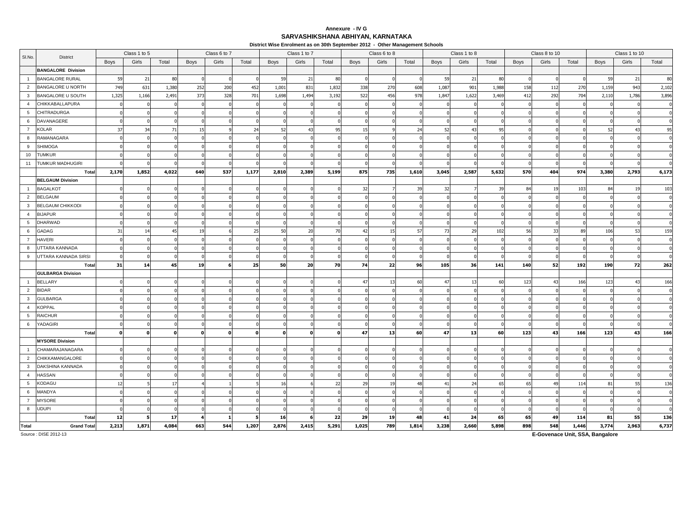### **SARVASHIKSHANA ABHIYAN, KARNATAKAAnnexure - IV G**

**District Wise Enrolment as on 30th September 2012 - Other Management Schools**

|                 |                           |               | Class 1 to 5 |                |          | Class 6 to 7 |       |       | Class 1 to 7 |       |       | Class 6 to 8 |                |       | Class 1 to 8 |       |      | Class 8 to 10 |       |             | Class 1 to 10  |              |
|-----------------|---------------------------|---------------|--------------|----------------|----------|--------------|-------|-------|--------------|-------|-------|--------------|----------------|-------|--------------|-------|------|---------------|-------|-------------|----------------|--------------|
| SI.No.          | District                  | Boys          | Girls        | Total          | Boys     | Girls        | Total | Boys  | Girls        | Total | Boys  | Girls        | Total          | Boys  | Girls        | Total | Boys | Girls         | Total | <b>Boys</b> | Girls          | Total        |
|                 | <b>BANGALORE Division</b> |               |              |                |          |              |       |       |              |       |       |              |                |       |              |       |      |               |       |             |                |              |
| $\overline{1}$  | <b>BANGALORE RURAL</b>    | 59            | 21           | 80             |          |              |       | 59    | 21           | 80    |       |              |                | - 59  | 21           | 80    |      |               |       | 59          | 21             | 80           |
| $\overline{2}$  | BANGALORE U NORTH         | 749           | 631          | 1,380          | 252      | 200          | 452   | 1,001 | 831          | 1,832 | 338   | 270          | 608            | 1,087 | 901          | 1,988 | 158  | 112           | 270   | 1,159       | 943            | 2,102        |
| $\mathbf{3}$    | BANGALORE U SOUTH         | 1,325         | 1,166        | 2,491          | 373      | 328          | 701   | 1,698 | 1,494        | 3,192 | 522   | 456          | 978            | 1,847 | 1,622        | 3,469 | 412  | 292           | 704   | 2,110       | 1,786          | 3,896        |
| $\overline{4}$  | <b>CHIKKABALLAPURA</b>    |               |              |                |          |              |       |       |              |       |       |              |                |       |              |       |      |               |       |             |                |              |
| $5\overline{5}$ | <b>CHITRADURGA</b>        |               |              |                |          |              |       |       |              |       |       |              |                |       |              |       |      |               |       |             |                | $\Omega$     |
| 6               | DAVANAGERE                |               |              |                |          |              |       |       |              |       |       |              |                |       |              |       |      |               |       |             |                |              |
| 7               | <b>KOLAR</b>              | 37            | 34           | 71             | 15       |              | 24    |       | $4^{\circ}$  | 95    | 15    |              | 2 <sup>4</sup> | 52    |              | 95    |      |               |       | 52          | $\overline{4}$ | 95           |
| 8               | RAMANAGARA                |               |              |                |          |              |       |       |              |       |       |              |                |       |              |       |      |               |       |             |                |              |
| 9               | <b>SHIMOGA</b>            |               |              |                |          |              |       |       |              |       |       |              |                |       |              |       |      |               |       |             |                |              |
| 10              | <b>TUMKUR</b>             |               |              |                |          |              |       |       |              |       |       |              |                |       |              |       |      |               |       |             |                |              |
| 11              | TUMKUR MADHUGIRI          |               |              |                |          |              |       |       |              |       |       |              |                |       |              |       |      |               |       |             |                |              |
|                 | Total                     | 2,170         | 1,852        | 4,022          | 640      | 537          | 1,177 | 2,810 | 2,389        | 5,199 | 875   | 735          | 1,610          | 3,045 | 2,587        | 5,632 | 570  | 404           | 974   | 3,380       | 2,793          | 6,173        |
|                 | <b>BELGAUM Division</b>   |               |              |                |          |              |       |       |              |       |       |              |                |       |              |       |      |               |       |             |                |              |
| $\overline{1}$  | <b>BAGALKOT</b>           |               |              |                |          |              |       |       |              |       | 32    |              | 39             | 32    |              | 39    | 84   | 19            | 103   | 84          | - 1 S          | 103          |
| $\overline{2}$  | <b>BELGAUM</b>            |               |              |                |          |              |       |       |              |       |       |              |                |       |              |       |      |               |       |             |                | $\Omega$     |
| $\mathbf{3}$    | <b>BELGAUM CHIKKODI</b>   |               |              |                |          |              |       |       |              |       |       |              |                |       |              |       |      |               |       |             |                | $\mathbf 0$  |
| $\overline{4}$  | <b>BIJAPUR</b>            |               |              |                |          |              |       |       |              |       |       |              |                |       |              |       |      |               |       |             |                |              |
| 5               | <b>DHARWAD</b>            |               |              |                |          |              |       |       |              |       |       |              |                |       |              |       |      |               |       |             |                |              |
| 6               | GADAG                     | $\mathcal{B}$ | 14           | 4 <sup>5</sup> | 19       |              | 25    | 50    | 20           | -70   | 42    | 15           | -57            | 73    | 29           | 102   | 56   | 33            | 89    | 106         | 53             | 159          |
| $\overline{7}$  | <b>HAVERI</b>             |               |              |                |          |              |       |       |              |       |       |              |                |       |              |       |      |               |       |             |                | $\Omega$     |
| 8               | UTTARA KANNADA            |               |              |                |          |              |       |       |              |       |       |              |                |       |              |       |      |               |       |             |                |              |
| 9               | UTTARA KANNADA SIRSI      |               |              |                |          |              |       |       |              |       |       |              |                |       |              |       |      |               |       |             |                | $\Omega$     |
|                 | Total                     | 31            | 14           | 45             | 19       |              | 25    | 50    | 20           | 70    | 74    | 22           | 96             | 105   | 36           | 141   | 140  | 52            | 192   | 190         | 72             | 262          |
|                 | <b>GULBARGA Division</b>  |               |              |                |          |              |       |       |              |       |       |              |                |       |              |       |      |               |       |             |                |              |
| $\overline{1}$  | <b>BELLARY</b>            |               |              |                |          |              |       |       |              |       | 47    | 13           | 60             | 47    | 13           | 60    | 123  | 43            | 166   | 123         | -43            | 166          |
| $\overline{2}$  | <b>BIDAR</b>              |               |              |                |          |              |       |       |              |       |       |              |                |       |              |       |      |               |       |             |                | $\mathbf{0}$ |
| $\mathbf{3}$    | <b>GULBARGA</b>           |               |              |                |          |              |       |       |              |       |       |              |                |       |              |       |      |               |       |             |                |              |
| $\overline{4}$  | <b>KOPPAL</b>             |               |              |                |          |              |       |       |              |       |       |              |                |       |              |       |      |               |       |             |                |              |
| 5               | <b>RAICHUR</b>            |               |              |                |          |              |       |       |              |       |       |              |                |       |              |       |      |               |       |             |                |              |
| 6               | YADAGIRI                  |               |              |                |          |              |       |       |              |       |       |              |                |       |              |       |      |               |       |             |                | $\Omega$     |
|                 | Total                     |               | $\mathbf{0}$ |                | $\Omega$ |              |       |       | $\Omega$     | n     | 47    | 13           | 60             | 47    | 13           | 60    | 123  | 43            | 166   | 123         | 43             | 166          |
|                 | <b>MYSORE Division</b>    |               |              |                |          |              |       |       |              |       |       |              |                |       |              |       |      |               |       |             |                |              |
| $\overline{1}$  | CHAMARAJANAGARA           |               |              |                |          |              |       |       |              |       |       |              |                |       |              |       |      |               |       |             |                | $\Omega$     |
| $\overline{2}$  | CHIKKAMANGALORE           |               |              |                |          |              |       |       |              |       |       |              |                |       |              |       |      |               |       |             |                |              |
| $\mathbf{3}$    | DAKSHINA KANNADA          |               |              |                |          |              |       |       |              |       |       |              |                |       |              |       |      |               |       |             |                |              |
| $\overline{4}$  | <b>HASSAN</b>             |               |              |                |          |              |       |       |              |       |       |              |                |       |              |       |      |               |       |             |                | $\Omega$     |
| $5\phantom{.0}$ | <b>KODAGU</b>             |               |              | 17             |          |              |       | 16    |              | 22    | 29    | 19           | 48             | 41    | 24           | 65    | 65   | 49            | 114   | 81          | 55             | 136          |
| 6               | MANDYA                    |               |              |                |          |              |       |       |              |       |       |              |                |       |              |       |      |               |       |             |                | $\Omega$     |
| $\overline{7}$  | <b>MYSORE</b>             |               |              |                |          |              |       |       |              |       |       |              |                |       |              |       |      |               |       |             |                | $\Omega$     |
| 8               | <b>UDUPI</b>              |               |              |                |          |              |       |       |              |       |       |              |                |       |              |       |      |               |       |             |                | $\Omega$     |
|                 | Total                     | 12            |              | 17             |          |              |       | 16    |              | 22    | 29    | 19           | 48             | 41    | 24           | 65    | 65   | 49            | 114   | 81          | 55             | 136          |
| Total           | <b>Grand Total</b>        | 2,213         | 1,871        | 4,084          | 663      | 544          | 1,207 | 2,876 | 2,415        | 5,291 | 1,025 | 789          | 1,814          | 3,238 | 2,660        | 5,898 | 898  | 548           | 1,446 | 3,774       | 2,963          | 6,737        |

Source : DISE 2012-13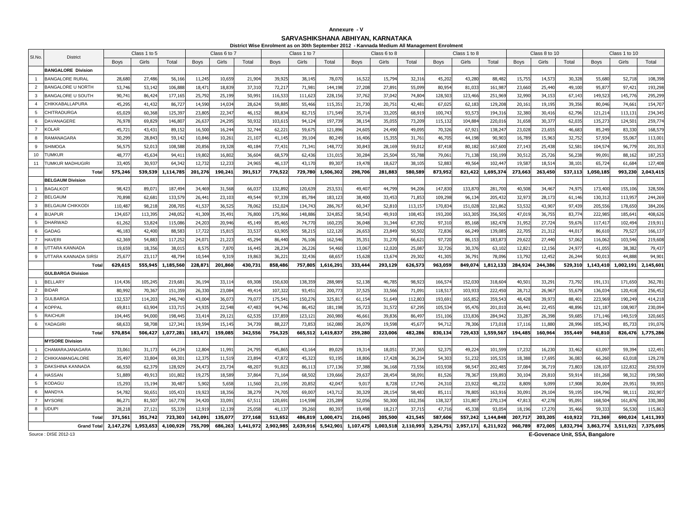#### **Annexure - V**

**SARVASHIKSHANA ABHIYAN, KARNATAKA**

|                | District Wise Enrolment as on 30th September 2012 - Kannada Medium All Management Enrolment<br>Class 1 to 5<br>Class 6 to 7<br>Class 1 to 7<br>Class 1 to 8<br>Class 8 to 10<br>Class 1 to 10<br>Class 6 to 8<br>SI.No<br><b>District</b> |                   |           |                     |                  |                  |                   |             |                   |                      |                  |           |                  |                   |           |                     |                  |                   |           |                    |           |                      |
|----------------|-------------------------------------------------------------------------------------------------------------------------------------------------------------------------------------------------------------------------------------------|-------------------|-----------|---------------------|------------------|------------------|-------------------|-------------|-------------------|----------------------|------------------|-----------|------------------|-------------------|-----------|---------------------|------------------|-------------------|-----------|--------------------|-----------|----------------------|
|                |                                                                                                                                                                                                                                           |                   |           |                     |                  |                  |                   |             |                   |                      |                  |           |                  |                   |           |                     |                  |                   |           |                    |           |                      |
|                |                                                                                                                                                                                                                                           | Boys              | Girls     | Total               | <b>Boys</b>      | Girls            | Total             | <b>Boys</b> | Girls             | Total                | Boys             | Girls     | Total            | Boys              | Girls     | Total               | Boys             | Girls             | Total     | <b>Boys</b>        | Girls     | Total                |
|                | <b>BANGALORE Division</b>                                                                                                                                                                                                                 |                   |           |                     |                  |                  |                   |             |                   |                      |                  |           |                  |                   |           |                     |                  |                   |           |                    |           |                      |
| $\overline{1}$ | <b>BANGALORE RURAL</b>                                                                                                                                                                                                                    | 28,680            | 27,486    | 56,16               | 11,24            | 10,659           | 21,904            | 39,92       | 38,145            | 78,07                | 16,52            | 15,794    | 32,31            | 45,202            | 43,280    | 88,48               | 15,75            | 14,57             | 30,32     | 55,680             | 52,71     | 108,398              |
| $\overline{2}$ | <b>BANGALORE U NORTH</b>                                                                                                                                                                                                                  | 53,746            | 53,14     | 106,88              | 18,47            | 18,839           | 37,310            | 72,21       | 71,98             | 144,198              | 27,20            | 27,891    | 55,09            | 80,954            | 81,03     | 161,98              | 23,66            | 25,44             | 49,100    | 95,87              | 97,42     | 193,298              |
| 3              | <b>BANGALORE U SOUTH</b>                                                                                                                                                                                                                  | 90,741            | 86,42     | 177,16              | 25,79            | 25,199           | 50,99             | 116,533     | 111,623           | 228,156              | 37,76            | 37,042    | 74,804           | 128,503           | 123,466   | 251.96              | 32,99            | 34,15             | 67,14     | 149,523            | 145,77    | 295,299              |
| $\overline{4}$ | CHIKKABALLAPURA                                                                                                                                                                                                                           | 45,295            | 41,43     | 86,72               | 14,59            | 14,03            | 28,624            | 59,885      | 55,466            | 115,35               | 21,73            | 20,751    | 42,481           | 67,025            | 62,18     | 129,20              | 20,16            | 19,19             | 39,356    | 80,046             | 74,661    | 154,707              |
| 5              | CHITRADURGA                                                                                                                                                                                                                               | 65,029            | 60,368    | 125.39              | 23.80            | 22.34            | 46,152            | 88,834      | 82,715            | 171.549              | 35,71            | 33,205    | 68,91            | 100,743           | 93,57     | 194.31              | 32,38            | 30.41             | 62,79     | 121.21             | 113.13    | 234,345              |
| 6              | DAVANAGERE                                                                                                                                                                                                                                | 76,978            | 69,82     | 146,80              | 26,63            | 24.29            | 50,932            | 103,61      | 94,124            | 197,73               | 38.15            | 35,05     | 73,20            | 115,13            | 104,88    | 220.01              | 31,65            | 30.37             | 62,03     | 135,27             | 124,50    | 259,774              |
| $\overline{7}$ | <b>KOLAR</b>                                                                                                                                                                                                                              | 45,721            | 43,43     | 89,15               | 16,50            | 16,24            | 32,744            | 62,221      | 59,67             | 121.896              | 24,60            | 24,490    | 49,095           | 70,326            | 67,92     | 138.24              | 23,028           | 23.65             | 46,68     | 85,249             | 83,33     | 168,579              |
| 8              | RAMANAGARA                                                                                                                                                                                                                                | 30.299            | 28.843    | 59.14               | 10.846           | 10.26            | 21,107            | 41.145      | 39,104            | 80,249               | 16,406           | 15.355    | 31.76            | 46,705            | 44,198    | 90.90               | 16.78            | 15.96             | 32.75     | 57.934             | 55.067    | 113,001              |
| -9             | SHIMOGA                                                                                                                                                                                                                                   | 56,57             | 52,01     | 108,58              | 20,856           | 19,32            | 40,184            | 77,431      | 71,341            | 148,772              | 30,84            | 28,16     | 59,01            | 87,418            | 80,182    | 167,60              | 27,14            | 25,438            | 52,58     | 104,57             | 96,77     | 201,353              |
| 10             | <b>TUMKUR</b>                                                                                                                                                                                                                             | 48,77             | 45,63     | 94,41               | 19,80            | 16,80            | 36,604            | 68,579      | 62,436            | 131,015              | 30,28            | 25,50     | 55,78            | 79,061            | 71,13     | 150,19              | 30,51            | 25,72             | 56,23     | 99,09              | 88,162    | 187,253              |
| 11             | TUMKUR MADHUGIRI                                                                                                                                                                                                                          | 33,405            | 30,93     | 64,34               | 12,73            | 12,23            | 24,965            | 46,13       | 43,170            | 89,30                | 19,47            | 18,62     | 38,10            | 52,883            | 49,56     | 102,44              | 19,58            | 18,51             | 38,10     | 65,72              | 61,684    | 127,408              |
|                | Total                                                                                                                                                                                                                                     | 575,246           | 539,539   | 1,114,785           | 201,276          | 190,241          | 391,517           | 776,522     | 729,780           | 1,506,302            | 298,706          | 281,883   | 580,589          | 873,952           | 821,422   | 1,695,374           | 273,663          | 263,450           | 537,113   | 1,050,185          | 993,230   | 2,043,415            |
|                | <b>BELGAUM Division</b>                                                                                                                                                                                                                   |                   |           |                     |                  |                  |                   |             |                   |                      |                  |           |                  |                   |           |                     |                  |                   |           |                    |           |                      |
| $\overline{1}$ | <b>BAGALKOT</b>                                                                                                                                                                                                                           | 98,423            | 89,07     | 187,49              | 34,469           | 31,568           | 66,037            | 132,89      | 120,63            | 253,53               | 49,40            | 44,79     | 94,20            | 147,830           | 133,87    | 281,70              | 40,50            | 34,46             | 74,97     | 173,400            | 155,10    | 328,506              |
| 2              | <b>BELGAUM</b>                                                                                                                                                                                                                            | 70,898            | 62,68     | 133,57              | 26,44            | 23,103           | 49,544            | 97,339      | 85,784            | 183,123              | 38,40            | 33,453    | 71,85            | 109,298           | 96,13     | 205,43              | 32,97            | 28,17             | 61,14     | 130,31             | 113,95    | 244,269              |
| $\mathbf{3}$   | <b>BELGAUM CHIKKODI</b>                                                                                                                                                                                                                   | 110,487           | 98,21     | 208,70              | 41,53            | 36,52            | 78,062            | 152,024     | 134,743           | 286,767              | 60,34            | 52,81     | 113.15           | 170,834           | 151,028   | 321,86              | 53,53            | 43,90             | 97,43     | 205,55             | 178,65    | 384,206              |
| $\overline{4}$ | <b>BIJAPUR</b>                                                                                                                                                                                                                            | 134,65            | 113,39    | 248,05              | 41,30            | 35,49            | 76,800            | 175,966     | 148,886           | 324,852              | 58.54            | 49,91     | 108,45           | 193,200           | 163,30    | 356.50              | 47,01            | 36,75             | 83,77     | 222,985            | 185,64    | 408,626              |
| 5              | <b>DHARWAD</b>                                                                                                                                                                                                                            | 61,262            | 53,82     | 115,08              | 24,20            | 20,94            | 45,149            | 85,465      | 74,770            | 160,235              | 36,04            | 31,344    | 67,39            | 97,310            | 85,168    | 182,47              | 31,95            | 27,724            | 59,67     | 117,41             | 102,494   | 219,911              |
| 6              | <b>GADAG</b>                                                                                                                                                                                                                              | 46,183            | 42,400    | 88,58               | 17,72            | 15,81            | 33,537            | 63,905      | 58,215            | 122,120              | 26,65            | 23,849    | 50,50            | 72,836            | 66,249    | 139,08              | 22,70            | 21,31             | 44,01     | 86,610             | 79,527    | 166,137              |
| $\overline{7}$ | <b>HAVERI</b>                                                                                                                                                                                                                             | 62,369            | 54,88     | 117,25              | 24,07            | 21,223           | 45,294            | 86,440      | 76,106            | 162,546              | 35,35            | 31,27     | 66,62            | 97,720            | 86,153    | 183,87              | 29,62            | 27,440            | 57,06     | 116,062            | 103,546   | 219,608              |
| -8             | UTTARA KANNADA                                                                                                                                                                                                                            | 19,65             | 18,356    | 38,01               | 8,57             | 7,87             | 16,445            | 28,23       | 26,226            | 54,460               | 13,06            | 12,02     | 25,08            | 32,726            | 30,37     | 63,10               | 12,82            | 12,15             | 24,97     | 41,055             | 38,38     | 79,437               |
| 9              | UTTARA KANNADA SIRSI                                                                                                                                                                                                                      | 25,67             | 23,11     | 48,794              | 10,54            | 9,31             | 19,863            | 36,22       | 32,436            | 68,65                | 15,62            | 13,67     | 29,30            | 41,305            | 36,79     | 78,09               | 13,792           | 12,452            | 26,24     | 50,01              | 44,888    | 94,901               |
|                | Total                                                                                                                                                                                                                                     | 629,615           | 555,945   | 1,185,560           | 228,871          | 201,860          | 430,731           | 858,486     | 757,805           | 1,616,291            | 333,444          | 293,129   | 626,573          | 963,059           | 849,074   | 1,812,133           | 284,924          | 244,386           | 529,310   | 1,143,410          | 1,002,191 | 2,145,601            |
|                | <b>GULBARGA Division</b>                                                                                                                                                                                                                  |                   |           |                     |                  |                  |                   |             |                   |                      |                  |           |                  |                   |           |                     |                  |                   |           |                    |           |                      |
|                | <b>BELLARY</b>                                                                                                                                                                                                                            | 114,436           | 105,24    | 219.68              | 36,19            | 33,11            | 69,308            | 150,63      | 138,35            | 288,989              | 52,13            | 46,785    | 98,92            | 166,57            | 152,03    | 318.60              | 40,50            | 33,29             | 73,79     | 191.13             | 171,65    | 362,781              |
| 2              | <b>BIDAR</b>                                                                                                                                                                                                                              | 80,992            | 70,36     | 151,35              | 26,33            | 23,08            | 49,414            | 107,32      | 93,45             | 200,773              | 37,52            | 33,566    | 71,09            | 118,517           | 103,93    | 222,45              | 28,71            | 26,96             | 55,67     | 136,03             | 120,41    | 256,452              |
| $\mathbf{3}$   | <b>GULBARGA</b>                                                                                                                                                                                                                           | 132.537           | 114.20    | 246.74              | 43,00            | 36.07            | 79,077            | 175.54      | 150.276           | 325.81               | 61.15            | 51,649    | 112.80           | 193,691           | 165,85    | 359.54              | 48,428           | 39.97             | 88,40     | 223.969            | 190.249   | 414,218              |
| $\overline{4}$ | KOPPAL                                                                                                                                                                                                                                    | 69,81             | 63,90     | 133,71              | 24,93            | 22.548           | 47,483            | 94,746      | 86,452            | 181,198              | 35,72            | 31,572    | 67,29            | 105,534           | 95,47     | 201,01              | 26,44            | 22,455            | 48,89     | 121,18             | 108,90    | 230,094              |
| 5              | <b>RAICHUR</b>                                                                                                                                                                                                                            | 104.445           | 94,00     | 198,445             | 33,41            | 29,12            | 62,535            | 137,859     | 123,121           | 260,980              | 46,66            | 39,836    | 86,49            | 151,106           | 133,83    | 284,94              | 33,28            | 26,398            | 59,68     | 171,146            | 149,51    | 320,665              |
| 6              | YADAGIRI<br>Total                                                                                                                                                                                                                         | 68.633<br>570,854 | 58,708    | 127.34<br>1,077,281 | 19.59<br>183,471 | 15.14<br>159,085 | 34,739<br>342,556 | 88.22       | 73,853<br>665,512 | 162.080<br>1,419,837 | 26.07<br>259,280 | 19,598    | 45,67<br>482,286 | 94,712<br>830,134 | 78,306    | 173.01<br>1,559,567 | 17.11<br>194,485 | 11,880<br>160,964 | 28,99     | 105.343<br>948,810 | 85,733    | 191,076<br>1,775,286 |
|                | <b>MYSORE Division</b>                                                                                                                                                                                                                    |                   | 506,427   |                     |                  |                  |                   | 754,325     |                   |                      |                  | 223,006   |                  |                   | 729,433   |                     |                  |                   | 355,449   |                    | 826,476   |                      |
| $\overline{1}$ | CHAMARAJANAGARA                                                                                                                                                                                                                           | 33,06             | 31,17     | 64,234              | 12,80            | 11,99            | 24,795            | 45,865      | 43,164            | 89,029               | 19,31            | 18,051    | 37,36            | 52,375            | 49,224    | 101,59              | 17,232           | 16,230            | 33,46     | 63,09              | 59,39     | 122,491              |
| $\overline{2}$ | CHIKKAMANGALORE                                                                                                                                                                                                                           | 35,497            | 33,80     | 69,30               | 12,37            | 11,519           | 23,894            | 47,872      | 45,323            | 93,195               | 18,806           | 17,428    | 36,234           | 54,303            | 51,232    | 105,53              | 18,388           | 17,695            | 36,08     | 66,260             | 63,01     | 129,278              |
| $\mathbf{3}$   | DAKSHINA KANNADA                                                                                                                                                                                                                          | 66,550            | 62,37     | 128,92              | 24,47            | 23,73            | 48,207            | 91,023      | 86,113            | 177,136              | 37,388           | 36,168    | 73,55            | 103,938           | 98,54     | 202,48              | 37,08            | 36,719            | 73,80     | 128,10             | 122,83    | 250,939              |
| $\overline{4}$ | HASSAN                                                                                                                                                                                                                                    | 51,88             | 49,91     | 101,80              | 19,27            | 18,589           | 37,864            | 71,16       | 68,502            | 139,666              | 29,63            | 28,454    | 58,09            | 81,526            | 78,367    | 159,89              | 30,10            | 29,81             | 59,91     | 101,268            | 98,31     | 199,580              |
| 5              | KODAGU                                                                                                                                                                                                                                    | 15,293            | 15,19     | 30,48               | 5,902            | 5,65             | 11,560            | 21,195      | 20,852            | 42,04                | 9,01             | 8,728     | 17,74            | 24,310            | 23,92     | 48,23               | 8,80             | 9,09              | 17,90     | 30,004             | 29,951    | 59,955               |
| 6              | MANDYA                                                                                                                                                                                                                                    | 54.782            | 50.65     | 105.43              | 19,92            | 18.35            | 38.279            | 74.705      | 69,007            | 143,712              | 30.32            | 28,154    | 58.483           | 85,111            | 78,80     | 163,91              | 30.09            | 29.10             | 59,195    | 104.796            | 98,11     | 202,907              |
| $\overline{7}$ | <b>MYSORE</b>                                                                                                                                                                                                                             | 86,27             | 81,50     | 167,77              | 34,42            | 33,09            | 67,51             | 120,691     | 114,598           | 235,289              | 52,05            | 50,300    | 102,35           | 138,327           | 131,80    | 270,13              | 47,81            | 47,278            | 95,09     | 168,50             | 161,87    | 330,380              |
| 8              | <b>UDUPI</b>                                                                                                                                                                                                                              | 28.218            | 27,12     | 55,33               | 12,91            | 12,139           | 25,058            | 41,13       | 39,260            | 80,39                | 19,49            | 18,21     | 37,71            | 47,716            | 45,33     | 93,05               | 18,19            | 17,27             | 35,46     | 59,33              | 56,53     | 115,863              |
|                | Total                                                                                                                                                                                                                                     | 371,561           | 351,742   | 723,303             | 142,091          | 135,077          | 277,168           | 513,652     | 486,819           | 1.000.471            | 216,045          | 205,500   | 421,545          | 587,606           | 557,242   | 1,144,848           | 207.717          | 203,205           | 410.92    | 721,369            | 690,024   | 1,411,393            |
|                | <b>Grand Tota</b>                                                                                                                                                                                                                         | 2.147,276         | 1,953,653 | 4.100.929           | 755,709          | 686,263          | 1,441,972         | 2,902,985   | 2,639,916         | 5,542,901            | 1.107.475        | 1,003,518 | 2,110,993        | 3,254,751         | 2,957,171 | 6,211,92            | 960,789          | 872,005           | 1,832,794 | 3,863,774          | 3.511.921 | 7,375,695            |
|                |                                                                                                                                                                                                                                           |                   |           |                     |                  |                  |                   |             |                   |                      |                  |           |                  |                   |           |                     |                  |                   |           |                    |           |                      |

Source : DISE 2012-13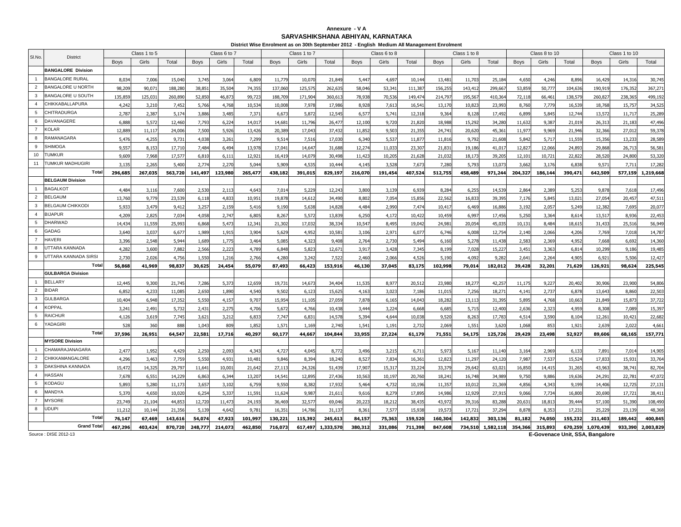### **SARVASHIKSHANA ABHIYAN, KARNATAKA Annexure - V A**

|                     |                                           |                 |                 | District Wise Enrolment as on 30th September 2012 - English Medium All Management Enrolment<br>Class 1 to 5<br>Class 6 to 7<br>Class 1 to 7<br>Class 6 to 8<br>Class 1 to 8<br>Class 8 to 10<br>Class 1 to 10<br>SI.No.<br><b>District</b><br>Girls<br>Girls<br><b>Boys</b><br>Girls<br>Total<br>Total<br>Girls<br>Total<br>Girls<br>Total<br>Boys<br>Girls<br><b>Boys</b><br>Girls<br>Total<br><b>Boys</b><br><b>Boys</b><br><b>Boys</b><br>Total<br><b>Boys</b><br>Total |                 |                 |                 |                 |                 |                  |                 |                 |                 |                  |                 |                  |                |                 |                 |                  |                 |                   |
|---------------------|-------------------------------------------|-----------------|-----------------|----------------------------------------------------------------------------------------------------------------------------------------------------------------------------------------------------------------------------------------------------------------------------------------------------------------------------------------------------------------------------------------------------------------------------------------------------------------------------|-----------------|-----------------|-----------------|-----------------|-----------------|------------------|-----------------|-----------------|-----------------|------------------|-----------------|------------------|----------------|-----------------|-----------------|------------------|-----------------|-------------------|
|                     |                                           |                 |                 |                                                                                                                                                                                                                                                                                                                                                                                                                                                                            |                 |                 |                 |                 |                 |                  |                 |                 |                 |                  |                 |                  |                |                 |                 |                  |                 |                   |
|                     |                                           |                 |                 |                                                                                                                                                                                                                                                                                                                                                                                                                                                                            |                 |                 |                 |                 |                 |                  |                 |                 |                 |                  |                 |                  |                |                 |                 |                  |                 |                   |
|                     | <b>BANGALORE Division</b>                 |                 |                 |                                                                                                                                                                                                                                                                                                                                                                                                                                                                            |                 |                 |                 |                 |                 |                  |                 |                 |                 |                  |                 |                  |                |                 |                 |                  |                 |                   |
| $\overline{1}$      | <b>BANGALORE RURAL</b>                    | 8,034           | 7,006           | 15,040                                                                                                                                                                                                                                                                                                                                                                                                                                                                     | 3,74            | 3,06            | 6,809           | 11,779          | 10,070          | 21,849           | 5,44            | 4,697           | 10,14           | 13,481           | 11,703          | 25,184           | 4,65           | 4,246           | 8,89            | 16,429           | 14,316          | 30,745            |
| $\overline{2}$      | <b>BANGALORE U NORTH</b>                  | 98,209          | 90,07           | 188,280                                                                                                                                                                                                                                                                                                                                                                                                                                                                    | 38,85           | 35,50           | 74,355          | 137,060         | 125,575         | 262,635          | 58,046          | 53,341          | 111,38          | 156,255          | 143,412         | 299,667          | 53,859         | 50,777          | 104,63          | 190,91           | 176,352         | 367,271           |
| 3                   | <b>BANGALORE U SOUTH</b>                  | 135,859         | 125,03          | 260,89                                                                                                                                                                                                                                                                                                                                                                                                                                                                     | 52,850          | 46,87           | 99,72           | 188,709         | 171,904         | 360,613          | 78,93           | 70,536          | 149,474         | 214,797          | 195,567         | 410,364          | 72,118         | 66,461          | 138,57          | 260,82           | 238,365         | 499,192           |
| $\overline{4}$      | CHIKKABALLAPURA                           | 4.242           | 3,210           | 7,452                                                                                                                                                                                                                                                                                                                                                                                                                                                                      | 5,766           | 4,76            | 10,534          | 10,008          | 7,978           | 17,986           | 8,92            | 7,613           | 16,54           | 13,170           | 10,823          | 23,993           | 8,760          | 7.779           | 16,539          | 18,768           | 15,757          | 34,525            |
| 5                   | <b>CHITRADURGA</b>                        | 2,787           | 2,387           | 5,174                                                                                                                                                                                                                                                                                                                                                                                                                                                                      | 3,886           | 3,48            | 7,371           | 6,673           | 5,872           | 12,545           | 6,57            | 5,741           | 12,318          | 9,364            | 8,128           | 17,492           | 6,899          | 5,845           | 12,744          | 13,572           | 11,717          | 25,289            |
| 6                   | DAVANAGERE                                | 6,888           | 5,572           | 12,460                                                                                                                                                                                                                                                                                                                                                                                                                                                                     | 7,79            | 6,22            | 14,017          | 14,681          | 11,796          | 26,477           | 12,100          | 9,720           | 21,820          | 18,988           | 15,292          | 34,280           | 11,632         | 9,387           | 21,019          | 26,31            | 21,183          | 47,496            |
| $\overline{7}$      | <b>KOLAR</b>                              | 12,889          | 11,117          | 24,006                                                                                                                                                                                                                                                                                                                                                                                                                                                                     | 7,500           | 5,92(           | 13,426          | 20,389          | 17,043          | 37,432           | 11,85           | 9,503           | 21,355          | 24,741           | 20,620          | 45,36            | 11,97          | 9,969           | 21,946          | 32,366           | 27,012          | 59,378            |
| 8                   | RAMANAGARA                                | 5.476           | 4,255           | 9.731                                                                                                                                                                                                                                                                                                                                                                                                                                                                      | 4,038           | 3,26            | 7,299           | 9,514           | 7,516           | 17,030           | 6.340           | 5,537           | 11,877          | 11,816           | 9.792           | 21,608           | 5,842          | 5.717           | 11,559          | 15,356           | 13,233          | 28,589            |
| 9                   | <b>SHIMOGA</b>                            | 9,557           | 8,153           | 17,710                                                                                                                                                                                                                                                                                                                                                                                                                                                                     | 7,484           | 6,494           | 13,978          | 17,041          | 14,647          | 31,688           | 12,274          | 11,033          | 23,307          | 21,831           | 19,186          | 41,017           | 12,827         | 12,066          | 24,893          | 29,868           | 26,713          | 56,581            |
| 10                  | <b>UMKUR</b>                              | 9.609           | 7,968           | 17.577                                                                                                                                                                                                                                                                                                                                                                                                                                                                     | 6.81            | 6.11            | 12.921          | 16,419          | 14.079          | 30,498           | 11.42           | 10,205          | 21,628          | 21.032           | 18,173          | 39.205           | 12.10          | 10.72           | 22.82           | 28.520           | 24,800          | 53,320            |
| 11                  | <b>TUMKUR MADHUGIRI</b>                   | 3,135           | 2,265           | 5,400                                                                                                                                                                                                                                                                                                                                                                                                                                                                      | 2,774           | 2,27            | 5,044           | 5,909           | 4,535           | 10,444           | 4,14!           | 3,528           | 7,67            | 7,280            | 5,793           | 13,07            | 3,66           | 3,176           | 6,83            | 9,57             | 7,71            | 17,282            |
|                     | Total                                     | 296,685         | 267,035         | 563,720                                                                                                                                                                                                                                                                                                                                                                                                                                                                    | 141,497         | 123,980         | 265,477         | 438,182         | 391,015         | 829,197          | 216,070         | 191,454         | 407,524         | 512,755          | 458,489         | 971,244          | 204,327        | 186,144         | 390,471         | 642,509          | 577,159         | 1,219,668         |
|                     | <b>BELGAUM Division</b>                   |                 |                 |                                                                                                                                                                                                                                                                                                                                                                                                                                                                            |                 |                 |                 |                 |                 |                  |                 |                 |                 |                  |                 |                  |                |                 |                 |                  |                 |                   |
| $\mathbf{1}$        | <b>BAGALKOT</b>                           | 4.484           | 3.116           | 7.600                                                                                                                                                                                                                                                                                                                                                                                                                                                                      | 2.53(           | 2.11            | 4.643           | 7.014           | 5.229           | 12.243           | 3,800           | 3.139           | 6.939           | 8.284            | 6,255           | 14.539           | 2.864          | 2.389           | 5,25            | 9.878            | 7,618           | 17,496            |
| $\overline{2}$      | <b>BELGAUM</b>                            | 13,760          | 9,779           | 23,539                                                                                                                                                                                                                                                                                                                                                                                                                                                                     | 6,118           | 4,83            | 10,951          | 19,878          | 14,612          | 34,490           | 8,80            | 7,054           | 15,856          | 22,562           | 16,833          | 39,395           | 7,176          | 5,845           | 13,021          | 27,054           | 20,457          | 47,511            |
| 3<br>$\overline{4}$ | <b>BELGAUM CHIKKODI</b><br><b>BIJAPUR</b> | 5,933           | 3,479           | 9,412                                                                                                                                                                                                                                                                                                                                                                                                                                                                      | 3,25            | 2,159           | 5,416           | 9,190           | 5,638           | 14,828           | 4,484           | 2,990           | 7,474           | 10,417           | 6,469           | 16,886           | 3,192          | 2,057           | 5,249           | 12,382           | 7,695           | 20,077            |
| 5                   | <b>DHARWAD</b>                            | 4,209           | 2,825           | 7,034                                                                                                                                                                                                                                                                                                                                                                                                                                                                      | 4,058           | 2,747           | 6,805           | 8,267           | 5,572           | 13,839           | 6,250           | 4,172           | 10,422          | 10,459           | 6,997           | 17.456           | 5,250          | 3,364           | 8,614           | 13,517           | 8,936           | 22,453            |
| 6                   | <b>GADAG</b>                              | 14,434          | 11,559          | 25,993                                                                                                                                                                                                                                                                                                                                                                                                                                                                     | 6,868           | 5,47            | 12,341          | 21,302          | 17,032          | 38,334           | 10,547          | 8,495           | 19,042          | 24,981           | 20,054          | 45,035           | 10, 13         | 8,484           | 18,61           | 31,433           | 25,516          | 56,949            |
| $\overline{7}$      | <b>HAVERI</b>                             | 3.640           | 3,037           | 6,67                                                                                                                                                                                                                                                                                                                                                                                                                                                                       | 1,989           | 1,91            | 3,904           | 5,629           | 4,952           | 10.581           | 3,106           | 2.971           | 6.07            | 6.746            | 6,008           | 12.75            | 2,140          | 2.066           | 4,206           | 7,769            | 7,018           | 14,787            |
| 8                   | UTTARA KANNADA                            | 3,396           | 2,548           | 5,944                                                                                                                                                                                                                                                                                                                                                                                                                                                                      | 1,689           | 1,77            | 3,464           | 5,085           | 4,323           | 9,408            | 2,764           | 2,730           | 5,494           | 6,160            | 5,278           | 11,438           | 2,58           | 2,369           | 4,95            | 7,668            | 6,692           | 14,360            |
| 9                   | UTTARA KANNADA SIRSI                      | 4,282           | 3,600           | 7,882                                                                                                                                                                                                                                                                                                                                                                                                                                                                      | 2,566           | 2,22            | 4,789           | 6,848           | 5,823           | 12,671           | 3,91            | 3,428           | 7,345           | 8.199            | 7,028           | 15,22            | 3,45           | 3,363           | 6,814           | 10,299           | 9,186           | 19,485            |
|                     | Total                                     | 2,730<br>56,868 | 2.026<br>41,969 | 4,756<br>98,837                                                                                                                                                                                                                                                                                                                                                                                                                                                            | 1,550<br>30,625 | 1,216<br>24,454 | 2,766<br>55,079 | 4,280<br>87,493 | 3,242<br>66,423 | 7,522<br>153,916 | 2.460<br>46,130 | 2.066<br>37,045 | 4,526<br>83,175 | 5,190<br>102,998 | 4,092<br>79,014 | 9.282<br>182,012 | 2,64<br>39,428 | 2.264<br>32,201 | 4,905<br>71,629 | 6.921<br>126,921 | 5,506<br>98,624 | 12,427<br>225,545 |
|                     | <b>GULBARGA Division</b>                  |                 |                 |                                                                                                                                                                                                                                                                                                                                                                                                                                                                            |                 |                 |                 |                 |                 |                  |                 |                 |                 |                  |                 |                  |                |                 |                 |                  |                 |                   |
| $\overline{1}$      | <b>BELLARY</b>                            | 12,445          | 9,300           | 21,74                                                                                                                                                                                                                                                                                                                                                                                                                                                                      | 7,286           | 5,37            | 12,65           | 19,73           | 14,673          | 34,404           | 11,53           | 8,97            | 20,512          | 23,980           | 18,277          | 42,25            | 11,175         | 9,227           | 20,402          | 30,90            | 23,900          | 54,806            |
| $\overline{2}$      | <b>BIDAR</b>                              | 6,852           | 4,233           | 11,085                                                                                                                                                                                                                                                                                                                                                                                                                                                                     | 2,650           | 1,89            | 4,540           | 9,502           | 6,123           | 15,625           | 4,16            | 3,023           | 7,186           | 11,015           | 7,256           | 18,27            | 4,14           | 2,737           | 6,878           | 13.64            | 8,860           | 22,503            |
| 3                   | <b>GULBARGA</b>                           | 10.404          | 6,948           | 17,35                                                                                                                                                                                                                                                                                                                                                                                                                                                                      | 5,550           | 4,15            | 9,707           | 15,954          | 11,105          | 27,059           | 7,878           | 6,165           | 14,043          | 18,282           | 13,113          | 31,395           | 5,89           | 4,768           | 10,66           | 21,849           | 15,873          | 37,722            |
| $\overline{4}$      | <b>KOPPAL</b>                             | 3.241           | 2,491           | 5,732                                                                                                                                                                                                                                                                                                                                                                                                                                                                      | 2,431           | 2,27            | 4,706           | 5,672           | 4,766           | 10,438           | 3,444           | 3,224           | 6,668           | 6,685            | 5,715           | 12,400           | 2,636          | 2,323           | 4,95            | 8.308            | 7,089           | 15,397            |
| 5                   | <b>RAICHUR</b>                            | 4,126           | 3,619           | 7,745                                                                                                                                                                                                                                                                                                                                                                                                                                                                      | 3,621           | 3,21            | 6,833           | 7,747           | 6,831           | 14,578           | 5,394           | 4,644           | 10,038          | 9,520            | 8,263           | 17,783           | 4,51           | 3,590           | 8,104           | 12,261           | 10,421          | 22,682            |
| 6                   | YADAGIRI                                  | 528             | 360             | 888                                                                                                                                                                                                                                                                                                                                                                                                                                                                        | 1,043           | 809             | 1,852           | 1,571           | 1,169           | 2,740            | 1,54            | 1,191           | 2,732           | 2,069            | 1,551           | 3,620            | 1,068          | 853             | 1,921           | 2,639            | 2,022           | 4,661             |
|                     | Total                                     | 37,596          | 26,951          | 64,547                                                                                                                                                                                                                                                                                                                                                                                                                                                                     | 22,581          | 17,716          | 40,297          | 60,177          | 44,667          | 104,844          | 33,955          | 27,224          | 61,179          | 71,551           | 54,175          | 125,726          | 29,429         | 23,498          | 52,927          | 89,606           | 68,165          | 157,771           |
|                     | <b>MYSORE Division</b>                    |                 |                 |                                                                                                                                                                                                                                                                                                                                                                                                                                                                            |                 |                 |                 |                 |                 |                  |                 |                 |                 |                  |                 |                  |                |                 |                 |                  |                 |                   |
|                     | CHAMARAJANAGARA                           | 2.477           | 1.952           | 4.429                                                                                                                                                                                                                                                                                                                                                                                                                                                                      | 2.250           | 2.09            | 4.343           | 4.727           | 4.045           | 8.772            | 3.496           | 3.215           | 6.71            | 5.973            | 5.167           | 11.140           | 3.164          | 2.969           | 6.133           | 7.891            | 7.014           | 14,905            |
| $\overline{2}$      | CHIKKAMANGALORE                           | 4,296           | 3,463           | 7,759                                                                                                                                                                                                                                                                                                                                                                                                                                                                      | 5,550           | 4,93            | 10,481          | 9,846           | 8,394           | 18,240           | 8,52            | 7,834           | 16,36           | 12,823           | 11,297          | 24,120           | 7,98           | 7,537           | 15,524          | 17,83            | 15,931          | 33,764            |
| 3                   | DAKSHINA KANNADA                          | 15,472          | 14,325          | 29,797                                                                                                                                                                                                                                                                                                                                                                                                                                                                     | 11,64           | 10,00           | 21,642          | 27,113          | 24,326          | 51,439           | 17,90           | 15,317          | 33,224          | 33,379           | 29,642          | 63,02            | 16,850         | 14,415          | 31,26           | 43,963           | 38,741          | 82,704            |
| $\overline{4}$      | <b>HASSAN</b>                             | 7,678           | 6,551           | 14,229                                                                                                                                                                                                                                                                                                                                                                                                                                                                     | 6,863           | 6,34            | 13,207          | 14,541          | 12,895          | 27,436           | 10,56           | 10,197          | 20,760          | 18,241           | 16,748          | 34,989           | 9,750          | 9,886           | 19,63           | 24,291           | 22,78           | 47,072            |
| $\overline{5}$      | KODAGU                                    | 5.893           | 5,280           | 11.173                                                                                                                                                                                                                                                                                                                                                                                                                                                                     | 3,657           | 3,10            | 6,759           | 9.550           | 8.382           | 17.932           | 5.464           | 4,732           | 10,196          | 11.357           | 10.012          | 21.369           | 4,856          | 4.343           | 9.199           | 14,406           | 12.725          | 27,131            |
| 6                   | MANDYA                                    | 5,370           | 4,650           | 10.020                                                                                                                                                                                                                                                                                                                                                                                                                                                                     | 6,254           | 5,33            | 11,591          | 11,624          | 9,987           | 21,611           | 9,61            | 8,279           | 17,895          | 14,986           | 12,929          | 27,915           | 9,066          | 7,734           | 16,800          | 20,690           | 17,721          | 38,411            |
| $\overline{7}$      | <b>MYSORE</b>                             | 23,749          | 21,104          | 44,853                                                                                                                                                                                                                                                                                                                                                                                                                                                                     | 12,720          | 11,47           | 24,193          | 36,469          | 32,577          | 69,046           | 20,22           | 18,212          | 38,435          | 43,972           | 39,316          | 83,288           | 20,63          | 18,813          | 39,444          | 57,100           | 51,390          | 108,490           |
| 8                   | <b>UDUPI</b>                              | 11,212          | 10,144          | 21,356                                                                                                                                                                                                                                                                                                                                                                                                                                                                     | 5,139           | 4,64            | 9,781           | 16,351          | 14,786          | 31,137           | 8,36            | 7,577           | 15,938          | 19,573           | 17,721          | 37,294           | 8,878          | 8.353           | 17,23           | 25,229           | 23,139          | 48,368            |
|                     | Total                                     | 76,147          | 67,469          | 143,616                                                                                                                                                                                                                                                                                                                                                                                                                                                                    | 54,074          | 47,923          | 101,997         | 130,221         | 115,392         | 245,613          | 84,157          | 75,363          | 159,520         | 160,304          | 142,832         | 303,136          | 81,182         | 74,050          | 155,232         | 211,403          | 189,442         | 400,845           |
|                     | <b>Grand Tota</b>                         | 467,296         | 403,424         | 870,720                                                                                                                                                                                                                                                                                                                                                                                                                                                                    | 248,777         | 214.073         | 462,850         | 716,073         | 617,497         | 1,333,570        | 380,312         | 331.086         | 711,398         | 847,608          | 734,510         | 1.582,118        | 354,366        | 315,893         | 670,259         | 1.070.439        | 933,390         | 2,003,829         |

Source : DISE 2012-13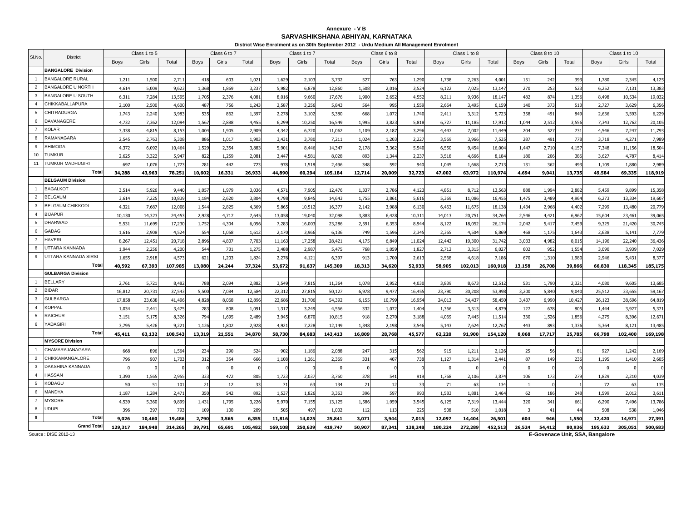### **Annexure - V BSARVASHIKSHANA ABHIYAN, KARNATAKA**

|                | District Wise Enrolment as on 30th September 2012 - Urdu Medium All Management Enrolment<br>Class 1 to 5<br>Class 6 to 7<br>Class 1 to 7<br>Class 6 to 8<br>Class 1 to 8<br>Class 8 to 10<br>Class 1 to 10<br><b>District</b> |             |         |         |                 |        |         |             |         |         |             |        |         |             |         |         |        |        |                |             |         |         |
|----------------|-------------------------------------------------------------------------------------------------------------------------------------------------------------------------------------------------------------------------------|-------------|---------|---------|-----------------|--------|---------|-------------|---------|---------|-------------|--------|---------|-------------|---------|---------|--------|--------|----------------|-------------|---------|---------|
| SI.No.         |                                                                                                                                                                                                                               |             |         |         |                 |        |         |             |         |         |             |        |         |             |         |         |        |        |                |             |         |         |
|                |                                                                                                                                                                                                                               | <b>Boys</b> | Girls   | Total   | <b>Boys</b>     | Girls  | Total   | <b>Boys</b> | Girls   | Total   | <b>Boys</b> | Girls  | Total   | <b>Boys</b> | Girls   | Total   | Boys   | Girls  | Total          | <b>Boys</b> | Girls   | Total   |
|                | <b>BANGALORE Division</b>                                                                                                                                                                                                     |             |         |         |                 |        |         |             |         |         |             |        |         |             |         |         |        |        |                |             |         |         |
| $\overline{1}$ | <b>BANGALORE RURAL</b>                                                                                                                                                                                                        | 1,211       | 1,500   | 2,71    | 418             | 603    | 1,021   | 1,629       | 2,103   | 3,732   | 527         | 763    | 1,290   | 1,738       | 2,263   | 4,001   | 151    | 242    | 393            | 1,780       | 2,345   | 4,125   |
| $\overline{2}$ | <b>BANGALORE U NORTH</b>                                                                                                                                                                                                      | 4,614       | 5,009   | 9,623   | 1,368           | 1,869  | 3,237   | 5,982       | 6,878   | 12,860  | 1,508       | 2,016  | 3,524   | 6,122       | 7,025   | 13,147  | 270    | 253    | 523            | 6,252       | 7,131   | 13,383  |
| 3              | <b>BANGALORE U SOUTH</b>                                                                                                                                                                                                      | 6,311       | 7,284   | 13,595  | 1,705           | 2,37   | 4,081   | 8,016       | 9,660   | 17,676  | 1,900       | 2,652  | 4,552   | 8,211       | 9,936   | 18,147  | 482    | 874    | 1,356          | 8,498       | 10,534  | 19,032  |
| $\overline{4}$ | CHIKKABALLAPURA                                                                                                                                                                                                               | 2.100       | 2,500   | 4,600   | 487             | 756    | 1,243   | 2,587       | 3,256   | 5,843   | 564         | 995    | 1,559   | 2,664       | 3,495   | 6,159   | 140    | 373    | 513            | 2,727       | 3,629   | 6,356   |
| 5              | <b>CHITRADURGA</b>                                                                                                                                                                                                            | 1,743       | 2,240   | 3,983   | 535             | 862    | 1,397   | 2,278       | 3,102   | 5,380   | 668         | 1,072  | 1,740   | 2,411       | 3,312   | 5,723   | 358    | 491    | 849            | 2,636       | 3,593   | 6,229   |
| 6              | DAVANAGERE                                                                                                                                                                                                                    | 4,732       | 7,362   | 12,094  | 1,567           | 2,888  | 4,455   | 6,299       | 10,250  | 16,549  | 1,99        | 3,823  | 5,818   | 6,727       | 11,185  | 17,91   | 1,044  | 2,512  | 3,556          | 7,343       | 12,762  | 20,105  |
| $\overline{7}$ | <b>KOLAR</b>                                                                                                                                                                                                                  | 3,338       | 4,81    | 8,153   | 1,004           | 1,905  | 2,909   | 4,342       | 6,720   | 11,062  | 1,109       | 2,187  | 3,296   | 4,447       | 7,002   | 11,449  | 204    | 527    | 731            | 4,546       | 7,247   | 11,793  |
| 8              | RAMANAGARA                                                                                                                                                                                                                    | 2.545       | 2,763   | 5,308   | 886             | 1.017  | 1,903   | 3,431       | 3.780   | 7,211   | 1.024       | 1,203  | 2,227   | 3,569       | 3.966   | 7,535   | 287    | 491    | 778            | 3.718       | 4,271   | 7,989   |
| 9              | <b>SHIMOGA</b>                                                                                                                                                                                                                | 4,372       | 6,092   | 10,464  | 1,529           | 2,354  | 3,883   | 5,901       | 8,446   | 14,347  | 2,178       | 3,362  | 5,540   | 6,550       | 9,454   | 16,004  | 1,447  | 2,710  | 4,15           | 7,348       | 11,156  | 18,504  |
| 10             | <b>UMKUR</b>                                                                                                                                                                                                                  | 2.625       | 3.322   | 5.947   | 822             | 1.259  | 2.081   | 3,447       | 4.581   | 8.028   | 893         | 1.344  | 2.237   | 3.518       | 4.666   | 8.184   | 180    | 206    | 386            | 3,627       | 4,787   | 8,414   |
| 11             | <b>TUMKUR MADHUGIRI</b>                                                                                                                                                                                                       | 697         | 1,076   | 1,773   | 281             | 442    | 723     | 978         | 1,518   | 2,496   | 348         | 592    | 940     | 1,045       | 1,668   | 2,71    | 131    | 362    | 493            | 1,109       | 1,880   | 2,989   |
|                | Total                                                                                                                                                                                                                         | 34,288      | 43,963  | 78,251  | 10,602          | 16,331 | 26,933  | 44,890      | 60,294  | 105,184 | 12,714      | 20,009 | 32,723  | 47,002      | 63,972  | 110,974 | 4,694  | 9,041  | 13,735         | 49,584      | 69,335  | 118,919 |
|                | <b>BELGAUM Division</b>                                                                                                                                                                                                       |             |         |         |                 |        |         |             |         |         |             |        |         |             |         |         |        |        |                |             |         |         |
| $\mathbf{1}$   | <b>BAGALKOT</b>                                                                                                                                                                                                               | 3.514       | 5.926   | 9.440   | 1.057           | 1.979  | 3.036   | 4,571       | 7.905   | 12,476  | 1.337       | 2,786  | 4.123   | 4.851       | 8,712   | 13.563  | 888    | 1.994  | 2.882          | 5.459       | 9,899   | 15.358  |
| $\overline{2}$ | <b>BELGAUM</b>                                                                                                                                                                                                                | 3,614       | 7,225   | 10,839  | 1,184           | 2,620  | 3,804   | 4,798       | 9,845   | 14,643  | 1,75        | 3,861  | 5,616   | 5,369       | 11,086  | 16,455  | 1,475  | 3,489  | 4,964          | 6,273       | 13,334  | 19,607  |
| 3              | <b>BELGAUM CHIKKODI</b>                                                                                                                                                                                                       | 4,321       | 7,687   | 12,008  | 1,54            | 2,82   | 4,369   | 5,865       | 10,51   | 16,377  | 2,14        | 3,988  | 6,130   | 6,463       | 11,675  | 18,138  | 1,434  | 2,968  | 4,402          | 7,299       | 13,480  | 20,779  |
| $\overline{4}$ | <b>BIJAPUR</b>                                                                                                                                                                                                                | 10,130      | 14,323  | 24,453  | 2,928           | 4,717  | 7,645   | 13,058      | 19,040  | 32,098  | 3,883       | 6,428  | 10,311  | 14,013      | 20,751  | 34,764  | 2,546  | 4,421  | 6,967          | 15,604      | 23,461  | 39,065  |
| 5              | <b>DHARWAD</b>                                                                                                                                                                                                                | 5,531       | 11,699  | 17,230  | 1,752           | 4,304  | 6,056   | 7,283       | 16,003  | 23,286  | 2,59        | 6,353  | 8,944   | 8,122       | 18,052  | 26,174  | 2,042  | 5,417  | 7,459          | 9,325       | 21,420  | 30,745  |
| 6              | <b>GADAG</b>                                                                                                                                                                                                                  | 1,616       | 2,908   | 4,524   | 554             | 1,058  | 1,612   | 2,170       | 3.966   | 6.136   | 749         | 1,596  | 2,345   | 2.365       | 4.504   | 6,869   | 468    | 1.175  | 1,643          | 2,638       | 5,141   | 7,779   |
| $\overline{7}$ | <b>HAVERI</b>                                                                                                                                                                                                                 | 8,267       | 12,451  | 20,718  | 2,896           | 4,807  | 7,703   | 11,163      | 17,258  | 28,421  | 4,17!       | 6,849  | 11,024  | 12,442      | 19,300  | 31,742  | 3,033  | 4,982  | 8,015          | 14,196      | 22,240  | 36,436  |
| 8              | UTTARA KANNADA                                                                                                                                                                                                                | 1.944       | 2,256   | 4,200   | 544             | 731    | 1,275   | 2,488       | 2,987   | 5,475   | 768         | 1,059  | 1,827   | 2,712       | 3,315   | 6,027   | 602    | 952    | 1,554          | 3,090       | 3,939   | 7,029   |
| 9              | UTTARA KANNADA SIRSI                                                                                                                                                                                                          | 1.655       | 2,918   | 4,573   | 621             | 1,203  | 1,824   | 2,276       | 4,121   | 6,397   | 913         | 1,700  | 2,613   | 2,568       | 4,618   | 7.186   | 670    | 1,310  | 1,980          | 2.946       | 5,431   | 8,377   |
|                | Total                                                                                                                                                                                                                         | 40,592      | 67,393  | 107,985 | 13,080          | 24,244 | 37,324  | 53,672      | 91,637  | 145,309 | 18,313      | 34,620 | 52,933  | 58,905      | 102,013 | 160,918 | 13,158 | 26,708 | 39,866         | 66,830      | 118,345 | 185,175 |
|                | <b>GULBARGA Division</b>                                                                                                                                                                                                      |             |         |         |                 |        |         |             |         |         |             |        |         |             |         |         |        |        |                |             |         |         |
| $\overline{1}$ | <b>BELLARY</b>                                                                                                                                                                                                                | 2,761       | 5,72    | 8,482   | 788             | 2,094  | 2,882   | 3,549       | 7,815   | 11,364  | 1,078       | 2,952  | 4,030   | 3,839       | 8,673   | 12,512  | 531    | 1,790  | 2,321          | 4,080       | 9,60!   | 13,685  |
| $\overline{2}$ | <b>BIDAR</b>                                                                                                                                                                                                                  | 16,81       | 20,73   | 37,543  | 5,500           | 7,084  | 12,584  | 22,31       | 27,815  | 50,127  | 6,978       | 9,477  | 16,455  | 23,790      | 30,208  | 53,998  | 3,200  | 5,840  | 9,040          | 25,512      | 33,655  | 59,167  |
| 3              | <b>GULBARGA</b>                                                                                                                                                                                                               | 17,858      | 23,638  | 41,496  | 4,82            | 8,06   | 12,896  | 22,686      | 31,706  | 54,392  | 6,15!       | 10,799 | 16,954  | 24,01       | 34,437  | 58,45   | 3,437  | 6,990  | 10,42          | 26,12       | 38,696  | 64,819  |
| $\overline{4}$ | <b>KOPPAL</b>                                                                                                                                                                                                                 | 1.034       | 2,441   | 3,475   | 283             | 808    | 1,091   | 1,317       | 3,249   | 4,566   | 332         | 1,072  | 1.404   | 1,366       | 3,513   | 4,879   | 127    | 678    | 805            | 1,444       | 3,927   | 5,371   |
| 5              | <b>RAICHUR</b>                                                                                                                                                                                                                | 3,151       | 5,175   | 8,326   | 794             | 1,695  | 2,489   | 3,945       | 6,870   | 10,815  | 918         | 2,270  | 3,188   | 4,069       | 7,445   | 11,514  | 330    | 1,526  | 1,856          | 4,275       | 8,396   | 12,671  |
| 6              | YADAGIRI                                                                                                                                                                                                                      | 3,795       | 5,426   | 9,221   | 1,126           | 1,80   | 2,928   | 4,921       | 7,228   | 12,149  | 1,348       | 2,198  | 3,546   | 5,143       | 7,624   | 12,767  | 443    | 893    | 1,336          | 5,364       | 8,12    | 13,485  |
|                | Total                                                                                                                                                                                                                         | 45,411      | 63,132  | 108,543 | 13,319          | 21,551 | 34,870  | 58,730      | 84,683  | 143,413 | 16,809      | 28,768 | 45,577  | 62,220      | 91,900  | 154,120 | 8,068  | 17,717 | 25,785         | 66,798      | 102,400 | 169,198 |
|                | <b>MYSORE Division</b>                                                                                                                                                                                                        |             |         |         |                 |        |         |             |         |         |             |        |         |             |         |         |        |        |                |             |         |         |
| $\overline{1}$ | CHAMARAJANAGARA                                                                                                                                                                                                               | 668         | 896     | 1.564   | 23 <sup>4</sup> | 290    | 524     | 902         | 1.186   | 2.088   | 247         | 315    | 562     | 915         | 1.211   | 2.126   | 25     | 56     | 81             | 927         | 1.242   | 2.169   |
| $\overline{2}$ | CHIKKAMANGALORE                                                                                                                                                                                                               | 796         | 907     | 1,703   | 312             | 354    | 666     | 1,108       | 1,261   | 2,369   | 331         | 407    | 738     | 1,127       | 1,314   | 2,441   | 87     | 149    | 236            | 1,195       | 1,410   | 2,605   |
| 3              | DAKSHINA KANNADA                                                                                                                                                                                                              |             |         |         |                 |        |         |             |         |         |             |        |         |             |         |         |        |        |                |             |         |         |
| $\overline{4}$ | <b>HASSAN</b>                                                                                                                                                                                                                 | 1,390       | 1,565   | 2,955   | 333             | 472    | 805     | 1,723       | 2,037   | 3,760   | 378         | 541    | 919     | 1,768       | 2,106   | 3,874   | 106    | 173    | 279            | 1,829       | 2,210   | 4,039   |
| 5              | KODAGU                                                                                                                                                                                                                        | 50          | 51      | 101     | 21              | 12     | 33      | 71          | 63      | 134     | 21          | 12     | 33      | 71          | 63      | 134     |        |        |                | 72          | 63      | 135     |
| 6              | MANDYA                                                                                                                                                                                                                        | 1,187       | 1,284   | 2.471   | 350             | 542    | 892     | 1,537       | 1,826   | 3,363   | 396         | 597    | 993     | 1,583       | 1,88    | 3,464   | 62     | 186    | 248            | 1,599       | 2,012   | 3,611   |
| $\overline{7}$ | <b>MYSORE</b>                                                                                                                                                                                                                 | 4,539       | 5,360   | 9,899   | 1,431           | 1,795  | 3,226   | 5,970       | 7,155   | 13,125  | 1,586       | 1,959  | 3,545   | 6,125       | 7,319   | 13,444  | 320    | 341    | 661            | 6,290       | 7,496   | 13,786  |
| 8              | <b>UDUPI</b>                                                                                                                                                                                                                  | 396         | 397     | 793     | 109             | 100    | 209     | 505         | 497     | 1,002   | 112         | 113    | 225     | 508         | 510     | 1,018   |        | 41     | $\overline{4}$ | 508         | 538     | 1,046   |
| 9              | Tota                                                                                                                                                                                                                          | 9,026       | 10,460  | 19,486  | 2,790           | 3,565  | 6,355   | 11,816      | 14,025  | 25,841  | 3,071       | 3,944  | 7,015   | 12,097      | 14,404  | 26,501  | 604    | 946    | 1,550          | 12,420      | 14,971  | 27,391  |
|                | <b>Grand Tota</b>                                                                                                                                                                                                             | 129,317     | 184,948 | 314,265 | 39,791          | 65,691 | 105,482 | 169,108     | 250,639 | 419,747 | 50,907      | 87,341 | 138,248 | 180,224     | 272,289 | 452,513 | 26,524 | 54,412 | 80,936         | 195,632     | 305,051 | 500,683 |

Source : DISE 2012-13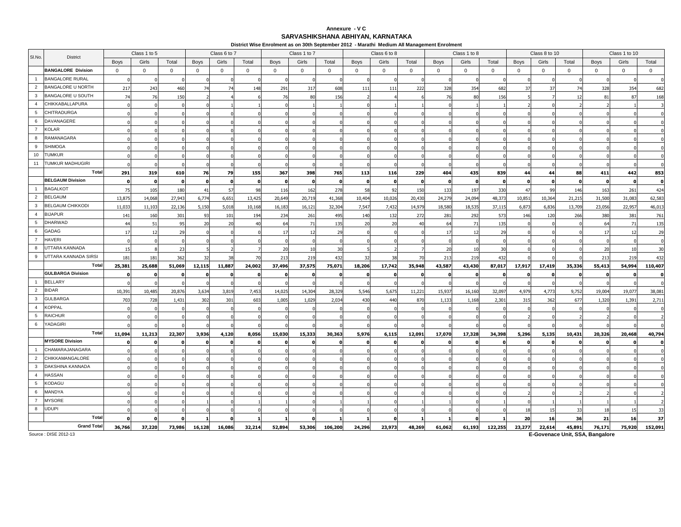### **Annexure - V CSARVASHIKSHANA ABHIYAN, KARNATAKA**

**District Wise Enrolment as on 30th September 2012 - Marathi Medium All Management Enrolment**

|                 |                           |                | Class 1 to 5 |              |             | Class 6 to 7 |              |             | Class 1 to 7 |                |             | Class 6 to 8 |             |                | Class 1 to 8 |             |             | Class 8 to 10 |        |              | Class 1 to 10  |              |
|-----------------|---------------------------|----------------|--------------|--------------|-------------|--------------|--------------|-------------|--------------|----------------|-------------|--------------|-------------|----------------|--------------|-------------|-------------|---------------|--------|--------------|----------------|--------------|
| SI.No.          | <b>District</b>           | <b>Boys</b>    | Girls        | Total        | <b>Boys</b> | Girls        | Total        | <b>Boys</b> | Girls        | Total          | <b>Boys</b> | Girls        | Total       | Boys           | Girls        | Total       | <b>Boys</b> | Girls         | Total  | <b>Boys</b>  | Girls          | Total        |
|                 | <b>BANGALORE Division</b> | $\mathbf 0$    | $\mathbf{0}$ | $\mathbf{0}$ | $\mathbf 0$ | $\mathbf 0$  | $\mathbf 0$  | $\mathbf 0$ | $\mathbf 0$  | $\overline{0}$ | $\mathbf 0$ | $\mathbf{0}$ | $\mathbf 0$ | $\overline{0}$ | $\mathbf 0$  | $\mathbf 0$ | $\mathbf 0$ | $\mathbf 0$   | 0      | $\mathbf{0}$ | $\mathbf 0$    | $\mathbf{0}$ |
| $\overline{1}$  | <b>BANGALORE RURAL</b>    |                |              |              |             |              |              |             |              |                |             |              |             |                |              |             |             |               |        |              |                |              |
| 2               | <b>BANGALORE U NORTH</b>  | 217            | 243          | 460          | 74          |              | 148          | 291         | 317          | 608            | 111         | 111          | 222         | 328            | 354          | 682         | 37          | 37            | 74     | 328          | 354            | 682          |
| $\mathbf{3}$    | BANGALORE U SOUTH         | 7 <sup>1</sup> | 76           | 150          |             |              |              | 76          | 80           | 156            |             |              |             | 76             | 80           | 156         |             |               | 12     | 81           | 87             | 168          |
| $\overline{4}$  | CHIKKABALLAPURA           |                |              |              |             |              |              |             |              |                |             |              |             |                |              |             |             |               |        |              |                |              |
| 5               | CHITRADURGA               |                |              |              |             |              |              |             |              |                |             |              |             |                |              |             |             |               |        |              |                |              |
| 6               | DAVANAGERE                |                |              |              |             |              |              |             |              |                |             |              |             |                |              |             |             |               |        |              |                |              |
| $\overline{7}$  | <b>KOLAR</b>              |                |              |              |             |              |              |             |              |                |             |              |             |                |              |             |             |               |        |              |                |              |
| 8               | RAMANAGARA                |                |              |              |             |              |              |             |              |                |             |              |             |                |              |             |             |               |        |              |                |              |
| 9               | <b>SHIMOGA</b>            |                |              |              |             |              |              |             |              |                |             |              |             |                |              |             |             |               |        |              |                |              |
| 10              | <b>TUMKUR</b>             |                |              |              |             |              |              |             |              |                |             |              |             |                |              |             |             |               |        |              |                |              |
| 11              | TUMKUR MADHUGIRI          |                |              |              |             |              |              |             |              |                |             |              |             |                |              |             |             |               |        |              |                |              |
|                 | Total                     | 291            | 319          | 610          | 76          | 79           | 155          | 367         | 398          | 765            | 113         | 116          | 229         | 404            | 435          | 839         | 44          | 44            | 88     | 411          | 442            | 853          |
|                 | <b>BELGAUM Division</b>   |                | n            |              |             |              | $\mathbf{r}$ |             | n            | - 0            |             |              |             |                | - C          |             |             |               |        |              |                | $\mathbf 0$  |
| $\mathbf{1}$    | <b>BAGALKOT</b>           | 75             | 105          | 180          | 41          | 57           | 98           | 116         | 162          | 278            | 58          | 92           | 150         | 133            | 197          | 330         | 47          | 99            | 146    | 163          | 261            | 424          |
| $\overline{2}$  | <b>BELGAUM</b>            | 13,875         | 14,068       | 27,943       | 6,774       | 6,651        | 13,425       | 20,649      | 20,719       | 41,368         | 10,404      | 10,026       | 20,430      | 24,279         | 24,094       | 48,373      | 10,851      | 10,364        | 21,215 | 31,500       | 31,083         | 62,583       |
| 3               | <b>BELGAUM CHIKKODI</b>   | 11,033         | 11,103       | 22,136       | 5,150       | 5,018        | 10,168       | 16,183      | 16,121       | 32,304         | 7,547       | 7,432        | 14,979      | 18,580         | 18,535       | 37,115      | 6,873       | 6,836         | 13,709 | 23,056       | 22,957         | 46,013       |
| $\overline{4}$  | <b>BIJAPUR</b>            | 141            | 160          | 301          | 93          | 101          | 194          | 234         | 261          | 495            | 140         | 132          | 272         | 281            | 292          | 573         | 146         | 120           | 266    | 380          | 381            | 761          |
| $5\phantom{.0}$ | <b>DHARWAD</b>            |                | 51           | 95           | 20          | 20           | 40           | 64          | 71           | 135            | 20          | 20           | 40          | 64             | 71           | 135         |             |               |        | 64           | 71             | 135          |
| 6               | GADAG                     |                | 12           | 29           |             |              |              | 17          | 12           | 29             |             |              |             | 17             | 12           | 29          |             |               |        | 17           | $\overline{1}$ | 29           |
| $\overline{7}$  | HAVERI                    |                |              |              |             |              |              |             |              |                |             |              |             |                |              |             |             |               |        |              |                | $\Omega$     |
| 8               | JTTARA KANNADA            |                |              |              |             |              |              | 20          | 10           | 30             |             |              |             | 20             | 10           | 30          |             |               |        | 20           |                | 30           |
| 9               | UTTARA KANNADA SIRSI      | 181            | 181          | 362          | 32          |              | 70           | 213         | 219          | 432            |             |              | 70          | 213            | 219          | 432         |             |               |        | 213          | 219            | 432          |
|                 | Total                     | 25,381         | 25,688       | 51,069       | 12,115      | 11,887       | 24,002       | 37,496      | 37,575       | 75,071         | 18,206      | 17,742       | 35,948      | 43,587         | 43,430       | 87,017      | 17,917      | 17,419        | 35,336 | 55,413       | 54,994         | 110,407      |
|                 | <b>GULBARGA Division</b>  |                |              |              |             |              |              | $\Omega$    | $\Omega$     | O              |             |              |             |                | O            |             |             |               |        |              |                | <sup>o</sup> |
| $\overline{1}$  | <b>BELLARY</b>            |                |              |              |             |              |              |             |              |                |             |              |             |                |              |             |             |               |        |              |                |              |
| $\overline{2}$  | <b>BIDAR</b>              | 10,391         | 10,485       | 20,876       | 3,634       | 3,819        | 7,453        | 14,025      | 14,304       | 28,329         | 5,546       | 5,675        | 11,221      | 15,937         | 16,160       | 32,097      | 4,979       | 4,773         | 9,752  | 19,004       | 19,077         | 38,081       |
| 3               | <b>GULBARGA</b>           | 703            | 728          | 1,431        | 302         | 301          | 603          | 1,005       | 1,029        | 2,034          | 430         | 440          | 870         | 1.133          | 1,168        | 2,301       | 315         | 362           | 677    | 1,320        | 1,391          | 2,711        |
| 4               | <b>KOPPAL</b>             |                |              |              |             |              | $\Omega$     | $\Omega$    |              |                |             |              | $\Omega$    |                |              |             |             |               |        |              |                | $\mathbf 0$  |
| 5               | RAICHUR                   |                |              |              |             |              |              |             |              |                |             |              |             |                |              |             |             |               |        |              |                |              |
| 6               | YADAGIRI                  |                |              |              |             |              |              |             |              |                |             |              |             |                |              |             |             |               |        |              |                |              |
|                 | Total                     | 11,094         | 11,213       | 22,307       | 3,936       | 4,120        | 8,056        | 15,030      | 15,333       | 30,363         | 5,976       | 6,115        | 12,091      | 17,070         | 17,328       | 34,398      | 5,296       | 5,135         | 10,431 | 20,326       | 20,468         | 40,794       |
|                 | <b>MYSORE Division</b>    |                |              |              |             |              |              |             |              |                |             |              |             |                |              |             |             |               |        |              |                |              |
| $\overline{1}$  | CHAMARAJANAGARA           |                |              |              |             |              |              |             |              |                |             |              |             |                |              |             |             |               |        |              |                |              |
| $\overline{2}$  | CHIKKAMANGALORE           |                |              |              |             |              |              |             |              |                |             |              |             |                |              |             |             |               |        |              |                |              |
| $\mathbf{3}$    | DAKSHINA KANNADA          |                |              |              |             |              |              |             |              |                |             |              |             |                |              |             |             |               |        |              |                |              |
| $\overline{4}$  | HASSAN                    |                |              |              |             |              |              |             |              |                |             |              |             |                |              |             |             |               |        |              |                |              |
| 5               | KODAGU                    |                |              |              |             |              |              |             |              |                |             |              |             |                |              |             |             |               |        |              |                |              |
| 6               | MANDYA                    |                |              |              |             |              |              |             |              |                |             |              |             |                |              |             |             |               |        |              |                |              |
| $\overline{7}$  | MYSORE                    |                |              |              |             |              |              |             |              |                |             |              |             |                |              |             |             |               |        |              |                |              |
| 8               | <b>UDUPI</b>              |                |              |              |             |              |              |             |              |                |             |              |             |                |              |             | -18         | 15            | -31    | 18           |                | 33           |
|                 | Total                     |                |              |              |             |              |              |             |              |                |             |              |             |                |              |             | 20          | 16            | 36     | 21           | 16             | 37           |
|                 | <b>Grand Total</b>        | 36,766         | 37,220       | 73,986       | 16,128      | 16,086       | 32,214       | 52,894      | 53,306       | 106,200        | 24,296      | 23,973       | 48,269      | 61,062         | 61,193       | 122,255     | 23,277      | 22,614        | 45,891 | 76,171       | 75,920         | 152,091      |

Source : DISE 2012-13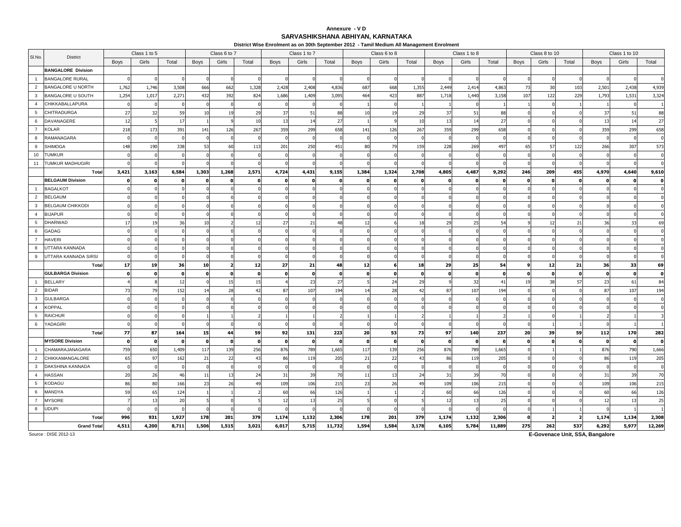### **Annexure - V DSARVASHIKSHANA ABHIYAN, KARNATAKA**

**District Wise Enrolment as on 30th September 2012 - Tamil Medium All Management Enrolment**

|                 |                           |                | Class 1 to 5 |       |             | Class 6 to 7 |              |             | Class 1 to 7 |              |             | Class 6 to 8 |             |          | Class 1 to 8 |          |          | Class 8 to 10 |       |              | Class 1 to 10 |              |
|-----------------|---------------------------|----------------|--------------|-------|-------------|--------------|--------------|-------------|--------------|--------------|-------------|--------------|-------------|----------|--------------|----------|----------|---------------|-------|--------------|---------------|--------------|
| SI.No.          | <b>District</b>           | <b>Boys</b>    | Girls        | Total | <b>Boys</b> | Girls        | Total        | <b>Boys</b> | Girls        | Total        | <b>Boys</b> | Girls        | Total       | Boys     | Girls        | Total    | Boys     | Girls         | Total | Boys         | Girls         | Total        |
|                 | <b>BANGALORE Division</b> |                |              |       |             |              |              |             |              |              |             |              |             |          |              |          |          |               |       |              |               |              |
| $\mathbf{1}$    | <b>BANGALORE RURAL</b>    |                |              |       |             |              |              |             |              |              |             |              |             |          |              |          |          |               |       |              |               |              |
| $\overline{2}$  | <b>BANGALORE U NORTH</b>  | 1,762          | 1,746        | 3,508 | 666         | 662          | 1,328        | 2,428       | 2,408        | 4,836        | 687         | 668          | 1,355       | 2,449    | 2,414        | 4,863    | 73       | 30            | 10.   | 2,501        | 2,438         | 4,939        |
| $\mathbf{3}$    | <b>BANGALORE U SOUTH</b>  | 1,254          | 1,017        | 2,271 | 432         | 392          | 824          | 1,686       | 1,409        | 3,095        | 464         | 423          | 887         | 1,718    | 1,440        | 3,158    | 107      | 122           | 229   | 1,793        | 1,531         | 3,324        |
| $\overline{4}$  | CHIKKABALLAPURA           |                |              |       |             |              |              |             | $\Omega$     | $\Omega$     |             |              |             |          | $\sqrt{ }$   |          |          |               |       |              |               |              |
| $5\overline{5}$ | CHITRADURGA               | 27             | -32          | 59    | 10          | 19           | 29           | 37          | 51           | 88           | 10          | 19           | 29          | 37       | 51           | 88       |          |               |       | 37           | 51            | 88           |
| 6               | DAVANAGERE                | 12             |              | 17    |             |              | 10           | 13          | 14           | 27           |             |              | 10          | 13       | 14           | 27       |          |               |       | 13           | 14            | 27           |
| $\overline{7}$  | <b>KOLAR</b>              | 218            | 173          | 391   | 141         | 126          | 267          | 359         | 299          | 658          | 141         | 126          | 267         | 359      | 299          | 658      |          |               |       | 359          | 299           | 658          |
| 8               | <b>RAMANAGARA</b>         |                |              |       |             |              |              | $\Omega$    | $\Omega$     | $\sqrt{ }$   |             |              |             |          |              |          |          |               |       |              |               | $\Omega$     |
| 9               | <b>SHIMOGA</b>            | 148            | 190          | 338   | 53          | 60           | 113          | 201         | 250          | 451          | 80          | 79           | 159         | 228      | 269          | 497      | 65       | 57            | 122   | 266          | 307           | 573          |
| 10 <sup>1</sup> | <b>TUMKUR</b>             |                |              |       |             |              |              |             |              |              |             |              |             |          |              |          |          |               |       |              |               | $\Omega$     |
| 11              | <b>TUMKUR MADHUGIRI</b>   |                |              |       |             |              |              |             |              |              |             |              |             |          |              |          |          |               |       |              |               | $\Omega$     |
|                 | Total                     | 3,421          | 3,163        | 6,584 | 1,303       | 1,268        | 2,571        | 4,724       | 4,431        | 9,155        | 1,384       | 1,324        | 2,708       | 4,805    | 4,487        | 9,292    | 246      | 209           | 455   | 4,970        | 4,640         | 9,610        |
|                 | <b>BELGAUM Division</b>   |                |              |       |             |              |              |             | O            |              |             |              |             |          |              |          |          |               |       |              |               | $\mathbf{o}$ |
| $\mathbf{1}$    | <b>BAGALKOT</b>           |                |              |       |             |              |              |             |              |              |             |              |             |          |              |          |          |               |       |              |               |              |
| $\overline{2}$  | <b>BELGAUM</b>            |                |              |       |             |              |              |             |              |              |             |              |             |          |              |          |          |               |       |              |               |              |
| $\mathbf{3}$    | <b>BELGAUM CHIKKODI</b>   |                |              |       |             |              |              |             |              |              |             |              |             |          |              |          |          |               |       |              |               |              |
| $\overline{4}$  | <b>BIJAPUR</b>            |                |              |       |             |              |              |             |              |              |             |              |             |          |              |          |          |               |       |              |               |              |
| 5               | <b>DHARWAD</b>            |                |              | 36    | 10          |              |              | 27          | 21           | 48           |             |              |             | 29       | 25           | 54       |          | 12            | 21    | 36           | 33            | 69           |
| 6               | <b>GADAG</b>              |                |              |       |             |              |              |             |              |              |             |              |             |          |              |          |          |               |       |              |               | $\Omega$     |
| $\overline{7}$  | <b>HAVERI</b>             |                |              |       |             |              |              |             |              |              |             |              |             |          |              |          |          |               |       |              |               |              |
| 8               | UTTARA KANNADA            |                |              |       |             |              |              |             |              |              |             |              |             |          |              |          |          |               |       |              |               |              |
| 9               | UTTARA KANNADA SIRSI      |                |              |       |             |              |              |             |              |              |             |              |             |          |              |          |          |               |       |              |               |              |
|                 | Total                     | 17             | 19           | 36    | 10          |              | 12           | 27          | 21           | 48           | 12          |              | 18          | 29       | 25           | 54       |          | 12            | 21    | 36           | 33            | 69           |
|                 | <b>GULBARGA Division</b>  |                |              |       |             |              | n            | $\mathbf o$ | $\Omega$     | $\mathbf{0}$ |             |              | $\mathbf o$ |          |              |          |          |               |       | $\mathbf{o}$ |               | $\mathbf 0$  |
| $\mathbf{1}$    | <b>BELLARY</b>            |                |              | 17    |             | -15          | -15          |             | 23           | 27           |             | 24           | 29          |          | 32           | 41       | 19       | 38            | 57    | 23           | 61            | 84           |
| 2               | <b>BIDAR</b>              |                | 79           | 152   | 14          | 28           | 42           | 87          | 107          | 194          |             | 28           | 42          | 87       | 107          | 194      |          |               |       | 87           | 107           | 194          |
| $\mathbf{3}$    | <b>GULBARGA</b>           |                |              |       |             |              |              |             |              |              |             |              |             |          |              |          |          |               |       |              |               |              |
| $\overline{4}$  | <b>KOPPAL</b>             |                |              |       |             |              |              |             |              |              |             |              |             |          |              |          |          |               |       |              |               |              |
| 5               | <b>RAICHUR</b>            |                |              |       |             |              |              |             |              |              |             |              |             |          |              |          |          |               |       |              |               |              |
| 6               | YADAGIRI                  |                |              |       |             |              |              |             |              |              |             |              |             |          |              |          |          |               |       |              |               |              |
|                 | Total                     | 77             | 87           | 164   | 15          | 44           | 59           | 92          | 131          | 223          | 20          | 53           | 73          | 97       | 140          | 237      | 20       | 39            | 59    | 112          | 170           | 282          |
|                 | <b>MYSORE Division</b>    | -C             |              |       |             | $\Omega$     | $\mathbf{0}$ | 0           | o            | $\mathbf{0}$ | $\Omega$    | - 0          | o           | $\Omega$ | $\Omega$     | $\Omega$ | $\Omega$ |               |       | $\mathbf{0}$ | $\Omega$      | $\mathbf 0$  |
| 1               | CHAMARAJANAGARA           | 759            | 650          | 1,409 | 117         | 139          | 256          | 876         | 789          | 1,665        | 117         | 139          | 256         | 876      | 789          | 1,665    |          |               |       | 876          | 790           | 1,666        |
| $\overline{2}$  | CHIKKAMANGALORE           | 65             | 97           | 162   | 21          | 22           | 43           | 86          | 119          | 205          | 21          | 22           | 43          | 86       | 119          | 205      |          |               |       | 86           | 119           | 205          |
| $\mathbf{3}$    | DAKSHINA KANNADA          |                |              |       |             |              |              | $\Omega$    | $\Omega$     | $\Omega$     |             |              |             |          | $\Omega$     |          |          |               |       |              |               | $\mathbf 0$  |
| $\overline{4}$  | <b>HASSAN</b>             | $\overline{2}$ | 26           | 46    | 11          | 13           | 24           | 31          | 39           | 70           | 11          | 13           | 24          | 31       | 39           | 70       |          |               |       | 31           | 39            | 70           |
| 5               | KODAGU                    | 86             | 80           | 166   | 23          | 26           | 49           | 109         | 106          | 215          | 23          | 26           | 49          | 109      | 106          | 215      |          |               |       | 109          | 106           | 215          |
| 6               | MANDYA                    | 50             | 65           | 124   |             |              |              | 60          | 66           | 126          |             |              |             | 60       | 66           | 126      |          |               |       | 60           | 66            | 126          |
| $\overline{7}$  | <b>MYSORE</b>             |                | 13           | 20    |             |              |              | 12          | 13           | 25           |             |              |             | 12       | 13           | 25       |          |               |       | 12           | 13            | 25           |
| 8               | <b>UDUPI</b>              |                |              |       |             |              |              |             | $\sqrt{2}$   |              |             |              |             |          |              |          |          |               |       |              |               |              |
|                 | Total                     | 996            | 931          | 1,927 | 178         | 201          | 379          | 1,174       | 1,132        | 2,306        | 178         | 201          | 379         | 1,174    | 1,132        | 2,306    |          |               |       | 1,174        | 1,134         | 2,308        |
|                 | <b>Grand Total</b>        | 4,511          | 4,200        | 8,711 | 1,506       | 1,515        | 3,021        | 6,017       | 5,715        | 11,732       | 1,594       | 1,584        | 3,178       | 6,105    | 5,784        | 11,889   | 275      | 262           | 537   | 6,292        | 5,977         | 12,269       |

Source : DISE 2012-13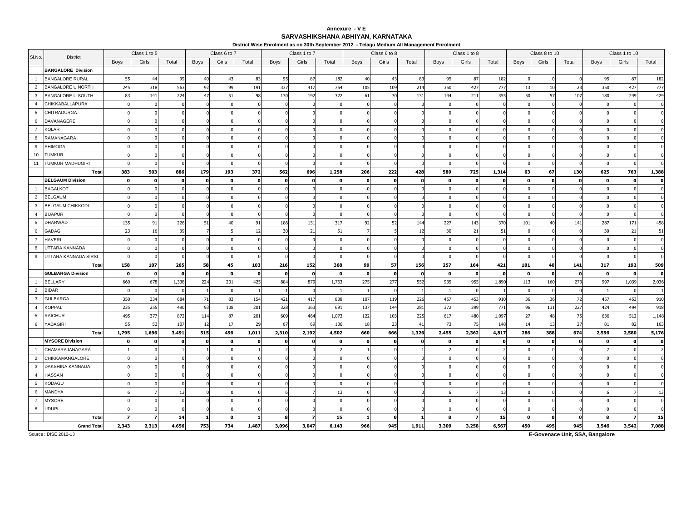### **Annexure - V ESARVASHIKSHANA ABHIYAN, KARNATAKA**

**District Wise Enrolment as on 30th September 2012 - Telagu Medium All Management Enrolment**

|                 |                           |       | Class 1 to 5 |       |              | Class 6 to 7 |              |          | Class 1 to 7 |              |                | Class 6 to 8 |          |          | Class 1 to 8 |       |              | Class 8 to 10 |          |          | Class 1 to 10 |                |
|-----------------|---------------------------|-------|--------------|-------|--------------|--------------|--------------|----------|--------------|--------------|----------------|--------------|----------|----------|--------------|-------|--------------|---------------|----------|----------|---------------|----------------|
| SI.No.          | District                  | Boys  | Girls        | Total | Boys         | Girls        | Total        | Boys     | Girls        | Total        | Boys           | Girls        | Total    | Boys     | Girls        | Total | <b>Boys</b>  | Girls         | Total    | Boys     | Girls         | Total          |
|                 | <b>BANGALORE Division</b> |       |              |       |              |              |              |          |              |              |                |              |          |          |              |       |              |               |          |          |               |                |
| $\overline{1}$  | <b>BANGALORE RURAL</b>    | 55    | 44           | 99    | 40           | 43           | 83           | 95       | 87           | 182          | 4 <sup>1</sup> | 43           | 83       | 95       | 87           | 182   |              |               |          | 95       | 87            | 182            |
| $\overline{2}$  | <b>BANGALORE U NORTH</b>  | 245   | 318          | 563   | 92           | 99           | 191          | 337      | 417          | 754          | 105            | 109          | 214      | 350      | 427          | 777   | 13           | 10            | 23       | 350      | 427           | 777            |
| $\mathbf{3}$    | <b>BANGALORE U SOUTH</b>  | 83    | 141          | 224   | 47           | 51           | 98           | 130      | 192          | 322          | 61             | 70           | 131      | 144      | 211          | 355   | 50           | 57            | 107      | 180      | 249           | 429            |
| $\overline{4}$  | CHIKKABALLAPURA           |       |              |       |              |              |              |          |              |              |                |              | $\Omega$ |          |              |       |              |               |          |          |               | $\Omega$       |
| 5               | <b>CHITRADURGA</b>        |       |              |       |              |              |              |          |              |              |                |              |          |          |              |       |              |               |          |          |               |                |
| 6               | DAVANAGERE                |       |              |       |              |              |              |          |              |              |                |              |          |          |              |       |              |               |          |          |               |                |
| $\overline{7}$  | KOLAR                     |       |              |       |              |              |              |          |              |              |                |              |          |          |              |       |              |               |          |          |               |                |
| 8               | RAMANAGARA                |       |              |       |              |              |              |          |              |              |                |              |          |          |              |       |              |               |          |          |               |                |
| 9               | <b>SHIMOGA</b>            |       |              |       |              |              |              |          |              |              |                |              |          |          |              |       |              |               |          |          |               |                |
| 10              | TUMKUR                    |       |              |       |              |              |              |          |              |              |                |              |          |          |              |       |              |               |          |          |               |                |
| 11              | TUMKUR MADHUGIRI          |       |              |       |              |              |              |          |              |              |                |              |          |          |              |       |              |               |          |          |               |                |
|                 | Total                     | 383   | 503          | 886   | 179          | 193          | 372          | 562      | 696          | 1,258        | 206            | 222          | 428      | 589      | 725          | 1,314 | 63           | 67            | 130      | 625      | 763           | 1,388          |
|                 | <b>BELGAUM Division</b>   |       |              |       | $\Omega$     |              | $\mathbf{0}$ |          | $\mathbf{o}$ | O            | n              |              |          | $\Omega$ | 0            |       |              |               |          |          |               | $\mathbf{o}$   |
| $\overline{1}$  | <b>BAGALKOT</b>           |       |              |       |              |              |              |          |              |              |                |              |          |          |              |       |              |               |          |          |               |                |
| $\overline{2}$  | <b>BELGAUM</b>            |       |              |       |              |              |              |          |              |              |                |              |          |          |              |       |              |               |          |          |               |                |
| 3               | <b>BELGAUM CHIKKODI</b>   |       |              |       |              |              |              |          |              |              |                |              |          |          |              |       |              |               |          |          |               |                |
| $\overline{4}$  | <b>BIJAPUR</b>            |       |              |       |              |              |              |          |              |              |                |              |          |          |              |       |              |               |          |          |               |                |
| $5\overline{5}$ | <b>DHARWAD</b>            | 135   | 91           | 226   | 51           |              | 91           | 186      | 131          | 317          | 92             | 52           | 144      | 227      | 143          | 370   | 101          | 40            | 141      | 287      | 171           | 458            |
| 6               | GADAG                     | 23    | 16           | 39    |              |              | 12           | 30       | 21           | 51           |                |              | 12       | 30       | 21           | 51    |              |               |          | 30       | 21            | 51             |
| $\overline{7}$  | HAVERI                    |       |              |       |              |              |              |          |              |              |                |              |          |          |              |       |              |               |          |          |               | $\Omega$       |
| 8               | UTTARA KANNADA            |       |              |       |              |              |              |          |              |              |                |              |          |          |              |       |              |               |          |          |               |                |
| 9               | UTTARA KANNADA SIRSI      |       |              |       |              |              |              |          |              |              |                |              | n        |          |              |       |              |               |          |          |               |                |
|                 | Total                     | 158   | 107          | 265   | 58           | 45           | 103          | 216      | 152          | 368          | 99             | 57           | 156      | 257      | 164          | 421   | 101          | 40            | 141      | 317      | 192           | 509            |
|                 | <b>GULBARGA Division</b>  |       | n            |       | $\Omega$     |              | $\Omega$     | $\Omega$ | $\Omega$     | - 0          | $\mathbf{r}$   |              | n        | $\Omega$ | - O          |       | - 0          |               |          | $\Omega$ |               | $\mathbf{o}$   |
| $\overline{1}$  | <b>BELLARY</b>            | 660   | 678          | 1,338 | 224          | 201          | 425          | 884      | 879          | 1,763        | 275            | 277          | 552      | 935      | 955          | 1,890 | 113          | 160           | 273      | 997      | 1,039         | 2,036          |
| $\overline{2}$  | <b>BIDAR</b>              |       |              |       |              |              |              |          |              |              |                |              |          |          |              |       |              |               |          |          |               |                |
| $\mathbf{3}$    | <b>GULBARGA</b>           | 350   | 334          | 684   | 71           | 83           | 154          | 421      | 417          | 838          | 107            | 119          | 226      | 457      | 453          | 910   | 36           | 36            | 72       | 457      | 453           | 910            |
| $\overline{4}$  | <b>KOPPAL</b>             | 235   | 255          | 490   | 93           | 108          | 201          | 328      | 363          | 691          | 137            | 144          | 281      | 372      | 399          | 771   | 96           | 131           | 227      | 424      | 494           | 918            |
| 5               | RAICHUR                   | 495   | 377          | 872   | 114          | 87           | 201          | 609      | 464          | 1,073        | 122            | 103          | 225      | 617      | 480          | 1,097 | 27           | 48            | 75       | 636      | 512           | 1,148          |
| 6               | YADAGIRI                  | 5!    | 52           | 107   | 12           | 17           | 29           | 67       | 69           | 136          | 18             | 23           | 41       | 73       | 75           | 148   | 14           | 13            | 27       | 81       | 82            | 163            |
|                 | Total                     | 1,795 | 1,696        | 3,491 | 515          | 496          | 1,011        | 2,310    | 2,192        | 4,502        | 660            | 666          | 1,326    | 2,455    | 2,362        | 4,817 | 286          | 388           | 674      | 2,596    | 2,580         | 5,176          |
|                 | <b>MYSORE Division</b>    |       | O            |       | $\mathbf{0}$ |              | $\Omega$     | $\Omega$ | $\mathbf{o}$ | $\mathbf{0}$ | $\Omega$       |              | $\Omega$ | $\Omega$ | $\mathbf{0}$ |       | $\mathbf{o}$ |               | $\Omega$ | $\Omega$ |               | $\mathbf 0$    |
| $\overline{1}$  | CHAMARAJANAGARA           |       |              |       |              |              |              |          |              |              |                |              |          |          |              |       |              |               |          |          |               | $\overline{2}$ |
| $\overline{2}$  | CHIKKAMANGALORE           |       |              |       |              |              |              |          |              |              |                |              |          |          |              |       |              |               |          |          |               |                |
| $\mathbf{3}$    | DAKSHINA KANNADA          |       |              |       |              |              |              |          |              |              |                |              |          |          |              |       |              |               |          |          |               |                |
| $\overline{4}$  | <b>HASSAN</b>             |       |              |       |              |              |              |          |              |              |                |              |          |          |              |       |              |               |          |          |               |                |
| 5               | KODAGU                    |       |              |       |              |              |              |          |              |              |                |              |          |          |              |       |              |               |          |          |               |                |
| 6               | MANDYA                    |       |              | 13    |              |              |              |          |              | 13           |                |              |          |          |              |       |              |               |          |          |               | 13             |
| $\overline{7}$  | <b>MYSORE</b>             |       |              |       |              |              |              |          |              |              |                |              |          |          |              |       |              |               |          |          |               |                |
| 8               | UDUPI                     |       |              |       |              |              |              |          |              |              |                |              |          |          |              |       |              |               |          |          |               |                |
|                 | Total                     |       |              | 14    |              |              |              |          | 7            | 15           |                |              |          |          |              | -15   |              |               |          |          |               | 15             |
|                 | <b>Grand Total</b>        | 2,343 | 2,313        | 4,656 | 753          | 734          | 1,487        | 3,096    | 3,047        | 6,143        | 966            | 945          | 1,911    | 3,309    | 3,258        | 6,567 | 450          | 495           | 945      | 3,546    | 3,542         | 7,088          |

Source : DISE 2012-13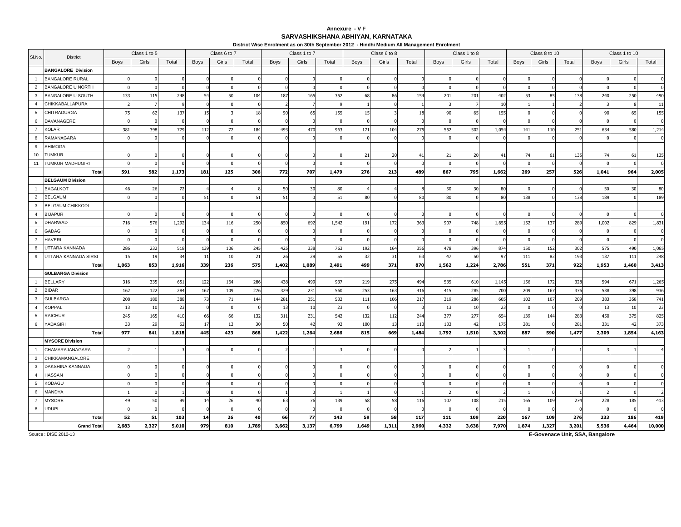### **Annexure - V FSARVASHIKSHANA ABHIYAN, KARNATAKA**

**District Wise Enrolment as on 30th September 2012 - Hindhi Medium All Management Enrolment**

|                 |                           |                | Class 1 to 5 |       |             | Class 6 to 7         |          |       | Class 1 to 7 |       |       | Class 6 to 8   |       |             | Class 1 to 8 |       |       | Class 8 to 10 |       |       | Class 1 to 10  |                          |
|-----------------|---------------------------|----------------|--------------|-------|-------------|----------------------|----------|-------|--------------|-------|-------|----------------|-------|-------------|--------------|-------|-------|---------------|-------|-------|----------------|--------------------------|
| SI.No.          | <b>District</b>           | Boys           | Girls        | Total | Boys        | Girls                | Total    | Boys  | Girls        | Total | Boys  | Girls          | Total | <b>Boys</b> | Girls        | Total | Boys  | Girls         | Total | Boys  | Girls          | Total                    |
|                 | <b>BANGALORE Division</b> |                |              |       |             |                      |          |       |              |       |       |                |       |             |              |       |       |               |       |       |                |                          |
| $\overline{1}$  | <b>BANGALORE RURAL</b>    |                |              |       |             |                      |          |       |              |       |       |                |       |             |              |       |       |               |       |       |                |                          |
| $\overline{2}$  | <b>BANGALORE U NORTH</b>  |                |              |       |             |                      |          |       |              |       |       |                |       |             |              |       |       |               |       |       |                | $\Omega$                 |
| $\mathbf{3}$    | <b>BANGALORE U SOUTH</b>  | 133            | 115          | 248   | 54          | 50                   | 104      | 187   | 165          | 352   | 68    | 86             | 154   | 201         | 201          | 402   | 53    | 85            | 138   | 240   | 250            | 490                      |
| $\overline{4}$  | <b>CHIKKABALLAPURA</b>    |                |              |       |             |                      |          |       |              |       |       |                |       |             |              | 10    |       |               |       |       |                | 11                       |
| $5\overline{5}$ | <b>CHITRADURGA</b>        | 75             | 62           | 137   | 15          |                      | 18       | 90    | 65           | 155   | 15    |                | 18    | 90          | 65           | 155   |       |               |       | 90    | 65             | 155                      |
| 6               | DAVANAGERE                |                |              |       |             |                      |          |       |              |       |       |                |       |             |              |       |       |               |       |       |                | $\Omega$                 |
| $\overline{7}$  | <b>KOLAR</b>              | 381            | 398          | 779   | 112         | 72                   | 184      | 493   | 470          | 963   | 171   | 104            | 275   | 552         | 502          | 1,054 | 141   | 110           | 251   | 634   | 580            | 1,214                    |
| 8               | RAMANAGARA                |                |              |       |             |                      |          |       |              |       |       |                |       |             |              |       |       |               |       |       |                | $\Omega$                 |
| 9               | <b>SHIMOGA</b>            |                |              |       |             |                      |          |       |              |       |       |                |       |             |              |       |       |               |       |       |                |                          |
| 10              | <b>TUMKUR</b>             |                |              |       |             |                      |          |       |              |       | 21    | 20             | 41    | 21          | 20           | 41    | 74    | 61            | 135   | 74    | 61             | 135                      |
| 11              | TUMKUR MADHUGIRI          |                |              |       |             |                      |          |       |              |       |       |                |       |             |              |       |       |               |       |       |                | $\Omega$                 |
|                 | Total                     | 591            | 582          | 1,173 | 181         | 125                  | 306      | 772   | 707          | 1,479 | 276   | 213            | 489   | 867         | 795          | 1,662 | 269   | 257           | 526   | 1,041 | 964            | 2,005                    |
|                 | <b>BELGAUM Division</b>   |                |              |       |             |                      |          |       |              |       |       |                |       |             |              |       |       |               |       |       |                |                          |
| $\overline{1}$  | <b>BAGALKOT</b>           | 46             | 26           | 72    |             |                      |          | 50    | 30           | 80    |       |                |       | 50          | 30           | 80    |       |               |       | 50    | 30             | 80                       |
| $\overline{2}$  | <b>BELGAUM</b>            |                |              |       | 51          |                      | 51       | 51    |              | 51    | 80    |                | 80    | 80          | $\sqrt{ }$   | 80    | 138   |               | 138   | 189   |                | 189                      |
| 3               | <b>BELGAUM CHIKKODI</b>   |                |              |       |             |                      |          |       |              |       |       |                |       |             |              |       |       |               |       |       |                |                          |
| $\overline{4}$  | <b>BIJAPUR</b>            |                |              |       |             |                      |          |       |              |       |       |                |       |             |              |       |       |               |       |       |                |                          |
| 5               | <b>DHARWAD</b>            | 716            | 576          | 1,292 | 134         | 116                  | 250      | 850   | 692          | 1,542 | 191   | 172            | 363   | 907         | 748          | 1,655 | 152   | 137           | 289   | 1,002 | 829            | 1,831                    |
| 6               | <b>GADAG</b>              |                |              |       |             |                      |          |       |              |       |       |                |       |             |              |       |       |               |       |       |                | $\mathbf 0$              |
| $\overline{7}$  | <b>HAVERI</b>             |                |              |       |             |                      |          |       |              |       |       |                |       |             |              |       |       |               |       |       |                | $\mathbf 0$              |
| 8               | UTTARA KANNADA            | 286            | 232          | 518   | 139         | 106                  | 245      | 425   | 338          | 763   | 192   | 164            | 356   | 478         | 396          | 874   | 150   | 152           | 302   | 575   | 490            | 1,065                    |
| 9               | UTTARA KANNADA SIRSI      | 15             | 19           | 34    | -11         | 10                   | 21       | 26    | 29           | 55    | -32   | 31             | 63    | 47          | 50           | 97    | 111   | 82            | 193   | 137   | 111            | 248                      |
|                 | Total                     | 1,063          | 853          | 1,916 | 339         | 236                  | 575      | 1,402 | 1,089        | 2,491 | 499   | 371            | 870   | 1,562       | 1,224        | 2,786 | 551   | 371           | 922   | 1,953 | 1,460          | 3,413                    |
|                 | <b>GULBARGA Division</b>  |                |              |       |             |                      |          |       |              |       |       |                |       |             |              |       |       |               |       |       |                |                          |
| $\overline{1}$  | <b>BELLARY</b>            | 316            | 335          | 651   | 122         | 164                  | 286      | 438   | 499          | 937   | 219   | 275            | 494   | 535         | 610          | 1,145 | 156   | 172           | 328   | 594   | 671            | 1,265                    |
| $\overline{2}$  | <b>BIDAR</b>              | 162            | 122          | 284   | 167         | 109                  | 276      | 329   | 231          | 560   | 253   | 163            | 416   | 415         | 285          | 700   | 209   | 167           | 376   | 538   | 398            | 936                      |
| 3               | <b>GULBARGA</b>           | 208            | 180          | 388   | $7^{\circ}$ | 71                   | 144      | 281   | 251          | 532   | 111   | 106            | 217   | 319         | 286          | 605   | 102   | 107           | 209   | 383   | 358            | 741                      |
| $\overline{4}$  | <b>KOPPAL</b>             | 13             | 10           | 23    |             |                      | $\Omega$ | 13    | 10           | 23    |       |                |       | 13          | 10           | 23    | - 0   |               |       | 13    | 10             | 23                       |
| 5               | <b>RAICHUR</b>            | 245            | 165          | 410   | 66          | 66                   | 132      | 311   | 231          | 542   | 132   | 112            | 244   | 377         | 277          | 654   | 139   | 144           | 283   | 450   | 375            | 825                      |
| 6               | YADAGIRI                  | 33             | 29           | 62    |             | $\mathbf{1}^{\circ}$ | 30       | 50    | 42           | 92    | 100   | 1 <sup>7</sup> | 113   | 133         | 42           | 175   | 281   |               | 281   | 331   | $\overline{4}$ | 373                      |
|                 | Total                     | 977            | 841          | 1,818 | 445         | 423                  | 868      | 1,422 | 1,264        | 2,686 | 815   | 669            | 1,484 | 1,792       | 1,510        | 3,302 | 887   | 590           | 1,477 | 2,309 | 1,854          | 4,163                    |
|                 | <b>MYSORE Division</b>    |                |              |       |             |                      |          |       |              |       |       |                |       |             |              |       |       |               |       |       |                |                          |
| $\overline{1}$  | CHAMARAJANAGARA           |                |              |       |             |                      |          |       |              |       |       |                |       |             |              |       |       |               |       |       |                |                          |
| $\overline{2}$  | CHIKKAMANGALORE           |                |              |       |             |                      |          |       |              |       |       |                |       |             |              |       |       |               |       |       |                |                          |
| 3               | DAKSHINA KANNADA          |                |              |       |             |                      |          |       |              |       |       |                |       |             |              |       |       |               |       |       |                |                          |
| $\overline{4}$  | <b>HASSAN</b>             |                |              |       |             |                      |          |       |              |       |       |                |       |             |              |       |       |               |       |       |                |                          |
| 5               | KODAGU                    |                |              |       |             |                      |          |       |              |       |       |                |       |             |              |       |       |               |       |       |                |                          |
| 6               | MANDYA                    |                |              |       |             |                      |          |       |              |       |       |                |       |             |              |       |       |               |       |       |                | $\overline{\phantom{a}}$ |
| $\overline{7}$  | <b>MYSORE</b>             | 4 <sup>c</sup> | 50           | qq    |             | 26                   | 40       | 63    | 76           | 139   | 58    | 58             | 116   | 107         | 108          | 215   | 165   | 109           | 274   | 228   | 185            | 413                      |
| 8               | <b>UDUPI</b>              |                |              |       |             |                      |          |       |              |       |       |                |       |             |              |       |       |               |       |       |                | $\Omega$                 |
|                 | Total                     | 52             | 51           | 103   | -14         | 26                   | 40       | 66    | 77           | 143   | 59    | 58             | 117   | 111         | 109          | 220   | 167   | 109           | 276   | 233   | 186            | 419                      |
|                 | <b>Grand Total</b>        | 2,683          | 2,327        | 5,010 | 979         | 810                  | 1,789    | 3,662 | 3,137        | 6,799 | 1,649 | 1,311          | 2,960 | 4,332       | 3,638        | 7,970 | 1,874 | 1,327         | 3,201 | 5,536 | 4,464          | 10,000                   |

Source : DISE 2012-13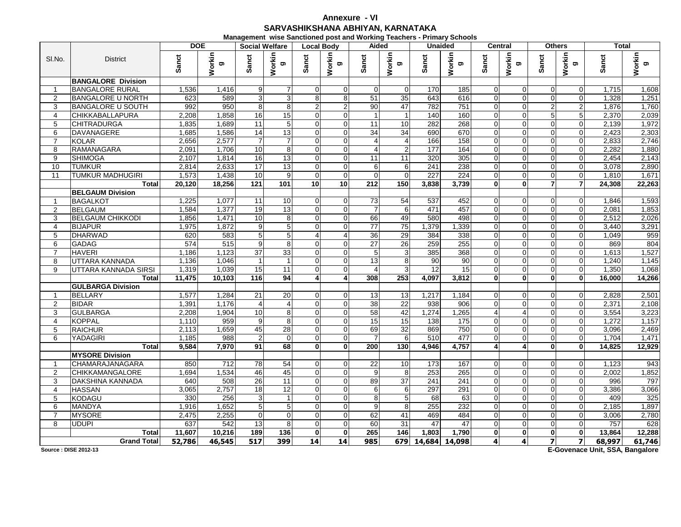## **Annexure - VISARVASHIKSHANA ABHIYAN, KARNATAKA**

**Management wise Sanctioned post and Working Teachers - Primary Schools**

|                |                           | <b>DOE</b> |              | <b>Social Welfare</b>   |                         | <b>Local Body</b>       |                 | Aided           |                         |                  | <b>Unaided</b>   | <b>Central</b>          |                |                | <b>Others</b>           | Total     |              |
|----------------|---------------------------|------------|--------------|-------------------------|-------------------------|-------------------------|-----------------|-----------------|-------------------------|------------------|------------------|-------------------------|----------------|----------------|-------------------------|-----------|--------------|
| SI.No.         | <b>District</b>           | Sanct      | Workin<br>ರಾ | Sanct                   | Workin<br>ರಾ            | Sanct                   | Workin<br>ಠಾ    | Sanct           | Workin<br>ರಾ            | Sanct            | Workin<br>ත      | Sanct                   | Workin<br>ත    | Sanct          | Workin<br>ත             | anct<br>ഗ | Workin<br>ರಾ |
|                | <b>BANGALORE Division</b> |            |              |                         |                         |                         |                 |                 |                         |                  |                  |                         |                |                |                         |           |              |
|                | <b>BANGALORE RURAL</b>    | 1,536      | 1,416        | 9                       |                         | $\Omega$                | $\Omega$        | $\Omega$        | $\Omega$                | 170              | 185              | 0                       | $\Omega$       | $\Omega$       | $\Omega$                | 1,715     | 1,608        |
| $\overline{2}$ | <b>BANGALORE U NORTH</b>  | 623        | 589          | 3                       | 3                       | 8                       | 8               | 51              | 35                      | 643              | 616              | 0                       | $\Omega$       | $\Omega$       | $\overline{0}$          | 1,328     | 1,251        |
| 3              | <b>BANGALORE U SOUTH</b>  | 992        | 950          | 8                       | 8                       | 2                       | $\overline{2}$  | 90              | 47                      | 782              | 751              | 0                       | $\Omega$       | $\overline{2}$ | $\overline{2}$          | 1.876     | 1,760        |
| $\overline{4}$ | <b>CHIKKABALLAPURA</b>    | 2.208      | 1,858        | 16                      | 15                      | $\Omega$                | $\Omega$        | $\overline{1}$  | $\mathbf{1}$            | 140              | 160              | $\Omega$                | $\Omega$       | 5 <sup>1</sup> | 5                       | 2.370     | 2,039        |
| 5              | <b>CHITRADURGA</b>        | 1,835      | 1,689        | 11                      | 5                       | $\overline{0}$          | $\Omega$        | 11              | 10                      | 282              | 268              | $\overline{0}$          | $\overline{0}$ | $\Omega$       | $\mathbf 0$             | 2,139     | 1,972        |
| 6              | DAVANAGERE                | 1.685      | 1,586        | 14                      | 13                      | $\Omega$                | $\Omega$        | $\overline{34}$ | 34                      | 690              | 670              | $\overline{0}$          | $\Omega$       | $\Omega$       | $\Omega$                | 2.423     | 2,303        |
| $\overline{7}$ | <b>KOLAR</b>              | 2,656      | 2,577        | $\overline{7}$          |                         | $\Omega$                | $\Omega$        | $\overline{4}$  | $\overline{\mathbf{4}}$ | 166              | 158              | $\Omega$                | $\Omega$       | $\Omega$       | $\Omega$                | 2,833     | 2,746        |
| 8              | <b>RAMANAGARA</b>         | 2.091      | 1,706        | 10                      | 8                       | $\Omega$                | $\Omega$        | 4               | $\overline{2}$          | 177              | 164              | O                       | $\Omega$       | $\Omega$       | $\Omega$                | 2,282     | 1,880        |
| 9              | <b>SHIMOGA</b>            | 2,107      | 1,814        | 16                      | 13                      | $\Omega$                | $\overline{0}$  | 11              | 11                      | 320              | 305              | 0                       | $\Omega$       | $\Omega$       | $\overline{0}$          | 2,454     | 2,143        |
| 10             | <b>TUMKUR</b>             | 2.814      | 2,633        | 17                      | 13                      | $\Omega$                | $\Omega$        | 6               | 6                       | 241              | 238              | $\Omega$                | $\Omega$       | $\Omega$       | $\Omega$                | 3.078     | 2,890        |
| 11             | <b>TUMKUR MADHUGIRI</b>   | 1.573      | 1,438        | 10                      | 9                       | $\Omega$                | $\Omega$        | $\Omega$        | $\Omega$                | 227              | 224              | $\Omega$                | $\Omega$       | $\Omega$       | $\Omega$                | 1.810     | 1,671        |
|                | <b>Total</b>              | 20,120     | 18,256       | 121                     | 101                     | 10 <sup>1</sup>         | 10 <sup>1</sup> | 212             | 150                     | 3,838            | 3,739            | $\mathbf{0}$            | $\mathbf{0}$   | $\overline{7}$ | $\overline{7}$          | 24,308    | 22,263       |
|                | <b>BELGAUM Division</b>   |            |              |                         |                         |                         |                 |                 |                         |                  |                  |                         |                |                |                         |           |              |
|                | <b>BAGALKOT</b>           | 1,225      | 1,077        | 11                      | 10                      | $\Omega$                | $\Omega$        | 73              | 54                      | 537              | 452              |                         | $\Omega$       | $\Omega$       | $\Omega$                | 1,846     | 1,593        |
| $\overline{2}$ | <b>BELGAUM</b>            | 1,584      | 1,377        | 19                      | 13                      | $\overline{0}$          | $\overline{0}$  | $\overline{7}$  | 6                       | 471              | 457              | 0                       | $\overline{0}$ | $\Omega$       | $\mathbf 0$             | 2,081     | 1,853        |
| 3              | <b>BELGAUM CHIKKODI</b>   | 1.856      | 1,471        | 10                      | 8                       | $\Omega$                | $\Omega$        | 66              | 49                      | 580              | 498              | 0                       | $\Omega$       | $\Omega$       | $\Omega$                | 2,512     | 2,026        |
| $\overline{4}$ | <b>BIJAPUR</b>            | 1,975      | 1,872        | $\boldsymbol{9}$        | 5                       | $\Omega$                | $\Omega$        | $\overline{77}$ | 75                      | 1,379            | 1,339            | $\Omega$                | $\Omega$       | $\Omega$       | $\mathbf 0$             | 3.440     | 3,291        |
| 5              | <b>DHARWAD</b>            | 620        | 583          | $\mathbf 5$             | 5                       | 4                       |                 | 36              | 29                      | 384              | 338              | $\Omega$                | $\Omega$       | $\Omega$       | $\Omega$                | 1,049     | 959          |
| 6              | <b>GADAG</b>              | 574        | 515          | $\overline{9}$          | 8                       | $\Omega$                | $\Omega$        | 27              | 26                      | 259              | 255              | $\overline{0}$          | $\Omega$       | $\Omega$       | $\mathbf 0$             | 869       | 804          |
| $\overline{7}$ | <b>HAVERI</b>             | 1,186      | 1,123        | $\overline{37}$         | 33                      | $\Omega$                | $\Omega$        | 5               | $\overline{3}$          | 385              | 368              | $\Omega$                | $\Omega$       | $\Omega$       | $\Omega$                | 1,613     | 1,527        |
| 8              | UTTARA KANNADA            | 1,136      | 1,046        | $\overline{1}$          | $\overline{\mathbf{1}}$ | $\Omega$                | $\Omega$        | 13              | 8                       | 90               | 90               | $\Omega$                | $\Omega$       | $\Omega$       | $\Omega$                | 1,240     | 1,145        |
| 9              | UTTARA KANNADA SIRSI      | 1,319      | 1,039        | 15                      | 11                      | $\overline{0}$          | $\overline{0}$  | $\overline{4}$  | 3                       | 12               | 15               | $\overline{0}$          | $\mathbf{0}$   | $\overline{0}$ | $\overline{0}$          | 1,350     | 1,068        |
|                | Total                     | 11.475     | 10.103       | 116                     | 94                      | $\overline{\mathbf{4}}$ | $\mathbf{A}$    | 308             | 253                     | 4.097            | 3,812            | O.                      | $\mathbf{0}$   | $\mathbf{0}$   | $\mathbf{0}$            | 16.000    | 14,266       |
|                | <b>GULBARGA Division</b>  |            |              |                         |                         |                         |                 |                 |                         |                  |                  |                         |                |                |                         |           |              |
| $\mathbf{1}$   | <b>BELLARY</b>            | 1,577      | 1,284        | 21                      | 20                      | $\Omega$                | $\Omega$        | 13              | 13                      | 1,217            | 1,184            | $\Omega$                | $\Omega$       | $\Omega$       | $\mathbf 0$             | 2,828     | 2,501        |
| $\overline{2}$ | <b>BIDAR</b>              | 1,391      | 1,176        | $\overline{\mathbf{4}}$ | 4                       | $\Omega$                | $\Omega$        | 38              | $\overline{22}$         | 938              | 906              | 0                       | $\Omega$       | $\Omega$       | $\Omega$                | 2,371     | 2,108        |
| 3              | <b>GULBARGA</b>           | 2,208      | 1,904        | 10                      | 8                       | $\Omega$                | $\Omega$        | 58              | 42                      | 1,274            | 1,265            |                         | $\overline{A}$ | $\Omega$       | $\Omega$                | 3,554     | 3,223        |
| 4              | <b>KOPPAL</b>             | 1,110      | 959          | 9                       | 8                       | $\overline{0}$          | $\overline{0}$  | 15              | 15                      | 138              | 175              | 0                       | $\Omega$       | $\Omega$       | $\overline{0}$          | 1,272     | 1,157        |
| 5              | <b>RAICHUR</b>            | 2,113      | 1,659        | 45                      | $\overline{28}$         | $\overline{0}$          | $\Omega$        | 69              | 32                      | 869              | 750              | $\overline{0}$          | $\Omega$       | $\Omega$       | $\mathbf 0$             | 3,096     | 2,469        |
| 6              | <b>YADAGIRI</b>           | 1,185      | 988          | $\overline{c}$          | 0                       | $\Omega$                | $\Omega$        | $\overline{7}$  | 6                       | 510              | 477              | 0                       | $\Omega$       | $\Omega$       | $\Omega$                | 1.704     | 1,471        |
|                | Total                     | 9,584      | 7.970        | 91                      | 68                      | $\mathbf{0}$            | $\mathbf{0}$    | 200             | 130                     | 4.946            | 4,757            | $\overline{\mathbf{A}}$ | $\overline{4}$ | $\mathbf{0}$   | $\mathbf{0}$            | 14.825    | 12,929       |
|                | <b>MYSORE Division</b>    |            |              |                         |                         |                         |                 |                 |                         |                  |                  |                         |                |                |                         |           |              |
|                | CHAMARAJANAGARA           | 850        | 712          | $\overline{78}$         | 54                      | $\Omega$                | $\Omega$        | 22              | 10                      | 173              | 167              |                         | $\Omega$       | $\Omega$       | $\Omega$                | 1,123     | 943          |
| 2              | <b>CHIKKAMANGALORE</b>    | 1.694      | 1,534        | 46                      | 45                      | $\Omega$                | $\Omega$        | 9               | 8                       | 253              | $\overline{265}$ | $\Omega$                | $\Omega$       | $\Omega$       | $\Omega$                | 2,002     | 1,852        |
| 3              | <b>DAKSHINA KANNADA</b>   | 640        | 508          | 26                      | 11                      | $\overline{0}$          | $\Omega$        | 89              | $\overline{37}$         | $\overline{241}$ | 241              | $\Omega$                | $\Omega$       | $\Omega$       | $\Omega$                | 996       | 797          |
| $\overline{4}$ | <b>HASSAN</b>             | 3,065      | 2,757        | 18                      | 12                      | $\Omega$                | $\Omega$        | 6               | 6                       | 297              | 291              | $\Omega$                | $\Omega$       | $\Omega$       | $\Omega$                | 3,386     | 3,066        |
| 5              | <b>KODAGU</b>             | 330        | 256          | $\mathsf 3$             | 1                       | $\Omega$                | $\Omega$        | 8               | 5 <sub>l</sub>          | 68               | 63               | $\Omega$                | $\Omega$       | $\Omega$       | $\Omega$                | 409       | 325          |
| 6              | <b>MANDYA</b>             | 1,916      | 1,652        | $\mathbf 5$             | 5                       | $\overline{0}$          | $\Omega$        | 9               | 8                       | 255              | 232              | 0                       | $\overline{0}$ | $\Omega$       | $\mathbf 0$             | 2,185     | 1,897        |
| $\overline{7}$ | <b>MYSORE</b>             | 2,475      | 2,255        | $\mathbf 0$             | $\Omega$                | $\Omega$                | $\Omega$        | 62              | 41                      | 469              | 484              | $\Omega$                | $\Omega$       | $\Omega$       | $\Omega$                | 3,006     | 2,780        |
| 8              | <b>UDUPI</b>              | 637        | 542          | 13                      | 8                       | $\Omega$                | $\Omega$        | 60              | 31                      | 47               | 47               | $\Omega$                | $\Omega$       | $\Omega$       | $\Omega$                | 757       | 628          |
|                | Total                     | 11,607     | 10,216       | 189                     | 136                     | $\mathbf{0}$            | $\mathbf{0}$    | 265             | 146                     | 1,803            | 1,790            | $\mathbf{0}$            | $\mathbf{0}$   | $\mathbf{0}$   | $\mathbf{0}$            | 13,864    | 12,288       |
|                | <b>Grand Total</b>        | 52,786     | 46,545       | 517                     | 399                     | 14                      | 14              | 985             | 679                     | 14,684           | 14,098           | $\overline{4}$          | $\overline{4}$ | $\overline{z}$ | $\overline{\mathbf{z}}$ | 68,997    | 61,746       |

**Source : DISE 2012-13**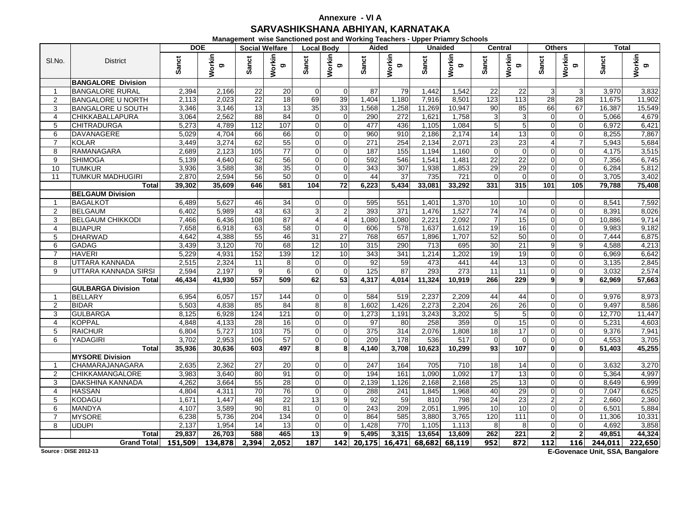## **SARVASHIKSHANA ABHIYAN, KARNATAKA Annexure - VI A**

**Management wise Sanctioned post and Working Teachers - Upper Priamry Schools**

|                |                           | <b>DOE</b> |                    |                 | <b>Social Welfare</b> | <b>Local Body</b> |                | Aided  |                  |        | <b>Unaided</b> | <b>Central</b>  |                    | <b>Others</b> |                |         | Total        |
|----------------|---------------------------|------------|--------------------|-----------------|-----------------------|-------------------|----------------|--------|------------------|--------|----------------|-----------------|--------------------|---------------|----------------|---------|--------------|
| SI.No.         | <b>District</b>           | Sanct      | Workin<br><b>D</b> | Sanct           | Workin<br>g           | Sanct             | Workin<br>ರಾ   | Sanct  | Workin<br>ರಾ     | Sanct  | Workin<br>ත    | Sanct           | <b>Workin</b><br>ත | Sanct         | Workin<br>ರಾ   | Sanct   | Workin<br>ರಾ |
|                | <b>BANGALORE Division</b> |            |                    |                 |                       |                   |                |        |                  |        |                |                 |                    |               |                |         |              |
| $\mathbf{1}$   | <b>BANGALORE RURAL</b>    | 2,394      | 2,166              | 22              | 20                    | $\mathbf{0}$      | $\Omega$       | 87     | 79               | 1,442  | 1,542          | 22              | 22                 | 3             | $\mathbf{3}$   | 3,970   | 3,832        |
| $\overline{2}$ | <b>BANGALORE U NORTH</b>  | 2,113      | 2.023              | 22              | $\overline{18}$       | 69                | 39             | 1,404  | 1,180            | 7,916  | 8,501          | 123             | 113                | 28            | 28             | 11,675  | 11,902       |
| 3              | <b>BANGALORE U SOUTH</b>  | 3,346      | 3,146              | 13              | 13                    | 35                | 33             | 1,568  | 1,258            | 11,269 | 10,947         | 90              | 85                 | 66            | 67             | 16,387  | 15,549       |
| $\overline{4}$ | <b>CHIKKABALLAPURA</b>    | 3,064      | 2,562              | 88              | 84                    | $\mathbf{0}$      | $\overline{0}$ | 290    | 272              | 1,621  | 1,758          | $\overline{3}$  | $\overline{3}$     | $\Omega$      | $\Omega$       | 5,066   | 4,679        |
| 5              | <b>CHITRADURGA</b>        | 5,273      | 4,789              | 112             | 107                   | $\Omega$          | $\Omega$       | 477    | 436              | 1,105  | 1,084          | 5               | $5\overline{)}$    | $\Omega$      | $\Omega$       | 6.972   | 6,421        |
| 6              | <b>DAVANAGERE</b>         | 5,029      | 4,704              | 66              | 66                    | $\Omega$          | $\Omega$       | 960    | 910              | 2,186  | 2,174          | 14              | 13                 |               | $\Omega$       | 8,255   | 7,867        |
| $\overline{7}$ | <b>KOLAR</b>              | 3,449      | 3,274              | 62              | 55                    | $\mathbf{0}$      | $\Omega$       | 271    | 254              | 2,134  | 2,071          | 23              | 23                 | 4             | $\overline{7}$ | 5,943   | 5,684        |
| 8              | RAMANAGARA                | 2,689      | 2,123              | 105             | $\overline{77}$       | $\Omega$          | $\Omega$       | 187    | 155              | 1,194  | 1,160          | $\Omega$        | $\Omega$           | $\Omega$      | $\Omega$       | 4,175   | 3,515        |
| 9              | <b>SHIMOGA</b>            | 5,139      | 4.640              | 62              | 56                    | $\Omega$          | $\Omega$       | 592    | 546              | 1,541  | 1,481          | $\overline{22}$ | 22                 | $\Omega$      | $\Omega$       | 7,356   | 6,745        |
| 10             | <b>TUMKUR</b>             | 3,936      | 3,588              | 38              | 35                    | $\overline{0}$    | $\overline{0}$ | 343    | 307              | 1,938  | 1,853          | 29              | 29                 | $\Omega$      | $\overline{0}$ | 6,284   | 5,812        |
| 11             | <b>TUMKUR MADHUGIRI</b>   | 2,870      | 2,594              | 56              | 50                    | $\Omega$          | $\Omega$       | 44     | 37               | 735    | 721            | $\Omega$        | $\Omega$           | $\Omega$      | $\Omega$       | 3,705   | 3,402        |
|                | <b>Total</b>              | 39,302     | 35,609             | 646             | 581                   | 104               | 72             | 6,223  | 5,434            | 33,081 | 33,292         | 331             | 315l               | 101           | 105            | 79,788  | 75,408       |
|                | <b>BELGAUM Division</b>   |            |                    |                 |                       |                   |                |        |                  |        |                |                 |                    |               |                |         |              |
| $\mathbf{1}$   | <b>BAGALKOT</b>           | 6,489      | 5,627              | 46              | 34                    | 0                 | $\Omega$       | 595    | 551              | 1,401  | 1,370          | 10              | 10                 |               | $\Omega$       | 8,541   | 7,592        |
| 2              | <b>BELGAUM</b>            | 6,402      | 5,989              | 43              | 63                    | 3                 | 2 <sub>l</sub> | 393    | 371              | 1,476  | 1,527          | $\overline{74}$ | 74                 |               | $\Omega$       | 8,391   | 8,026        |
| 3              | <b>BELGAUM CHIKKODI</b>   | 7,466      | 6,436              | 108             | 87                    | 4                 | $\overline{4}$ | 1,080  | 1,080            | 2,221  | 2,092          | $\overline{7}$  | 15                 | $\Omega$      | $\Omega$       | 10.886  | 9,714        |
| $\overline{4}$ | <b>BIJAPUR</b>            | 7,658      | 6,918              | 63              | 58                    | $\mathbf{0}$      | $\overline{0}$ | 606    | 578              | 1,637  | 1,612          | 19              | 16                 | $\Omega$      | $\overline{0}$ | 9,983   | 9,182        |
| 5              | <b>DHARWAD</b>            | 4,642      | 4,388              | 55              | 46                    | 31                | 27             | 768    | 657              | 1,896  | 1.707          | 52              | 50                 |               | $\Omega$       | 7,444   | 6,875        |
| 6              | <b>GADAG</b>              | 3,439      | 3,120              | 70              | 68                    | 12                | 10             | 315    | 290              | 713    | 695            | 30              | 21                 | 9             | 9              | 4.588   | 4,213        |
| $\overline{7}$ | <b>HAVERI</b>             | 5,229      | 4,931              | 152             | 139                   | 12                | 10             | 343    | 341              | 1,214  | 1,202          | 19              | 19                 |               | $\Omega$       | 6,969   | 6,642        |
| 8              | UTTARA KANNADA            | 2,515      | 2,324              | 11              | 8                     | $\mathbf 0$       | $\Omega$       | 92     | 59               | 473    | 441            | 44              | 13                 |               | $\Omega$       | 3,135   | 2,845        |
| 9              | UTTARA KANNADA SIRSI      | 2,594      | 2,197              | $\overline{9}$  | 6                     | $\mathbf 0$       | $\Omega$       | 125    | 87               | 293    | 273            | 11              | 11                 | $\Omega$      | $\overline{0}$ | 3,032   | 2,574        |
|                | Total                     | 46.434     | 41.930             | 557             | 509                   | 62                | 53             | 4,317  | 4.014            | 11,324 | 10.919         | 266             | 229                | 9             | 9              | 62.969  | 57,663       |
|                | <b>GULBARGA Division</b>  |            |                    |                 |                       |                   |                |        |                  |        |                |                 |                    |               |                |         |              |
| $\mathbf{1}$   | <b>BELLARY</b>            | 6,954      | 6,057              | 157             | 144                   | $\mathbf{0}$      | $\Omega$       | 584    | 519              | 2,237  | 2,209          | 44              | 44                 |               | $\Omega$       | 9,976   | 8,973        |
| $\overline{2}$ | <b>BIDAR</b>              | 5,503      | 4,838              | 85              | 84                    | 8                 | 8              | 1,602  | 1,426            | 2,273  | 2,204          | 26              | 26                 | $\Omega$      | $\Omega$       | 9,497   | 8,586        |
| 3              | <b>GULBARGA</b>           | 8,125      | 6,928              | 124             | 121                   | $\Omega$          | $\Omega$       | 1,273  | 1,191            | 3,243  | 3,202          | 5               | $5\overline{)}$    | $\Omega$      | $\Omega$       | 12,770  | 11,447       |
| $\overline{4}$ | <b>KOPPAL</b>             | 4,848      | 4,133              | 28              | 16                    | $\overline{0}$    | $\overline{0}$ | 97     | 80               | 258    | 359            | $\overline{0}$  | 15                 |               | $\Omega$       | 5,231   | 4,603        |
| 5              | <b>RAICHUR</b>            | 6,804      | 5,727              | 103             | 75                    | $\Omega$          | $\overline{0}$ | 375    | 314              | 2,076  | 1,808          | 18              | 17                 | $\Omega$      | $\Omega$       | 9,376   | 7,941        |
| 6              | YADAGIRI                  | 3,702      | 2,953              | 106             | 57                    | $\Omega$          | $\Omega$       | 209    | $\overline{178}$ | 536    | 517            | $\Omega$        | $\Omega$           | $\Omega$      | $\Omega$       | 4.553   | 3,705        |
|                | <b>Total</b>              | 35,936     | 30,636             | 603             | 497                   | 8                 | 8              | 4,140  | 3,708            | 10,623 | 10,299         | 93              | 107                | $\mathbf{0}$  | $\mathbf{0}$   | 51,403  | 45,255       |
|                | <b>MYSORE Division</b>    |            |                    |                 |                       |                   |                |        |                  |        |                |                 |                    |               |                |         |              |
| $\mathbf{1}$   | CHAMARAJANAGARA           | 2,635      | 2,362              | $\overline{27}$ | 20                    | $\Omega$          | $\Omega$       | 247    | 164              | 705    | 710            | 18              | 14                 |               | $\Omega$       | 3,632   | 3,270        |
| 2              | <b>CHIKKAMANGALORE</b>    | 3,983      | 3,640              | 80              | 91                    | $\mathbf 0$       | $\Omega$       | 194    | 161              | 1,090  | 1,092          | 17              | 13                 |               | $\Omega$       | 5,364   | 4,997        |
| 3              | DAKSHINA KANNADA          | 4,262      | 3,664              | 55              | $\overline{28}$       | $\overline{0}$    | $\Omega$       | 2,139  | 1,126            | 2,168  | 2,168          | 25              | 13                 | $\Omega$      | $\Omega$       | 8,649   | 6,999        |
| $\overline{4}$ | <b>HASSAN</b>             | 4,804      | 4,311              | 70              | 76                    | $\Omega$          | $\Omega$       | 288    | 241              | 1,845  | 1,968          | 40              | 29                 | $\Omega$      | $\Omega$       | 7.047   | 6,625        |
| 5              | <b>KODAGU</b>             | 1.671      | 1.447              | 48              | 22                    | 13                | $\overline{9}$ | 92     | 59               | 810    | 798            | $\overline{24}$ | 23                 |               | 2              | 2.660   | 2,360        |
| 6              | <b>MANDYA</b>             | 4,107      | 3,589              | 90              | 81                    | $\overline{0}$    | $\Omega$       | 243    | 209              | 2,051  | 1,995          | 10              | 10                 |               | $\Omega$       | 6,501   | 5,884        |
| $\overline{7}$ | <b>MYSORE</b>             | 6,238      | 5,736              | 204             | 134                   | $\Omega$          | $\Omega$       | 864    | 585              | 3,880  | 3,765          | 120             | 111                |               | $\Omega$       | 11,306  | 10,331       |
| 8              | <b>UDUPI</b>              | 2,137      | 1,954              | 14              | 13                    | $\mathbf 0$       | $\Omega$       | 1,428  | 770              | 1,105  | 1,113          | 8               | 8                  |               | $\Omega$       | 4,692   | 3,858        |
|                | <b>Total</b>              | 29,837     | 26,703             | 588             | 465                   | 13                | 9              | 5,495  | 3,315            | 13,654 | 13,609         | 262             | 221                |               | 2 <sub>l</sub> | 49,851  | 44,324       |
|                | <b>Grand Total</b>        | 151,509    | 134,878            | 2,394           | 2,052                 | 187               | 142            | 20,175 | 16,471           | 68,682 | 68,119         | 952             | 872                | 112           | 116            | 244,011 | 222,650      |

**Source : DISE 2012-13**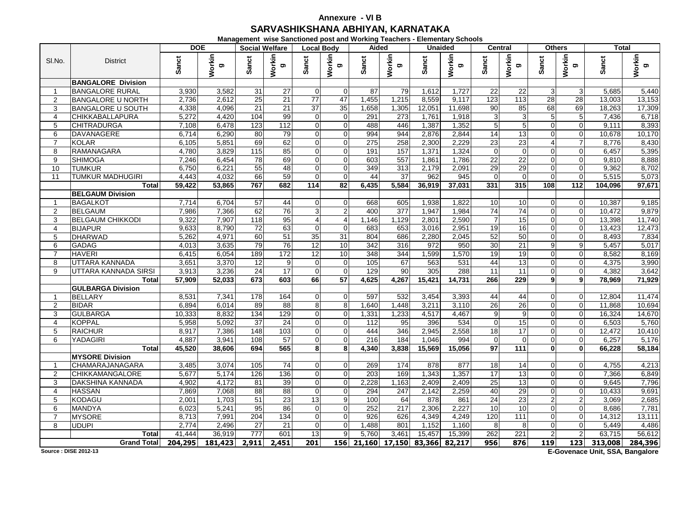## **SARVASHIKSHANA ABHIYAN, KARNATAKA Annexure - VI B**

**Management wise Sanctioned post and Working Teachers - Elementary Schools**

|                     |                                 | <b>DOE</b>     |                    |                 | <b>Social Welfare</b> | <b>Local Body</b> |                 | Aided      |                      |              | <b>Unaided</b> | <b>Central</b>  |                    |              | <b>Others</b>  | Total          |                |
|---------------------|---------------------------------|----------------|--------------------|-----------------|-----------------------|-------------------|-----------------|------------|----------------------|--------------|----------------|-----------------|--------------------|--------------|----------------|----------------|----------------|
| SI.No.              | <b>District</b>                 | Sanct          | Workin<br><b>D</b> | Sanct           | Workin<br>g           | Sanct             | Workin<br>ಠಾ    | Sanct      | Workin<br>ರಾ         | Sanct        | Workin<br>g    | Sanct           | <b>Workin</b><br>ත | <b>Sanct</b> | Workin<br>ರಾ   | Sanct          | Workin<br>ರಾ   |
|                     | <b>BANGALORE Division</b>       |                |                    |                 |                       |                   |                 |            |                      |              |                |                 |                    |              |                |                |                |
| $\mathbf{1}$        | <b>BANGALORE RURAL</b>          | 3,930          | 3,582              | 31              | 27                    | $\overline{0}$    | $\Omega$        | 87         | 79                   | 1,612        | 1,727          | 22              | 22                 | 3            | $\mathbf{3}$   | 5,685          | 5,440          |
| $\overline{2}$      | <b>BANGALORE U NORTH</b>        | 2,736          | 2,612              | 25              | 21                    | 77                | 47              | 1,455      | 1,215                | 8,559        | 9,117          | 123             | 113                | 28           | 28             | 13,003         | 13,153         |
| 3                   | <b>BANGALORE U SOUTH</b>        | 4,338          | 4,096              | 21              | 21                    | 37                | 35              | 1,658      | 1,305                | 12,051       | 11,698         | 90              | 85                 | 68           | 69             | 18,263         | 17,309         |
| $\overline{4}$      | <b>CHIKKABALLAPURA</b>          | 5,272          | 4.420              | 104             | 99                    | $\mathbf{0}$      | $\overline{0}$  | 291        | 273                  | 1,761        | 1,918          | $\overline{3}$  | $\overline{3}$     | 5            | 5 <sub>5</sub> | 7,436          | 6,718          |
| 5                   | <b>CHITRADURGA</b>              | 7,108          | 6,478              | 123             | 112                   | $\Omega$          | $\Omega$        | 488        | 446                  | 1,387        | 1,352          | 5               | $5\overline{)}$    | $\Omega$     | $\Omega$       | 9,111          | 8,393          |
| 6                   | <b>DAVANAGERE</b>               | 6,714          | 6,290              | 80              | 79                    | $\Omega$          | $\Omega$        | 994        | 944                  | 2,876        | 2,844          | 14              | 13                 |              | $\overline{0}$ | 10,678         | 10,170         |
| $\overline{7}$      | <b>KOLAR</b>                    | 6,105          | 5,851              | 69              | 62                    | $\mathbf{0}$      | $\Omega$        | 275        | 258                  | 2,300        | 2,229          | 23              | 23                 | 4            | $\overline{7}$ | 8,776          | 8,430          |
| 8                   | RAMANAGARA                      | 4,780          | 3,829              | 115             | 85                    | $\Omega$          | $\Omega$        | 191        | 157                  | 1,371        | 1,324          | $\Omega$        | $\Omega$           | $\Omega$     | $\Omega$       | 6,457          | 5,395          |
| 9                   | <b>SHIMOGA</b>                  | 7,246          | 6,454              | 78              | 69                    | $\Omega$          | $\Omega$        | 603        | 557                  | 1,861        | 1,786          | $\overline{22}$ | 22                 | $\Omega$     | $\Omega$       | 9.810          | 8,888          |
| 10                  | <b>TUMKUR</b>                   | 6,750          | 6,221              | 55              | 48                    | $\overline{0}$    | $\overline{0}$  | 349        | 313                  | 2,179        | 2,091          | 29              | 29                 | $\Omega$     | $\overline{0}$ | 9,362          | 8,702          |
| 11                  | <b>TUMKUR MADHUGIRI</b>         | 4.443          | 4.032              | 66              | 59                    | $\Omega$          | $\Omega$        | 44         | 37                   | 962          | 945            | $\overline{0}$  | $\Omega$           | $\Omega$     | $\Omega$       | 5,515          | 5,073          |
|                     | <b>Total</b>                    | 59,422         | 53,865             | 767             | 682                   | 114               | 82              | 6,435      | 5,584                | 36,919       | 37,031         | 331             | 315l               | 108          | 112            | 104,096        | 97,671         |
|                     | <b>BELGAUM Division</b>         |                |                    |                 |                       |                   |                 |            |                      |              |                |                 |                    |              |                |                |                |
| $\mathbf{1}$        | <b>BAGALKOT</b>                 | 7,714          | 6,704              | $\overline{57}$ | 44                    | 0                 | $\Omega$        | 668        | 605                  | 1,938        | 1,822          | 10              | 10                 |              | $\Omega$       | 10,387         | 9,185          |
| 2                   | <b>BELGAUM</b>                  | 7,986          | 7,366              | 62              | 76                    | 3                 | 2 <sub>l</sub>  | 400        | $\overline{377}$     | 1,947        | 1,984          | 74              | 74                 |              | $\Omega$       | 10,472         | 9,879          |
| 3                   | <b>BELGAUM CHIKKODI</b>         | 9,322          | 7,907              | 118             | 95                    | 4                 | $\overline{4}$  | 1,146      | 1,129                | 2,801        | 2,590          | $\overline{7}$  | 15                 | $\Omega$     | $\Omega$       | 13,398         | 11,740         |
| $\overline{4}$      | <b>BIJAPUR</b>                  | 9,633          | 8,790              | $\overline{72}$ | 63                    | $\mathbf{0}$      | $\overline{0}$  | 683        | 653                  | 3,016        | 2,951          | 19              | 16<br>50           | $\Omega$     | $\overline{0}$ | 13,423         | 12,473         |
| 5                   | <b>DHARWAD</b>                  | 5,262<br>4,013 | 4,971              | 60<br>79        | 51<br>76              | 35<br>12          | 31<br>10        | 804<br>342 | 686<br>316           | 2,280<br>972 | 2.045<br>950   | 52<br>30        | 21                 | 9            | $\Omega$<br>9  | 8,493<br>5,457 | 7,834<br>5,017 |
| 6<br>$\overline{7}$ | <b>GADAG</b>                    |                | 3,635              | 189             | 172                   | 12                | 10              | 348        | 344                  | 1,599        | 1,570          | 19              | 19                 |              | $\Omega$       |                | 8,169          |
| 8                   | <b>HAVERI</b><br>UTTARA KANNADA | 6,415<br>3,651 | 6,054<br>3,370     | 12              | 9                     | $\mathbf 0$       | $\Omega$        | 105        | 67                   | 563          | 531            | 44              | 13                 |              | $\Omega$       | 8,582<br>4,375 | 3,990          |
| 9                   | UTTARA KANNADA SIRSI            | 3,913          | 3,236              | 24              | 17                    | $\mathbf 0$       | $\overline{0}$  | 129        | 90                   | 305          | 288            | 11              | 11                 | $\Omega$     | $\overline{0}$ | 4,382          | 3,642          |
|                     | Total                           | 57.909         | 52.033             | 673             | 603                   | 66                | $\overline{57}$ | 4,625      | 4,267                | 15.421       | 14,731         | 266             | 229                | 9            | 9              | 78.969         | 71,929         |
|                     | <b>GULBARGA Division</b>        |                |                    |                 |                       |                   |                 |            |                      |              |                |                 |                    |              |                |                |                |
| $\mathbf{1}$        | <b>BELLARY</b>                  | 8,531          | 7,341              | 178             | 164                   | $\mathbf{0}$      | $\Omega$        | 597        | 532                  | 3,454        | 3,393          | 44              | 44                 |              | $\Omega$       | 12,804         | 11,474         |
| $\overline{2}$      | <b>BIDAR</b>                    | 6,894          | 6.014              | 89              | 88                    | 8                 | 8               | 1,640      | 1,448                | 3,211        | 3,110          | $\overline{26}$ | 26                 | $\Omega$     | $\Omega$       | 11.868         | 10,694         |
| 3                   | <b>GULBARGA</b>                 | 10,333         | 8,832              | 134             | 129                   | $\Omega$          | $\Omega$        | 1,331      | 1,233                | 4,517        | 4,467          | 9               | 9                  |              | $\Omega$       | 16,324         | 14,670         |
| $\overline{4}$      | <b>KOPPAL</b>                   | 5,958          | 5,092              | 37              | 24                    | $\overline{0}$    | $\overline{0}$  | 112        | 95                   | 396          | 534            | $\overline{0}$  | 15                 |              | $\Omega$       | 6,503          | 5,760          |
| 5                   | <b>RAICHUR</b>                  | 8,917          | 7,386              | 148             | 103                   | $\Omega$          | $\overline{0}$  | 444        | 346                  | 2,945        | 2,558          | 18              | 17                 | $\Omega$     | $\Omega$       | 12,472         | 10,410         |
| 6                   | YADAGIRI                        | 4.887          | 3,941              | 108             | 57                    | $\Omega$          | $\Omega$        | 216        | 184                  | 1.046        | 994            | $\Omega$        | $\Omega$           | $\Omega$     | $\Omega$       | 6.257          | 5,176          |
|                     | <b>Total</b>                    | 45,520         | 38,606             | 694             | 565                   | 8                 | 8               | 4,340      | 3,838                | 15,569       | 15,056         | 97              | 111                | $\mathbf{0}$ | $\mathbf{0}$   | 66,228         | 58,184         |
|                     | <b>MYSORE Division</b>          |                |                    |                 |                       |                   |                 |            |                      |              |                |                 |                    |              |                |                |                |
| $\mathbf{1}$        | CHAMARAJANAGARA                 | 3,485          | 3.074              | 105             | 74                    | $\Omega$          | $\Omega$        | 269        | 174                  | 878          | 877            | 18              | 14                 |              | $\Omega$       | 4,755          | 4,213          |
| 2                   | <b>CHIKKAMANGALORE</b>          | 5,677          | 5,174              | 126             | 136                   | $\mathbf 0$       | $\Omega$        | 203        | 169                  | 1,343        | 1,357          | 17              | 13                 |              | $\overline{0}$ | 7,366          | 6,849          |
| 3                   | <b>DAKSHINA KANNADA</b>         | 4,902          | 4,172              | $\overline{81}$ | 39                    | $\Omega$          | $\Omega$        | 2,228      | 1,163                | 2,409        | 2,409          | $\overline{25}$ | 13                 | $\Omega$     | $\Omega$       | 9,645          | 7,796          |
| $\overline{4}$      | <b>HASSAN</b>                   | 7.869          | 7,068              | 88              | 88                    | $\Omega$          | $\Omega$        | 294        | 247                  | 2,142        | 2,259          | 40              | 29                 | $\Omega$     | $\Omega$       | 10.433         | 9,691          |
| 5                   | <b>KODAGU</b>                   | 2.001          | 1.703              | 51              | 23                    | 13                | $\overline{9}$  | 100        | 64                   | 878          | 861            | $\overline{24}$ | 23                 |              | 2              | 3.069          | 2,685          |
| 6                   | <b>MANDYA</b>                   | 6,023          | 5,241              | 95              | 86                    | $\overline{0}$    | $\Omega$        | 252        | 217                  | 2,306        | 2,227          | 10              | 10                 |              | $\Omega$       | 8,686          | 7,781          |
| $\overline{7}$      | <b>MYSORE</b>                   | 8,713          | 7,991              | 204             | 134                   | $\Omega$          | $\Omega$        | 926        | 626                  | 4,349        | 4,249          | 120             | $\frac{111}{11}$   |              | $\Omega$       | 14,312         | 13,111         |
| 8                   | <b>UDUPI</b>                    | 2,774          | 2,496              | $\overline{27}$ | 21                    | $\Omega$          | $\Omega$        | 1,488      | 801                  | 1,152        | 1,160          | 8               | 8                  |              | $\Omega$       | 5,449          | 4,486          |
|                     | Total                           | 41,444         | 36,919             | 777             | 601                   | 13                | 9               | 5,760      | 3,461                | 15,457       | 15,399         | 262             | $\overline{221}$   |              | $\overline{2}$ | 63,715         | 56,612         |
|                     | <b>Grand Total</b>              | 204,295        | 181,423            | 2,911           | 2,451                 | 201               | 156             |            | 21,160 17,150 83,366 |              | 82,217         | 956             | 876                | 119          | 123            | 313,008        | 284,396        |

**Source : DISE 2012-13**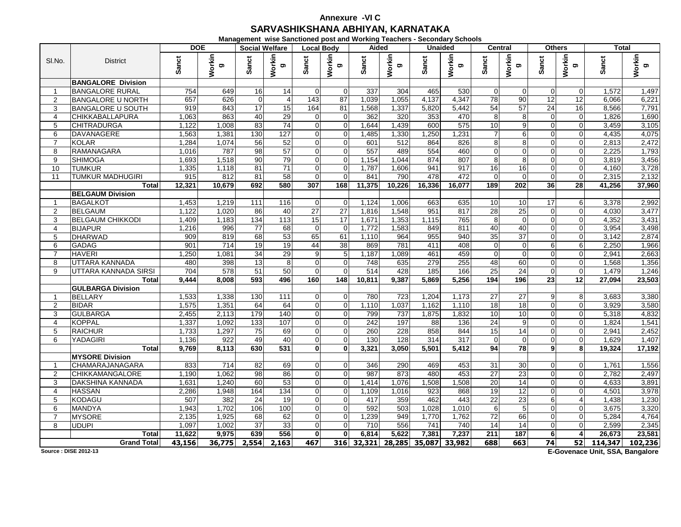## **SARVASHIKSHANA ABHIYAN, KARNATAKAAnnexure -VI C**

**Management wise Sanctioned post and Working Teachers - Secondary Schools**

|                |                                | <b>DOE</b>     |                    |                        | <b>Social Welfare</b> | <b>Local Body</b>          |                      | Aided        |             |           | <b>Unaided</b> | <b>Central</b>        |                | <b>Others</b>        |                            | <b>Total</b> |                 |
|----------------|--------------------------------|----------------|--------------------|------------------------|-----------------------|----------------------------|----------------------|--------------|-------------|-----------|----------------|-----------------------|----------------|----------------------|----------------------------|--------------|-----------------|
| SI.No.         | <b>District</b>                | Sanct          | Workin<br><b>D</b> | Sanct                  | Workin<br>g           | Sanct                      | Workin<br>g,         | Sanct        | Workin<br>g | Sanct     | Workin<br>ත    | <b>Sanct</b>          | Workin<br>ත    | Sanct                | Workin<br>g                | Sanct        | Workin<br>ರಾ    |
|                | <b>BANGALORE Division</b>      |                |                    |                        |                       |                            |                      |              |             |           |                |                       |                |                      |                            |              |                 |
|                | <b>BANGALORE RURAL</b>         | 754            | 649                | 16                     | 14                    | $\mathbf{0}$               | $\Omega$             | 337          | 304         | 465       | 530            | $\Omega$              | $\Omega$       | $\Omega$             | $\Omega$                   | 1,572        | 1,497           |
| $\overline{2}$ | <b>BANGALORE U NORTH</b>       | 657            | 626                | $\mathbf 0$            | 4                     | 143                        | 87                   | 1,039        | 1.055       | 4,137     | 4.347          | 78                    | 90             | 12                   | 12                         | 6.066        | 6,221           |
| 3              | <b>BANGALORE U SOUTH</b>       | 919            | 843                | 17                     | 15                    | 164                        | 81                   | 1,568        | 1,337       | 5,820     | 5,442          | 54                    | 57             | 24                   | 16                         | 8,566        | 7,791           |
| $\overline{4}$ | <b>CHIKKABALLAPURA</b>         | 1,063          | 863                | 40                     | 29                    | $\overline{0}$             | $\overline{0}$       | 362          | 320         | 353       | 470            | 8                     | 8              | 0                    | $\overline{0}$             | 1,826        | 1,690           |
| 5              | <b>CHITRADURGA</b>             | 1.122          | 1,008              | 83                     | 74                    | $\mathbf{0}$               | $\overline{0}$       | 1,644        | 1,439       | 600       | 575            | 10                    | 9              | $\Omega$             | $\Omega$                   | 3.459        | 3,105           |
| 6              | DAVANAGERE                     | 1,563          | 1,381              | 130                    | 127                   | $\Omega$                   | $\Omega$             | 1,485        | 1,330       | 1,250     | 1.231          |                       | 6              |                      | $\Omega$                   | 4,435        | 4,075           |
| $\overline{7}$ | <b>KOLAR</b>                   | 1,284          | 1,074              | 56                     | 52                    | $\overline{0}$             | $\Omega$             | 601          | 512         | 864       | 826            | 8                     | 8              | $\Omega$             | $\Omega$                   | 2,813        | 2,472           |
| 8              | RAMANAGARA                     | 1,016          | 787                | 98                     | 57                    | $\Omega$                   | $\Omega$             | 557          | 489         | 554       | 460            | $\Omega$              | $\overline{0}$ | $\Omega$             | $\Omega$                   | 2,225        | 1,793           |
| 9              | <b>SHIMOGA</b>                 | 1,693          | 1,518              | 90                     | 79                    | $\Omega$                   | $\Omega$             | 1,154        | 1,044       | 874       | 807            | 8                     | 8              |                      | $\Omega$                   | 3,819        | 3,456           |
| 10             | <b>TUMKUR</b>                  | 1,335          | 1,118              | $\overline{81}$        | $\overline{71}$       | $\Omega$                   | $\Omega$             | 1,787        | 1,606       | 941       | 917            | 16                    | 16             | 0                    | $\Omega$                   | 4,160        | 3,728           |
| 11             | <b>TUMKUR MADHUGIRI</b>        | 915            | 812                | 81                     | 58                    | $\Omega$                   | $\Omega$             | 841          | 790         | 478       | 472            | 0                     | $\overline{0}$ | $\Omega$             | $\Omega$                   | 2,315        | 2,132           |
|                | <b>Total</b>                   | 12,321         | 10,679             | 692                    | 580                   | 307                        | 168                  | 11,375       | 10,226      | 16,336    | 16,077         | 189                   | 202            | 36                   | 28                         | 41,256       | 37,960          |
|                | <b>BELGAUM Division</b>        |                |                    |                        |                       |                            |                      |              |             |           |                |                       |                |                      |                            |              |                 |
| $\mathbf{1}$   | <b>BAGALKOT</b>                | 1.453          | 1,219              | 111                    | 116                   | $\Omega$                   | $\Omega$             | 1.124        | 1.006       | 663       | 635            | 10                    | 10             | 17                   | 6                          | 3,378        | 2,992           |
| 2              | <b>BELGAUM</b>                 | 1,122          | 1,020              | 86                     | 40                    | $\overline{27}$            | $\overline{27}$      | 1,816        | 1,548       | 951       | 817            | 28                    | 25             | $\Omega$             | $\Omega$                   | 4,030        | 3,477           |
| 3              | <b>BELGAUM CHIKKODI</b>        | 1,409          | 1,183              | 134                    | 113                   | 15                         | 17                   | 1,671        | 1,353       | 1,115     | 765            | 8                     | $\overline{0}$ | $\overline{0}$       | $\Omega$                   | 4,352        | 3,431           |
| $\overline{4}$ | <b>BIJAPUR</b>                 | 1,216          | 996                | $\overline{77}$        | 68                    | $\Omega$                   | $\Omega$             | 1,772        | 1,583       | 849       | 811            | 40                    | 40             | $\Omega$             | $\Omega$                   | 3.954        | 3,498           |
| 5              | <b>DHARWAD</b>                 | 909            | 819                | 68                     | 53                    | 65                         | 61                   | 1,110        | 964         | 955       | 940            | 35                    | 37             | $\Omega$             | $\Omega$                   | 3,142        | 2,874           |
| 6              | <b>GADAG</b>                   | 901            | 714                | 19                     | 19                    | 44                         | 38                   | 869          | 781         | 411       | 408            | 0                     | $\overline{0}$ | 6                    | 6                          | 2,250        | 1,966           |
| $\overline{7}$ | <b>HAVERI</b>                  | 1,250          | 1.081              | 34                     | 29                    | 9                          | $\overline{5}$       | 1,187        | 1,089       | 461       | 459            | $\Omega$              | $\Omega$       |                      | $\Omega$                   | 2.941        | 2,663           |
| 8              | UTTARA KANNADA                 | 480            | 398                | 13                     | 8                     | $\Omega$                   | $\Omega$             | 748          | 635         | 279       | 255            | 48                    | 60             | $\Omega$             | $\Omega$                   | 1,568        | 1,356           |
| 9              | UTTARA KANNADA SIRSI           | 704            | 578                | 51                     | 50                    | $\mathbf{0}$               | $\overline{0}$       | 514          | 428         | 185       | 166            | 25                    | 24             | $\Omega$             | $\overline{0}$             | 1,479        | 1,246           |
|                | Total                          | 9.444          | 8.008              | 593                    | 496                   | 160                        | 148                  | 10,811       | 9,387       | 5.869     | 5.256          | 194                   | 196            | 23                   | 12                         | 27,094       | 23,503          |
|                | <b>GULBARGA Division</b>       |                |                    |                        |                       |                            |                      |              |             |           |                |                       |                |                      |                            |              |                 |
| $\mathbf{1}$   | <b>BELLARY</b>                 | 1,533          | 1,338              | 130                    | 111                   | $\mathbf{0}$               | $\Omega$             | 780          | 723         | 1,204     | 1,173          | 27                    | 27<br>18       |                      | 8                          | 3.683        | 3,380           |
| $\overline{2}$ | <b>BIDAR</b>                   | 1,575          | 1,351              | 64<br>179              | 64                    | $\overline{0}$             | $\Omega$<br>$\Omega$ | 1,110        | 1,037       | 1,162     | 1,110          | $\overline{18}$<br>10 | 10             | $\Omega$<br>$\Omega$ | $\overline{0}$<br>$\Omega$ | 3,929        | 3,580           |
| 3              | <b>GULBARGA</b>                | 2,455          | 2,113              |                        | 140                   | $\Omega$                   | $\Omega$             | 799          | 737         | 1,875     | 1.832          |                       |                |                      | $\Omega$                   | 5,318        | 4,832           |
| $\overline{4}$ | <b>KOPPAL</b>                  | 1,337<br>1,733 | 1,092              | $\overline{133}$<br>75 | 107<br>69             | $\overline{0}$<br>$\Omega$ | $\Omega$             | 242<br>260   | 197<br>228  | 88<br>858 | 136<br>844     | 24<br>$\overline{15}$ | 9<br>14        |                      |                            | 1,824        | 1,541<br>2,452  |
| 5              | <b>RAICHUR</b>                 |                | 1,297<br>922       | 49                     | 40                    | $\Omega$                   | $\Omega$             |              | 128         | 314       | 317            | $\overline{0}$        | $\overline{0}$ | $\Omega$<br>$\Omega$ | $\Omega$<br>$\Omega$       | 2.941        |                 |
| 6              | YADAGIRI<br><b>Total</b>       | 1,136<br>9,769 | 8,113              | 630                    | 531                   | $\mathbf{0}$               | $\mathbf{0}$         | 130<br>3,321 | 3,050       | 5,501     |                | 94                    | 78             | 9                    | 8                          | 1,629        | 1,407<br>17,192 |
|                | <b>MYSORE Division</b>         |                |                    |                        |                       |                            |                      |              |             |           | 5,412          |                       |                |                      |                            | 19,324       |                 |
| $\mathbf{1}$   | CHAMARAJANAGARA                | 833            | 714                |                        | 69                    | $\Omega$                   | $\Omega$             | 346          |             | 469       | 453            | 31                    |                | $\Omega$             | $\Omega$                   | 1.761        | 1,556           |
| 2              | CHIKKAMANGALORE                | 1,190          | 1,062              | 82<br>98               | 86                    | $\Omega$                   | $\Omega$             | 987          | 290<br>873  | 480       | 453            | 27                    | 30<br>23       | $\Omega$             | $\Omega$                   | 2,782        | 2,497           |
| 3              | DAKSHINA KANNADA               | 1,631          | 1,240              | 60                     | 53                    | $\Omega$                   | $\Omega$             | 1,414        | 1,076       | 1,508     | 1,508          | $\overline{20}$       | 14             | $\Omega$             | $\Omega$                   | 4,633        | 3,891           |
| $\overline{4}$ | <b>HASSAN</b>                  | 2,286          | 1,948              | 164                    | 134                   | $\Omega$                   | $\Omega$             | 1,109        | 1,016       | 923       | 868            | 19                    | 12             | $\Omega$             | $\Omega$                   | 4.501        | 3,978           |
| 5              |                                | 507            | 382                | $\overline{24}$        | 19                    | $\Omega$                   | $\Omega$             | 417          | 359         | 462       | 443            | 22                    | 23             | 6                    | $\boldsymbol{\Delta}$      | 1,438        | 1,230           |
| 6              | <b>KODAGU</b><br><b>MANDYA</b> | 1,943          | 1,702              | 106                    | 100                   | $\overline{0}$             | $\Omega$             | 592          | 503         | 1,028     | 1,010          | 6                     | 5 <sub>5</sub> | $\Omega$             | $\Omega$                   | 3,675        | 3,320           |
| $\overline{7}$ | <b>MYSORE</b>                  | 2,135          | 1,925              | 68                     | 62                    | $\Omega$                   | $\Omega$             | 1,239        | 949         | 1,770     | 1.762          | $\overline{72}$       | 66             | $\Omega$             | $\Omega$                   | 5,284        | 4,764           |
| 8              | <b>UDUPI</b>                   | 1,097          | 1,002              | $\overline{37}$        | 33                    | $\Omega$                   | $\Omega$             | 710          | 556         | 741       | 740            | 14                    | 14             |                      |                            | 2,599        | 2,345           |
|                | <b>Total</b>                   | 11,622         | 9,975              | 639                    | 556                   | $\bf{0}$                   | $\mathbf{0}$         | 6,814        | 5,622       | 7,381     | 7,237          | 211                   | 187            | 6                    | 4                          | 26,673       | 23,581          |
|                | <b>Grand Total</b>             | 43,156         | 36,775             | 2,554                  | 2,163                 | 467                        | 316                  | 32,321       | 28,285      | 35,087    | 33,982         | 688                   | 663            | 74                   | 52                         | 114,347      | 102,236         |
|                |                                |                |                    |                        |                       |                            |                      |              |             |           |                |                       |                |                      |                            |              |                 |

**Source : DISE 2012-13**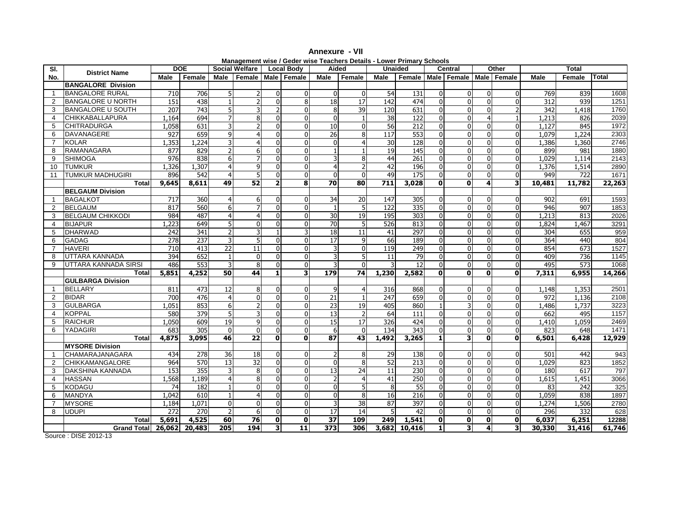| SI.             |                           | <b>DOE</b>       |        |                | <b>Social Welfare</b> |              | <b>Local Body</b>       | Aided           | $m$ anayonicht moc / Ocaci moc Teachers Details Ecwer Frinlary Concols |                  | <b>Unaided</b>   |                | <b>Central</b>                |              | Other        |                  | <b>Total</b>     |              |
|-----------------|---------------------------|------------------|--------|----------------|-----------------------|--------------|-------------------------|-----------------|------------------------------------------------------------------------|------------------|------------------|----------------|-------------------------------|--------------|--------------|------------------|------------------|--------------|
| No.             | <b>District Name</b>      | Male             | Female | Male           |                       |              | Female   Male   Female  | Male            | Female                                                                 | Male             | Female           |                | Male   Female   Male   Female |              |              | <b>Male</b>      | Female           | <b>Total</b> |
|                 | <b>BANGALORE Division</b> |                  |        |                |                       |              |                         |                 |                                                                        |                  |                  |                |                               |              |              |                  |                  |              |
| $\mathbf 1$     | <b>BANGALORE RURAL</b>    | 710              | 706    |                |                       |              | $\Omega$                | $\mathbf{0}$    |                                                                        | 54               | 131              | ΩI             | $\Omega$                      | $\Omega$     | $\Omega$     | 769              | 839              | 1608         |
| $\overline{2}$  | <b>BANGALORE U NORTH</b>  | 151              | 438    |                |                       |              | 8                       | 18              | 17                                                                     | 142              | 474              | $\Omega$       | $\Omega$                      | $\Omega$     | $\Omega$     | 312              | 939              | 1251         |
| 3               | <b>BANGALORE U SOUTH</b>  | $\overline{207}$ | 743    | 5              |                       |              |                         | 8               | 39                                                                     | 120              | 631              | $\Omega$       | $\Omega$                      |              |              | $\overline{342}$ | 1,418            | 1760         |
| $\overline{4}$  | <b>CHIKKABALLAPURA</b>    | 1,164            | 694    | $\overline{7}$ | 8                     |              | $\Omega$                | $\overline{0}$  |                                                                        | 38               | $\overline{122}$ | $\Omega$       | $\overline{0}$                |              | $\mathbf{1}$ | 1,213            | 826              | 2039         |
| 5               | <b>CHITRADURGA</b>        | 1.058            | 631    |                |                       |              |                         | 10              |                                                                        | 56               | $\overline{212}$ |                | $\Omega$                      |              | $\Omega$     | 1,127            | 845              | 1972         |
| 6               | <b>DAVANAGERE</b>         | 927              | 659    | 9              |                       |              |                         | 26              |                                                                        | $\overline{117}$ | 553              |                | $\mathbf{0}$                  |              | $\mathbf{0}$ | 1.079            | 1.224            | 2303         |
| $\overline{7}$  | <b>KOLAR</b>              | 1,353            | 1,224  |                |                       |              | $\Omega$                | $\Omega$        |                                                                        | 30               | $\overline{128}$ | $\Omega$       | $\Omega$                      |              | $\mathbf{0}$ | 1,386            | 1,360            | 2746         |
| 8               | RAMANAGARA                | 877              | 829    |                |                       |              |                         |                 |                                                                        | 19               | 145              |                | $\Omega$                      |              | $\Omega$     | 899              | 981              | 1880         |
| 9               | <b>SHIMOGA</b>            | 976              | 838    | 6              |                       |              | $\Omega$                |                 |                                                                        | 44               | 261              | $\Omega$       | $\mathbf 0$                   | $\Omega$     | $\mathbf{0}$ | 1.029            | 1.114            | 2143         |
| 10 <sup>°</sup> | <b>TUMKUR</b>             | 1,326            | 1,307  |                |                       |              | U                       |                 |                                                                        | 42               | 196              |                | $\overline{0}$                |              | $\mathbf{0}$ | 1,376            | 1.514            | 2890         |
| 11              | <b>TUMKUR MADHUGIRI</b>   | 896              | 542    | $\overline{4}$ |                       |              |                         | $\Omega$        |                                                                        | 49               | $\overline{175}$ | $\Omega$       | $\overline{0}$                | $\Omega$     | $\mathbf{0}$ | 949              | 722              | 1671         |
|                 | <b>Total</b>              | 9,645            | 8,611  | 49             | 52                    |              | 8                       | 70              | 80                                                                     | 711              | 3,028            | 0              | $\mathbf 0$                   | 4            | 3            | 10,481           | 11,782           | 22,263       |
|                 | <b>BELGAUM Division</b>   |                  |        |                |                       |              |                         |                 |                                                                        |                  |                  |                |                               |              |              |                  |                  |              |
| $\mathbf{1}$    | <b>BAGALKOT</b>           | 717              | 360    | 4              | 6                     |              |                         | 34              | 20                                                                     | $\overline{147}$ | 305              | $\Omega$       | $\Omega$                      |              | $\Omega$     | 902              | 691              | 1593         |
| $\overline{2}$  | <b>BELGAUM</b>            | 817              | 560    | 6              |                       |              | $\Omega$                |                 |                                                                        | 122              | 335              | $\Omega$       | $\overline{0}$                | $\Omega$     | $\mathbf{0}$ | 946              | 907              | 1853         |
| 3               | <b>BELGAUM CHIKKODI</b>   | 984              | 487    | $\overline{4}$ |                       |              |                         | 30              | 19                                                                     | 195              | 303              | $\Omega$       | $\mathbf{0}$                  |              | $\mathbf{0}$ | 1,213            | 813              | 2026         |
| $\overline{4}$  | <b>BIJAPUR</b>            | 1,223            | 649    | 5              | 0                     |              |                         | 70              |                                                                        | 526              | 813              | $\Omega$       | $\overline{0}$                |              | $\mathbf{0}$ | 1,824            | 1,467            | 3291         |
| 5               | <b>DHARWAD</b>            | 242              | 341    | $\overline{2}$ |                       |              |                         | 18              | 11                                                                     | 41               | 297              | $\Omega$       | $\boldsymbol{0}$              | $\Omega$     | $\mathbf 0$  | 304              | 655              | 959          |
| 6               | <b>GADAG</b>              | 278              | 237    |                |                       |              | $\Omega$                | $\overline{17}$ |                                                                        | 66               | 189              | $\Omega$       | $\mathbf{0}$                  | $\Omega$     | $\Omega$     | 364              | 440              | 804          |
| $\overline{7}$  | <b>HAVERI</b>             | 710              | 413    | 22             | 11                    |              | $\Omega$                | 3               |                                                                        | 119              | 249              |                | $\mathbf{0}$                  | $\Omega$     | $\mathbf{0}$ | 854              | 673              | 1527         |
| 8               | UTTARA KANNADA            | 394              | 652    |                | $\mathbf{0}$          |              | $\Omega$                |                 |                                                                        | 11               | 79               |                | $\overline{0}$                |              | $\mathbf{0}$ | 409              | $\overline{736}$ | 1145         |
| 9               | UTTARA KANNADA SIRSI      | 486              | 553    |                |                       |              |                         |                 |                                                                        |                  | 12               |                | $\overline{0}$                |              | $\Omega$     | 495              | 573              | 1068         |
|                 | <b>Total</b>              | 5,851            | 4,252  | 50             | 44                    | 1            | $\overline{\mathbf{3}}$ | 179             | 74                                                                     | 1,230            | 2,582            | 0              | $\mathbf 0$                   | $\mathbf{0}$ | $\mathbf{0}$ | 7,311            | 6,955            | 14,266       |
|                 | <b>GULBARGA Division</b>  |                  |        |                |                       |              |                         |                 |                                                                        |                  |                  |                |                               |              |              |                  |                  |              |
| $\mathbf{1}$    | <b>BELLARY</b>            | 811              | 473    | 12             | 8                     |              | $\Omega$                | 9               |                                                                        | 316              | 868              | $\Omega$       | $\mathbf 0$                   | $\Omega$     | $\mathbf{0}$ | 1,148            | 1,353            | 2501         |
| $\overline{2}$  | <b>BIDAR</b>              | 700              | 476    | $\overline{4}$ | $\Omega$              |              | $\Omega$                | 21              |                                                                        | 247              | 659              | $\Omega$       | $\overline{0}$                | $\Omega$     | $\mathbf{0}$ | 972              | 1,136            | 2108         |
| 3               | <b>GULBARGA</b>           | 1,051            | 853    | 6              |                       |              | U                       | 23              | 19                                                                     | 405              | 860              |                | $\overline{3}$                |              | $\mathbf{0}$ | 1,486            | 1,737            | 3223         |
| $\overline{4}$  | <b>KOPPAL</b>             | 580              | 379    |                |                       |              |                         | 13              |                                                                        | 64               | 111              |                | $\Omega$                      |              | O            | 662              | 495              | 1157         |
| 5               | <b>RAICHUR</b>            | 1,050            | 609    | 19             |                       |              | $\Omega$                | 15              | 17                                                                     | 326              | 424              |                | $\overline{0}$                |              | $\mathbf 0$  | 1,410            | 1,059            | 2469         |
| 6               | YADAGIRI                  | 683              | 305    | $\mathbf{0}$   |                       |              |                         | 6               |                                                                        | 134              | $\overline{343}$ |                | $\mathbf{0}$                  |              | $\Omega$     | 823              | 648              | 1471         |
|                 | <b>Total</b>              | 4,875            | 3,095  | 46             | 22                    | $\Omega$     | $\mathbf{0}$            | 87              | 43                                                                     | 1,492            | 3,265            |                | 3                             | $\mathbf{0}$ | O            | 6,501            | 6,428            | 12,929       |
|                 | <b>MYSORE Division</b>    |                  |        |                |                       |              |                         |                 |                                                                        |                  |                  |                |                               |              |              |                  |                  |              |
| $\mathbf{1}$    | CHAMARAJANAGARA           | 434              | 278    | 36             | 18                    |              | $\Omega$                |                 |                                                                        | 29               | 138              | $\Omega$       | $\Omega$                      | $\Omega$     | $\Omega$     | 501              | 442              | 943          |
| $\overline{2}$  | <b>CHIKKAMANGALORE</b>    | 964              | 570    | 13             | 32                    |              | $\Omega$                | $\mathbf{0}$    | 8                                                                      | 52               | 213              | $\Omega$       | $\Omega$                      | $\Omega$     | $\mathbf{0}$ | 1,029            | 823              | 1852         |
| 3               | <b>DAKSHINA KANNADA</b>   | 153              | 355    | 3              | 8                     |              | U                       | 13              | 24                                                                     | 11               | 230              | $\Omega$       | $\overline{0}$                |              | $\mathbf{0}$ | 180              | 617              | 797          |
| $\overline{4}$  | <b>HASSAN</b>             | 1,568            | 1,189  |                |                       |              |                         |                 |                                                                        | 41               | 250              |                | 0                             |              | O            | 1,615            | 1,451            | 3066         |
| 5               | <b>KODAGU</b>             | 74               | 182    |                |                       |              | ŋ                       | O               |                                                                        | 8                | 55               | ΩI             | $\mathbf{0}$                  |              | $\Omega$     | 83               | 242              | 325          |
| 6               | <b>MANDYA</b>             | 1,042            | 610    |                |                       |              |                         |                 |                                                                        | 16               | 216              |                | 0                             |              | $\mathbf{0}$ | 1,059            | 838              | 1897         |
| $\overline{7}$  | <b>MYSORE</b>             | 1,184            | 1,071  | $\mathbf{0}$   |                       |              | $\Omega$                | 3               | 38                                                                     | 87               | 397              | $\Omega$       | $\overline{0}$                | $\Omega$     | $\mathbf{0}$ | 1,274            | 1,506            | 2780         |
| 8               | <b>UDUPI</b>              | 272              | 270    |                | $6 \mid$              |              | $\Omega$                | 17              | 14                                                                     | 5                | 42               | ΩI             | $\overline{0}$                | $\Omega$     | $\mathbf{0}$ | 296              | 332              | 628          |
|                 | <b>Total</b>              | 5,691            | 4,525  | 60             | 76                    | $\mathbf{0}$ | $\mathbf{0}$            | 37              | 109                                                                    | 249              | 1,541            | $\mathbf{0}$   | $\mathbf 0$                   | $\mathbf 0$  | $\mathbf 0$  | 6,037            | 6,251            | 12288        |
|                 | Grand Total 26,062 20,483 |                  |        | 205            | 194                   | 3            | $\overline{11}$         | 373             | 306                                                                    |                  | 3,682 10,416     | 1 <sup>1</sup> | 3                             | 4            | 3            | 30,330           | 31,416           | 61,746       |

**Annexure - VIIManagement wise / Geder wise Teachers Details - Lower Primary Schools** 

Source : DISE 2012-13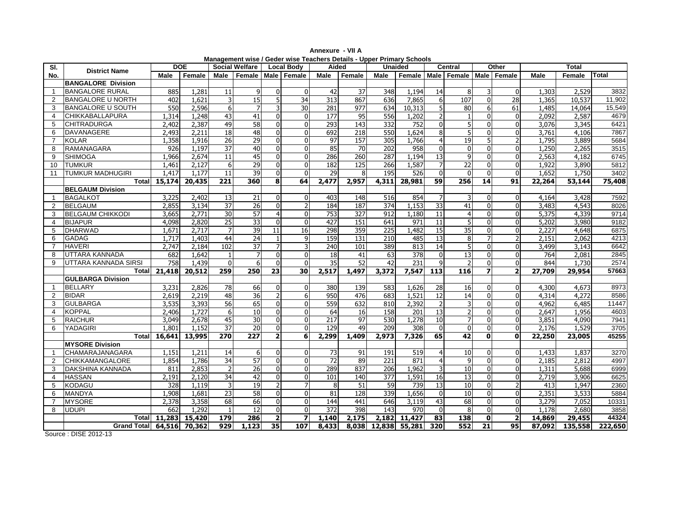|                |                           |        |            |                 |                       |                          |                         |                  | Management wise / Geder wise Teachers Details - Upper Primary Schools |                  |         |                 |                                        |              |                          |        |              |              |
|----------------|---------------------------|--------|------------|-----------------|-----------------------|--------------------------|-------------------------|------------------|-----------------------------------------------------------------------|------------------|---------|-----------------|----------------------------------------|--------------|--------------------------|--------|--------------|--------------|
| SI.            | <b>District Name</b>      |        | <b>DOE</b> |                 | <b>Social Welfare</b> |                          | <b>Local Body</b>       | Aided            |                                                                       |                  | Unaided |                 | Central                                |              | Other                    |        | <b>Total</b> |              |
| No.            |                           | Male   | Female     | Male            | Female                |                          | Male Female             | Male             | Female                                                                | <b>Male</b>      |         |                 | Female   Male   Female   Male   Female |              |                          | Male   | Female       | <b>Total</b> |
|                | <b>BANGALORE Division</b> |        |            |                 |                       |                          |                         |                  |                                                                       |                  |         |                 |                                        |              |                          |        |              |              |
| $\overline{1}$ | <b>BANGALORE RURAL</b>    | 885    | 1,281      | 11              | 9                     | $\Omega$                 | $\mathbf 0$             | 42               | 37                                                                    | 348              | 1,194   | 14              | 8                                      | 3            | $\mathbf{0}$             | 1,303  | 2,529        | 3832         |
| 2              | <b>BANGALORE U NORTH</b>  | 402    | 1,621      |                 | $\overline{15}$       | 5                        | 34                      | 313              | 867                                                                   | 636              | 7,865   | $6 \mid$        | 107                                    | $\Omega$     | $\overline{28}$          | 1,365  | 10,537       | 11,902       |
| 3              | <b>BANGALORE U SOUTH</b>  | 550    | 2,596      | 6               |                       |                          | 30                      | 281              | 977                                                                   | 634              | 10,313  |                 | 80                                     | 6            | 61                       | 1,485  | 14,064       | 15,549       |
| 4              | CHIKKABALLAPURA           | 1,314  | 1,248      | 43              | 41                    | $\Omega$                 | $\Omega$                | $\overline{177}$ | 95                                                                    | 556              | 1,202   |                 | $\mathbf{1}$                           | $\Omega$     | $\mathbf 0$              | 2,092  | 2,587        | 4679         |
| 5              | <b>CHITRADURGA</b>        | 2,402  | 2,387      | 49              | 58                    | $\Omega$                 | $\mathbf{0}$            | 293              | 143                                                                   | 332              | 752     | $\Omega$        | 5                                      | $\Omega$     | $\mathbf{0}$             | 3,076  | 3,345        | 6421         |
| 6              | DAVANAGERE                | 2,493  | 2,211      | 18              | 48                    | $\Omega$                 | $\overline{0}$          | 692              | 218                                                                   | 550              | 1,624   |                 | 5                                      | $\Omega$     | $\boldsymbol{0}$         | 3,761  | 4,106        | 7867         |
| $\overline{7}$ | <b>KOLAR</b>              | 1,358  | 1,916      | $\overline{26}$ | $\overline{29}$       | $\Omega$                 | $\Omega$                | $\overline{97}$  | 157                                                                   | 305              | 1,766   |                 | 19                                     | 5            | $\overline{2}$           | 1,795  | 3,889        | 5684         |
| 8              | RAMANAGARA                | 926    | 1,197      | 37              | 40                    | $\Omega$                 | $\mathbf{0}$            | 85               | 70                                                                    | 202              | 958     |                 | $\overline{0}$                         | $\Omega$     | $\mathbf 0$              | 1,250  | 2,265        | 3515         |
| 9              | <b>SHIMOGA</b>            | 1,966  | 2,674      | 11              | 45                    | 0                        | $\overline{0}$          | 286              | 260                                                                   | 287              | 1,194   | $\overline{13}$ | 9                                      | U            | $\mathbf 0$              | 2,563  | 4,182        | 6745         |
| 10             | <b>TUMKUR</b>             | 1.461  | 2.127      | 6               | 29                    | $\Omega$                 | $\Omega$                | 182              | 125                                                                   | 266              | 1,587   |                 | 22                                     | $\Omega$     | $\Omega$                 | 1,922  | 3,890        | 5812         |
| 11             | <b>TUMKUR MADHUGIRI</b>   | 1,417  | 1.177      | 11              | 39                    | $\overline{0}$           | $\mathbf 0$             | 29               | 8                                                                     | 195              | 526     | $\mathbf{0}$    | $\overline{0}$                         | $\Omega$     | $\mathbf 0$              | 1,652  | 1,750        | 3402         |
|                | Total                     | 15,174 | 20,435     | 221             | 360                   | 8                        | 64                      | 2,477            | 2,957                                                                 | 4,311            | 28,981  | 59              | 256                                    | 14           | 91                       | 22,264 | 53,144       | 75,408       |
|                | <b>BELGAUM Division</b>   |        |            |                 |                       |                          |                         |                  |                                                                       |                  |         |                 |                                        |              |                          |        |              |              |
| $\overline{1}$ | <b>BAGALKOT</b>           | 3,225  | 2,402      | 13              | 21                    | $\Omega$                 | $\Omega$                | 403              | 148                                                                   | 516              | 854     |                 | 3                                      | $\Omega$     | $\Omega$                 | 4,164  | 3,428        | 7592         |
| 2              | <b>BELGAUM</b>            | 2,855  | 3,134      | 37              | 26                    | $\Omega$                 | $\overline{2}$          | 184              | 187                                                                   | 374              | 1,153   | 33              | 41                                     | $\Omega$     | $\mathbf 0$              | 3,483  | 4,543        | 8026         |
| 3              | <b>BELGAUM CHIKKODI</b>   | 3,665  | 2,771      | 30              | 57                    | $\overline{4}$           | 0                       | 753              | $\overline{327}$                                                      | 912              | 1,180   | 11              | $\overline{4}$                         | $\Omega$     | $\overline{0}$           | 5,375  | 4,339        | 9714         |
| 4              | <b>BIJAPUR</b>            | 4,098  | 2,820      | $\overline{25}$ | 33                    | $\Omega$                 | $\mathbf{0}$            | 427              | 151                                                                   | 641              | 971     | $\overline{11}$ | 5                                      | $\Omega$     | $\mathbf{0}$             | 5,202  | 3,980        | 9182         |
| 5              | <b>DHARWAD</b>            | 1.671  | 2.717      |                 | 39                    | 11                       | 16                      | 298              | 359                                                                   | $\overline{225}$ | 1,482   | 15              | 35                                     | U            | $\mathbf 0$              | 2,227  | 4,648        | 6875         |
| 6              | <b>GADAG</b>              | 1,717  | 1,403      | 44              | 24                    |                          | 9                       | 159              | 131                                                                   | 210              | 485     | 13              | 8                                      |              | $\overline{2}$           | 2,151  | 2,062        | 4213         |
| $\overline{7}$ | <b>HAVERI</b>             | 2.747  | 2.184      | 102             | 37                    |                          | 3                       | 240              | 101                                                                   | 389              | 813     | 14              | 5                                      | $\Omega$     | $\Omega$                 | 3,499  | 3,143        | 6642         |
| 8              | UTTARA KANNADA            | 682    | 1,642      |                 | $\overline{7}$        | $\Omega$                 | 0                       | 18               | 41                                                                    | 63               | 378     |                 | 13                                     | $\Omega$     | $\mathbf 0$              | 764    | 2,081        | 2845         |
| 9              | UTTARA KANNADA SIRSI      | 758    | 1,439      | $\Omega$        | 6                     | $\Omega$                 | $\Omega$                | $\overline{35}$  | 52                                                                    | 42               | 231     |                 | $\overline{2}$                         | $\Omega$     | $\mathbf{0}$             | 844    | 1,730        | 2574         |
|                | Total                     | 21,418 | 20,512     | 259             | 250                   | 23                       | 30                      | 2,517            | 1,497                                                                 | 3,372            | 7,547   | 113             | 116                                    |              | $\overline{2}$           | 27,709 | 29,954       | 57663        |
|                | <b>GULBARGA Division</b>  |        |            |                 |                       |                          |                         |                  |                                                                       |                  |         |                 |                                        |              |                          |        |              |              |
| $\overline{1}$ | <b>BELLARY</b>            | 3,231  | 2,826      | 78              | 66                    | $\Omega$                 | $\mathbf{0}$            | 380              | 139                                                                   | 583              | 1,626   | 28              | 16                                     | $\Omega$     | $\mathbf 0$              | 4,300  | 4,673        | 8973         |
| 2              | <b>BIDAR</b>              | 2,619  | 2,219      | 48              | 36                    | 2                        | 6                       | 950              | 476                                                                   | 683              | 1,521   | 12              | 14                                     | $\Omega$     | $\mathbf 0$              | 4,314  | 4,272        | 8586         |
| 3              | <b>GULBARGA</b>           | 3,535  | 3,393      | $\overline{56}$ | 65                    | $\Omega$                 | $\Omega$                | 559              | 632                                                                   | 810              | 2,392   |                 | 3                                      | $\Omega$     | $\overline{0}$           | 4,962  | 6,485        | 11447        |
| 4              | <b>KOPPAL</b>             | 2,406  | 1,727      | 6               | $\overline{10}$       | U                        | $\mathbf{0}$            | 64               | 16                                                                    | 158              | 201     | $\overline{13}$ | $\overline{2}$                         |              | $\mathbf{0}$             | 2,647  | 1,956        | 4603         |
| 5              | <b>RAICHUR</b>            | 3,049  | 2,678      | 45              | 30                    | $\Omega$                 | $\overline{0}$          | 217              | 97                                                                    | 530              | 1,278   | 10              | $\overline{7}$                         | $\Omega$     | $\mathbf 0$              | 3,851  | 4,090        | 7941         |
| 6              | <b>YADAGIRI</b>           | 1.801  | 1,152      | 37              | 20                    | $\Omega$                 | $\Omega$                | 129              | 49                                                                    | 209              | 308     | $\Omega$        | $\Omega$                               | $\Omega$     | $\mathbf{0}$             | 2.176  | 1,529        | 3705         |
|                | Total                     | 16,641 | 13,995     | 270             | $\overline{227}$      | $\overline{2}$           | 6                       | 2,299            | 1,409                                                                 | 2,973            | 7,326   | 65              | $\overline{42}$                        | $\mathbf{0}$ | $\mathbf{0}$             | 22,250 | 23,005       | 45255        |
|                | <b>MYSORE Division</b>    |        |            |                 |                       |                          |                         |                  |                                                                       |                  |         |                 |                                        |              |                          |        |              |              |
| $\overline{1}$ | CHAMARAJANAGARA           | 1.151  | 1,211      | 14              | 6                     | 0                        | $\Omega$                | 73               | 91                                                                    | 191              | 519     |                 | 10                                     | $\Omega$     | $\mathbf{0}$             | 1,433  | 1,837        | 3270         |
| 2              | CHIKKAMANGALORE           | 1,854  | 1,786      | 34              | 57                    | $\Omega$                 | $\mathbf{0}$            | $\overline{72}$  | 89                                                                    | $\overline{221}$ | 871     |                 | 9                                      | $\Omega$     | $\Omega$                 | 2,185  | 2,812        | 4997         |
| 3              | DAKSHINA KANNADA          | 811    | 2,853      |                 | 26                    | $\Omega$                 | $\Omega$                | 289              | 837                                                                   | 206              | 1,962   |                 | 10                                     | $\Omega$     | $\Omega$                 | 1,311  | 5,688        | 6999         |
| 4              | <b>HASSAN</b>             | 2,191  | 2,120      | 34              | 42                    | $\Omega$                 | $\mathbf{0}$            | 101              | 140                                                                   | 377              | 1,591   | 16              | 13                                     | $\Omega$     | 0                        | 2,719  | 3,906        | 6625         |
| 5              | KODAGU                    | 328    | 1,119      |                 | 19                    | $\overline{\phantom{a}}$ |                         | 8                | 51                                                                    | 59               | 739     | 13              | 10                                     | $\Omega$     | $\overline{\phantom{0}}$ | 413    | 1,947        | 2360         |
| 6              | MANDYA                    | 1,908  | 1,681      | $\overline{23}$ | 58                    | U                        | $\mathbf{0}$            | 81               | 128                                                                   | 339              | 1,656   |                 | 10                                     |              | $\mathbf 0$              | 2,351  | 3,533        | 5884         |
| 7              | MYSORE                    | 2,378  | 3,358      | 68              | 66                    | $\Omega$                 | $\mathbf{0}$            | 144              | 441                                                                   | 646              | 3,119   | 43              | 68                                     | $\Omega$     | $\overline{0}$           | 3,279  | 7,052        | 10331        |
| 8              | <b>UDUPI</b>              | 662    | 1,292      |                 | 12                    | $\Omega$                 | $\Omega$                | 372              | 398                                                                   | 143              | 970     | $\Omega$        | 8                                      | $\Omega$     | $\mathbf 0$              | 1,178  | 2,680        | 3858         |
|                | Totall                    | 11,283 | 15,420     | 179             | 286                   | $\overline{2}$           | $\overline{\mathbf{z}}$ | 1,140            | 2,175                                                                 | 2,182            | 11,427  | 83              | 138                                    | $\mathbf{0}$ | $\overline{\mathbf{2}}$  | 14,869 | 29,455       | 44324        |
|                | Grand Total 64,516        |        | 70,362     | 929             | 1,123                 | 35                       | 107                     | 8,433            | 8,038                                                                 | 12,838           | 55,281  | 320             | 552                                    | 21           | 95                       | 87,092 | 135,558      | 222,650      |
|                | Source: DISE 2012-13      |        |            |                 |                       |                          |                         |                  |                                                                       |                  |         |                 |                                        |              |                          |        |              |              |

**Annexure - VII A**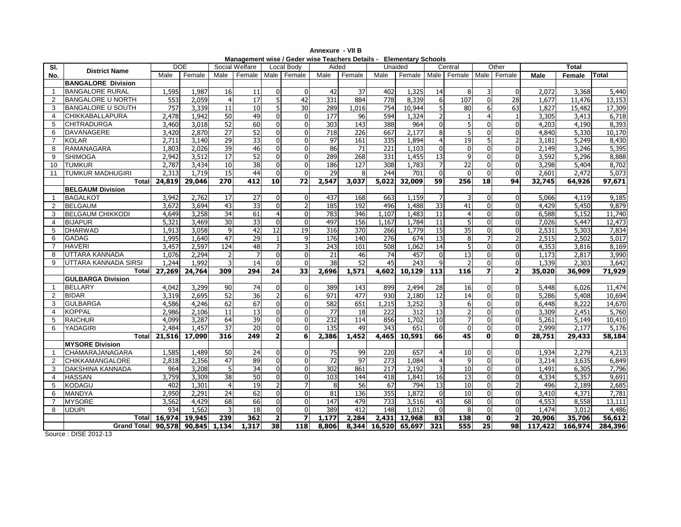| SI.             |                                 |        | DOE           |                 | Social Welfare   |                | Local Body              | Aided            |        |                  | Unaided       |                 | Central                       |                | Other                    |         | Total   |         |
|-----------------|---------------------------------|--------|---------------|-----------------|------------------|----------------|-------------------------|------------------|--------|------------------|---------------|-----------------|-------------------------------|----------------|--------------------------|---------|---------|---------|
| No.             | <b>District Name</b>            | Male   | Female        | Male            | Female           |                | Male Female             | Male             | Female | Male             | Female        |                 | Male   Female   Male   Female |                |                          | Male    | Female  | Total   |
|                 | <b>BANGALORE Division</b>       |        |               |                 |                  |                |                         |                  |        |                  |               |                 |                               |                |                          |         |         |         |
| $\mathbf 1$     | <b>BANGALORE RURAL</b>          | 1,595  | 1,987         | 16              | 11               |                | $\Omega$                | 42               | 37     | 402              | 1,325         | 14              | 8                             |                | $\mathbf{0}$             | 2,072   | 3,368   | 5,440   |
| $\overline{2}$  | <b>BANGALORE U NORTH</b>        | 553    | 2,059         | $\overline{4}$  | 17               |                | 42                      | 331              | 884    | 778              | 8,339         | 61              | 107                           | $\Omega$       | 28                       | 1,677   | 11,476  | 13,153  |
| 3               | <b>BANGALORE U SOUTH</b>        | 757    | 3,339         | 11              | 10               |                | 30                      | 289              | 1,016  | 754              | 10,944        |                 | 80                            | $6 \mid$       | 63                       | 1,827   | 15,482  | 17,309  |
| $\overline{4}$  | <b>CHIKKABALLAPURA</b>          | 2,478  | 1,942         | 50              | 49               |                | 0                       | 177              | 96     | 594              | 1,324         |                 | $\mathbf{1}$                  |                | $\overline{1}$           | 3,305   | 3,413   | 6,718   |
| 5               | <b>CHITRADURGA</b>              | 3,460  | 3,018         | 52              | 60               |                | 0                       | 303              | 143    | 388              | 964           |                 | 5                             | $\Omega$       | $\Omega$                 | 4,203   | 4,190   | 8,393   |
| 6               | <b>DAVANAGERE</b>               | 3,420  | 2,870         | 27              | 52               |                | 0                       | 718              | 226    | 667              | 2,177         |                 | 5                             | $\Omega$       | $\mathbf{0}$             | 4,840   | 5,330   | 10,170  |
| $\overline{7}$  | <b>KOLAR</b>                    | 2,711  | 3,140         | 29              | 33               |                | U                       | 97               | 161    | 335              | 1,894         |                 | 19                            |                | $\overline{2}$           | 3,181   | 5,249   | 8,430   |
| 8               | RAMANAGARA                      | 1,803  | 2,026         | 39              | 46               |                | 0                       | 86               | 71     | 221              | 1,103         |                 | 0                             | $\Omega$       | $\Omega$                 | 2,149   | 3,246   | 5,395   |
| 9               | <b>SHIMOGA</b>                  | 2,942  | 3,512         | 17              | 52               |                | 0                       | 289              | 268    | 331              | 1,455         | 13              | 9                             | $\Omega$       | $\Omega$                 | 3,592   | 5,296   | 8,888   |
| 10 <sup>1</sup> | <b>TUMKUR</b>                   | 2,787  | 3,434         | 10              | $\overline{38}$  |                | 0                       | 186              | 127    | 308              | 1,783         |                 | 22                            | $\Omega$       | $\Omega$                 | 3,298   | 5,404   | 8,702   |
| 11              | <b>TUMKUR MADHUGIRI</b>         | 2,313  | 1.719         | $\overline{15}$ | 44               |                | 0                       | 29               |        | 244              | 701           | $\Omega$        | 0                             | $\Omega$       | $\mathbf{0}$             | 2,601   | 2,472   | 5,073   |
|                 | Total                           | 24,819 | 29,046        | 270             | 412              | 10             | 72                      | 2,547            | 3,037  | 5,022            | 32,009        | 59              | 256                           | 18             | 94                       | 32,745  | 64,926  | 97,671  |
|                 | <b>BELGAUM Division</b>         |        |               |                 |                  |                |                         |                  |        |                  |               |                 |                               |                |                          |         |         |         |
| $\mathbf{1}$    | <b>BAGALKOT</b>                 | 3,942  | 2,762         | 17              | 27               |                | 0                       | 437              | 168    | 663              | 1,159         |                 | 3                             | $\Omega$       | $\mathbf{0}$             | 5,066   | 4,119   | 9,185   |
| $\overline{2}$  | <b>BELGAUM</b>                  | 3,672  | 3.694         | 43              | 33               |                | 2                       | 185              | 192    | 496              | 1,488         | 33              | 41                            | $\Omega$       | $\Omega$                 | 4,429   | 5,450   | 9,879   |
| 3               | <b>BELGAUM CHIKKODI</b>         | 4,649  | 3,258         | $\overline{34}$ | 61               |                | $\Omega$                | 783              | 346    | 1.107            | 1,483         | $\overline{11}$ | $\overline{4}$                | $\Omega$       | $\Omega$                 | 6,588   | 5.152   | 11,740  |
| 4               | <b>BIJAPUR</b>                  | 5,321  | 3,469         | 30              | $\overline{33}$  |                | $\Omega$                | 497              | 156    | 1,167            | 1,784         | 11              | 5                             | $\Omega$       | $\Omega$                 | 7,026   | 5,447   | 12,473  |
| 5               | <b>DHARWAD</b>                  | 1,913  | 3,058         | 9               | 42               | 12             | 19                      | 316              | 370    | 266              | 1,779         | 15              | 35                            | $\Omega$       | $\Omega$                 | 2,531   | 5,303   | 7,834   |
| 6               | <b>GADAG</b>                    | 1,995  | 1,640         | 47              | 29               |                | 9                       | 176              | 140    | 276              | 674           | 13              | 8                             |                | $\overline{\phantom{0}}$ | 2,515   | 2,502   | 5,017   |
| $\overline{7}$  | <b>HAVERI</b>                   | 3,457  | 2,597         | 124             | 48               |                |                         | 243              | 101    | 508              | 1,062         | 14              | 5                             | $\Omega$       | $\Omega$                 | 4,353   | 3,816   | 8,169   |
| 8               | UTTARA KANNADA                  | 1,076  | 2,294         |                 |                  |                | 0                       | 21               | 46     | 74               | 457           |                 | $\overline{13}$               | $\Omega$       | $\Omega$                 | 1,173   | 2,817   | 3,990   |
| 9               | UTTARA KANNADA SIRSI            | 1,244  | 1,992         | 3               | 14               |                | $\Omega$                | 38               | 52     | 45               | 243           |                 | 2                             | $\Omega$       | $\Omega$                 | 1,339   | 2,303   | 3,642   |
|                 | Totall                          | 27,269 | 24,764        | 309             | $\overline{294}$ | 24             | 33                      | 2,696            | 1,571  | 4,602            | 10,129        | 113             | 116                           | 7              | $\overline{\mathbf{2}}$  | 35,020  | 36,909  | 71,929  |
|                 | <b>GULBARGA Division</b>        |        |               |                 |                  |                |                         |                  |        |                  |               |                 |                               |                |                          |         |         |         |
| $\mathbf{1}$    | <b>BELLARY</b>                  | 4,042  | 3,299         | 90              | 74               |                | 0                       | 389              | 143    | 899              | 2,494         | 28              | 16                            | $\Omega$       | $\Omega$                 | 5,448   | 6.026   | 11,474  |
| $\overline{2}$  | <b>BIDAR</b>                    | 3,319  | 2,695         | 52              | 36               |                | 6                       | 971              | 477    | 930              | 2,180         | 12              | 14                            | $\overline{0}$ | $\mathbf{0}$             | 5,286   | 5,408   | 10,694  |
| 3               | <b>GULBARGA</b>                 | 4,586  | 4,246         | 62              | 67               |                | <sup>0</sup>            | 582              | 651    | 1,215            | 3,252         |                 | 6                             | $\Omega$       | $\Omega$                 | 6,448   | 8,222   | 14,670  |
| $\overline{4}$  | <b>KOPPAL</b>                   | 2,986  | 2,106         | 11              | 13               |                | 0                       | 77               | 18     | 222              | 312           | 13              |                               | $\Omega$       | $\mathbf{0}$             | 3,309   | 2,451   | 5,760   |
| 5               | <b>RAICHUR</b>                  | 4,099  | 3,287         | 64              | 39               |                | $\overline{0}$          | 232              | 114    | 856              | 1,702         | 10              | $\overline{7}$                | $\mathbf{0}$   | $\overline{0}$           | 5,261   | 5,149   | 10,410  |
| 6               | YADAGIRI                        | 2,484  | 1,457         | 37              | $\overline{20}$  |                | $\Omega$                | 135              | 49     | 343              | 651           | $\Omega$        | $\mathbf{0}$                  | $\Omega$       | $\Omega$                 | 2,999   | 2,177   | 5,176   |
|                 | <b>Total</b>                    |        | 21,516 17,090 | 316             | 249              |                | 6                       | 2,386            | 1,452  | 4,465            | 10,591        | 66              | $\overline{45}$               | $\mathbf{0}$   | $\mathbf{0}$             | 28,751  | 29,433  | 58,184  |
|                 | <b>MYSORE Division</b>          |        |               |                 |                  |                |                         |                  |        |                  |               |                 |                               |                |                          |         |         |         |
| $\overline{1}$  | CHAMARAJANAGARA                 | 1,585  | 1,489         | 50              | 24               |                | 0                       | 75               | 99     | 220              | 657           |                 | 10                            | $\overline{0}$ | $\mathbf{0}$             | 1,934   | 2,279   | 4,213   |
| $\overline{2}$  | <b>CHIKKAMANGALORE</b>          | 2,818  | 2,356         | 47              | 89               |                | 0                       | 72               | 97     | $\overline{273}$ | 1,084         |                 | 9                             | $\Omega$       | $\Omega$                 | 3,214   | 3,635   | 6,849   |
| 3               | <b>DAKSHINA KANNADA</b>         | 964    | 3,208         | 5               | $\overline{34}$  |                | 0                       | $\overline{302}$ | 861    | $\overline{217}$ | 2,192         |                 | 10                            | $\Omega$       | $\Omega$                 | 1,491   | 6,305   | 7,796   |
| $\overline{4}$  | <b>HASSAN</b>                   | 3,759  | 3,309         | 38              | 50               |                | U                       | 103              | 144    | 418              | 1,841         | 16              | 13                            | $\Omega$       | $\Omega$                 | 4,334   | 5,357   | 9,691   |
| 5               | <b>KODAGU</b>                   | 402    | 1,301         | $\overline{4}$  | 19               |                |                         | 8                | 56     | 67               | 794           | 13              | 10                            | $\Omega$       | $\overline{2}$           | 496     | 2,189   | 2,685   |
| 6               | <b>MANDYA</b>                   | 2,950  | 2,291         | 24              | 62               |                | U                       | 81               | 136    | 355              | 1,872         | $\overline{0}$  | 10                            | $\Omega$       | $\Omega$                 | 3,410   | 4,371   | 7,781   |
| $\overline{7}$  | <b>MYSORE</b>                   | 3,562  | 4,429         | 68              | 66               |                | 0                       | 147              | 479    | 733              | 3,516         | 43              | 68                            | $\Omega$       | $\Omega$                 | 4,553   | 8,558   | 13,111  |
| 8               | <b>UDUPI</b>                    | 934    | 1,562         | 3               | 18               | $\Omega$       | 0                       | 389              | 412    | 148              | 1,012         | $\Omega$        | 8                             | $\Omega$       | $\mathbf{0}$             | 1,474   | 3,012   | 4,486   |
|                 | <b>Total</b>                    | 16,974 | 19,945        | 239             | 362              | $\overline{2}$ | $\overline{\mathbf{z}}$ | 1,177            | 2,284  | 2,431            | 12,968        | 83              | 138                           | $\mathbf 0$    | $\overline{2}$           | 20,906  | 35,706  | 56,612  |
|                 | Grand Total 90,578 90,845 1,134 |        |               |                 | 1,317            | 38             | <b>118</b>              | 8,806            | 8,344  |                  | 16,520 65,697 | 321             | 555                           | 25             | 98                       | 117,422 | 166,974 | 284,396 |

**Management wise / Geder wise Teachers Details - Elementary Schools Annexure - VII B**

Source : DISE 2012-13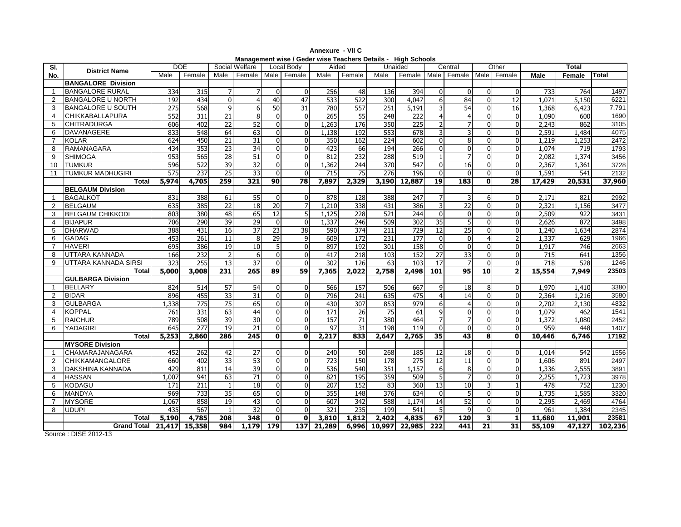| SI.             |                           | DOE   |                  |                 | Social Welfare   |          | Local Body      | Aided  |                  |                  | Unaided          |                  | Central                       |              | Other           |        | <b>Total</b>     |         |
|-----------------|---------------------------|-------|------------------|-----------------|------------------|----------|-----------------|--------|------------------|------------------|------------------|------------------|-------------------------------|--------------|-----------------|--------|------------------|---------|
| No.             | <b>District Name</b>      | Male  | Female           | Male            | Female           |          | Male Female     | Male   | Female           | Male             | Female           |                  | Male   Female   Male   Female |              |                 | Male   | Female           | Total   |
|                 | <b>BANGALORE Division</b> |       |                  |                 |                  |          |                 |        |                  |                  |                  |                  |                               |              |                 |        |                  |         |
| $\mathbf{1}$    | <b>BANGALORE RURAL</b>    | 334   | 315              |                 |                  | $\Omega$ | $\Omega$        | 256    | 48               | 136              | 394              | $\Omega$         | $\Omega$                      | 0            | $\Omega$        | 733    | 764              | 1497    |
| $\overline{2}$  | <b>BANGALORE U NORTH</b>  | 192   | 434              | $\Omega$        | $\overline{4}$   | 40       | $\overline{47}$ | 533    | 522              | $\overline{300}$ | 4,047            | $6 \mid$         | 84                            | 0            | $\overline{12}$ | 1.071  | 5,150            | 6221    |
| 3               | <b>BANGALORE U SOUTH</b>  | 275   | 568              | 9               | 6                | 50       | 31              | 780    | 557              | 251              | 5,191            |                  | 54                            | U            | 16              | 1,368  | 6,423            | 7,791   |
| 4               | <b>CHIKKABALLAPURA</b>    | 552   | 311              | 21              | 8                |          | $\Omega$        | 265    | 55               | 248              | 222              |                  | 4                             |              | $\mathbf{0}$    | 1,090  | 600              | 1690    |
| 5               | <b>CHITRADURGA</b>        | 606   | 402              | 22              | 52               |          | $\Omega$        | 1,263  | 176              | 350              | 225              |                  | 7                             |              | $\mathbf{0}$    | 2,243  | 862              | 3105    |
| 6               | <b>DAVANAGERE</b>         | 833   | 548              | 64              | 63               |          | $\mathbf{0}$    | 1,138  | 192              | 553              | 678              |                  | 3                             | U            | $\mathbf 0$     | 2,591  | 1,484            | 4075    |
| $\overline{7}$  | <b>KOLAR</b>              | 624   | 450              | 21              | $\overline{31}$  |          | $\Omega$        | 350    | 162              | $\overline{224}$ | 602              |                  | 8                             |              | $\mathbf{0}$    | 1,219  | 1,253            | 2472    |
| 8               | RAMANAGARA                | 434   | 353              | $\overline{23}$ | 34               | $\Omega$ | $\Omega$        | 423    | 66               | 194              | 266              | $\Omega$         | $\overline{0}$                | U            | $\mathbf 0$     | 1,074  | 719              | 1793    |
| 9               | <b>SHIMOGA</b>            | 953   | 565              | 28              | 51               |          | 0               | 812    | 232              | 288              | 519              |                  | $\overline{7}$                |              | $\mathbf 0$     | 2,082  | 1,374            | 3456    |
| 10 <sup>1</sup> | <b>TUMKUR</b>             | 596   | 522              | 39              | $\overline{32}$  |          | $\mathbf{0}$    | 1,362  | 244              | 370              | 547              | $\Omega$         | 16                            |              | $\mathbf{0}$    | 2,367  | 1,361            | 3728    |
| 11              | <b>TUMKUR MADHUGIRI</b>   | 575   | 237              | 25              | 33               |          | O               | 715    | $\overline{75}$  | 276              | 196              | $\Omega$         | $\Omega$                      | U            | $\Omega$        | 1,591  | 541              | 2132    |
|                 | <b>Total</b>              | 5,974 | 4,705            | 259             | 321              | 90       | 78              | 7,897  | 2,329            | 3,190            | 12,887           | 19 <sup>1</sup>  | 183                           | $\mathbf{0}$ | 28              | 17,429 | 20,531           | 37,960  |
|                 | <b>BELGAUM Division</b>   |       |                  |                 |                  |          |                 |        |                  |                  |                  |                  |                               |              |                 |        |                  |         |
| $\mathbf{1}$    | <b>BAGALKOT</b>           | 831   | 388              | 61              | $\overline{55}$  |          | $\mathbf{0}$    | 878    | 128              | 388              | $\overline{247}$ |                  | 3                             | 6            | $\mathbf{0}$    | 2,171  | 821              | 2992    |
| $\overline{2}$  | <b>BELGAUM</b>            | 635   | 385              | 22              | 18               | 20       |                 | 1,210  | 338              | 431              | 386              |                  | 22                            | <sup>0</sup> | $\mathbf{0}$    | 2,321  | 1.156            | 3477    |
| 3               | <b>BELGAUM CHIKKODI</b>   | 803   | 380              | 48              | 65               | 12       | 5               | 1,125  | 228              | 521              | 244              |                  | $\mathbf 0$                   |              | $\mathbf{0}$    | 2,509  | 922              | 3431    |
| 4               | <b>BIJAPUR</b>            | 706   | 290              | 39              | 29               |          | $\Omega$        | 1,337  | 246              | 509              | $\overline{302}$ | 35               | 5                             |              | $\mathbf{0}$    | 2,626  | 872              | 3498    |
| 5               | <b>DHARWAD</b>            | 388   | 431              | 16              | 37               | 23       | 38              | 590    | 374              | 211              | 729              | 12               | 25                            |              | $\mathbf{0}$    | 1,240  | 1,634            | 2874    |
| 6               | <b>GADAG</b>              | 453   | 261              | 11              | 8                | 29       | 9               | 609    | 172              | 231              | 177              | $\Omega$         | $\overline{0}$                | 4            | $\overline{2}$  | 1,337  | 629              | 1966    |
| $\overline{7}$  | <b>HAVERI</b>             | 695   | 386              | 19              | $\overline{10}$  |          | $\Omega$        | 897    | 192              | $\overline{301}$ | 158              | $\Omega$         | $\mathbf 0$                   |              | $\mathbf{0}$    | 1,917  | $\overline{746}$ | 2663    |
| 8               | UTTARA KANNADA            | 166   | 232              |                 | 6                |          | $\Omega$        | 417    | $\overline{218}$ | 103              | 152              | $\overline{27}$  | 33                            |              | $\mathbf{0}$    | 715    | 641              | 1356    |
| 9               | UTTARA KANNADA SIRSI      | 323   | 255              | 13              | $\overline{37}$  |          | $\Omega$        | 302    | 126              | 63               | 103              | 17               | $\overline{7}$                | 0            | $\mathbf{0}$    | 718    | 528              | 1246    |
|                 | <b>Total</b>              | 5,000 | 3,008            | 231             | $\overline{265}$ | 89       | 59              | 7,365  | 2,022            | 2,758            | 2,498            | 101              | 95                            | 10           | $\overline{a}$  | 15,554 | 7,949            | 23503   |
|                 | <b>GULBARGA Division</b>  |       |                  |                 |                  |          |                 |        |                  |                  |                  |                  |                               |              |                 |        |                  |         |
| $\mathbf{1}$    | <b>BELLARY</b>            | 824   | 514              | 57              | 54               |          | $\Omega$        | 566    | 157              | 506              | 667              | $\mathbf{Q}$     | 18                            | 8            | $\Omega$        | 1,970  | 1,410            | 3380    |
| $\overline{2}$  | <b>BIDAR</b>              | 896   | 455              | 33              | 31               |          | $\Omega$        | 796    | 241              | 635              | 475              |                  | 14                            | 0            | $\mathbf{0}$    | 2,364  | 1,216            | 3580    |
| 3               | <b>GULBARGA</b>           | 1,338 | $\overline{775}$ | $\overline{75}$ | 65               |          | U               | 430    | $\overline{307}$ | 853              | 979              |                  | $\overline{4}$                |              | $\Omega$        | 2,702  | 2,130            | 4832    |
| $\overline{4}$  | <b>KOPPAL</b>             | 761   | $\overline{331}$ | 63              | 44               |          | 0               | 171    | 26               | $\overline{75}$  | 61               |                  | $\Omega$                      |              | $\mathbf{0}$    | 1,079  | 462              | 1541    |
| 5               | <b>RAICHUR</b>            | 789   | 508              | 39              | 30               |          | $\Omega$        | 157    | 71               | 380              | 464              |                  | $\overline{7}$                | 0            | $\mathbf 0$     | 1,372  | 1.080            | 2452    |
| 6               | <b>YADAGIRI</b>           | 645   | 277              | 19              | 21               |          | U               | 97     | 31               | 198              | 119              | $\Omega$         | $\Omega$                      | <sup>0</sup> | $\Omega$        | 959    | 448              | 1407    |
|                 | <b>Total</b>              | 5,253 | 2,860            | 286             | 245              | 0        | 0               | 2,217  | 833              | 2,647            | 2,765            | $\overline{35}$  | 43                            | 8            | $\mathbf{0}$    | 10,446 | 6,746            | 17192   |
|                 | <b>MYSORE Division</b>    |       |                  |                 |                  |          |                 |        |                  |                  |                  |                  |                               |              |                 |        |                  |         |
| $\mathbf{1}$    | CHAMARAJANAGARA           | 452   | 262              | 42              | 27               |          | $\mathbf{0}$    | 240    | 50               | 268              | 185              | 12               | 18                            | U            | $\mathbf{0}$    | 1,014  | 542              | 1556    |
| $\overline{2}$  | <b>CHIKKAMANGALORE</b>    | 660   | 402              | $\overline{33}$ | 53               |          | $\Omega$        | 723    | 150              | $\overline{178}$ | 275              | $\overline{12}$  | $\overline{11}$               | U            | $\mathbf{0}$    | 1,606  | 891              | 2497    |
| 3               | DAKSHINA KANNADA          | 429   | 811              | $\overline{14}$ | 39               | $\Omega$ | $\Omega$        | 536    | 540              | 351              | 1,157            | 6                | 8                             |              | $\mathbf 0$     | 1,336  | 2,555            | 3891    |
| $\overline{4}$  | <b>HASSAN</b>             | 1.007 | 941              | 63              | $\overline{71}$  |          | $\mathbf{0}$    | 821    | 195              | 359              | 509              |                  | $\overline{7}$                | 0            | $\mathbf{0}$    | 2,255  | 1,723            | 3978    |
| 5               | <b>KODAGU</b>             | 171   | 211              |                 | 18               | $\Omega$ | $\Omega$        | 207    | 152              | 83               | 360              | 13               | 10                            | 3            | $\overline{1}$  | 478    | 752              | 1230    |
| 6               | <b>MANDYA</b>             | 969   | 733              | 35              | 65               |          | O               | 355    | 148              | $\overline{376}$ | 634              | $\Omega$         | 5                             |              | $\mathbf{0}$    | 1,735  | 1,585            | 3320    |
| $\overline{7}$  | <b>MYSORE</b>             | 1.067 | 858              | $\overline{19}$ | $\overline{43}$  |          | U               | 607    | $\overline{342}$ | 588              | 1.174            | 14               | 52                            | U            | $\Omega$        | 2,295  | 2,469            | 4764    |
| 8               | <b>UDUPI</b>              | 435   | 567              |                 | 32               |          | $\Omega$        | 321    | 235              | 199              | 541              |                  | 9                             | 0            | $\mathbf{0}$    | 961    | 1,384            | 2345    |
|                 | Total                     | 5,190 | 4,785            | 208             | 348              | 0        | $\mathbf 0$     | 3,810  | 1,812            | 2,402            | 4,835            | 67               | 120                           | 3            | $\mathbf{1}$    | 11,680 | 11,901           | 23581   |
|                 | Grand Total 21,417 15,358 |       |                  | 984             | 1,179            | 179      | 137             | 21,289 | 6,996            | 10,997           | 22,985           | $\overline{222}$ | 441                           | 21           | $\overline{31}$ | 55,109 | 47,127           | 102,236 |

**Annexure - VII CManagement wise / Geder wise Teachers Details - High Schools** 

Source : DISE 2012-13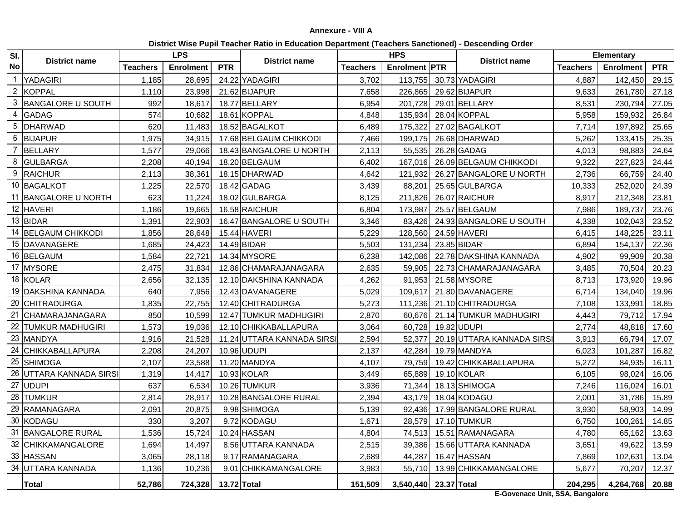## **Annexure - VIII A**

**District Wise Pupil Teacher Ratio in Education Department (Teachers Sanctioned) - Descending Order**

| SI.            |                         |                 | <b>LPS</b>       |             |                            |                 | <b>HPS</b>            |                              |                 | Elementary       |            |
|----------------|-------------------------|-----------------|------------------|-------------|----------------------------|-----------------|-----------------------|------------------------------|-----------------|------------------|------------|
| No             | <b>District name</b>    | <b>Teachers</b> | <b>Enrolment</b> | <b>PTR</b>  | <b>District name</b>       | <b>Teachers</b> | <b>Enrolment PTR</b>  | <b>District name</b>         | <b>Teachers</b> | <b>Enrolment</b> | <b>PTR</b> |
| $\overline{1}$ | <b>YADAGIRI</b>         | 1.185           | 28,695           |             | 24.22 YADAGIRI             | 3.702           | 113,755               | 30.73 YADAGIRI               | 4.887           | 142,450          | 29.15      |
| $\overline{2}$ | <b>KOPPAL</b>           | 1,110           | 23,998           |             | 21.62 BIJAPUR              | 7,658           | 226,865               | 29.62 BIJAPUR                | 9,633           | 261,780          | 27.18      |
| 3              | BANGALORE U SOUTH       | 992             | 18,617           |             | 18.77 BELLARY              | 6,954           | 201,728               | 29.01 BELLARY                | 8,531           | 230,794          | 27.05      |
| $\overline{4}$ | <b>GADAG</b>            | 574             | 10,682           |             | 18.61 KOPPAL               | 4,848           | 135,934               | 28.04 KOPPAL                 | 5,958           | 159,932          | 26.84      |
| 5              | <b>DHARWAD</b>          | 620             | 11,483           |             | 18.52 BAGALKOT             | 6,489           | 175,322               | 27.02 BAGALKOT               | 7,714           | 197,892          | 25.65      |
| 6              | <b>BIJAPUR</b>          | 1,975           | 34,915           |             | 17.68 BELGAUM CHIKKODI     | 7,466           | 199,175               | 26.68 DHARWAD                | 5,262           | 133,415          | 25.35      |
| $\overline{7}$ | <b>BELLARY</b>          | 1,577           | 29,066           |             | 18.43 BANGALORE U NORTH    | 2,113           | 55,535                | 26.28 GADAG                  | 4,013           | 98,883           | 24.64      |
| 8              | <b>GULBARGA</b>         | 2,208           | 40,194           |             | 18.20 BELGAUM              | 6,402           | 167,016               | 26.09 BELGAUM CHIKKODI       | 9,322           | 227,823          | 24.44      |
|                | 9 RAICHUR               | 2,113           | 38,361           |             | 18.15 DHARWAD              | 4,642           | 121,932               | 26.27 BANGALORE U NORTH      | 2,736           | 66,759           | 24.40      |
|                | 10 BAGALKOT             | 1,225           | 22,570           |             | 18.42 GADAG                | 3,439           | 88,201                | 25.65 GULBARGA               | 10,333          | 252,020          | 24.39      |
|                | 11 BANGALORE U NORTH    | 623             | 11,224           |             | 18.02 GULBARGA             | 8,125           | 211,826               | 26.07 RAICHUR                | 8,917           | 212,348          | 23.81      |
|                | 12 HAVERI               | 1,186           | 19,665           |             | 16.58 RAICHUR              | 6,804           | 173,987               | 25.57 BELGAUM                | 7,986           | 189,737          | 23.76      |
|                | 13 BIDAR                | 1,391           | 22,903           |             | 16.47 BANGALORE U SOUTH    | 3,346           | 83,426                | 24.93 BANGALORE U SOUTH      | 4,338           | 102,043          | 23.52      |
|                | 14 BELGAUM CHIKKODI     | 1,856           | 28,648           |             | 15.44 HAVERI               | 5,229           | 128,560               | 24.59 HAVERI                 | 6,415           | 148,225          | 23.11      |
|                | 15 DAVANAGERE           | 1,685           | 24,423           |             | 14.49 BIDAR                | 5,503           | 131,234               | 23.85 BIDAR                  | 6,894           | 154,137          | 22.36      |
|                | 16 BELGAUM              | 1,584           | 22,721           |             | 14.34 MYSORE               | 6,238           | 142,086               | 22.78 DAKSHINA KANNADA       | 4,902           | 99,909           | 20.38      |
|                | 17 MYSORE               | 2,475           | 31,834           |             | 12.86 CHAMARAJANAGARA      | 2,635           | 59,905                | 22.73 CHAMARAJANAGARA        | 3,485           | 70,504           | 20.23      |
|                | 18 KOLAR                | 2,656           | 32,135           |             | 12.10 DAKSHINA KANNADA     | 4,262           | 91,953                | 21.58 MYSORE                 | 8,713           | 173,920          | 19.96      |
|                | 19 DAKSHINA KANNADA     | 640             | 7,956            |             | 12.43 DAVANAGERE           | 5,029           | 109,617               | 21.80 DAVANAGERE             | 6,714           | 134,040          | 19.96      |
|                | 20 CHITRADURGA          | 1,835           | 22,755           |             | 12.40 CHITRADURGA          | 5,273           | 111,236               | 21.10 CHITRADURGA            | 7,108           | 133,991          | 18.85      |
|                | 21 CHAMARAJANAGARA      | 850             | 10,599           |             | 12.47 TUMKUR MADHUGIRI     | 2,870           | 60,676                | 21.14 TUMKUR MADHUGIRI       | 4,443           | 79,712           | 17.94      |
|                | 22 TUMKUR MADHUGIRI     | 1,573           | 19,036           |             | 12.10 CHIKKABALLAPURA      | 3,064           | 60,728 19.82 UDUPI    |                              | 2,774           | 48,818           | 17.60      |
|                | 23 MANDYA               | 1,916           | 21,528           |             | 11.24 UTTARA KANNADA SIRSI | 2,594           | 52,377                | 20.19 UTTARA KANNADA SIRSI   | 3,913           | 66,794           | 17.07      |
|                | 24 CHIKKABALLAPURA      | 2,208           | 24,207           |             | 10.96 UDUPI                | 2,137           |                       | 42,284 19.79 MANDYA          | 6,023           | 101,287          | 16.82      |
|                | 25 SHIMOGA              | 2,107           | 23,588           |             | 11.20 MANDYA               | 4,107           |                       | 79,759 19.42 CHIKKABALLAPURA | 5,272           | 84,935           | 16.11      |
|                | 26 UTTARA KANNADA SIRSI | 1,319           | 14,417           |             | 10.93 KOLAR                | 3,449           | 65,889                | 19.10 KOLAR                  | 6,105           | 98,024           | 16.06      |
|                | 27 UDUPI                | 637             | 6,534            |             | 10.26 TUMKUR               | 3,936           |                       | 71,344 18.13 SHIMOGA         | 7,246           | 116,024          | 16.01      |
|                | 28 TUMKUR               | 2,814           | 28,917           |             | 10.28 BANGALORE RURAL      | 2,394           |                       | 43,179 18.04 KODAGU          | 2,001           | 31,786           | 15.89      |
|                | 29 RAMANAGARA           | 2,091           | 20,875           |             | 9.98 SHIMOGA               | 5,139           |                       | 92,436 17.99 BANGALORE RURAL | 3,930           | 58,903           | 14.99      |
|                | 30 KODAGU               | 330             | 3,207            |             | 9.72 KODAGU                | 1,671           |                       | 28,579 17.10 TUMKUR          | 6,750           | 100,261          | 14.85      |
|                | 31 BANGALORE RURAL      | 1,536           | 15,724           |             | 10.24 HASSAN               | 4,804           |                       | 74,513 15.51 RAMANAGARA      | 4,780           | 65,162           | 13.63      |
|                | 32 CHIKKAMANGALORE      | 1,694           | 14,497           |             | 8.56 UTTARA KANNADA        | 2,515           | 39,386                | 15.66 UTTARA KANNADA         | 3,651           | 49,622           | 13.59      |
|                | 33 HASSAN               | 3,065           | 28,118           |             | 9.17 RAMANAGARA            | 2,689           | 44,287                | 16.47 HASSAN                 | 7,869           | 102,631          | 13.04      |
|                | 34 UTTARA KANNADA       | 1,136           | 10,236           |             | 9.01 CHIKKAMANGALORE       | 3,983           |                       | 55,710 13.99 CHIKKAMANGALORE | 5,677           | 70,207           | 12.37      |
|                | <b>Total</b>            | 52,786          | 724,328          | 13.72 Total |                            | 151,509         | 3,540,440 23.37 Total |                              | 204,295         | 4,264,768        | 20.88      |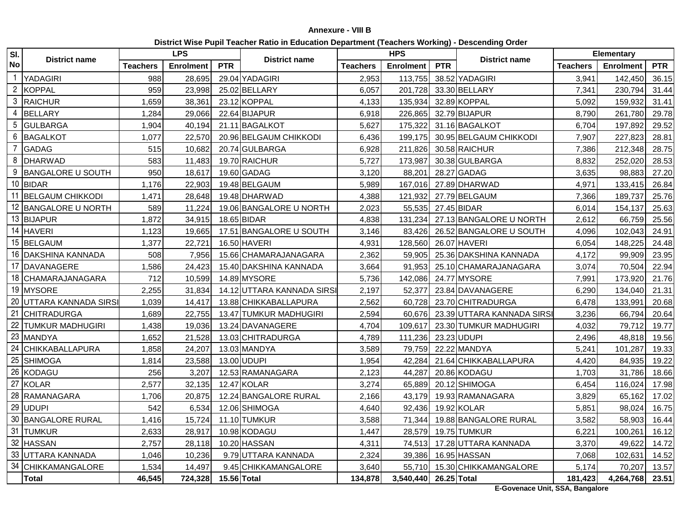## **Annexure - VIII B**

| District Wise Pupil Teacher Ratio in Education Department (Teachers Working) - Descending Order |  |  |
|-------------------------------------------------------------------------------------------------|--|--|
|                                                                                                 |  |  |

| SI.            | <b>District name</b>     |                 | <b>LPS</b>       |             | <b>District name</b>       |                 | <b>HPS</b>            |            | <b>District name</b>         |                 | Elementary       |            |
|----------------|--------------------------|-----------------|------------------|-------------|----------------------------|-----------------|-----------------------|------------|------------------------------|-----------------|------------------|------------|
| <b>No</b>      |                          | <b>Teachers</b> | <b>Enrolment</b> | <b>PTR</b>  |                            | <b>Teachers</b> | <b>Enrolment</b>      | <b>PTR</b> |                              | <b>Teachers</b> | <b>Enrolment</b> | <b>PTR</b> |
| $\overline{1}$ | <b>YADAGIRI</b>          | 988             | 28,695           |             | 29.04 YADAGIRI             | 2,953           | 113,755               |            | 38.52 YADAGIRI               | 3,941           | 142,450          | 36.15      |
| $\overline{2}$ | <b>KOPPAL</b>            | 959             | 23,998           |             | 25.02 BELLARY              | 6,057           | 201.728               |            | 33.30 BELLARY                | 7,341           | 230,794          | 31.44      |
| 3              | <b>RAICHUR</b>           | 1,659           | 38,361           |             | 23.12 KOPPAL               | 4,133           | 135,934               |            | 32.89 KOPPAL                 | 5,092           | 159,932          | 31.41      |
| 4              | <b>BELLARY</b>           | 1,284           | 29,066           |             | 22.64 BIJAPUR              | 6,918           | 226,865               |            | 32.79 BIJAPUR                | 8,790           | 261,780          | 29.78      |
| 5              | <b>GULBARGA</b>          | 1,904           | 40,194           |             | 21.11 BAGALKOT             | 5,627           | 175,322               |            | 31.16 BAGALKOT               | 6,704           | 197,892          | 29.52      |
| 6              | <b>BAGALKOT</b>          | 1,077           | 22,570           |             | 20.96 BELGAUM CHIKKODI     | 6,436           | 199,175               |            | 30.95 BELGAUM CHIKKODI       | 7,907           | 227,823          | 28.81      |
| $\overline{7}$ | <b>GADAG</b>             | 515             | 10,682           |             | 20.74 GULBARGA             | 6,928           | 211,826               |            | 30.58 RAICHUR                | 7,386           | 212,348          | 28.75      |
| 8              | DHARWAD                  | 583             | 11,483           |             | 19.70 RAICHUR              | 5,727           | 173,987               |            | 30.38 GULBARGA               | 8,832           | 252,020          | 28.53      |
| 9              | <b>BANGALORE U SOUTH</b> | 950             | 18,617           |             | 19.60 GADAG                | 3,120           | 88,201                |            | 28.27 GADAG                  | 3,635           | 98,883           | 27.20      |
|                | 10 BIDAR                 | 1,176           | 22,903           |             | 19.48 BELGAUM              | 5,989           | 167,016               |            | 27.89 DHARWAD                | 4,971           | 133,415          | 26.84      |
|                | 11 BELGAUM CHIKKODI      | 1,471           | 28,648           |             | 19.48 DHARWAD              | 4,388           | 121,932               |            | 27.79 BELGAUM                | 7,366           | 189,737          | 25.76      |
|                | 12 BANGALORE U NORTH     | 589             | 11,224           |             | 19.06 BANGALORE U NORTH    | 2,023           | 55,535                |            | 27.45 BIDAR                  | 6,014           | 154,137          | 25.63      |
|                | 13 BIJAPUR               | 1,872           | 34,915           |             | 18.65 BIDAR                | 4,838           | 131,234               |            | 27.13 BANGALORE U NORTH      | 2,612           | 66,759           | 25.56      |
|                | 14 HAVERI                | 1,123           | 19,665           |             | 17.51 BANGALORE U SOUTH    | 3,146           | 83.426                |            | 26.52 BANGALORE U SOUTH      | 4,096           | 102,043          | 24.91      |
|                | 15 BELGAUM               | 1,377           | 22,721           |             | 16.50 HAVERI               | 4,931           | 128,560               |            | 26.07 HAVERI                 | 6,054           | 148,225          | 24.48      |
|                | 16 DAKSHINA KANNADA      | 508             | 7,956            |             | 15.66 CHAMARAJANAGARA      | 2,362           | 59,905                |            | 25.36 DAKSHINA KANNADA       | 4,172           | 99,909           | 23.95      |
|                | 17 DAVANAGERE            | 1,586           | 24,423           |             | 15.40 DAKSHINA KANNADA     | 3,664           | 91,953                |            | 25.10 CHAMARAJANAGARA        | 3,074           | 70,504           | 22.94      |
|                | 18 CHAMARAJANAGARA       | 712             | 10,599           |             | 14.89 MYSORE               | 5,736           | 142,086               |            | 24.77 MYSORE                 | 7,991           | 173,920          | 21.76      |
|                | 19 MYSORE                | 2,255           | 31,834           |             | 14.12 UTTARA KANNADA SIRSI | 2,197           | 52,377                |            | 23.84 DAVANAGERE             | 6,290           | 134,040          | 21.31      |
|                | 20 UTTARA KANNADA SIRSI  | 1,039           | 14,417           |             | 13.88 CHIKKABALLAPURA      | 2,562           | 60,728                |            | 23.70 CHITRADURGA            | 6,478           | 133,991          | 20.68      |
|                | 21 CHITRADURGA           | 1,689           | 22,755           |             | 13.47 TUMKUR MADHUGIRI     | 2,594           | 60,676                |            | 23.39 UTTARA KANNADA SIRS    | 3,236           | 66,794           | 20.64      |
|                | 22 TUMKUR MADHUGIRI      | 1,438           | 19,036           |             | 13.24 DAVANAGERE           | 4,704           | 109,617               |            | 23.30 TUMKUR MADHUGIRI       | 4,032           | 79,712           | 19.77      |
|                | 23 MANDYA                | 1,652           | 21,528           |             | 13.03 CHITRADURGA          | 4,789           | 111,236               |            | 23.23 UDUPI                  | 2,496           | 48,818           | 19.56      |
|                | 24 CHIKKABALLAPURA       | 1,858           | 24,207           |             | 13.03 MANDYA               | 3,589           | 79,759                |            | 22.22 MANDYA                 | 5,241           | 101,287          | 19.33      |
|                | 25 SHIMOGA               | 1,814           | 23,588           |             | 13.00 UDUPI                | 1,954           | 42,284                |            | 21.64 CHIKKABALLAPURA        | 4,420           | 84,935           | 19.22      |
|                | 26 KODAGU                | 256             | 3,207            |             | 12.53 RAMANAGARA           | 2,123           | 44,287                |            | 20.86 KODAGU                 | 1,703           | 31,786           | 18.66      |
|                | 27 KOLAR                 | 2,577           | 32,135           |             | 12.47 KOLAR                | 3,274           | 65,889                |            | 20.12 SHIMOGA                | 6,454           | 116,024          | 17.98      |
|                | 28 RAMANAGARA            | 1,706           | 20,875           |             | 12.24 BANGALORE RURAL      | 2,166           | 43,179                |            | 19.93 RAMANAGARA             | 3,829           | 65,162           | 17.02      |
|                | 29 UDUPI                 | 542             | 6,534            |             | 12.06 SHIMOGA              | 4,640           |                       |            | 92,436 19.92 KOLAR           | 5,851           | 98,024           | 16.75      |
| 30             | <b>BANGALORE RURAL</b>   | 1,416           | 15,724           |             | 11.10 TUMKUR               | 3,588           |                       |            | 71,344 19.88 BANGALORE RURAL | 3,582           | 58,903           | 16.44      |
|                | 31 TUMKUR                | 2,633           | 28,917           |             | 10.98 KODAGU               | 1,447           |                       |            | 28,579 19.75 TUMKUR          | 6,221           | 100,261          | 16.12      |
| 32             | <b>HASSAN</b>            | 2,757           | 28,118           |             | 10.20 HASSAN               | 4,311           |                       |            | 74,513 17.28 UTTARA KANNADA  | 3,370           | 49,622           | 14.72      |
|                | 33 UTTARA KANNADA        | 1,046           | 10,236           |             | 9.79 UTTARA KANNADA        | 2,324           |                       |            | 39,386 16.95 HASSAN          | 7,068           | 102,631          | 14.52      |
|                | 34 CHIKKAMANGALORE       | 1,534           | 14,497           |             | 9.45 CHIKKAMANGALORE       | 3,640           |                       |            | 55,710 15.30 CHIKKAMANGALORE | 5,174           | 70,207           | 13.57      |
|                | Total                    | 46,545          | 724,328          | 15.56 Total |                            | 134,878         | 3,540,440 26.25 Total |            |                              | 181,423         | 4,264,768 23.51  |            |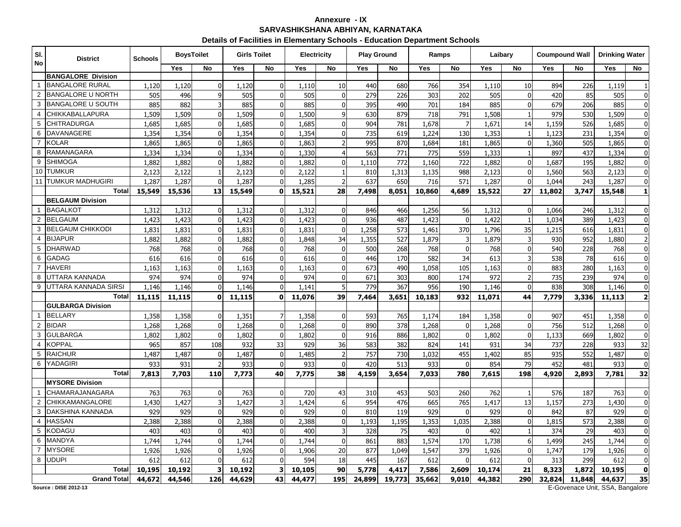## **Annexure - IXSARVASHIKSHANA ABHIYAN, KARNATAKA**

| Details of Facilities in Elementary Schools - Education Department Schools |  |
|----------------------------------------------------------------------------|--|
|----------------------------------------------------------------------------|--|

| SI.<br><b>No</b> | <b>District</b>                                    | <b>Schools</b> | <b>BoysToilet</b> |                | <b>Girls Toilet</b> |                | <b>Electricity</b> |                | <b>Play Ground</b> |        | Ramps  |              | Laibary |                |        | <b>Coumpound Wall</b>       | <b>Drinking Water</b>   |                         |
|------------------|----------------------------------------------------|----------------|-------------------|----------------|---------------------|----------------|--------------------|----------------|--------------------|--------|--------|--------------|---------|----------------|--------|-----------------------------|-------------------------|-------------------------|
|                  |                                                    |                | Yes               | No             | Yes                 | No             | Yes                | No             | Yes                | No     | Yes    | No           | Yes     | <b>No</b>      | Yes    | No                          | Yes                     | No                      |
|                  | <b>BANGALORE Division</b>                          |                |                   |                |                     |                |                    |                |                    |        |        |              |         |                |        |                             |                         |                         |
| $\overline{1}$   | <b>BANGALORE RURAL</b>                             | 1,120          | 1,120             | $\Omega$       | 1,120               | $\mathbf{0}$   | 1,110              | 10             | 440                | 680    | 766    | 354          | 1,110   | 10             | 894    | 226                         | 1,119                   |                         |
| $\overline{2}$   | <b>BANGALORE U NORTH</b>                           | 505            | 496               | q              | 505                 | 0              | 505                | $\Omega$       | 279                | 226    | 303    | 202          | 505     | 0              | 420    | 85                          | 505                     | $\mathbf 0$             |
| 3                | <b>BANGALORE U SOUTH</b>                           | 885            | 882               | $\overline{3}$ | 885                 | $\mathbf{0}$   | 885                | $\Omega$       | 395                | 490    | 701    | 184          | 885     | $\mathbf 0$    | 679    | 206                         | 885                     | $\mathbf 0$             |
| $\overline{4}$   | <b>CHIKKABALLAPURA</b>                             | 1,509          | 1,509             | $\mathbf 0$    | 1,509               | $\overline{0}$ | 1,500              | 9              | 630                | 879    | 718    | 791          | 1,508   |                | 979    | 530                         | 1,509                   | $\overline{0}$          |
| 5                | <b>CHITRADURGA</b>                                 | 1,685          | 1,685             | $\Omega$       | 1,685               | $\Omega$       | 1,685              |                | 904                | 781    | 1,678  | 7            | 1,671   | 14             | 1,159  | 526                         | 1,685                   | $\pmb{0}$               |
| 6                | <b>DAVANAGERE</b>                                  | 1,354          | 1,354             | $\mathbf 0$    | 1,354               | $\mathbf{0}$   | 1,354              | $\mathbf{0}$   | 735                | 619    | 1,224  | 130          | 1,353   |                | 1,123  | 231                         | 1,354                   | $\pmb{0}$               |
| $\overline{7}$   | <b>KOLAR</b>                                       | 1,865          | 1,865             | $\mathbf 0$    | 1,865               | $\pmb{0}$      | 1,863              | $\overline{2}$ | 995                | 870    | 1,684  | 181          | 1,865   | $\overline{0}$ | 1,360  | 505                         | 1,865                   | $\pmb{0}$               |
| 8                | <b>RAMANAGARA</b>                                  | 1,334          | 1,334             | $\mathbf{0}$   | 1,334               | $\mathbf{0}$   | 1,330              |                | 563                | 771    | 775    | 559          | 1,333   |                | 897    | 437                         | 1,334                   | $\pmb{0}$               |
| 9                | <b>SHIMOGA</b>                                     | 1,882          | 1,882             | $\mathbf{0}$   | 1,882               | $\mathbf{0}$   | 1,882              | $\Omega$       | 1,110              | 772    | 1,160  | 722          | 1,882   | $\mathbf 0$    | 1,687  | 195                         | 1,882                   | $\mathbf 0$             |
|                  | 10 TUMKUR                                          | 2,123          | 2,122             | $\mathbf{1}$   | 2,123               | $\overline{0}$ | 2,122              |                | 810                | 1,313  | 1,135  | 988          | 2,123   | $\overline{0}$ | 1,560  | 563                         | 2,123                   | $\pmb{0}$               |
|                  | <b>11 TUMKUR MADHUGIRI</b>                         | 1,287          | 1,287             | $\mathbf{0}$   | 1,287               | $\mathbf{0}$   | 1,285              |                | 637                | 650    | 716    | 571          | 1,287   | $\Omega$       | 1,044  | 243                         | 1,287                   | $\pmb{0}$               |
|                  | <b>Total</b>                                       | 15,549         | 15,536            | 13             | 15,549              | $\mathbf{0}$   | 15,521             | 28             | 7,498              | 8,051  | 10,860 | 4,689        | 15,522  | 27             | 11,802 | 3,747                       | 15,548                  | $\mathbf{1}$            |
|                  | <b>BELGAUM Division</b>                            |                |                   |                |                     |                |                    |                |                    |        |        |              |         |                |        |                             |                         |                         |
| $\mathbf{1}$     | <b>BAGALKOT</b>                                    | 1,312          | 1,312             | $\mathbf{0}$   | 1,312               | $\mathbf{0}$   | 1,312              | $\mathbf{0}$   | 846                | 466    | 1,256  | 56           | 1,312   | $\mathbf{0}$   | 1.066  | 246                         | 1,312                   | $\mathbf 0$             |
| 2                | <b>BELGAUM</b>                                     | 1,423          | 1,423             | $\mathbf 0$    | 1,423               | 0              | 1,423              | $\mathbf 0$    | 936                | 487    | 1,423  | $\mathbf 0$  | 1,422   |                | 1,034  | 389                         | 1,423                   | $\pmb{0}$               |
| 3                | <b>BELGAUM CHIKKODI</b>                            | 1,831          | 1,831             | $\Omega$       | 1,831               | $\mathbf 0$    | 1,83               | $\Omega$       | 1,258              | 573    | 1,461  | 370          | 1,796   | 35             | 1,215  | 616                         | 1,831                   | $\pmb{0}$               |
| $\overline{4}$   | <b>BIJAPUR</b>                                     | 1,882          | 1,882             | $\Omega$       | 1,882               | $\overline{0}$ | 1,848              | 34             | 1,355              | 527    | 1,879  | 3            | 1,879   | 3              | 930    | 952                         | 1,880                   | $\overline{2}$          |
| 5                | <b>DHARWAD</b>                                     | 768            | 768               | $\mathbf 0$    | 768                 | 0              | 768                | $\Omega$       | 500                | 268    | 768    | $\mathbf 0$  | 768     | $\mathbf 0$    | 540    | 228                         | 768                     | $\pmb{0}$               |
| 6                | <b>GADAG</b>                                       | 616            | 616               | $\mathbf{0}$   | 616                 | $\mathbf{0}$   | 616                | $\Omega$       | 446                | 170    | 582    | 34           | 613     | 3              | 538    | 78                          | 616                     | $\pmb{0}$               |
| $\overline{7}$   | <b>HAVERI</b>                                      | 1,163          | 1,163             | $\mathbf 0$    | 1,163               | $\mathbf 0$    | 1,163              | $\Omega$       | 673                | 490    | 1,058  | 105          | 1,163   | $\mathbf 0$    | 883    | 280                         | 1,163                   | $\overline{0}$          |
| 8                | UTTARA KANNADA                                     | 974            | 974               | 0              | 974                 | $\Omega$       | 974                | n              | 671                | 303    | 800    | 174          | 972     | 2              | 735    | 239                         | 974                     | $\pmb{0}$               |
| 9                | UTTARA KANNADA SIRSI                               | 1.146          | 1.146             | $\mathbf{0}$   | 1,146               | $\mathbf{0}$   | 1,141              | 5              | 779                | 367    | 956    | 190          | 1,146   | $\mathbf{0}$   | 838    | 308                         | 1,146                   | $\pmb{0}$               |
|                  | <b>Total</b>                                       | 11,115         | 11,115            | $\mathbf 0$    | 11,115              | $\mathbf{0}$   | 11,076             | 39             | 7,464              | 3,651  | 10,183 | 932          | 11,071  | 44             | 7,779  | 3,336                       | 11,113                  | $\overline{\mathbf{2}}$ |
|                  | <b>GULBARGA Division</b>                           |                |                   |                |                     |                |                    |                |                    |        |        |              |         |                |        |                             |                         |                         |
| $\mathbf{1}$     | <b>BELLARY</b>                                     | 1,358          | 1,358             | $\Omega$       | 1,351               | $\overline{7}$ | 1,358              | $\Omega$       | 593                | 765    | 1.174  | 184          | 1,358   | $\mathbf{0}$   | 907    | 451                         | 1,358                   | $\mathbf 0$             |
| 2                | <b>BIDAR</b>                                       | 1,268          | 1,268             | $\mathbf 0$    | 1,268               | $\mathbf 0$    | 1,268              | $\mathbf 0$    | 890                | 378    | 1,268  | $\mathbf 0$  | 1,268   | $\mathbf 0$    | 756    | 512                         | 1,268                   | $\pmb{0}$               |
| 3                | <b>GULBARGA</b>                                    | 1,802          | 1,802             | $\Omega$       | 1,802               | $\mathbf{0}$   | 1,802              | $\Omega$       | 916                | 886    | 1,802  | $\Omega$     | 1,802   | $\mathbf{0}$   | 1,133  | 669                         | 1,802                   | $\pmb{0}$               |
| $\overline{4}$   | KOPPAL                                             | 965            | 857               | 108            | 932                 | 33             | 929                | 36             | 583                | 382    | 824    | 141          | 931     | 34             | 737    | 228                         | 933                     | 32                      |
| 5                | <b>RAICHUR</b>                                     | 1,487          | 1,487             | $\mathbf 0$    | 1,487               | $\overline{0}$ | 1,485              | 2              | 757                | 730    | 1,032  | 455          | 1,402   | 85             | 935    | 552                         | 1,487                   | $\pmb{0}$               |
| 6                | YADAGIRI                                           | 933            | 931               |                | 933                 | $\Omega$       | 933                | $\Omega$       | 420                | 513    | 933    | $\mathbf{0}$ | 854     | 79             | 452    | 481                         | 933                     | $\overline{0}$          |
|                  | Total                                              | 7,813          | 7,703             | 110            | 7,773               | 40             | 7,775              | 38             | 4,159              | 3,654  | 7,033  | 780          | 7,615   | 198            | 4,920  | 2,893                       | 7,781                   | 32                      |
|                  | <b>MYSORE Division</b>                             |                |                   |                |                     |                |                    |                |                    |        |        |              |         |                |        |                             |                         |                         |
| $\overline{1}$   | CHAMARAJANAGARA                                    | 763            | 763               | $\Omega$       | 763                 | $\mathbf{0}$   | 720                | 43             | 310                | 453    | 503    | 260          | 762     |                | 576    | 187                         | 763                     | $\mathbf 0$             |
| $\overline{2}$   | <b>CHIKKAMANGALORE</b>                             | 1,430          | 1,427             | 3              | 1,427               | 3              | 1,424              | 6              | 954                | 476    | 665    | 765          | 1,417   | 13             | 1,157  | 273                         | 1,430                   | $\pmb{0}$               |
| 3                | <b>DAKSHINA KANNADA</b>                            | 929            | 929               | $\Omega$       | 929                 | $\Omega$       | 929                |                | 810                | 119    | 929    | $\Omega$     | 929     | $\Omega$       | 842    | 87                          | 929                     | $\pmb{0}$               |
| $\overline{4}$   | <b>HASSAN</b>                                      | 2,388          | 2,388             | $\Omega$       | 2,388               | $\mathbf{0}$   | 2,388              | $\Omega$       | 1.193              | 1.195  | 1,353  | 1,035        | 2,388   | $\mathbf{0}$   | 1,815  | 573                         | 2,388                   | $\mathbf 0$             |
| 5                | <b>KODAGU</b>                                      | 403            | 403               | $\mathbf 0$    | 403                 | $\mathbf{0}$   | 400                |                | 328                | 75     | 403    | $\Omega$     | 402     |                | 374    | 29                          | 403                     | $\pmb{0}$               |
| 6                | <b>MANDYA</b>                                      | 1,744          | 1,744             | $\mathbf{0}$   | 1,744               | $\mathbf{0}$   | 1,744              | $\Omega$       | 861                | 883    | 1,574  | 170          | 1,738   | 6              | 1,499  | 245                         | 1,744                   | $\overline{0}$          |
| $\overline{7}$   | <b>MYSORE</b>                                      | 1,926          | 1,926             | $\mathbf 0$    | 1,926               | $\mathbf{0}$   | 1,906              | 20             | 877                | 1,049  | 1,547  | 379          | 1,926   | $\mathbf 0$    | 1,747  | 179                         | 1,926                   | $\mathbf 0$             |
| 8                | <b>UDUPI</b>                                       | 612            | 612               | $\mathbf{0}$   | 612                 | $\mathbf{0}$   | 594                | 18             | 445                | 167    | 612    | $\mathbf{0}$ | 612     | $\mathbf{0}$   | 313    | 299                         | 612                     | $\mathbf 0$             |
|                  | <b>Total</b>                                       | 10,195         | 10,192            | 3              | 10,192              | 3              | 10,105             | 90             | 5,778              | 4,417  | 7,586  | 2,609        | 10,174  | 21             | 8,323  | 1,872                       | 10,195                  | $\bf{0}$                |
|                  | <b>Grand Total</b><br><b>Course - DICE 2012 12</b> | 44,672         | 44,546            | 126            | 44,629              | 43             | 44,477             | 195            | 24,899             | 19,773 | 35,662 | 9,010        | 44,382  | 290            | 32,824 | 11,848<br>$E$ Covenage Unit | 44,637<br>CCA Popooloro | 35                      |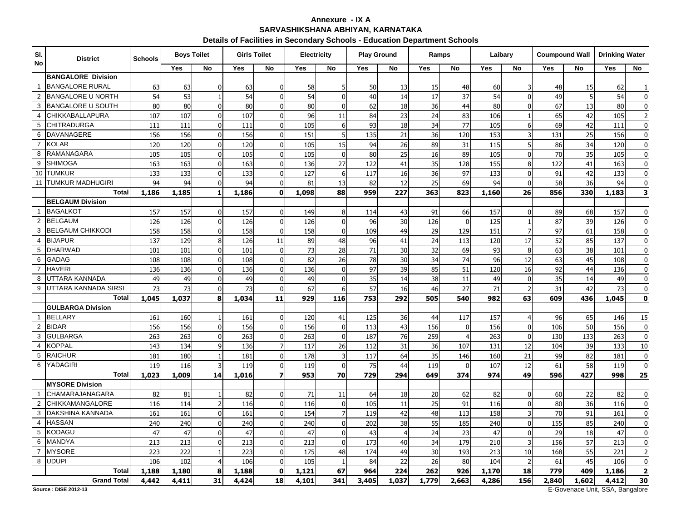## **Annexure - IX ASARVASHIKSHANA ABHIYAN, KARNATAKA**

#### **Details of Facilities in Secondary Schools - Education Department Schools**

| SI.<br>No      | <b>District</b>                             | <b>Schools</b> | <b>Boys Toilet</b> |                         | <b>Girls Toilet</b> |                | <b>Electricity</b> |                | <b>Play Ground</b> |                 | Ramps |                | Laibary    |                          |       | <b>Coumpound Wall</b> | <b>Drinking Water</b> |                         |
|----------------|---------------------------------------------|----------------|--------------------|-------------------------|---------------------|----------------|--------------------|----------------|--------------------|-----------------|-------|----------------|------------|--------------------------|-------|-----------------------|-----------------------|-------------------------|
|                |                                             |                | Yes                | No                      | <b>Yes</b>          | No             | Yes                | No             | Yes                | No              | Yes   | No             | <b>Yes</b> | No                       | Yes   | No                    | Yes                   | No                      |
|                | <b>BANGALORE Division</b>                   |                |                    |                         |                     |                |                    |                |                    |                 |       |                |            |                          |       |                       |                       |                         |
| $\mathbf{1}$   | <b>BANGALORE RURAL</b>                      | 63             | 63                 | $\Omega$                | 63                  | $\mathbf 0$    | 58                 | 5              | 50                 | 13              | 15    | 48             | 60         | 3                        | 48    | 15                    | 62                    | $\mathbf{1}$            |
| 2              | <b>BANGALORE U NORTH</b>                    | 54             | 53                 |                         | 54                  | $\overline{0}$ | 54                 | $\mathbf{0}$   | 40                 | 14              | 17    | 37             | 54         | $\mathbf 0$              | 49    | 5                     | 54                    | $\mathbf 0$             |
| 3              | <b>BANGALORE U SOUTH</b>                    | 80             | 80                 | $\overline{0}$          | 80                  | $\mathbf 0$    | 80                 | $\mathbf{0}$   | 62                 | 18              | 36    | 44             | 80         | $\mathbf 0$              | 67    | 13                    | 80                    | $\overline{0}$          |
| 4              | <b>CHIKKABALLAPURA</b>                      | 107            | 107                | $\mathbf{0}$            | 107                 | $\Omega$       | 96                 | 11             | 84                 | 23              | 24    | 83             | 106        | $\mathbf{1}$             | 65    | 42                    | 105                   | $\overline{2}$          |
| 5              | <b>CHITRADURGA</b>                          | 111            | 111                | $\mathbf 0$             | 111                 | $\overline{0}$ | 105                | 6              | 93                 | 18              | 34    | 77             | 105        | 6                        | 69    | 42                    | 111                   | $\overline{0}$          |
| 6              | <b>DAVANAGERE</b>                           | 156            | 156                | $\Omega$                | 156                 | $\mathbf 0$    | 151                |                | 135                | $\overline{21}$ | 36    | 120            | 153        | 3                        | 131   | 25                    | 156                   | $\overline{0}$          |
| $\overline{7}$ | <b>KOLAR</b>                                | 120            | 120                | $\mathbf{0}$            | 120                 | $\overline{0}$ | 105                | 15             | 94                 | 26              | 89    | 31             | 115        | 5                        | 86    | 34                    | 120                   | $\overline{0}$          |
| 8              | RAMANAGARA                                  | 105            | 105                | $\mathbf{0}$            | 105                 | $\Omega$       | 105                | $\mathbf{0}$   | 80                 | 25              | 16    | 89             | 105        | $\mathbf{0}$             | 70    | 35                    | 105                   | $\overline{0}$          |
| 9              | <b>SHIMOGA</b>                              | 163            | 163                | $\Omega$                | 163                 | $\mathbf 0$    | 136                | 27             | 122                | 41              | 35    | 128            | 155        | 8                        | 122   | 41                    | 163                   | $\overline{0}$          |
| 10             | <b>TUMKUR</b>                               | 133            | 133                | $\mathbf 0$             | 133                 | $\overline{0}$ | 127                | 6              | 117                | 16              | 36    | 97             | 133        | $\mathbf 0$              | 91    | 42                    | 133                   | $\overline{0}$          |
|                | 11 TUMKUR MADHUGIRI                         | 94             | 94                 | $\overline{0}$          | 94                  | $\mathbf{0}$   | 81                 | 13             | 82                 | 12              | 25    | 69             | 94         | $\mathbf 0$              | 58    | 36                    | 94                    | $\overline{0}$          |
|                | <b>Total</b>                                | 1,186          | 1,185              | $\mathbf{1}$            | 1,186               | $\mathbf{0}$   | 1,098              | 88             | 959                | 227             | 363   | 823            | 1,160      | 26                       | 856   | 330                   | 1,183                 | 3                       |
|                | <b>BELGAUM Division</b>                     |                |                    |                         |                     |                |                    |                |                    |                 |       |                |            |                          |       |                       |                       |                         |
| $\mathbf{1}$   | <b>BAGALKOT</b>                             | 157            | 157                | $\overline{0}$          | 157                 | $\overline{0}$ | 149                | 8              | 114                | 43              | 91    | 66             | 157        | $\mathbf{0}$             | 89    | 68                    | 157                   | $\mathbf 0$             |
| 2              | <b>BELGAUM</b>                              | 126            | 126                | $\mathbf 0$             | 126                 | $\mathbf 0$    | 126                | $\Omega$       | 96                 | 30              | 126   | $\mathbf 0$    | 125        | $\mathbf{1}$             | 87    | 39                    | 126                   | $\overline{0}$          |
| 3              | <b>BELGAUM CHIKKODI</b>                     | 158            | 158                | $\mathbf{0}$            | 158                 | $\Omega$       | 158                | $\mathbf{0}$   | 109                | 49              | 29    | 129            | 151        | $\overline{7}$           | 97    | 61                    | 158                   | $\overline{0}$          |
| 4              | <b>BIJAPUR</b>                              | 137            | 129                | 8                       | 126                 | 11             | 89                 | 48             | 96                 | 41              | 24    | 113            | 120        | 17                       | 52    | 85                    | 137                   | $\overline{0}$          |
| 5              | <b>DHARWAD</b>                              | 101            | 101                | $\mathbf{0}$            | 101                 | $\mathbf 0$    | 73                 | 28             | 71                 | 30              | 32    | 69             | 93         | 8                        | 63    | 38                    | 101                   | $\overline{0}$          |
| 6              | <b>GADAG</b>                                | 108            | 108                | $\Omega$                | 108                 | $\mathbf 0$    | 82                 | 26             | 78                 | 30              | 34    | 74             | 96         | 12                       | 63    | 45                    | 108                   | $\overline{0}$          |
| $\overline{7}$ | <b>HAVERI</b>                               | 136            | 136                | $\Omega$                | 136                 | $\Omega$       | 136                | $\Omega$       | 97                 | 39              | 85    | 51             | 120        | 16                       | 92    | 44                    | 136                   | $\overline{0}$          |
| 8              | UTTARA KANNADA                              | 49             | 49                 | $\mathbf 0$             | 49                  | $\mathbf 0$    | 49                 | $\mathbf{0}$   | 35                 | 14              | 38    | 11             | 49         | $\mathbf 0$              | 35    | 14                    | 49                    | $\overline{0}$          |
| 9              | UTTARA KANNADA SIRSI                        | 73             | 73                 | $\overline{0}$          | 73                  | $\overline{0}$ | 67                 | 6              | 57                 | 16              | 46    | 27             | 71         | $\overline{z}$           | 31    | 42                    | 73                    | $\overline{0}$          |
|                | <b>Total</b>                                | 1,045          | 1,037              | 8                       | 1,034               | 11             | 929                | 116            | 753                | 292             | 505   | 540            | 982        | 63                       | 609   | 436                   | 1,045                 | $\mathbf 0$             |
|                | <b>GULBARGA Division</b>                    |                |                    |                         |                     |                |                    |                |                    |                 |       |                |            |                          |       |                       |                       |                         |
| $\overline{1}$ | <b>BELLARY</b>                              | 161            | 160                | $\overline{\mathbf{1}}$ | 161                 | $\mathbf 0$    | 120                | 41             | 125                | 36              | 44    | 117            | 157        |                          | 96    | 65                    | 146                   | 15                      |
| $\overline{2}$ | <b>BIDAR</b>                                | 156            | 156                | $\mathbf 0$             | 156                 | $\mathbf 0$    | 156                | $\mathbf{0}$   | 113                | 43              | 156   | $\mathbf 0$    | 156        | $\mathbf 0$              | 106   | 50                    | 156                   | $\overline{0}$          |
| 3              | <b>GULBARGA</b>                             | 263            | 263                | $\mathbf{0}$            | 263                 | $\mathbf 0$    | 263                | $\Omega$       | 187                | 76              | 259   | $\overline{4}$ | 263        | $\mathbf 0$              | 130   | 133                   | 263                   | $\overline{0}$          |
| 4              | <b>KOPPAL</b>                               | 143            | 134                | 9                       | 136                 | $\overline{7}$ | 117                | 26             | 112                | 31              | 36    | 107            | 131        | 12                       | 104   | 39                    | 133                   | $10\,$                  |
| 5              | <b>RAICHUR</b>                              | 181            | 180                | $\overline{1}$          | 181                 | $\mathbf 0$    | 178                | $\overline{3}$ | 117                | 64              | 35    | 146            | 160        | 21                       | 99    | 82                    | 181                   | $\overline{0}$          |
| 6              | YADAGIRI                                    | 119            | 116                | 3                       | 119                 | $\mathbf{0}$   | 119                | $\mathbf{0}$   | 75                 | 44              | 119   | $\mathbf{0}$   | 107        | 12                       | 61    | 58                    | 119                   | $\mathbf 0$             |
|                | <b>Total</b>                                | 1,023          | 1,009              | 14                      | 1,016               | $\overline{z}$ | 953                | 70             | 729                | 294             | 649   | 374            | 974        | 49                       | 596   | 427                   | 998                   | 25                      |
|                | <b>MYSORE Division</b>                      |                |                    |                         |                     |                |                    |                |                    |                 |       |                |            |                          |       |                       |                       |                         |
| $\mathbf{1}$   | <b>CHAMARAJANAGARA</b>                      | 82             | 81                 |                         | 82                  | $\mathbf 0$    | 71                 | 11             | 64                 | 18              | 20    | 62             | 82         | $\mathbf 0$              | 60    | 22                    | 82                    | $\overline{0}$          |
| $\overline{2}$ | <b>CHIKKAMANGALORE</b>                      | 116            | 114                | $\overline{2}$          | 116                 | $\overline{0}$ | 116                | $\Omega$       | 105                | 11              | 25    | 91             | 116        | $\mathbf 0$              | 80    | 36                    | 116                   | $\overline{0}$          |
| 3              | DAKSHINA KANNADA                            | 161            | 161                | $\mathbf{0}$            | 161                 | $\mathbf 0$    | 154                | $\overline{7}$ | 119                | 42              | 48    | 113            | 158        | 3                        | 70    | 91                    | 161                   | $\overline{0}$          |
| 4              | <b>HASSAN</b>                               | 240            | 240                | $\mathbf{0}$            | 240                 | $\mathbf{0}$   | 240                | $\Omega$       | 202                | 38              | 55    | 185            | 240        | $\mathbf{0}$             | 155   | 85                    | 240                   | $\overline{0}$          |
| 5              | <b>KODAGU</b>                               | 47             | 47                 | $\mathbf 0$             | 47                  | $\mathbf 0$    | 47                 | $\mathbf{0}$   | 43                 | $\overline{4}$  | 24    | 23             | 47         | $\mathbf 0$              | 29    | 18                    | 47                    | $\overline{0}$          |
| 6              | <b>MANDYA</b>                               | 213            | 213                | $\mathbf{0}$            | 213                 | $\mathbf{0}$   | 213                | $\Omega$       | 173                | 40              | 34    | 179            | 210        | 3                        | 156   | 57                    | 213                   | $\overline{0}$          |
|                | <b>MYSORE</b>                               | 223            | 222                | $\overline{1}$          | 223                 | $\overline{0}$ | 175                | 48             | 174                | 49              | 30    | 193            | 213        | 10                       | 168   | 55                    | 221                   | $\overline{2}$          |
| 8              | <b>UDUPI</b>                                | 106            | 102                | $\overline{4}$          | 106                 | $\mathbf{0}$   | 105                | $\overline{1}$ | 84                 | 22              | 26    | 80             | 104        | $\overline{\phantom{a}}$ | 61    | 45                    | 106                   | $\mathbf{0}$            |
|                | <b>Total</b>                                | 1,188          | 1,180              | 8                       | 1,188               | $\mathbf 0$    | 1,121              | 67             | 964                | 224             | 262   | 926            | 1,170      | 18                       | 779   | 409                   | 1,186                 | $\overline{\mathbf{2}}$ |
|                | <b>Grand Total</b><br>Pouron - DIRE 2012 13 | 4,442          | 4,411              | 31                      | 4,424               | 18             | 4,101              | 341            | 3,405              | 1,037           | 1,779 | 2,663          | 4,286      | 156                      | 2,840 | 1,602<br>$E$ Couses   | 4,412<br>CCA          | 30<br><b>Donagloro</b>  |

**Source : DISE 2012-13**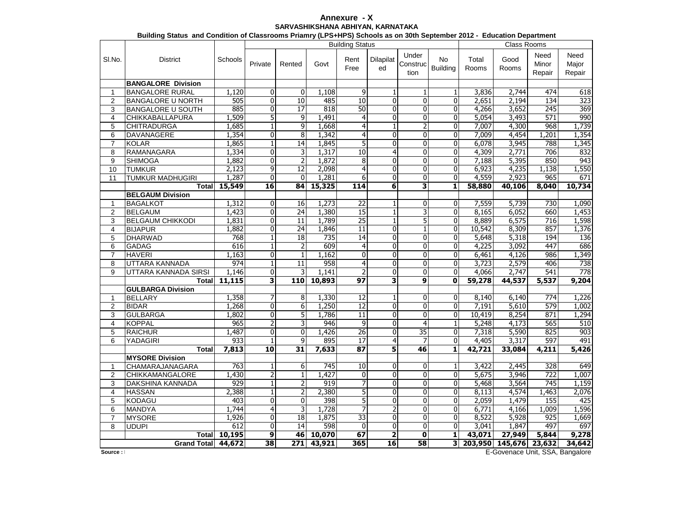## **Annexure - XSARVASHIKSHANA ABHIYAN, KARNATAKA**

|                  |                                 |                     |                     |                  |              |                        | Building Status and Condition of Classrooms Priamry (LPS+HPS) Schools as on 30th September 2012 - Education Department |                           |                              |                |                 |                         |                         |  |  |  |  |
|------------------|---------------------------------|---------------------|---------------------|------------------|--------------|------------------------|------------------------------------------------------------------------------------------------------------------------|---------------------------|------------------------------|----------------|-----------------|-------------------------|-------------------------|--|--|--|--|
|                  |                                 |                     |                     |                  |              | <b>Building Status</b> |                                                                                                                        |                           |                              | Class Rooms    |                 |                         |                         |  |  |  |  |
| SI.No.           | <b>District</b>                 | Schools             | Private             | Rented           | Govt         | Rent<br>Free           | Dilapilat<br>ed                                                                                                        | Under<br>Construc<br>tion | <b>No</b><br><b>Building</b> | Total<br>Rooms | Good<br>Rooms   | Need<br>Minor<br>Repair | Need<br>Major<br>Repair |  |  |  |  |
|                  | <b>BANGALORE Division</b>       |                     |                     |                  |              |                        |                                                                                                                        |                           |                              |                |                 |                         |                         |  |  |  |  |
| 1                | <b>BANGALORE RURAL</b>          | 1,120               | 0                   | 0                | 1,108        | 9                      | 1                                                                                                                      | 1                         | 1                            | 3,836          | 2,744           | 474                     | 618                     |  |  |  |  |
| $\overline{2}$   | <b>BANGALORE U NORTH</b>        | 505                 | 0                   | 10               | 485          | 10                     | $\mathbf 0$                                                                                                            | $\overline{0}$            | $\overline{0}$               | 2,651          | 2,194           | 134                     | 323                     |  |  |  |  |
| 3                | <b>BANGALORE U SOUTH</b>        | 885                 | 0                   | 17               | 818          | 50                     | $\overline{0}$                                                                                                         | $\overline{0}$            | $\overline{0}$               | 4,266          | 3,652           | 245                     | 369                     |  |  |  |  |
| $\overline{4}$   | <b>CHIKKABALLAPURA</b>          | 1,509               | 5                   | 9                | 1,491        | 4                      | $\pmb{0}$                                                                                                              | $\overline{0}$            | $\overline{0}$               | 5,054          | 3,493           | 571                     | 990                     |  |  |  |  |
| 5                | <b>CHITRADURGA</b>              | 1,685               | $\overline{1}$      | 9                | 1,668        | $\overline{4}$         | $\mathbf{1}$                                                                                                           | 2                         | $\overline{0}$               | 7,007          | 4,300           | 968                     | 1,739                   |  |  |  |  |
| 6                | DAVANAGERE                      | 1,354               | 0                   | 8                | 1,342        | $\overline{4}$         | $\pmb{0}$                                                                                                              | $\overline{0}$            | $\mathbf 0$                  | 7,009          | 4,454           | 1,201                   | 1,354                   |  |  |  |  |
| $\overline{7}$   | <b>KOLAR</b>                    | 1,865               | $\overline{1}$      | 14               | 1,845        | 5                      | $\overline{0}$                                                                                                         | $\overline{0}$            | $\overline{0}$               | 6,078          | 3,945           | 788                     | 1,345                   |  |  |  |  |
| 8                | RAMANAGARA                      | 1,334               | $\overline{0}$      | 3                | 1,317        | 10                     | 4                                                                                                                      | $\overline{0}$            | $\mathbf 0$                  | 4,309          | 2,771           | 706                     | 832                     |  |  |  |  |
| 9                | <b>SHIMOGA</b>                  | 1,882               | $\overline{0}$      | $\overline{2}$   | 1,872        | 8                      | $\mathbf{0}$                                                                                                           | $\overline{0}$            | $\mathbf{0}$                 | 7,188          | 5,395           | 850                     | 943                     |  |  |  |  |
| 10               | <b>TUMKUR</b>                   | 2,123               | 9                   | 12               | 2,098        | 4                      | $\mathbf 0$                                                                                                            | 0                         | $\mathbf{0}$                 | 6,923          | 4,235           | 1,138                   | 1,550                   |  |  |  |  |
| 11               | <b>TUMKUR MADHUGIRI</b>         | 1,287               | 0                   | $\Omega$         | 1,281        | 6                      | $\mathbf{0}$                                                                                                           | $\overline{0}$            | $\Omega$                     | 4,559          | 2,923           | 965                     | 671                     |  |  |  |  |
|                  | Total                           | 15,549              | 16                  | 84               | 15,325       | 114                    | 6                                                                                                                      | 3                         | 1                            | 58,880         | 40,106          | 8,040                   | 10,734                  |  |  |  |  |
|                  | <b>BELGAUM Division</b>         |                     |                     |                  |              |                        |                                                                                                                        |                           |                              |                |                 |                         |                         |  |  |  |  |
| $\mathbf{1}$     | <b>BAGALKOT</b>                 | 1,312               | 0                   | 16               | 1,273        | $\overline{22}$        | $\mathbf{1}$                                                                                                           | 0                         | $\mathbf{0}$                 | 7,559          | 5,739           | 730                     | 1,090                   |  |  |  |  |
| $\overline{2}$   | <b>BELGAUM</b>                  | 1,423               | 0                   | 24               | 1,380        | 15                     | $\mathbf 1$                                                                                                            | $\overline{\mathbf{3}}$   | $\overline{0}$               | 8,165          | 6,052           | 660                     | 1,453                   |  |  |  |  |
| 3                | <b>BELGAUM CHIKKODI</b>         | 1,831               | 0                   | 11               | 1,789        | $\overline{25}$        | $\mathbf 1$                                                                                                            | $\overline{5}$            | $\Omega$                     | 8.889          | 6,575           | 716                     | 1,598                   |  |  |  |  |
| $\overline{4}$   | <b>BIJAPUR</b>                  | 1,882               | 0                   | $\overline{24}$  | 1,846        | 11                     | $\mathbf 0$                                                                                                            | 1                         | $\mathbf{0}$                 | 10,542         | 8,309           | 857                     | 1,376                   |  |  |  |  |
| 5                | <b>DHARWAD</b>                  | 768                 | $\mathbf 1$         | 18               | 735          | 14                     | $\mathbf 0$                                                                                                            | $\overline{0}$            | $\mathbf{0}$                 | 5,648          | 5,318           | 194                     | 136                     |  |  |  |  |
| 6                | <b>GADAG</b>                    | 616                 | $\mathbf{1}$        | 2                | 609          | 4                      | $\mathbf 0$                                                                                                            | 0                         | $\mathbf{0}$                 | 4,225          | 3,092           | 447                     | 686                     |  |  |  |  |
| $\overline{7}$   | <b>HAVERI</b>                   | 1,163               | $\overline{0}$      | $\mathbf{1}$     | 1,162        | $\Omega$               | $\mathbf 0$                                                                                                            | $\overline{0}$            | $\Omega$                     | 6,461          | 4,126           | 986                     | 1,349                   |  |  |  |  |
| 8                | UTTARA KANNADA                  | 974                 | $\mathbf{1}$        | 11               | 958          | 4                      | 0                                                                                                                      | 0                         | 0                            | 3,723          | 2,579           | 406                     | 738                     |  |  |  |  |
| 9                | UTTARA KANNADA SIRSI            | 1,146               | 0                   | 3                | 1.141        |                        | $\mathbf 0$                                                                                                            | 0                         | $\Omega$                     | 4,066          | 2,747           | 541                     | $\overline{778}$        |  |  |  |  |
|                  | Total                           | 11,115              | 3                   | 110              | 10,893       | 97                     | 3                                                                                                                      | 9                         | 0                            | 59,278         | 44,537          | 5,537                   | 9,204                   |  |  |  |  |
|                  | <b>GULBARGA Division</b>        |                     |                     |                  |              |                        |                                                                                                                        |                           |                              |                |                 |                         |                         |  |  |  |  |
| 1                | <b>BELLARY</b><br><b>BIDAR</b>  | 1,358               | 7                   | 8                | 1,330        | 12<br>12               | 1                                                                                                                      | 0<br>0                    | $\mathbf{0}$                 | 8,140          | 6,140           | 774<br>579              | 1,226                   |  |  |  |  |
| $\overline{2}$   |                                 | 1,268               | 0                   | 6                | 1,250        | $\overline{11}$        | 0                                                                                                                      |                           | 0                            | 7,191          | 5,610           |                         | 1,002                   |  |  |  |  |
| 3                | <b>GULBARGA</b>                 | 1,802               | $\overline{0}$<br>2 | 5                | 1,786<br>946 |                        | 0                                                                                                                      | O<br>4                    | $\mathbf{0}$                 | 10,419         | 8,254<br>4,173  | 871<br>565              | 1,294                   |  |  |  |  |
| 4                | <b>KOPPAL</b><br><b>RAICHUR</b> | 965<br>1,487        | $\overline{0}$      | 3<br>$\mathbf 0$ | 1,426        | 9<br>26                | $\overline{0}$<br>$\mathbf 0$                                                                                          | $\overline{35}$           | 1<br>$\mathbf{0}$            | 5,248          | 5,590           | 825                     | 510<br>903              |  |  |  |  |
| 5<br>6           | YADAGIRI                        | 933                 | $\overline{1}$      | 9                | 895          | 17                     | 4                                                                                                                      | 7                         | $\overline{0}$               | 7,318<br>4,405 | 3,317           | 597                     | 491                     |  |  |  |  |
|                  | <b>Total</b>                    | 7,813               | 10                  | $\overline{31}$  | 7,633        | 87                     | $\overline{\mathbf{5}}$                                                                                                | 46                        | 1                            | 42,721         | 33,084          | 4,211                   | 5,426                   |  |  |  |  |
|                  | <b>MYSORE Division</b>          |                     |                     |                  |              |                        |                                                                                                                        |                           |                              |                |                 |                         |                         |  |  |  |  |
| 1                | CHAMARAJANAGARA                 | 763                 | $\mathbf{1}$        | 6                | 745          | 10                     | $\mathbf 0$                                                                                                            | $\overline{0}$            | 1                            | 3,422          | 2,445           | 328                     | 649                     |  |  |  |  |
| $\boldsymbol{2}$ | CHIKKAMANGALORE                 | 1,430               | $\overline{2}$      | $\mathbf{1}$     | 1,427        | 0                      | $\pmb{0}$                                                                                                              | $\overline{0}$            | $\mathbf 0$                  | 5,675          | 3,946           | 722                     | 1,007                   |  |  |  |  |
| 3                | <b>DAKSHINA KANNADA</b>         | 929                 | $\overline{1}$      | $\overline{2}$   | 919          | 7                      | $\overline{0}$                                                                                                         | $\overline{0}$            | $\mathbf 0$                  | 5,468          | 3,564           | 745                     | 1,159                   |  |  |  |  |
| $\overline{4}$   | <b>HASSAN</b>                   | 2,388               | $\overline{1}$      | $\overline{2}$   | 2,380        | 5                      | $\pmb{0}$                                                                                                              | 0                         | $\mathbf 0$                  | 8,113          | 4,574           | 1,463                   | 2,076                   |  |  |  |  |
| 5                | KODAGU                          | 403                 | $\overline{0}$      | $\overline{0}$   | 398          | 5                      | $\overline{0}$                                                                                                         | $\overline{0}$            | $\mathbf{0}$                 | 2,059          | 1,479           | 155                     | 425                     |  |  |  |  |
| 6                | <b>MANDYA</b>                   | 1,744               | 4                   | 3                | 1,728        |                        | $\overline{2}$                                                                                                         | 0                         | $\mathbf{0}$                 | 6,771          | 4,166           | 1,009                   | 1,596                   |  |  |  |  |
| $\overline{7}$   | <b>MYSORE</b>                   | 1,926               | $\overline{0}$      | 18               | 1,875        | 33                     | $\overline{0}$                                                                                                         | 0                         | $\mathbf 0$                  | 8,522          | 5,928           | 925                     | 1,669                   |  |  |  |  |
| 8                | <b>UDUPI</b>                    | 612                 | 0                   | 14               | 598          | $\mathbf{0}$           | $\mathbf 0$                                                                                                            | $\overline{0}$            | $\mathbf{0}$                 | 3,041          | 1,847           | 497                     | 697                     |  |  |  |  |
|                  |                                 | <b>Total</b> 10,195 | $\overline{9}$      |                  | 46 10,070    | 67                     | $\overline{\mathbf{2}}$                                                                                                | $\mathbf 0$               | 1                            | 43,071         | 27,949          | 5,844                   | 9,278                   |  |  |  |  |
|                  | Grand Total 44,672              |                     | 38                  |                  | 271 43,921   | 365                    | 16                                                                                                                     | 58                        | 31                           |                | 203,950 145,676 | 23,632                  | 34,642                  |  |  |  |  |
|                  |                                 |                     |                     |                  |              |                        |                                                                                                                        |                           |                              |                |                 |                         |                         |  |  |  |  |

 $Source:$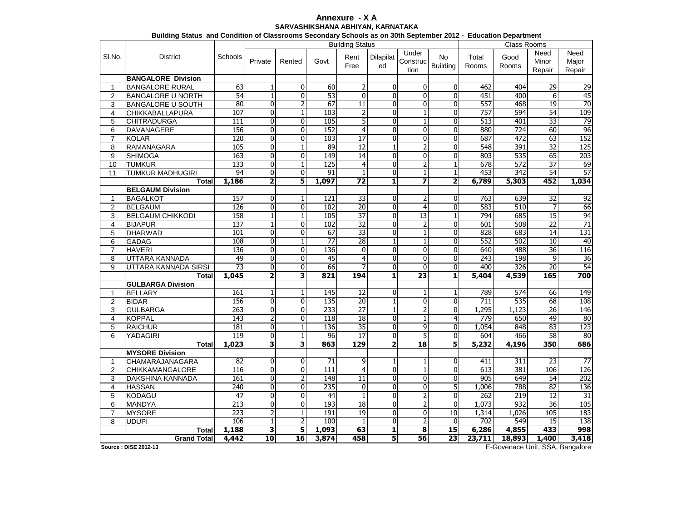## **Annexure - X ASARVASHIKSHANA ABHIYAN, KARNATAKA**

| Building Status and Condition of Classrooms Secondary Schools as on 30th September 2012 - Education Department |                           |                        |                         |                |                 |                 |                         |                         |                         |        |                  |                 |                    |  |  |  |  |  |  |  |  |
|----------------------------------------------------------------------------------------------------------------|---------------------------|------------------------|-------------------------|----------------|-----------------|-----------------|-------------------------|-------------------------|-------------------------|--------|------------------|-----------------|--------------------|--|--|--|--|--|--|--|--|
|                                                                                                                |                           | <b>Building Status</b> |                         |                |                 |                 |                         |                         |                         |        |                  |                 | <b>Class Rooms</b> |  |  |  |  |  |  |  |  |
| SI.No.                                                                                                         | <b>District</b>           | Schools                |                         |                |                 | Rent            | Dilapilat               | Under                   | <b>No</b>               | Total  | Good             | Need            | Need               |  |  |  |  |  |  |  |  |
|                                                                                                                |                           |                        | Private                 | Rented         | Govt            | Free            | ed                      | Construc                | <b>Building</b>         | Rooms  | Rooms            | Minor           | Major              |  |  |  |  |  |  |  |  |
|                                                                                                                |                           |                        |                         |                |                 |                 |                         | tion                    |                         |        |                  | Repair          | Repair             |  |  |  |  |  |  |  |  |
|                                                                                                                | <b>BANGALORE Division</b> |                        |                         |                |                 |                 |                         |                         |                         |        |                  |                 |                    |  |  |  |  |  |  |  |  |
| $\mathbf{1}$                                                                                                   | <b>BANGALORE RURAL</b>    | 63                     | $\mathbf{1}$            | 0              | 60              | $\overline{2}$  | $\mathbf 0$             | $\mathbf 0$             | $\Omega$                | 462    | 404              | 29              | 29                 |  |  |  |  |  |  |  |  |
| $\overline{2}$                                                                                                 | <b>BANGALORE U NORTH</b>  | 54                     | $\mathbf{1}$            | $\mathbf{0}$   | 53              | $\mathbf{0}$    | $\mathbf{0}$            | $\overline{\mathbf{0}}$ | $\mathbf{0}$            | 451    | 400              | 6               | 45                 |  |  |  |  |  |  |  |  |
| 3                                                                                                              | <b>BANGALORE U SOUTH</b>  | 80                     | $\overline{\mathbf{0}}$ | $\overline{2}$ | 67              | $\overline{11}$ | $\overline{0}$          | $\overline{0}$          | $\Omega$                | 557    | 468              | 19              | 70                 |  |  |  |  |  |  |  |  |
| 4                                                                                                              | CHIKKABALLAPURA           | 107                    | 0                       | $\mathbf{1}$   | 103             | 2               | 0                       | $\mathbf{1}$            | 0                       | 757    | 594              | 54              | 109                |  |  |  |  |  |  |  |  |
| 5                                                                                                              | <b>CHITRADURGA</b>        | 111                    | 0                       | 0              | 105             | 5               | $\bf{0}$                | $\mathbf{1}$            | 0                       | 513    | 401              | 33              | 79                 |  |  |  |  |  |  |  |  |
| 6                                                                                                              | DAVANAGERE                | 156                    | 0                       | $\mathbf 0$    | 152             | $\overline{4}$  | $\mathbf{0}$            | $\overline{0}$          | $\mathbf{0}$            | 880    | $\overline{724}$ | 60              | 96                 |  |  |  |  |  |  |  |  |
| $\overline{7}$                                                                                                 | <b>KOLAR</b>              | 120                    | 0                       | 0              | 103             | 17              | 0                       | 0                       | $\mathbf{0}$            | 687    | 472              | 63              | 152                |  |  |  |  |  |  |  |  |
| 8                                                                                                              | RAMANAGARA                | 105                    | 0                       | $\mathbf{1}$   | 89              | 12              | $\mathbf 1$             | $\overline{2}$          | $\mathbf{0}$            | 548    | 391              | 32              | 125                |  |  |  |  |  |  |  |  |
| 9                                                                                                              | SHIMOGA                   | 163                    | 0                       | $\overline{0}$ | 149             | $\overline{14}$ | $\overline{0}$          | 0                       | 0                       | 803    | 535              | 65              | 203                |  |  |  |  |  |  |  |  |
| 10                                                                                                             | <b>TUMKUR</b>             | 133                    | 0                       | $\mathbf{1}$   | 125             | $\overline{4}$  | $\mathbf{0}$            | $\overline{2}$          | $\mathbf{1}$            | 678    | 572              | $\overline{37}$ | 69                 |  |  |  |  |  |  |  |  |
| 11                                                                                                             | <b>TUMKUR MADHUGIRI</b>   | 94                     | 0                       | $\mathbf{0}$   | 91              | $\mathbf{1}$    | $\mathbf{0}$            | $\mathbf{1}$            | $\mathbf{1}$            | 453    | 342              | 54              | 57                 |  |  |  |  |  |  |  |  |
|                                                                                                                | <b>Total</b>              | 1,186                  | 2                       | 5              | 1,097           | $\overline{72}$ | $\mathbf{1}$            | 7                       | $\overline{2}$          | 6,789  | 5,303            | 452             | 1,034              |  |  |  |  |  |  |  |  |
|                                                                                                                | <b>BELGAUM Division</b>   |                        |                         |                |                 |                 |                         |                         |                         |        |                  |                 |                    |  |  |  |  |  |  |  |  |
| 1                                                                                                              | <b>BAGALKOT</b>           | 157                    | $\overline{\mathbf{0}}$ | 1              | 121             | 33              | $\mathbf{0}$            | 2                       | 0                       | 763    | 639              | 32              | 92                 |  |  |  |  |  |  |  |  |
| 2                                                                                                              | <b>BELGAUM</b>            | 126                    | 0                       | $\overline{0}$ | 102             | $\overline{20}$ | $\mathbf 0$             | $\overline{\mathbf{r}}$ | $\mathbf{0}$            | 583    | 510              | 7               | 66                 |  |  |  |  |  |  |  |  |
|                                                                                                                | <b>BELGAUM CHIKKODI</b>   | 158                    |                         |                | 105             | $\overline{37}$ |                         | 13                      |                         | 794    | 685              | 15              | 94                 |  |  |  |  |  |  |  |  |
| 3                                                                                                              |                           |                        | $\overline{1}$          | $\mathbf{1}$   |                 |                 | 0                       |                         | 1                       |        |                  |                 |                    |  |  |  |  |  |  |  |  |
| 4                                                                                                              | <b>BIJAPUR</b>            | 137                    | $\mathbf{1}$            | $\mathbf 0$    | 102             | $\overline{32}$ | $\mathbf{0}$            | $\overline{2}$          | $\mathbf{0}$            | 601    | 508<br>683       | $\overline{22}$ | $\overline{71}$    |  |  |  |  |  |  |  |  |
| 5                                                                                                              | DHARWAD                   | 101                    | 0                       | 0              | 67              | 33              | 0                       | 1                       | 0                       | 828    |                  | 14              | 131                |  |  |  |  |  |  |  |  |
| 6                                                                                                              | <b>GADAG</b>              | 108                    | $\overline{0}$          | $\overline{1}$ | $\overline{77}$ | $\overline{28}$ | $\overline{1}$          | $\overline{1}$          | $\Omega$                | 552    | 502              | 10              | 40                 |  |  |  |  |  |  |  |  |
| $\overline{7}$                                                                                                 | <b>HAVERI</b>             | 136                    | 0                       | $\mathbf 0$    | 136             | $\mathbf{0}$    | $\mathbf{0}$            | 0                       | $\mathbf{0}$            | 640    | 488              | $\overline{36}$ | 116                |  |  |  |  |  |  |  |  |
| 8                                                                                                              | UTTARA KANNADA            | 49                     | ō                       | $\overline{0}$ | 45              | 4               | 0                       | $\overline{0}$          | 0                       | 243    | 198              | $\overline{9}$  | 36                 |  |  |  |  |  |  |  |  |
| 9                                                                                                              | UTTARA KANNADA SIRSI      | $\overline{73}$        | $\overline{0}$          | $\mathbf 0$    | 66              |                 | $\mathbf 0$             | $\overline{0}$          | $\mathbf{0}$            | 400    | 326              | $\overline{20}$ | 54                 |  |  |  |  |  |  |  |  |
|                                                                                                                | <b>Total</b>              | 1,045                  | 2                       | 3              | 821             | 194             | $\overline{\mathbf{1}}$ | 23                      | $\overline{\mathbf{1}}$ | 5,404  | 4,539            | 165             | 700                |  |  |  |  |  |  |  |  |
|                                                                                                                | <b>GULBARGA Division</b>  |                        |                         |                |                 |                 |                         |                         |                         |        |                  |                 |                    |  |  |  |  |  |  |  |  |
| 1                                                                                                              | <b>BELLARY</b>            | 161                    | $\mathbf{1}$            | 1              | 145             | 12              | 0                       | 1                       | 1                       | 789    | 574              | 66              | 149                |  |  |  |  |  |  |  |  |
| $\overline{2}$                                                                                                 | <b>BIDAR</b>              | 156                    | $\overline{0}$          | $\mathbf 0$    | 135             | $\overline{20}$ | $\mathbf 1$             | $\overline{\mathbf{0}}$ | $\mathbf{0}$            | 711    | 535              | 68              | 108                |  |  |  |  |  |  |  |  |
| 3                                                                                                              | <b>GULBARGA</b>           | 263                    | 0                       | $\overline{0}$ | 233             | $\overline{27}$ | $\overline{1}$          | 2                       | 0                       | 1,295  | 1,123            | 26              | 146                |  |  |  |  |  |  |  |  |
| $\overline{4}$                                                                                                 | <b>KOPPAL</b>             | $\overline{143}$       | $\overline{2}$          | $\mathbf 0$    | 118             | $\overline{18}$ | $\overline{0}$          | $\overline{1}$          | $\overline{4}$          | 779    | 650              | 49              | 80                 |  |  |  |  |  |  |  |  |
| 5                                                                                                              | <b>RAICHUR</b>            | 181                    | 0                       | 1              | 136             | $\overline{35}$ | $\overline{0}$          | 9                       | 0                       | 1,054  | 848              | 83              | 123                |  |  |  |  |  |  |  |  |
| 6                                                                                                              | <b>YADAGIRI</b>           | 119                    | $\overline{0}$          | $\overline{1}$ | 96              | $\overline{17}$ | $\overline{0}$          | 5                       | $\overline{0}$          | 604    | 466              | 58              | 80                 |  |  |  |  |  |  |  |  |
|                                                                                                                | <b>Total</b>              | 1,023                  | 3                       | 3              | 863             | 129             | $\overline{\mathbf{2}}$ | $\overline{18}$         | 5                       | 5,232  | 4,196            | 350             | 686                |  |  |  |  |  |  |  |  |
|                                                                                                                | <b>MYSORE Division</b>    |                        |                         |                |                 |                 |                         |                         |                         |        |                  |                 |                    |  |  |  |  |  |  |  |  |
| 1                                                                                                              | CHAMARAJANAGARA           | $\overline{82}$        | ٥I                      | 0              | 71              | 9               | $\mathbf{1}$            | 1                       | $\Omega$                | 411    | 311              | 23              | $\overline{77}$    |  |  |  |  |  |  |  |  |
| $\overline{2}$                                                                                                 | CHIKKAMANGALORE           | 116                    | 0                       | 0              | 111             | $\overline{4}$  | 0                       | $\mathbf{1}$            | $\mathbf{0}$            | 613    | 381              | 106             | 126                |  |  |  |  |  |  |  |  |
| 3                                                                                                              | <b>DAKSHINA KANNADA</b>   | 161                    | 0                       | $\overline{2}$ | 148             | 11              | $\overline{0}$          | $\overline{0}$          | $\Omega$                | 905    | 649              | $\overline{54}$ | 202                |  |  |  |  |  |  |  |  |
| $\overline{4}$                                                                                                 | <b>HASSAN</b>             | 240                    | 0                       | $\overline{0}$ | 235             | 0               | $\overline{0}$          | $\overline{\mathbf{0}}$ | 5                       | 1,006  | 788              | 82              | 136                |  |  |  |  |  |  |  |  |
| 5                                                                                                              | KODAGU                    | 47                     | $\overline{\mathbf{0}}$ | $\mathbf 0$    | 44              | $\mathbf{1}$    | $\overline{0}$          | $\overline{2}$          | $\mathbf{0}$            | 262    | 219              | $\overline{12}$ | $\overline{31}$    |  |  |  |  |  |  |  |  |
| 6                                                                                                              | <b>MANDYA</b>             | 213                    | $\overline{0}$          | 0              | 193             | $\overline{18}$ | 0                       | 2                       | $\mathbf{0}$            | 1,073  | 932              | 36              | 105                |  |  |  |  |  |  |  |  |
| 7                                                                                                              | <b>MYSORE</b>             | 223                    | $\overline{2}$          | $1\,$          | 191             | 19              | $\overline{0}$          | $\overline{0}$          | 10                      | 1,314  | 1,026            | 105             | 183                |  |  |  |  |  |  |  |  |
| 8                                                                                                              | <b>UDUPI</b>              | 106                    | $\overline{1}$          | $\overline{2}$ | 100             | $\mathbf{1}$    | $\mathbf{0}$            | $\overline{2}$          | $\mathbf{0}$            | 702    | 549              | 15              | 138                |  |  |  |  |  |  |  |  |
|                                                                                                                | <b>Total</b>              | 1,188                  | 3                       | 5              | 1,093           | 63              | 1                       | 8                       | 15                      | 6,286  | 4,855            | 433             | 998                |  |  |  |  |  |  |  |  |
|                                                                                                                | <b>Grand Total</b>        | 4,442                  | 10                      | 16             | 3,874           | 458             | 5                       | 56                      | 23                      | 23,711 | 18,893           | 1,400           | 3,418              |  |  |  |  |  |  |  |  |

**Source : DISE 2012-13**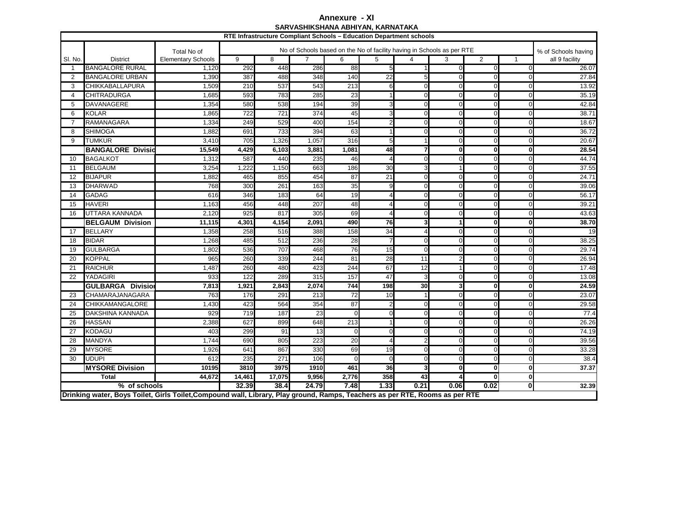## **Annexure - XISARVASHIKSHANA ABHIYAN, KARNATAKA**

|                |                                                                                                                              |                           |                  | RTE Infrastructure Compliant Schools - Education Department schools |                  | SAR VASNIN SHANA ADNI I AN, NARNA I ANA |          |                |                                                                        |              |              |                     |  |  |
|----------------|------------------------------------------------------------------------------------------------------------------------------|---------------------------|------------------|---------------------------------------------------------------------|------------------|-----------------------------------------|----------|----------------|------------------------------------------------------------------------|--------------|--------------|---------------------|--|--|
|                |                                                                                                                              | Total No of               |                  |                                                                     |                  |                                         |          |                | No of Schools based on the No of facility having in Schools as per RTE |              |              | % of Schools having |  |  |
| SI. No.        | <b>District</b>                                                                                                              | <b>Elementary Schools</b> | 9                | 8                                                                   | $\overline{7}$   | 6                                       |          | all 9 facility |                                                                        |              |              |                     |  |  |
| $\mathbf{1}$   | <b>BANGALORE RURAL</b>                                                                                                       | 1,120                     | 292              | 448                                                                 | 286              | 88                                      |          |                | $\Omega$                                                               | $\Omega$     | ∩            | 26.07               |  |  |
| 2              | <b>BANGALORE URBAN</b>                                                                                                       | 1,390                     | 387              | 488                                                                 | 348              | 140                                     | 22       |                | $\Omega$                                                               | 0            | $\Omega$     | 27.84               |  |  |
| 3              | <b>CHIKKABALLAPURA</b>                                                                                                       | 1,509                     | 210              | 537                                                                 | 543              | 213                                     | 6        |                | $\Omega$                                                               | 0            | $\Omega$     | 13.92               |  |  |
| $\overline{4}$ | <b>CHITRADURGA</b>                                                                                                           | 1,685                     | 593              | 783                                                                 | 285              | 23                                      |          | $\Omega$       | $\Omega$                                                               | $\Omega$     | $\Omega$     | 35.19               |  |  |
| 5              | <b>DAVANAGERE</b>                                                                                                            | 1,354                     | 580              | 538                                                                 | 194              | 39                                      | 3        |                | $\Omega$                                                               | $\Omega$     | $\Omega$     | 42.84               |  |  |
| 6              | <b>KOLAR</b>                                                                                                                 | 1,865                     | $\overline{722}$ | 721                                                                 | 374              | 45                                      | 3        | $\Omega$       | $\Omega$                                                               | $\mathbf 0$  | $\Omega$     | 38.71               |  |  |
| $\overline{7}$ | <b>RAMANAGARA</b>                                                                                                            | 1,334                     | 249              | 529                                                                 | 400              | 154                                     |          | $\Omega$       | $\Omega$                                                               | $\mathbf 0$  | $\mathbf 0$  | 18.67               |  |  |
| 8              | <b>SHIMOGA</b>                                                                                                               | 1,882                     | 691              | 733                                                                 | 394              | 63                                      |          |                | $\Omega$                                                               | $\Omega$     | $\Omega$     | 36.72               |  |  |
| 9              | <b>TUMKUR</b>                                                                                                                | 3,410                     | 705              | 1,326                                                               | 1,05             | $\overline{316}$                        | 5        |                | $\Omega$                                                               | $\Omega$     | $\Omega$     | 20.67               |  |  |
|                | <b>BANGALORE Divisio</b>                                                                                                     | 15,549                    | 4,429            | 6,103                                                               | 3,881            | 1,081                                   | 48       |                | $\bf{0}$                                                               | $\mathbf{0}$ | <sub>0</sub> | 28.54               |  |  |
| 10             | <b>BAGALKOT</b>                                                                                                              | 1,312                     | 587              | 440                                                                 | 235              | 46                                      |          |                | $\Omega$                                                               | $\Omega$     | ∩            | 44.74               |  |  |
| 11             | <b>BELGAUM</b>                                                                                                               | 3,254                     | 1,222            | 1,150                                                               | 663              | 186                                     | 30       |                |                                                                        | $\Omega$     | $\Omega$     | 37.55               |  |  |
| 12             | <b>BIJAPUR</b>                                                                                                               | 1,882                     | 465              | 855                                                                 | 454              | 87                                      | 21       | $\Omega$       | $\Omega$                                                               | $\Omega$     | $\Omega$     | 24.71               |  |  |
| 13             | <b>DHARWAD</b>                                                                                                               | 768                       | 300              | 261                                                                 | 163              | 35                                      | q        |                | $\Omega$                                                               | $\Omega$     | $\Omega$     | 39.06               |  |  |
| 14             | <b>GADAG</b>                                                                                                                 | 616                       | 346              | 183                                                                 | 64               | 19                                      |          |                | $\Omega$                                                               | $\Omega$     | n            | 56.17               |  |  |
| 15             | <b>HAVERI</b>                                                                                                                | 1,163                     | 456              | 448                                                                 | 207              | 48                                      |          |                | $\Omega$                                                               | 0            | $\Omega$     | 39.21               |  |  |
| 16             | UTTARA KANNADA                                                                                                               | 2,120                     | 925              | 817                                                                 | 305              | 69                                      |          |                | C                                                                      | $\Omega$     | ∩            | 43.63               |  |  |
|                | <b>BELGAUM Division</b>                                                                                                      | 11,115                    | 4,301            | 4,154                                                               | 2,091            | 490                                     | 76       |                |                                                                        | $\mathbf{0}$ | <sup>0</sup> | 38.70               |  |  |
| 17             | <b>BELLARY</b>                                                                                                               | 1,358                     | 258              | 516                                                                 | 388              | 158                                     | 34       |                | $\Omega$                                                               | $\Omega$     | $\Omega$     | 19                  |  |  |
| 18             | <b>BIDAR</b>                                                                                                                 | 1,268                     | 485              | 512                                                                 | 236              | 28                                      |          | ∩              | $\Omega$                                                               | $\Omega$     | ∩            | 38.25               |  |  |
| 19             | <b>GULBARGA</b>                                                                                                              | 1,802                     | 536              | 707                                                                 | 468              | 76                                      | 15       | $\Omega$       | $\Omega$                                                               | $\Omega$     | ∩            | 29.74               |  |  |
| 20             | <b>KOPPAL</b>                                                                                                                | 965                       | 260              | 339                                                                 | 244              | 81                                      | 28<br>11 |                |                                                                        | O            |              | 26.94               |  |  |
| 21             | <b>RAICHUR</b>                                                                                                               | 1,487                     | 260              | 480                                                                 | 423              | 244                                     | 67       | 12             |                                                                        | $\Omega$     | $\Omega$     | 17.48               |  |  |
| 22             | YADAGIRI                                                                                                                     | 933                       | 122              | 289                                                                 | 315              | 157                                     | 47       | 3              | $\Omega$                                                               | $\Omega$     | $\Omega$     | 13.08               |  |  |
|                | <b>GULBARGA Divisio</b>                                                                                                      | 7,813                     | 1,921            | 2,843                                                               | 2,074            | 744                                     | 198      | 30             | 3                                                                      | $\mathbf{0}$ |              | 24.59               |  |  |
| 23             | CHAMARAJANAGARA                                                                                                              | 763                       | 176              | 291                                                                 | 213              | 72                                      | 10       |                | $\Omega$                                                               | $\Omega$     | ∩            | 23.07               |  |  |
| 24             | <b>CHIKKAMANGALORE</b>                                                                                                       | 1,430                     | 423              | 564                                                                 | 354              | 87                                      |          | $\Omega$       | $\Omega$                                                               | $\Omega$     | ∩            | 29.58               |  |  |
| 25             | <b>DAKSHINA KANNADA</b>                                                                                                      | 929                       | 719              | 187                                                                 | 23               | $\Omega$                                | 0        |                | $\Omega$                                                               | $\Omega$     |              | 77.4                |  |  |
| 26             | <b>HASSAN</b>                                                                                                                | 2,388                     | 627              | 899                                                                 | 648              | 213                                     |          |                | $\Omega$                                                               | $\Omega$     | ∩            | 26.26               |  |  |
| 27             | <b>KODAGU</b>                                                                                                                | 403                       | 299              | 91                                                                  | 13               | $\Omega$                                | 0        | $\Omega$       | $\Omega$                                                               | 0            | $\Omega$     | 74.19               |  |  |
| 28             | <b>MANDYA</b>                                                                                                                | 1,744                     | 690              | 805                                                                 | $\overline{223}$ | 20                                      |          |                | $\Omega$                                                               | $\Omega$     | $\Omega$     | 39.56               |  |  |
| 29             | <b>MYSORE</b>                                                                                                                | 1,926                     | 641              | 867                                                                 | 330              | 69                                      | 19       |                | $\Omega$                                                               | $\Omega$     | ∩            | 33.28               |  |  |
| 30             | <b>UDUPI</b>                                                                                                                 | 612                       | 235              | 271                                                                 | 106              | $\Omega$                                | U        | $\Omega$       | $\Omega$                                                               | $\Omega$     | $\Omega$     | 38.4                |  |  |
|                | <b>MYSORE Division</b>                                                                                                       | 10195                     | 3810             | 3975                                                                | 1910             | 461                                     | 36       |                | $\Omega$                                                               | $\mathbf{0}$ | $\bf{0}$     | 37.37               |  |  |
|                | <b>Total</b>                                                                                                                 | 44,672                    | 14,461           | 17,075                                                              | 9,956            | 2,776                                   | 358      | 43             |                                                                        | $\mathbf{0}$ | $\mathbf{0}$ |                     |  |  |
|                | $\sqrt[6]{ }$ of schools                                                                                                     |                           | 32.39            | 38.4                                                                | 24.79            | 7.48                                    | 1.33     | 0.21           | 0.06                                                                   | 0.02         | $\mathbf{0}$ | 32.39               |  |  |
|                | Drinking water, Boys Toilet, Girls Toilet, Compound wall, Library, Play ground, Ramps, Teachers as per RTE, Rooms as per RTE |                           |                  |                                                                     |                  |                                         |          |                |                                                                        |              |              |                     |  |  |